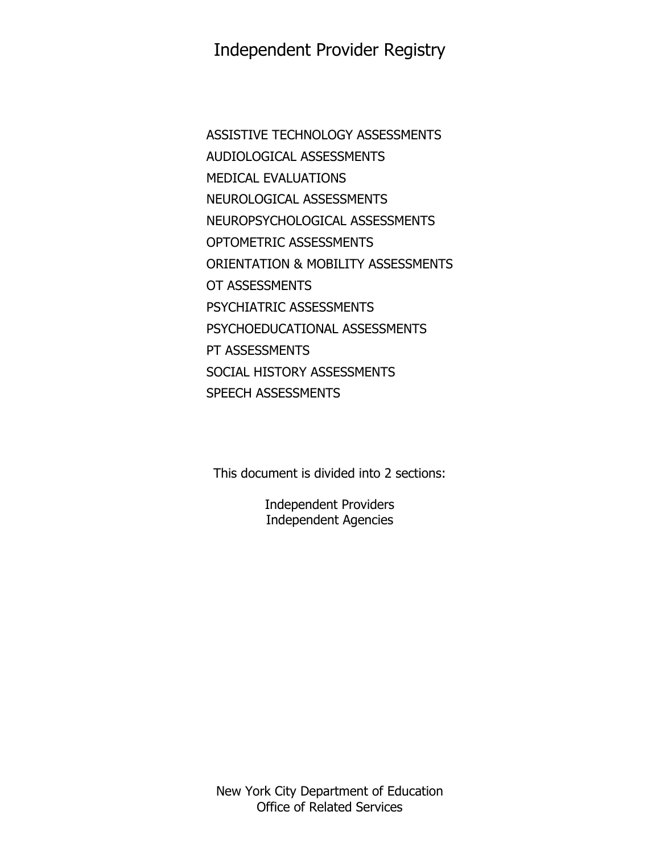# Independent Provider Registry

ASSISTIVE TECHNOLOGY ASSESSMENTS AUDIOLOGICAL ASSESSMENTS MEDICAL EVALUATIONS NEUROLOGICAL ASSESSMENTS NEUROPSYCHOLOGICAL ASSESSMENTS OPTOMETRIC ASSESSMENTS ORIENTATION & MOBILITY ASSESSMENTS OT ASSESSMENTS PSYCHIATRIC ASSESSMENTS PSYCHOEDUCATIONAL ASSESSMENTS PT ASSESSMENTS SOCIAL HISTORY ASSESSMENTS SPEECH ASSESSMENTS

This document is divided into 2 sections:

Independent Providers Independent Agencies

New York City Department of Education Office of Related Services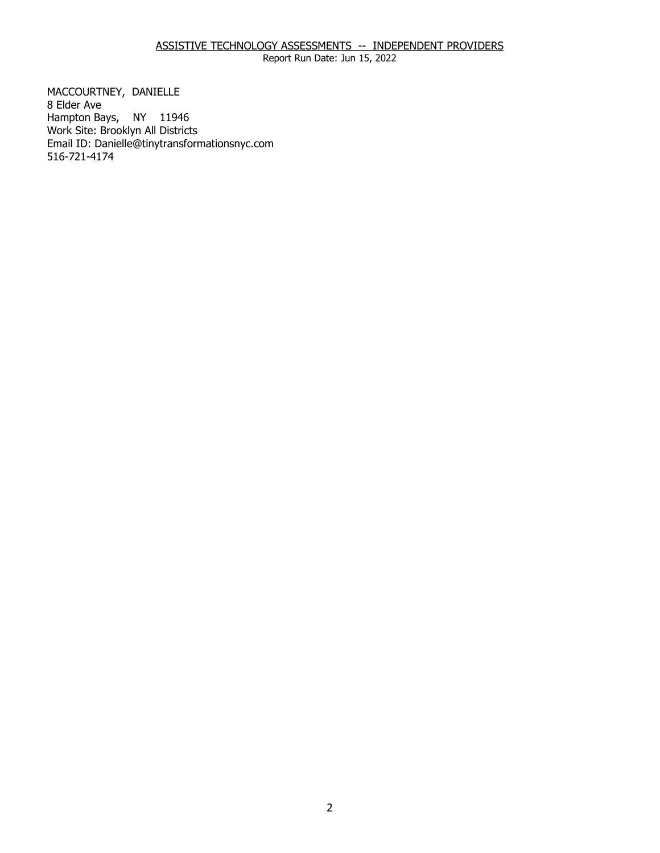# ASSISTIVE TECHNOLOGY ASSESSMENTS -- INDEPENDENT PROVIDERS

Report Run Date: Jun 15, 2022

MACCOURTNEY, DANIELLE<br>8 Elder Ave Hampton Bays, NY 11946 Work Site: Brooklyn All Districts Email ID: [Danielle@tinytransformationsnyc.com](mailto:Danielle@tinytransformationsnyc.com) 516-721-4174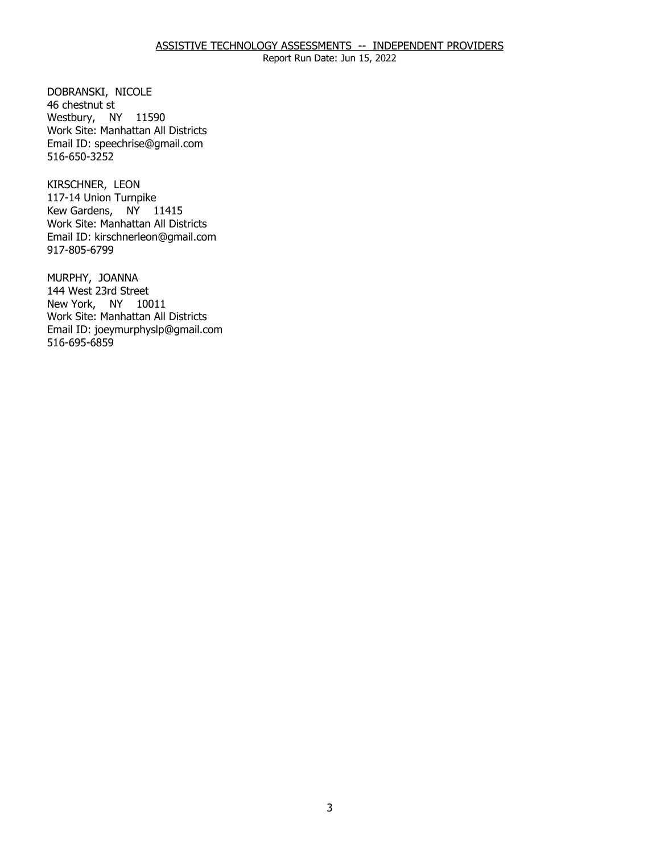DOBRANSKI, NICOLE<br>46 chestnut st Westbury, NY 11590 Work Site: Manhattan All Districts Email ID: [speechrise@gmail.com](mailto:speechrise@gmail.com)  516-650-3252

KIRSCHNER, LEON Kew Gardens, NY 11415 117-14 Union Turnpike Work Site: Manhattan All Districts Email ID: [kirschnerleon@gmail.com](mailto:kirschnerleon@gmail.com)  917-805-6799

MURPHY, JOANNA New York, NY 10011 144 West 23rd Street Work Site: Manhattan All Districts Email ID: [joeymurphyslp@gmail.com](mailto:joeymurphyslp@gmail.com)  516-695-6859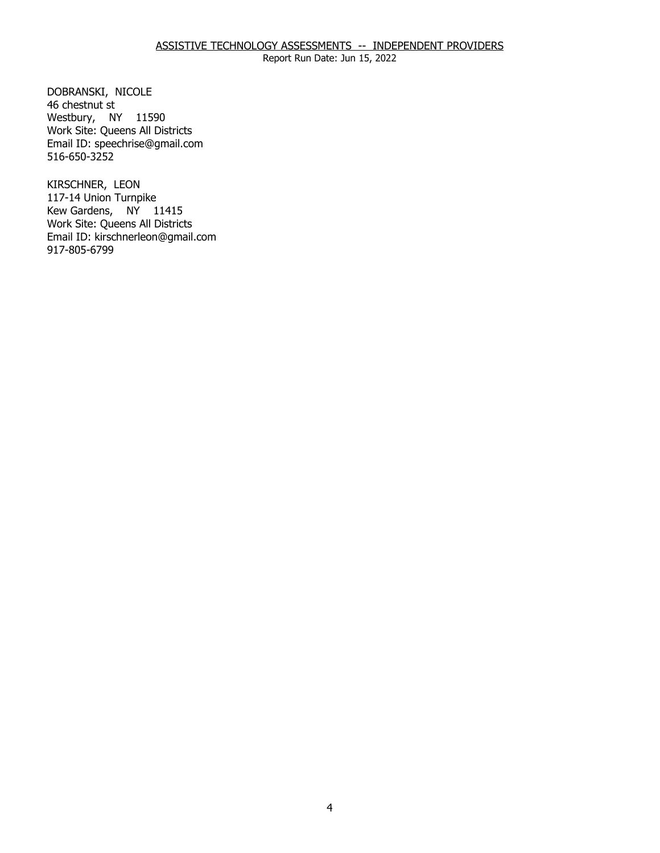DOBRANSKI, NICOLE<br>46 chestnut st Westbury, NY 11590 Work Site: Queens All Districts Email ID: [speechrise@gmail.com](mailto:speechrise@gmail.com)  516-650-3252

KIRSCHNER, LEON Kew Gardens, NY 11415 117-14 Union Turnpike Work Site: Queens All Districts Email ID: [kirschnerleon@gmail.com](mailto:kirschnerleon@gmail.com)  917-805-6799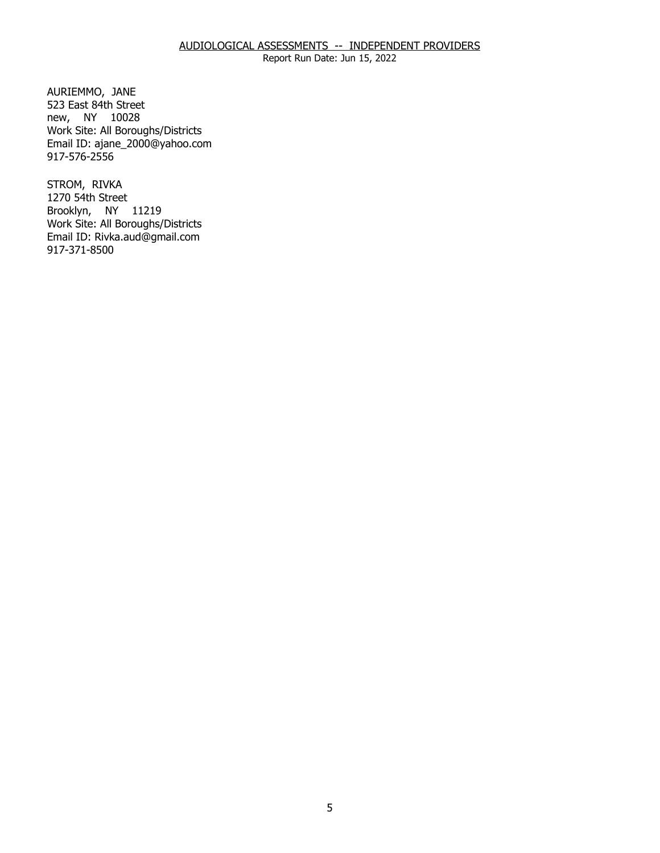## AUDIOLOGICAL ASSESSMENTS -- INDEPENDENT PROVIDERS

Report Run Date: Jun 15, 2022

AURIEMMO, JANE new, NY 10028 523 East 84th Street Work Site: All Boroughs/Districts Email ID: [ajane\\_2000@yahoo.com](mailto:ajane_2000@yahoo.com)  917-576-2556

STROM, RIVKA Brooklyn, NY 11219 1270 54th Street Work Site: All Boroughs/Districts Email ID: [Rivka.aud@gmail.com](mailto:Rivka.aud@gmail.com) 917-371-8500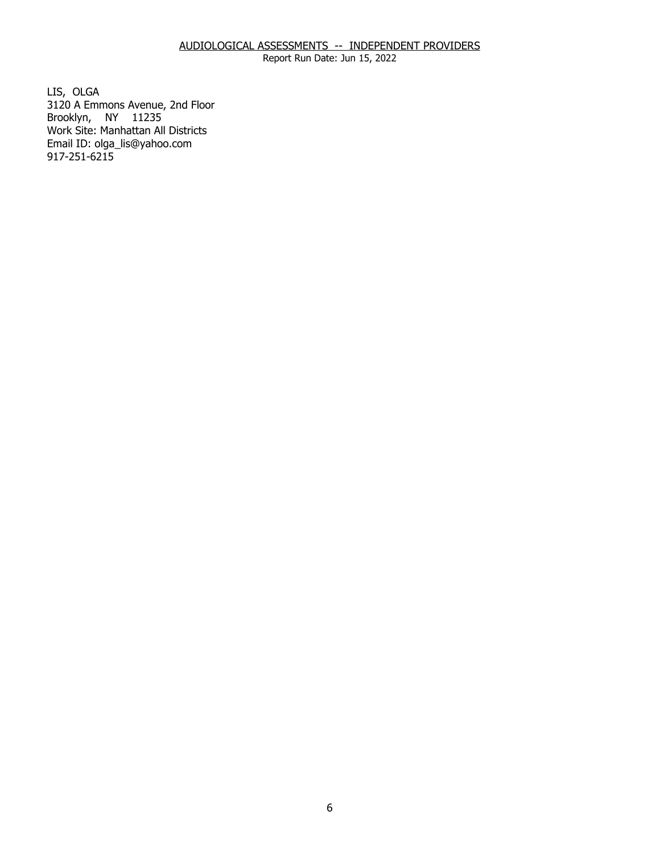# AUDIOLOGICAL ASSESSMENTS -- INDEPENDENT PROVIDERS

Report Run Date: Jun 15, 2022

LIS, OLGA Brooklyn, NY 11235 3120 A Emmons Avenue, 2nd Floor Work Site: Manhattan All Districts Email ID: [olga\\_lis@yahoo.com](mailto:olga_lis@yahoo.com) 917-251-6215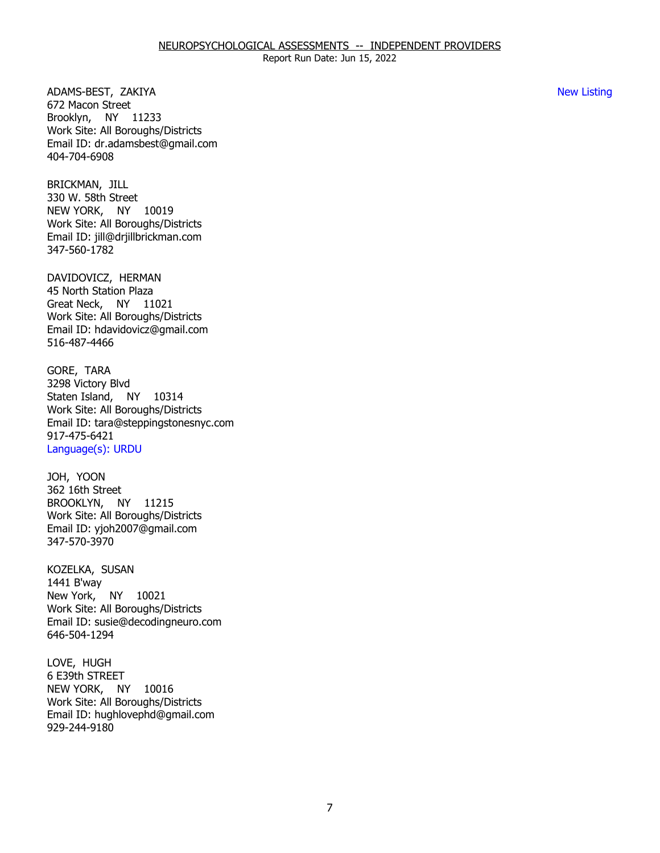ADAMS-BEST, ZAKIYA New Listing Brooklyn, NY 11233 672 Macon Street Work Site: All Boroughs/Districts Email ID: [dr.adamsbest@gmail.com](mailto:dr.adamsbest@gmail.com)  404-704-6908

BRICKMAN, JILL NEW YORK, NY 10019 330 W. 58th Street Work Site: All Boroughs/Districts Email ID: [jill@drjillbrickman.com](mailto:jill@drjillbrickman.com) 347-560-1782

DAVIDOVICZ, HERMAN Great Neck, NY 11021 45 North Station Plaza Work Site: All Boroughs/Districts Email ID: [hdavidovicz@gmail.com](mailto:hdavidovicz@gmail.com) 516-487-4466

GORE, TARA Staten Island, NY 10314 3298 Victory Blvd Work Site: All Boroughs/Districts Email ID: [tara@steppingstonesnyc.com](mailto:tara@steppingstonesnyc.com) 917-475-6421 Language(s): URDU

JOH, YOON BROOKLYN, NY 11215 362 16th Street Work Site: All Boroughs/Districts Email ID: [yjoh2007@gmail.com](mailto:yjoh2007@gmail.com)  347-570-3970

KOZELKA, SUSAN<br>1441 B'way New York, NY 10021 Work Site: All Boroughs/Districts Email ID: [susie@decodingneuro.com](mailto:susie@decodingneuro.com)  646-504-1294

LOVE, HUGH NEW YORK, NY 10016 6 E39th STREET Work Site: All Boroughs/Districts Email ID: [hughlovephd@gmail.com](mailto:hughlovephd@gmail.com) 929-244-9180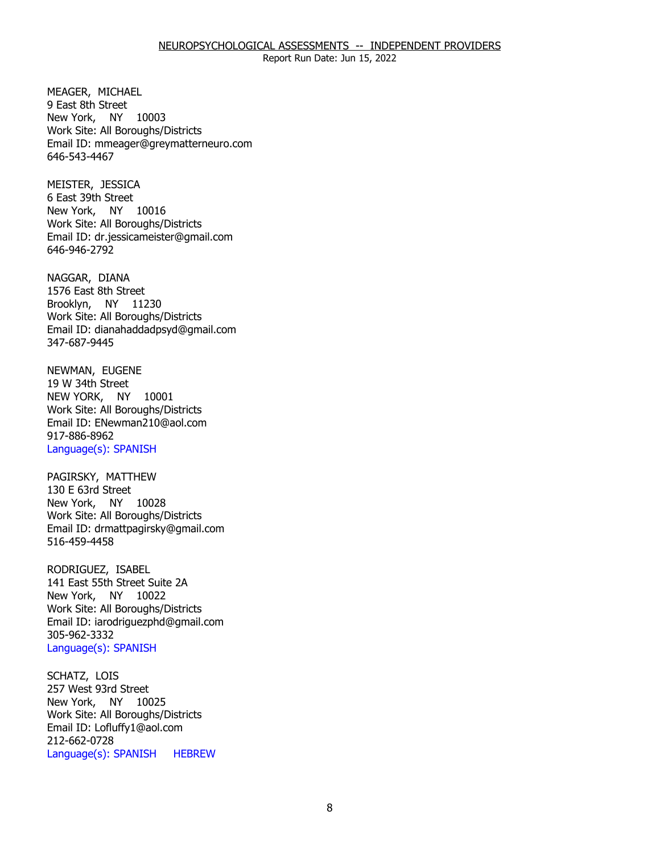#### NEUROPSYCHOLOGICAL ASSESSMENTS -- INDEPENDENT PROVIDERS

Report Run Date: Jun 15, 2022

MEAGER, MICHAEL New York, NY 10003 9 East 8th Street Work Site: All Boroughs/Districts Email ID: [mmeager@greymatterneuro.com](mailto:mmeager@greymatterneuro.com) 646-543-4467

MEISTER, JESSICA New York, NY 10016 6 East 39th Street Work Site: All Boroughs/Districts Email ID: [dr.jessicameister@gmail.com](mailto:dr.jessicameister@gmail.com) 646-946-2792

NAGGAR, DIANA Brooklyn, NY 11230 1576 East 8th Street Work Site: All Boroughs/Districts Email ID: [dianahaddadpsyd@gmail.com](mailto:dianahaddadpsyd@gmail.com) 347-687-9445

NEWMAN, EUGENE<br>19 W 34th Street NEW YORK, NY 10001 Work Site: All Boroughs/Districts Email ID: [ENewman210@aol.com](mailto:ENewman210@aol.com) 917-886-8962 Language(s): SPANISH

PAGIRSKY, MATTHEW<br>130 E 63rd Street New York, NY 10028 Work Site: All Boroughs/Districts Email ID: [drmattpagirsky@gmail.com](mailto:drmattpagirsky@gmail.com) 516-459-4458

RODRIGUEZ, ISABEL New York, NY 10022 141 East 55th Street Suite 2A Work Site: All Boroughs/Districts Email ID: [iarodriguezphd@gmail.com](mailto:iarodriguezphd@gmail.com)  305-962-3332 Language(s): SPANISH

SCHATZ, LOIS New York, NY 10025 257 West 93rd Street Work Site: All Boroughs/Districts Email ID: [Lofluffy1@aol.com](mailto:Lofluffy1@aol.com)  212-662-0728 Language(s): SPANISH HEBREW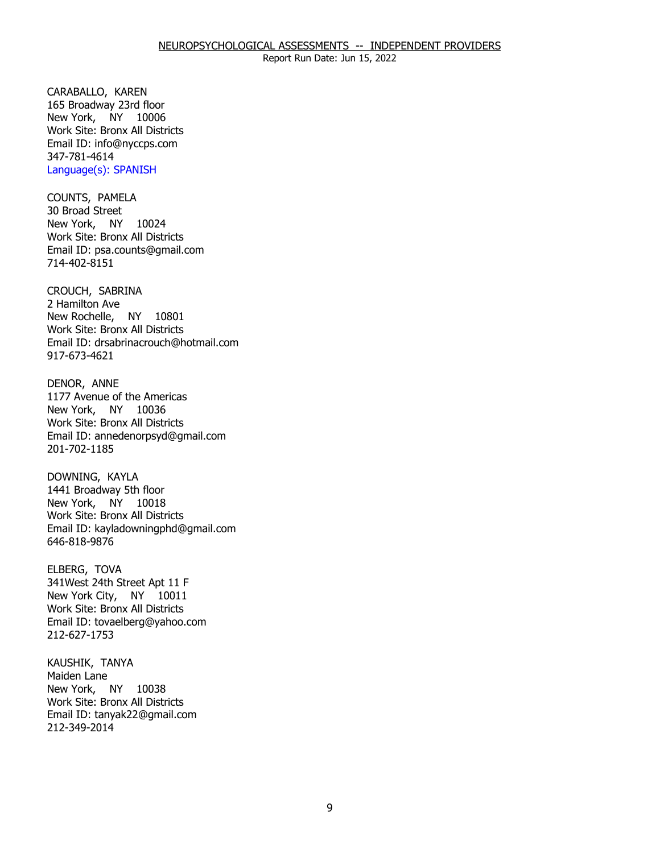CARABALLO, KAREN New York, NY 10006 165 Broadway 23rd floor Work Site: Bronx All Districts Email ID: [info@nyccps.com](mailto:info@nyccps.com)  347-781-4614 Language(s): SPANISH

COUNTS, PAMELA<br>30 Broad Street New York, NY 10024 Work Site: Bronx All Districts Email ID: [psa.counts@gmail.com](mailto:psa.counts@gmail.com) 714-402-8151

 CROUCH, SABRINA 2 Hamilton Ave New Rochelle, NY 10801 Work Site: Bronx All Districts Email ID: [drsabrinacrouch@hotmail.com](mailto:drsabrinacrouch@hotmail.com)  917-673-4621

DENOR, ANNE New York, NY 10036 1177 Avenue of the Americas Work Site: Bronx All Districts Email ID: [annedenorpsyd@gmail.com](mailto:annedenorpsyd@gmail.com)  201-702-1185

DOWNING, KAYLA New York, NY 10018 1441 Broadway 5th floor Work Site: Bronx All Districts Email ID: [kayladowningphd@gmail.com](mailto:kayladowningphd@gmail.com)  646-818-9876

ELBERG, TOVA New York City, NY 10011 341West 24th Street Apt 11 F Work Site: Bronx All Districts Email ID: [tovaelberg@yahoo.com](mailto:tovaelberg@yahoo.com)  212-627-1753

KAUSHIK, TANYA<br>Maiden Lane New York, NY 10038 Work Site: Bronx All Districts Email ID: [tanyak22@gmail.com](mailto:tanyak22@gmail.com)  212-349-2014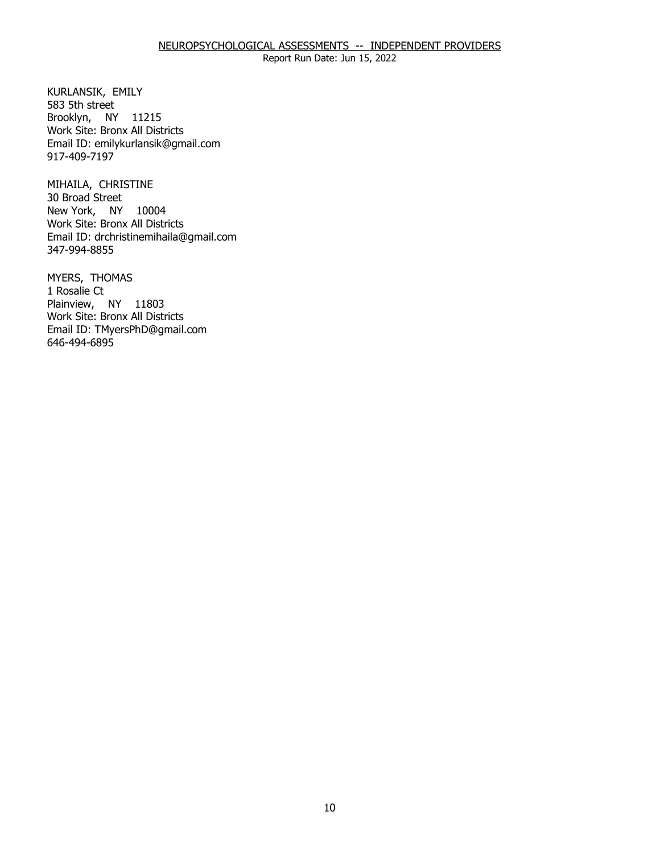#### NEUROPSYCHOLOGICAL ASSESSMENTS -- INDEPENDENT PROVIDERS

Report Run Date: Jun 15, 2022

KURLANSIK, EMILY<br>583 5th street Brooklyn, NY 11215 Work Site: Bronx All Districts Email ID: [emilykurlansik@gmail.com](mailto:emilykurlansik@gmail.com) 917-409-7197

MIHAILA, CHRISTINE<br>30 Broad Street New York, NY 10004 Work Site: Bronx All Districts Email ID: [drchristinemihaila@gmail.com](mailto:drchristinemihaila@gmail.com)  347-994-8855

MYERS, THOMAS<br>1 Rosalie Ct Plainview, NY 11803 Work Site: Bronx All Districts Email ID: [TMyersPhD@gmail.com](mailto:TMyersPhD@gmail.com)  646-494-6895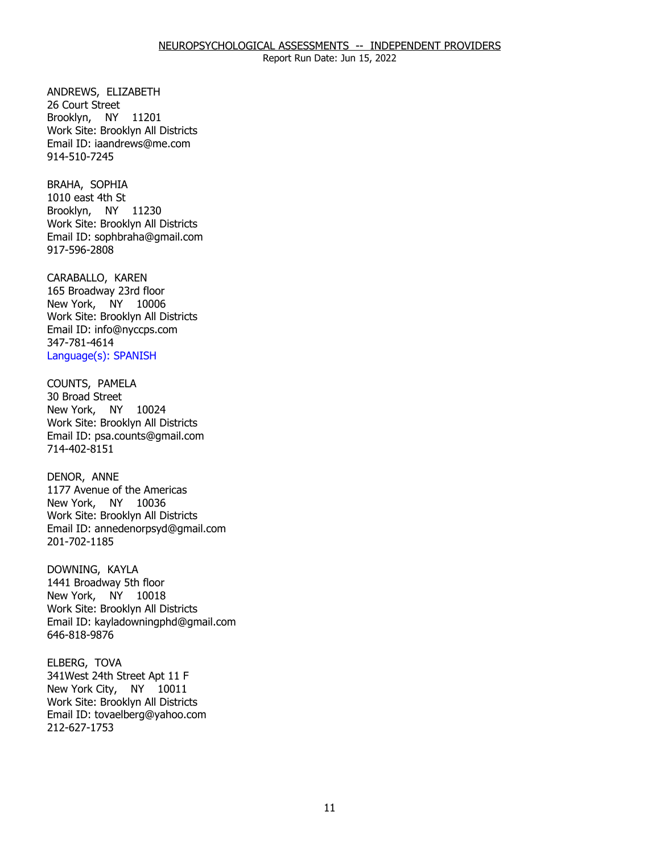ANDREWS, ELIZABETH<br>26 Court Street Brooklyn, NY 11201 Work Site: Brooklyn All Districts Email ID: [iaandrews@me.com](mailto:iaandrews@me.com)  914-510-7245

BRAHA, SOPHIA Brooklyn, NY 11230 1010 east 4th St Work Site: Brooklyn All Districts Email ID: [sophbraha@gmail.com](mailto:sophbraha@gmail.com) 917-596-2808

CARABALLO, KAREN New York, NY 10006 165 Broadway 23rd floor Work Site: Brooklyn All Districts Email ID: [info@nyccps.com](mailto:info@nyccps.com)  347-781-4614 Language(s): SPANISH

COUNTS, PAMELA New York, NY 10024 30 Broad Street Work Site: Brooklyn All Districts Email ID: [psa.counts@gmail.com](mailto:psa.counts@gmail.com) 714-402-8151

DENOR, ANNE New York, NY 10036 1177 Avenue of the Americas Work Site: Brooklyn All Districts Email ID: [annedenorpsyd@gmail.com](mailto:annedenorpsyd@gmail.com)  201-702-1185

DOWNING, KAYLA New York, NY 10018 1441 Broadway 5th floor Work Site: Brooklyn All Districts Email ID: [kayladowningphd@gmail.com](mailto:kayladowningphd@gmail.com)  646-818-9876

ELBERG, TOVA New York City, NY 10011 341West 24th Street Apt 11 F Work Site: Brooklyn All Districts Email ID: [tovaelberg@yahoo.com](mailto:tovaelberg@yahoo.com)  212-627-1753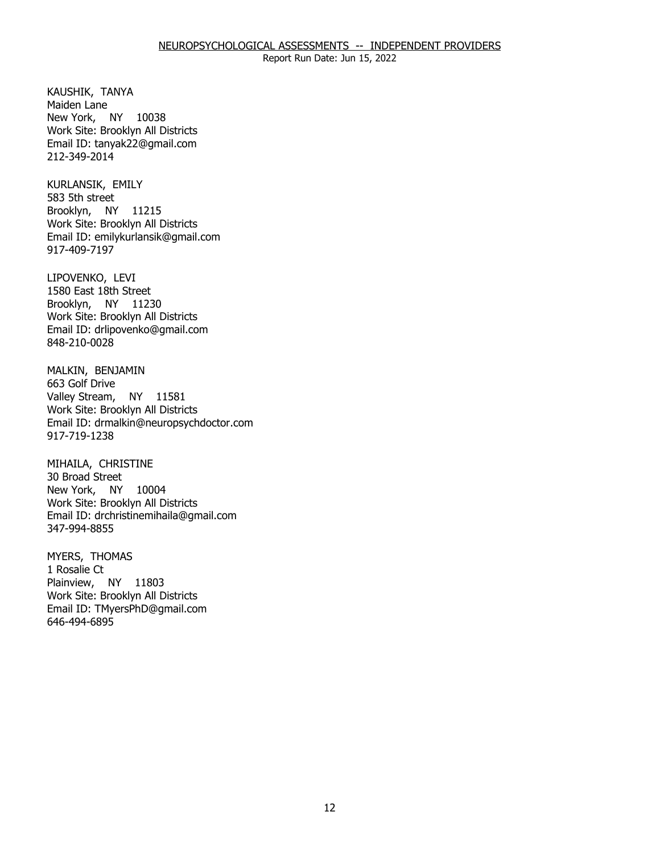KAUSHIK, TANYA<br>Maiden Lane New York, NY 10038 Work Site: Brooklyn All Districts Email ID: [tanyak22@gmail.com](mailto:tanyak22@gmail.com)  212-349-2014

KURLANSIK, EMILY<br>583 5th street Brooklyn, NY 11215 Work Site: Brooklyn All Districts Email ID: [emilykurlansik@gmail.com](mailto:emilykurlansik@gmail.com) 917-409-7197

LIPOVENKO, LEVI Brooklyn, NY 11230 1580 East 18th Street Work Site: Brooklyn All Districts Email ID: [drlipovenko@gmail.com](mailto:drlipovenko@gmail.com) 848-210-0028

MALKIN, BENJAMIN<br>663 Golf Drive Valley Stream, NY 11581 Work Site: Brooklyn All Districts Email ID: [drmalkin@neuropsychdoctor.com](mailto:drmalkin@neuropsychdoctor.com)  917-719-1238

MIHAILA, CHRISTINE<br>30 Broad Street New York, NY 10004 Work Site: Brooklyn All Districts Email ID: [drchristinemihaila@gmail.com](mailto:drchristinemihaila@gmail.com)  347-994-8855

MYERS, THOMAS<br>1 Rosalie Ct Plainview, NY 11803 Work Site: Brooklyn All Districts Email ID: [TMyersPhD@gmail.com](mailto:TMyersPhD@gmail.com)  646-494-6895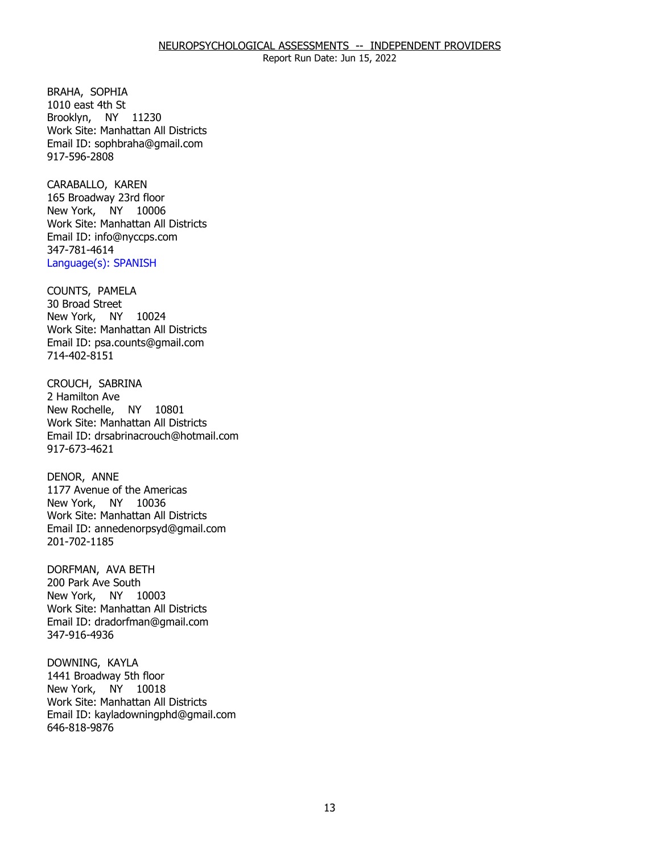BRAHA, SOPHIA Brooklyn, NY 11230 1010 east 4th St Work Site: Manhattan All Districts Email ID: [sophbraha@gmail.com](mailto:sophbraha@gmail.com) 917-596-2808

CARABALLO, KAREN New York, NY 10006 165 Broadway 23rd floor Work Site: Manhattan All Districts Email ID: [info@nyccps.com](mailto:info@nyccps.com)  347-781-4614 Language(s): SPANISH

COUNTS, PAMELA<br>30 Broad Street New York, NY 10024 Work Site: Manhattan All Districts Email ID: [psa.counts@gmail.com](mailto:psa.counts@gmail.com) 714-402-8151

 CROUCH, SABRINA 2 Hamilton Ave New Rochelle, NY 10801 Work Site: Manhattan All Districts Email ID: [drsabrinacrouch@hotmail.com](mailto:drsabrinacrouch@hotmail.com)  917-673-4621

DENOR, ANNE New York, NY 10036 1177 Avenue of the Americas Work Site: Manhattan All Districts Email ID: [annedenorpsyd@gmail.com](mailto:annedenorpsyd@gmail.com)  201-702-1185

DORFMAN, AVA BETH<br>200 Park Ave South New York, NY 10003 Work Site: Manhattan All Districts Email ID: [dradorfman@gmail.com](mailto:dradorfman@gmail.com)  347-916-4936

DOWNING, KAYLA New York, NY 10018 1441 Broadway 5th floor Work Site: Manhattan All Districts Email ID: [kayladowningphd@gmail.com](mailto:kayladowningphd@gmail.com)  646-818-9876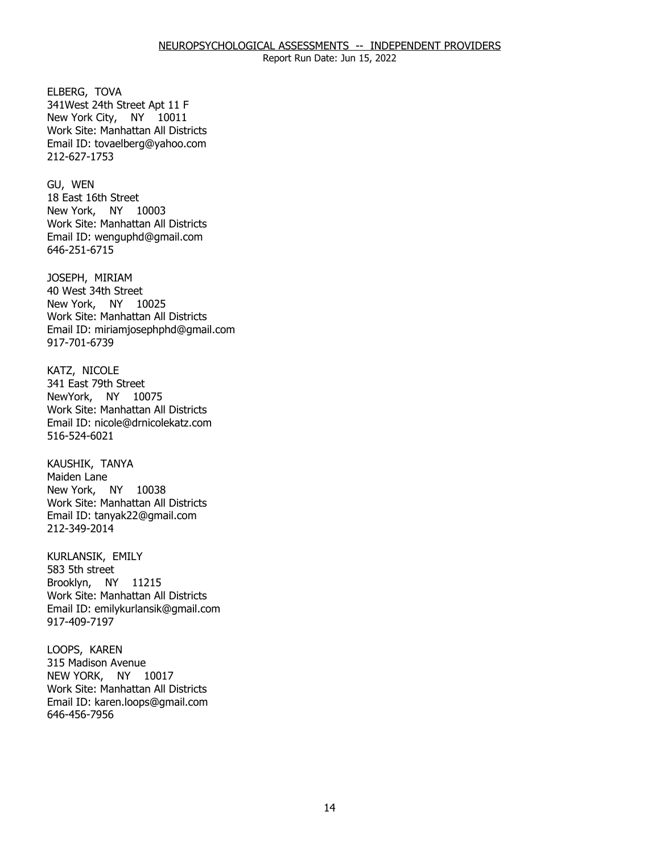ELBERG, TOVA New York City, NY 10011 341West 24th Street Apt 11 F Work Site: Manhattan All Districts Email ID: [tovaelberg@yahoo.com](mailto:tovaelberg@yahoo.com)  212-627-1753

GU, WEN New York, NY 10003 18 East 16th Street Work Site: Manhattan All Districts Email ID: [wenguphd@gmail.com](mailto:wenguphd@gmail.com) 646-251-6715

JOSEPH, MIRIAM New York, NY 10025 40 West 34th Street Work Site: Manhattan All Districts Email ID: [miriamjosephphd@gmail.com](mailto:miriamjosephphd@gmail.com) 917-701-6739

KATZ, NICOLE NewYork, NY 10075 341 East 79th Street Work Site: Manhattan All Districts Email ID: [nicole@drnicolekatz.com](mailto:nicole@drnicolekatz.com)  516-524-6021

KAUSHIK, TANYA<br>Maiden Lane New York, NY 10038 Work Site: Manhattan All Districts Email ID: [tanyak22@gmail.com](mailto:tanyak22@gmail.com)  212-349-2014

KURLANSIK, EMILY<br>583 5th street Brooklyn, NY 11215 Work Site: Manhattan All Districts Email ID: [emilykurlansik@gmail.com](mailto:emilykurlansik@gmail.com) 917-409-7197

LOOPS, KAREN NEW YORK, NY 10017 315 Madison Avenue Work Site: Manhattan All Districts Email ID: [karen.loops@gmail.com](mailto:karen.loops@gmail.com) 646-456-7956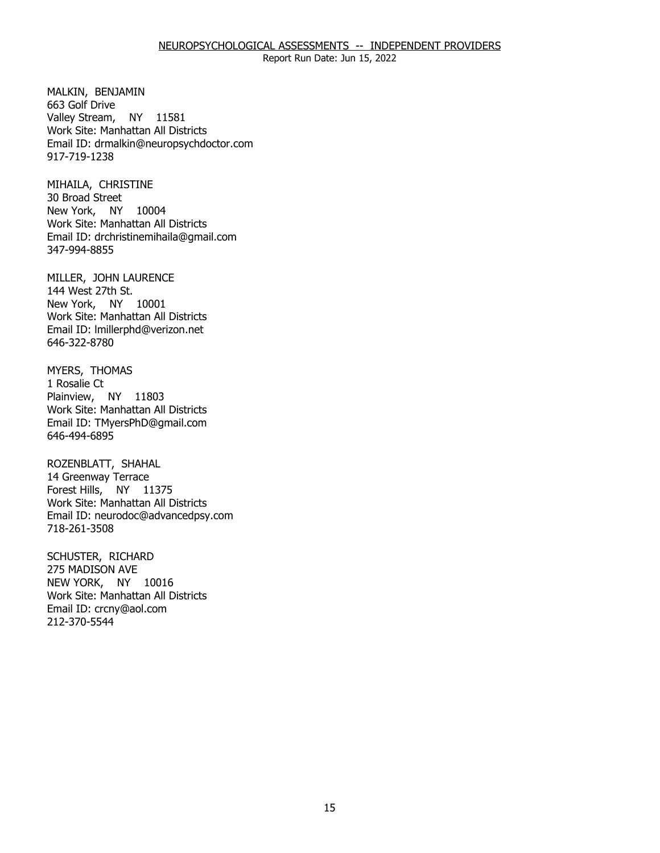#### NEUROPSYCHOLOGICAL ASSESSMENTS -- INDEPENDENT PROVIDERS

Report Run Date: Jun 15, 2022

MALKIN, BENJAMIN<br>663 Golf Drive Valley Stream, NY 11581 Work Site: Manhattan All Districts Email ID: [drmalkin@neuropsychdoctor.com](mailto:drmalkin@neuropsychdoctor.com)  917-719-1238

MIHAILA, CHRISTINE<br>30 Broad Street New York, NY 10004 Work Site: Manhattan All Districts Email ID: [drchristinemihaila@gmail.com](mailto:drchristinemihaila@gmail.com)  347-994-8855

MILLER, JOHN LAURENCE<br>144 West 27th St. New York, NY 10001 Work Site: Manhattan All Districts Email ID: [lmillerphd@verizon.net](mailto:lmillerphd@verizon.net)  646-322-8780

MYERS, THOMAS<br>1 Rosalie Ct Plainview, NY 11803 Work Site: Manhattan All Districts Email ID: [TMyersPhD@gmail.com](mailto:TMyersPhD@gmail.com)  646-494-6895

ROZENBLATT, SHAHAL Forest Hills, NY 11375 14 Greenway Terrace Work Site: Manhattan All Districts Email ID: [neurodoc@advancedpsy.com](mailto:neurodoc@advancedpsy.com) 718-261-3508

SCHUSTER, RICHARD<br>275 MADISON AVE NEW YORK, NY 10016 Work Site: Manhattan All Districts Email ID: [crcny@aol.com](mailto:crcny@aol.com)  212-370-5544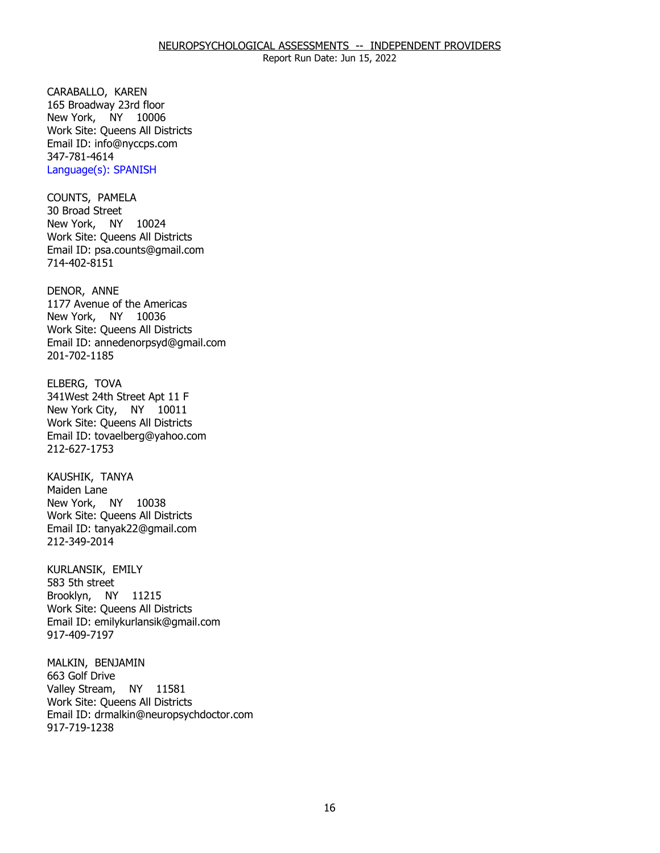CARABALLO, KAREN New York, NY 10006 165 Broadway 23rd floor Work Site: Queens All Districts Email ID: [info@nyccps.com](mailto:info@nyccps.com)  347-781-4614 Language(s): SPANISH

COUNTS, PAMELA<br>30 Broad Street New York, NY 10024 Work Site: Queens All Districts Email ID: [psa.counts@gmail.com](mailto:psa.counts@gmail.com) 714-402-8151

DENOR, ANNE New York, NY 10036 1177 Avenue of the Americas Work Site: Queens All Districts Email ID: [annedenorpsyd@gmail.com](mailto:annedenorpsyd@gmail.com)  201-702-1185

ELBERG, TOVA New York City, NY 10011 341West 24th Street Apt 11 F Work Site: Queens All Districts Email ID: [tovaelberg@yahoo.com](mailto:tovaelberg@yahoo.com)  212-627-1753

KAUSHIK, TANYA<br>Maiden Lane New York, NY 10038 Work Site: Queens All Districts Email ID: [tanyak22@gmail.com](mailto:tanyak22@gmail.com)  212-349-2014

KURLANSIK, EMILY<br>583 5th street Brooklyn, NY 11215 Work Site: Queens All Districts Email ID: [emilykurlansik@gmail.com](mailto:emilykurlansik@gmail.com) 917-409-7197

MALKIN, BENJAMIN<br>663 Golf Drive Valley Stream, NY 11581 Work Site: Queens All Districts Email ID: [drmalkin@neuropsychdoctor.com](mailto:drmalkin@neuropsychdoctor.com)  917-719-1238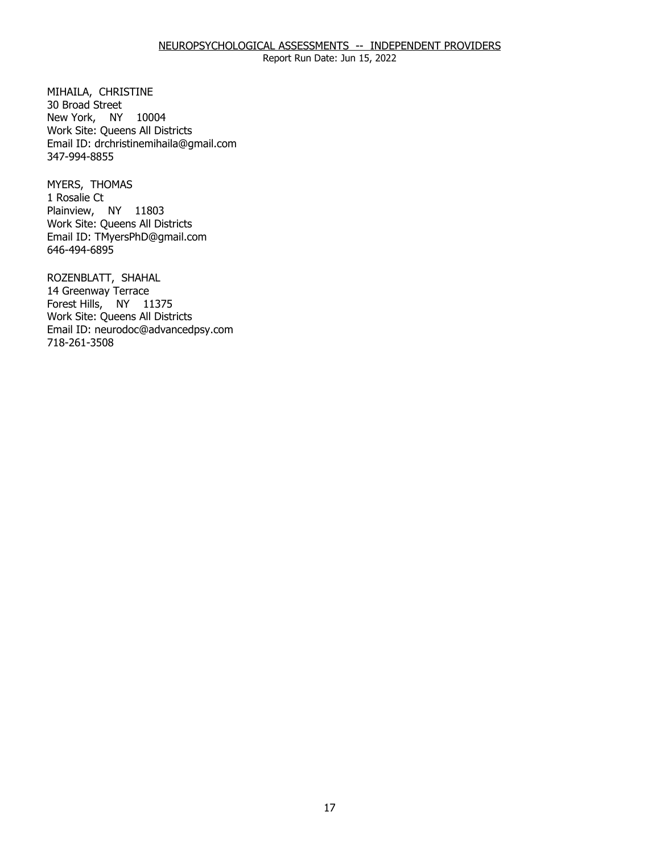#### NEUROPSYCHOLOGICAL ASSESSMENTS -- INDEPENDENT PROVIDERS

Report Run Date: Jun 15, 2022

MIHAILA, CHRISTINE<br>30 Broad Street New York, NY 10004 Work Site: Queens All Districts Email ID: [drchristinemihaila@gmail.com](mailto:drchristinemihaila@gmail.com)  347-994-8855

MYERS, THOMAS<br>1 Rosalie Ct Plainview, NY 11803 Work Site: Queens All Districts Email ID: [TMyersPhD@gmail.com](mailto:TMyersPhD@gmail.com)  646-494-6895

ROZENBLATT, SHAHAL<br>14 Greenway Terrace Forest Hills, NY 11375 Work Site: Queens All Districts Email ID: [neurodoc@advancedpsy.com](mailto:neurodoc@advancedpsy.com) 718-261-3508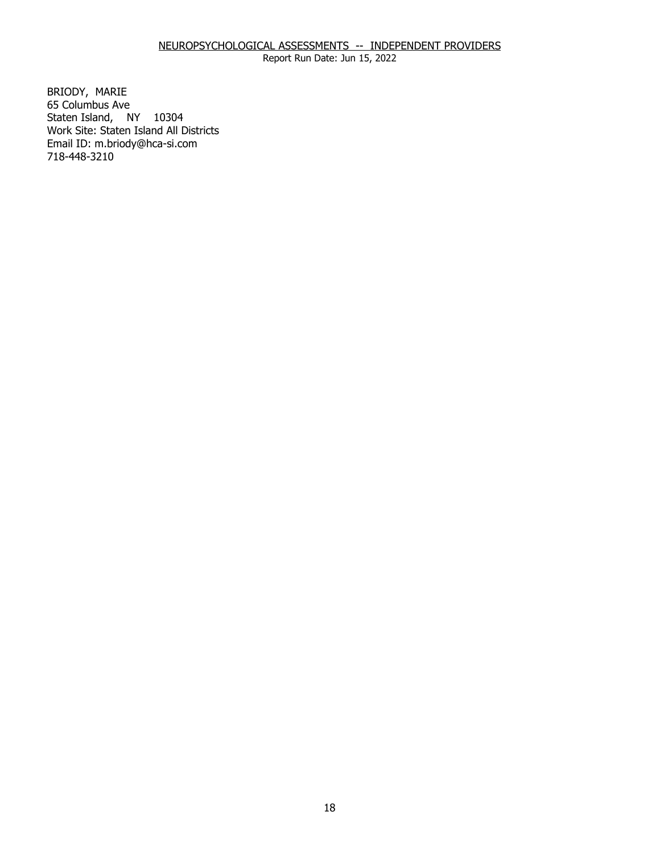# NEUROPSYCHOLOGICAL ASSESSMENTS -- INDEPENDENT PROVIDERS

Report Run Date: Jun 15, 2022

BRIODY, MARIE Staten Island, NY 10304 65 Columbus Ave Work Site: Staten Island All Districts Email ID: [m.briody@hca-si.com](mailto:m.briody@hca-si.com) 718-448-3210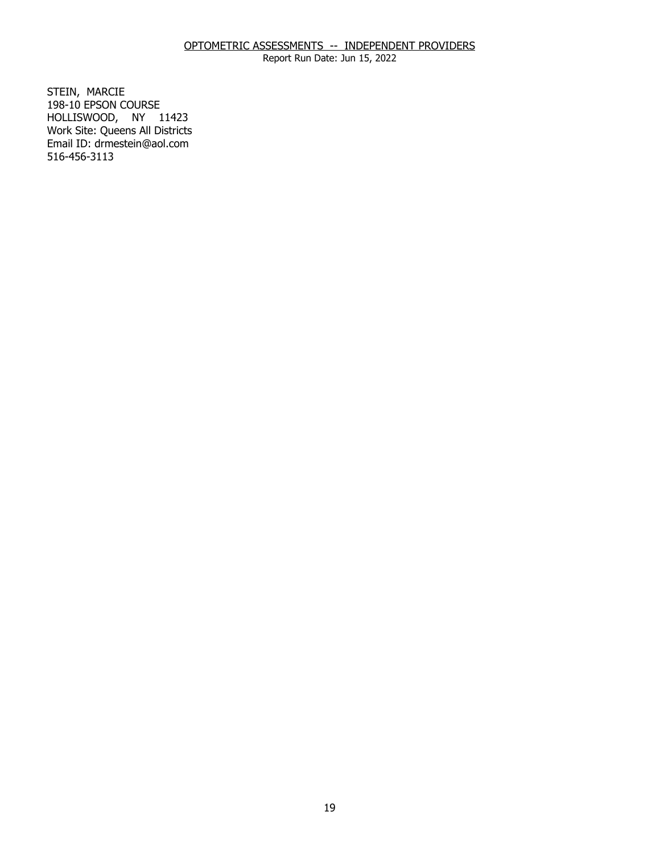Report Run Date: Jun 15, 2022

STEIN, MARCIE HOLLISWOOD, NY 11423 198-10 EPSON COURSE Work Site: Queens All Districts Email ID: [drmestein@aol.com](mailto:drmestein@aol.com) 516-456-3113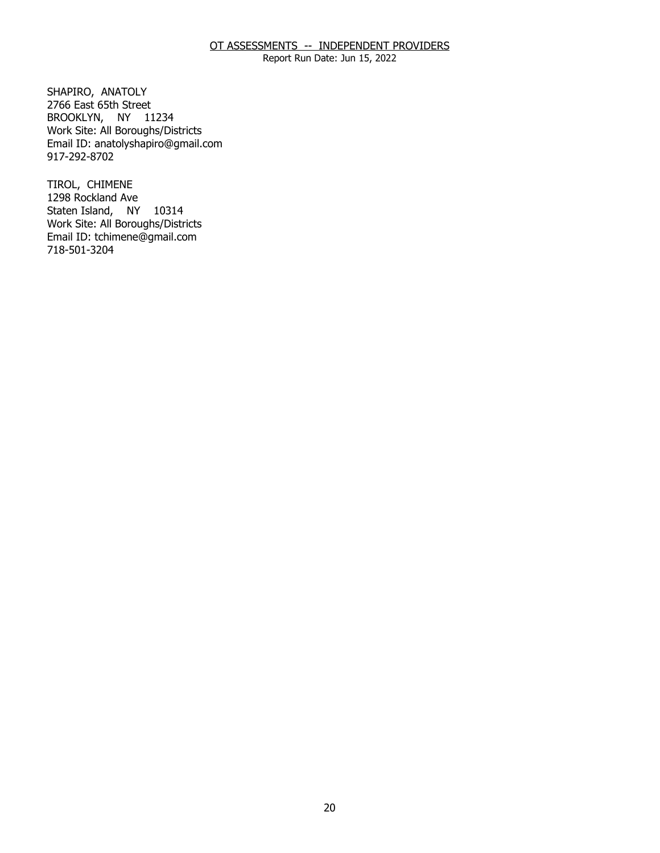Report Run Date: Jun 15, 2022

SHAPIRO, ANATOLY BROOKLYN, NY 11234 2766 East 65th Street Work Site: All Boroughs/Districts Email ID: [anatolyshapiro@gmail.com](mailto:anatolyshapiro@gmail.com)  917-292-8702

TIROL, CHIMENE Staten Island, NY 10314 1298 Rockland Ave Work Site: All Boroughs/Districts Email ID: [tchimene@gmail.com](mailto:tchimene@gmail.com)  718-501-3204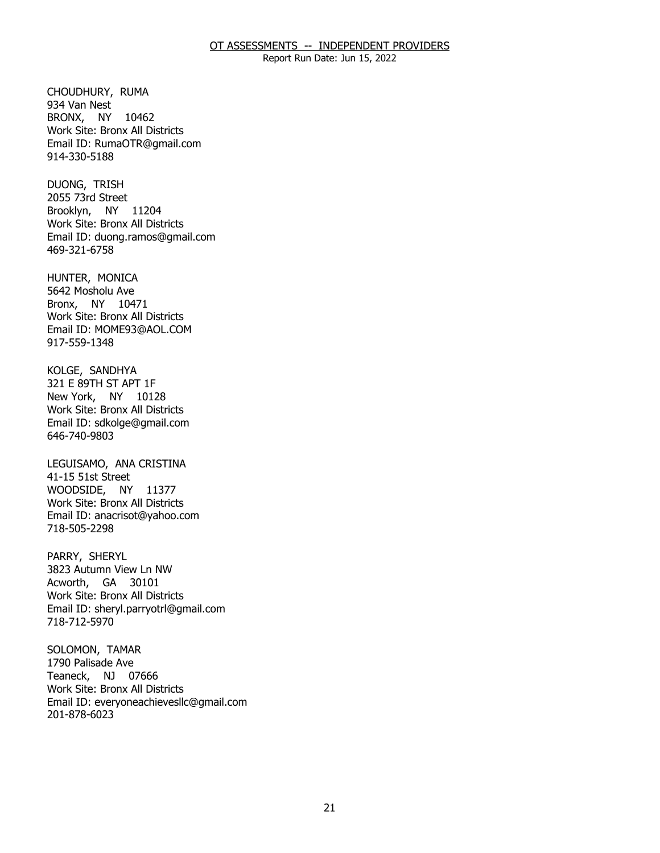Report Run Date: Jun 15, 2022

CHOUDHURY, RUMA<br>934 Van Nest BRONX, NY 10462 Work Site: Bronx All Districts Email ID: [RumaOTR@gmail.com](mailto:RumaOTR@gmail.com)  914-330-5188

DUONG, TRISH Brooklyn, NY 11204 2055 73rd Street Work Site: Bronx All Districts Email ID: [duong.ramos@gmail.com](mailto:duong.ramos@gmail.com) 469-321-6758

HUNTER, MONICA Bronx, NY 10471 5642 Mosholu Ave Work Site: Bronx All Districts Email ID: [MOME93@AOL.COM](mailto:MOME93@AOL.COM)  917-559-1348

KOLGE, SANDHYA New York, NY 10128 321 E 89TH ST APT 1F Work Site: Bronx All Districts Email ID: [sdkolge@gmail.com](mailto:sdkolge@gmail.com)  646-740-9803

LEGUISAMO, ANA CRISTINA<br>41-15 51st Street WOODSIDE, NY 11377 Work Site: Bronx All Districts Email ID: [anacrisot@yahoo.com](mailto:anacrisot@yahoo.com)  718-505-2298

PARRY, SHERYL Acworth, GA 30101 3823 Autumn View Ln NW Work Site: Bronx All Districts Email ID: [sheryl.parryotrl@gmail.com](mailto:sheryl.parryotrl@gmail.com) 718-712-5970

SOLOMON, TAMAR<br>1790 Palisade Ave Teaneck, NJ 07666 Work Site: Bronx All Districts Email ID: [everyoneachievesllc@gmail.com](mailto:everyoneachievesllc@gmail.com) 201-878-6023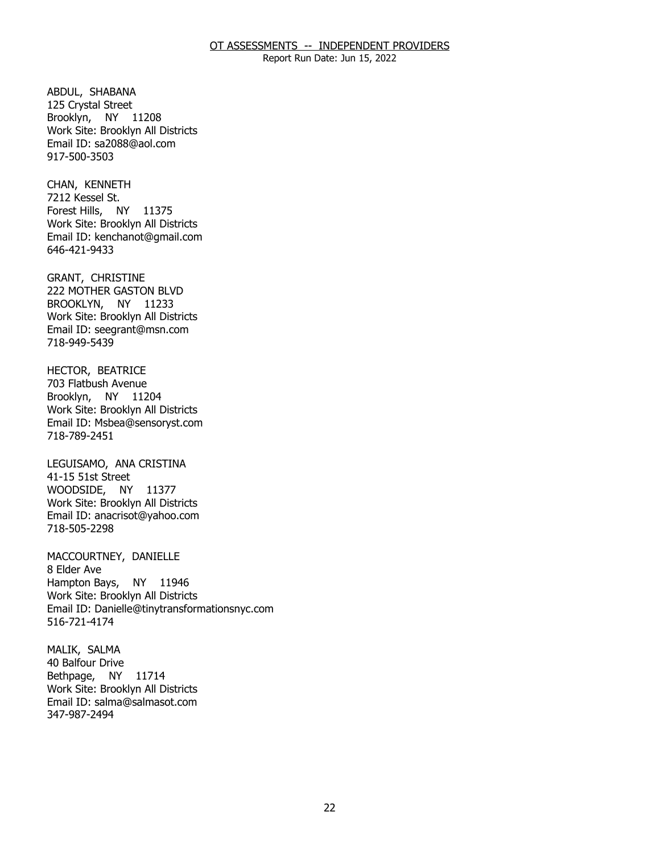Report Run Date: Jun 15, 2022

ABDUL, SHABANA Brooklyn, NY 11208 125 Crystal Street Work Site: Brooklyn All Districts Email ID: [sa2088@aol.com](mailto:sa2088@aol.com)  917-500-3503

CHAN, KENNETH<br>7212 Kessel St. Forest Hills, NY 11375 Work Site: Brooklyn All Districts Email ID: [kenchanot@gmail.com](mailto:kenchanot@gmail.com)  646-421-9433

GRANT, CHRISTINE BROOKLYN, NY 11233 222 MOTHER GASTON BLVD Work Site: Brooklyn All Districts Email ID: [seegrant@msn.com](mailto:seegrant@msn.com) 718-949-5439

HECTOR, BEATRICE<br>703 Flatbush Avenue Brooklyn, NY 11204 Work Site: Brooklyn All Districts Email ID: [Msbea@sensoryst.com](mailto:Msbea@sensoryst.com) 718-789-2451

LEGUISAMO, ANA CRISTINA<br>41-15 51st Street WOODSIDE, NY 11377 Work Site: Brooklyn All Districts Email ID: [anacrisot@yahoo.com](mailto:anacrisot@yahoo.com)  718-505-2298

MACCOURTNEY, DANIELLE<br>8 Elder Ave Hampton Bays, NY 11946 Work Site: Brooklyn All Districts Email ID: [Danielle@tinytransformationsnyc.com](mailto:Danielle@tinytransformationsnyc.com) 516-721-4174

MALIK, SALMA<br>40 Balfour Drive Bethpage, NY 11714 Work Site: Brooklyn All Districts Email ID: [salma@salmasot.com](mailto:salma@salmasot.com)  347-987-2494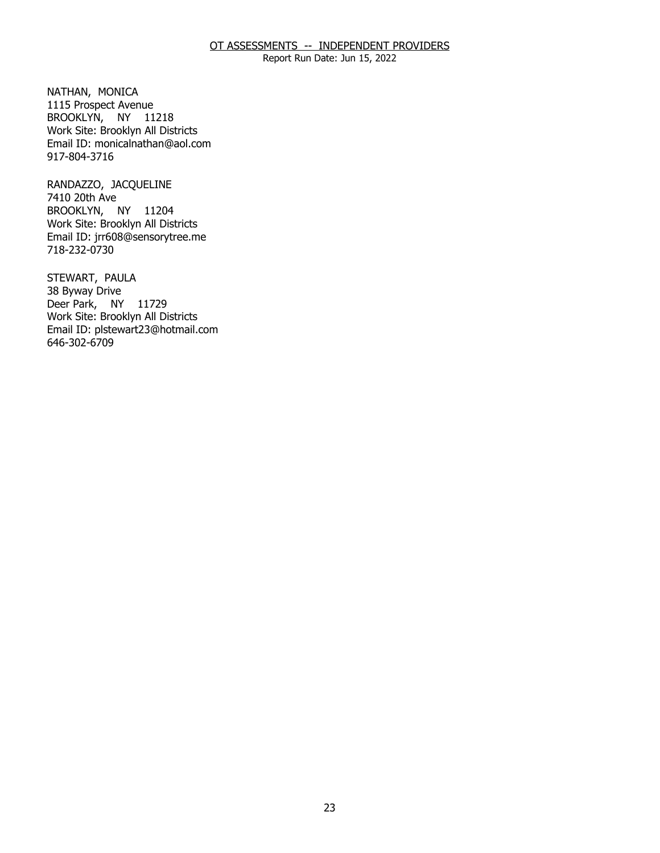Report Run Date: Jun 15, 2022

NATHAN, MONICA BROOKLYN, NY 11218 1115 Prospect Avenue Work Site: Brooklyn All Districts Email ID: [monicalnathan@aol.com](mailto:monicalnathan@aol.com)  917-804-3716

RANDAZZO, JACQUELINE<br>7410 20th Ave BROOKLYN, NY 11204 Work Site: Brooklyn All Districts Email ID: [jrr608@sensorytree.me](mailto:jrr608@sensorytree.me) 718-232-0730

STEWART, PAULA<br>38 Byway Drive Deer Park, NY 11729 Work Site: Brooklyn All Districts Email ID: [plstewart23@hotmail.com](mailto:plstewart23@hotmail.com) 646-302-6709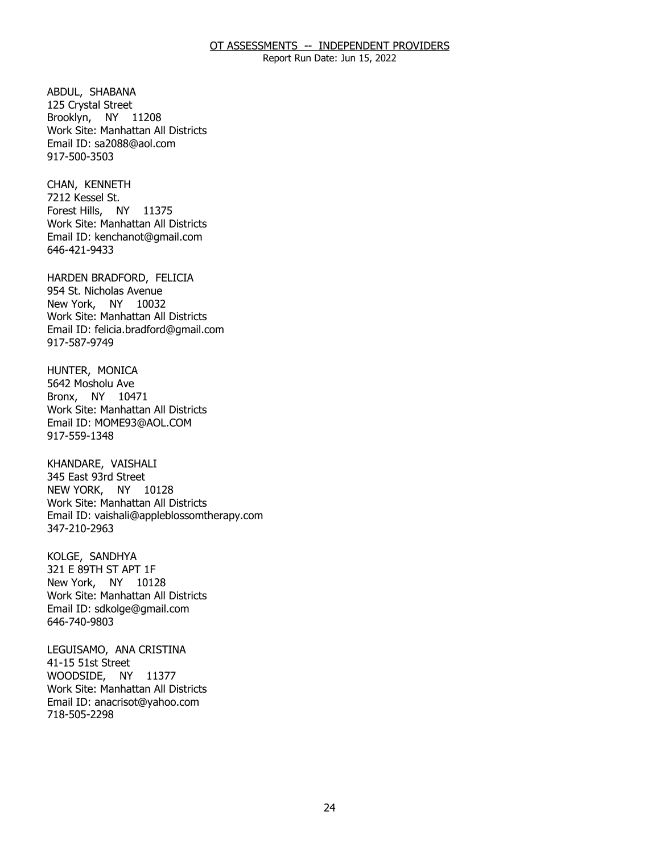Report Run Date: Jun 15, 2022

ABDUL, SHABANA Brooklyn, NY 11208 125 Crystal Street Work Site: Manhattan All Districts Email ID: [sa2088@aol.com](mailto:sa2088@aol.com)  917-500-3503

CHAN, KENNETH<br>7212 Kessel St. Forest Hills, NY 11375 Work Site: Manhattan All Districts Email ID: [kenchanot@gmail.com](mailto:kenchanot@gmail.com)  646-421-9433

 HARDEN BRADFORD, FELICIA 954 St. Nicholas Avenue New York, NY 10032 Work Site: Manhattan All Districts Email ID: [felicia.bradford@gmail.com](mailto:felicia.bradford@gmail.com) 917-587-9749

HUNTER, MONICA<br>5642 Mosholu Ave Bronx, NY 10471 Work Site: Manhattan All Districts Email ID: [MOME93@AOL.COM](mailto:MOME93@AOL.COM)  917-559-1348

KHANDARE, VAISHALI NEW YORK, NY 10128 345 East 93rd Street Work Site: Manhattan All Districts Email ID: [vaishali@appleblossomtherapy.com](mailto:vaishali@appleblossomtherapy.com) 347-210-2963

KOLGE, SANDHYA New York, NY 10128 321 E 89TH ST APT 1F Work Site: Manhattan All Districts Email ID: [sdkolge@gmail.com](mailto:sdkolge@gmail.com)  646-740-9803

LEGUISAMO, ANA CRISTINA<br>41-15 51st Street WOODSIDE, NY 11377 Work Site: Manhattan All Districts Email ID: [anacrisot@yahoo.com](mailto:anacrisot@yahoo.com)  718-505-2298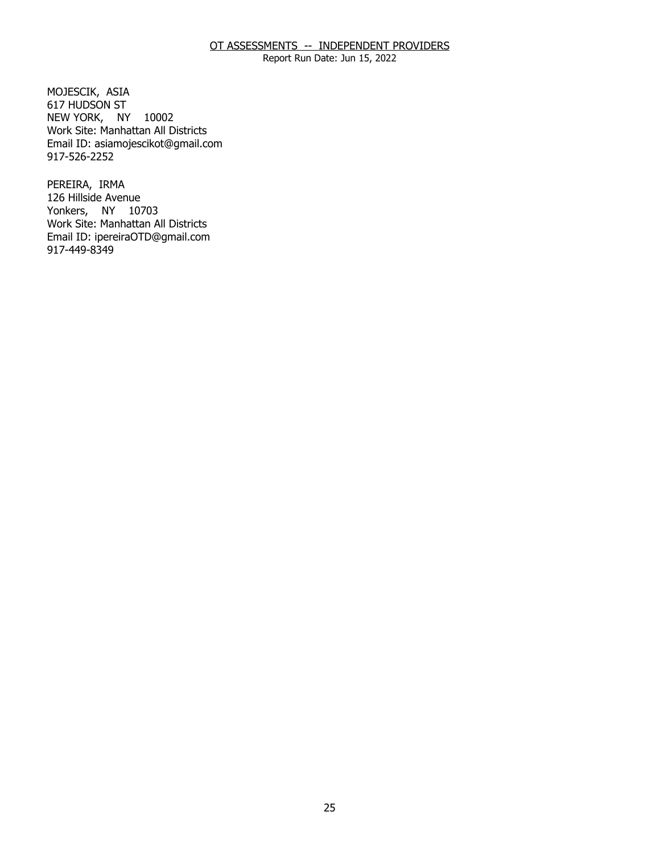Report Run Date: Jun 15, 2022

MOJESCIK, ASIA NEW YORK, NY 10002 617 HUDSON ST Work Site: Manhattan All Districts Email ID: [asiamojescikot@gmail.com](mailto:asiamojescikot@gmail.com)  917-526-2252

PEREIRA, IRMA Yonkers, NY 10703 126 Hillside Avenue Work Site: Manhattan All Districts Email ID: [ipereiraOTD@gmail.com](mailto:ipereiraOTD@gmail.com) 917-449-8349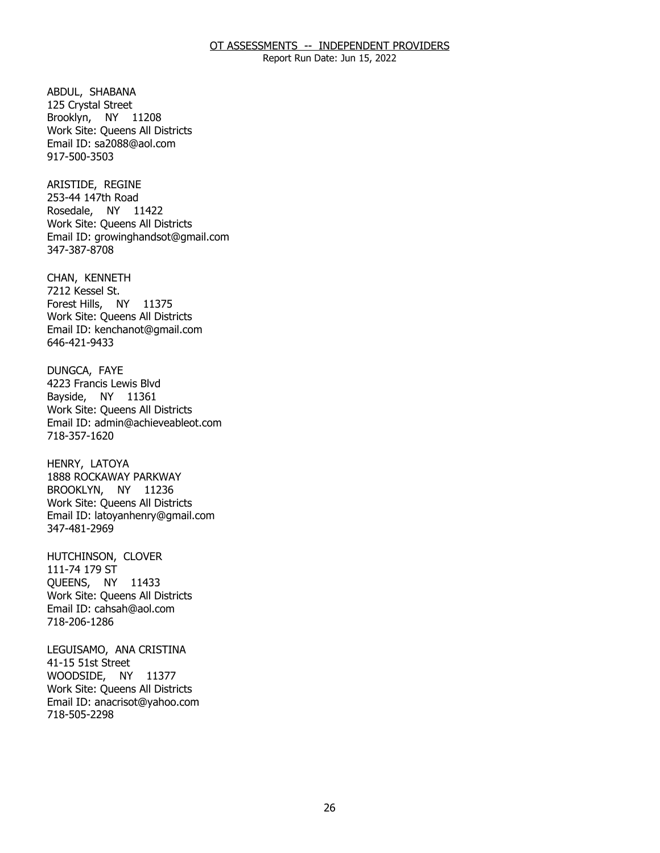Report Run Date: Jun 15, 2022

ABDUL, SHABANA Brooklyn, NY 11208 125 Crystal Street Work Site: Queens All Districts Email ID: [sa2088@aol.com](mailto:sa2088@aol.com)  917-500-3503

ARISTIDE, REGINE Rosedale, NY 11422 253-44 147th Road Work Site: Queens All Districts Email ID: [growinghandsot@gmail.com](mailto:growinghandsot@gmail.com)  347-387-8708

CHAN, KENNETH<br>7212 Kessel St. Forest Hills, NY 11375 Work Site: Queens All Districts Email ID: [kenchanot@gmail.com](mailto:kenchanot@gmail.com)  646-421-9433

DUNGCA, FAYE Bayside, NY 11361 4223 Francis Lewis Blvd Work Site: Queens All Districts Email ID: [admin@achieveableot.com](mailto:admin@achieveableot.com)  718-357-1620

HENRY, LATOYA BROOKLYN, NY 11236 1888 ROCKAWAY PARKWAY Work Site: Queens All Districts Email ID: [latoyanhenry@gmail.com](mailto:latoyanhenry@gmail.com) 347-481-2969

 HUTCHINSON, CLOVER 111-74 179 ST QUEENS, NY 11433 Work Site: Queens All Districts Email ID: [cahsah@aol.com](mailto:cahsah@aol.com) 718-206-1286

LEGUISAMO, ANA CRISTINA<br>41-15 51st Street WOODSIDE, NY 11377 Work Site: Queens All Districts Email ID: [anacrisot@yahoo.com](mailto:anacrisot@yahoo.com)  718-505-2298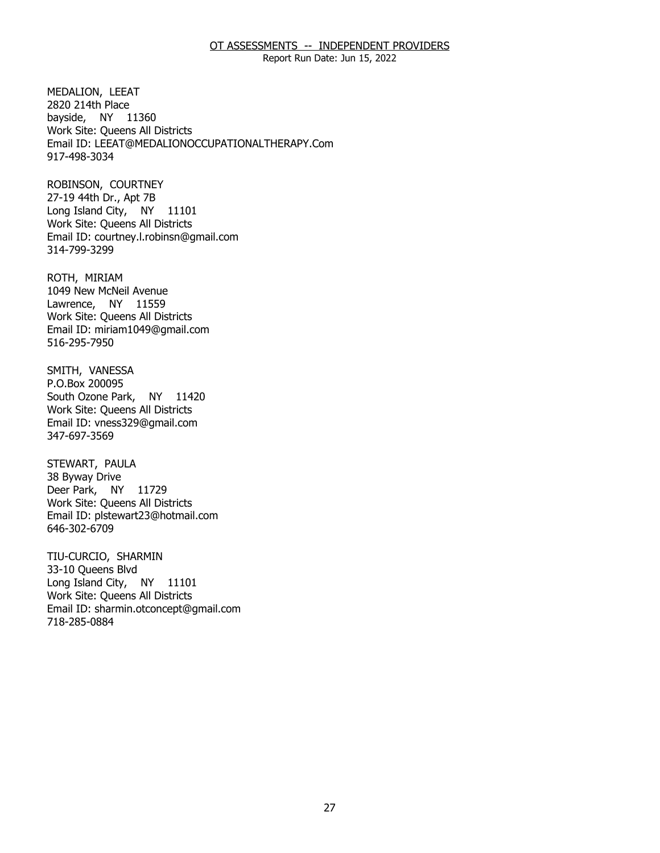Report Run Date: Jun 15, 2022

MEDALION, LEEAT bayside, NY 11360 2820 214th Place Work Site: Queens All Districts Email ID: [LEEAT@MEDALIONOCCUPATIONALTHERAPY.Com](mailto:LEEAT@MEDALIONOCCUPATIONALTHERAPY.Com)  917-498-3034

ROBINSON, COURTNEY Long Island City, NY 11101 27-19 44th Dr., Apt 7B Work Site: Queens All Districts Email ID: [courtney.l.robinsn@gmail.com](mailto:courtney.l.robinsn@gmail.com) 314-799-3299

ROTH, MIRIAM Lawrence, NY 11559 1049 New McNeil Avenue Work Site: Queens All Districts Email ID: [miriam1049@gmail.com](mailto:miriam1049@gmail.com) 516-295-7950

SMITH, VANESSA<br>P.O.Box 200095 South Ozone Park, NY 11420 Work Site: Queens All Districts Email ID: [vness329@gmail.com](mailto:vness329@gmail.com) 347-697-3569

STEWART, PAULA<br>38 Byway Drive Deer Park, NY 11729 Work Site: Queens All Districts Email ID: [plstewart23@hotmail.com](mailto:plstewart23@hotmail.com) 646-302-6709

TIU-CURCIO, SHARMIN<br>33-10 Queens Blvd Long Island City, NY 11101 Work Site: Queens All Districts Email ID: [sharmin.otconcept@gmail.com](mailto:sharmin.otconcept@gmail.com)  718-285-0884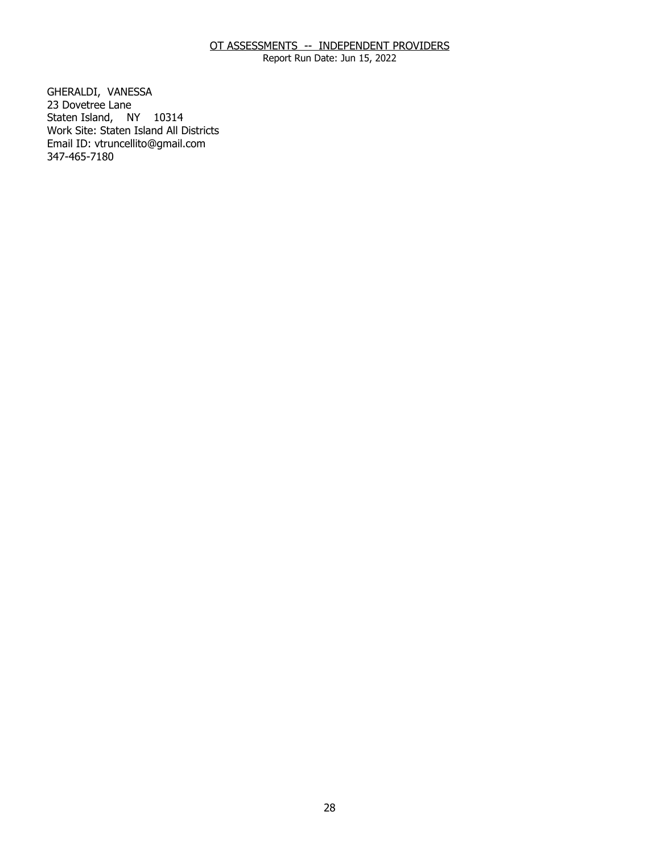Report Run Date: Jun 15, 2022

GHERALDI, VANESSA<br>23 Dovetree Lane Staten Island, NY 10314 Work Site: Staten Island All Districts Email ID: [vtruncellito@gmail.com](mailto:vtruncellito@gmail.com)  347-465-7180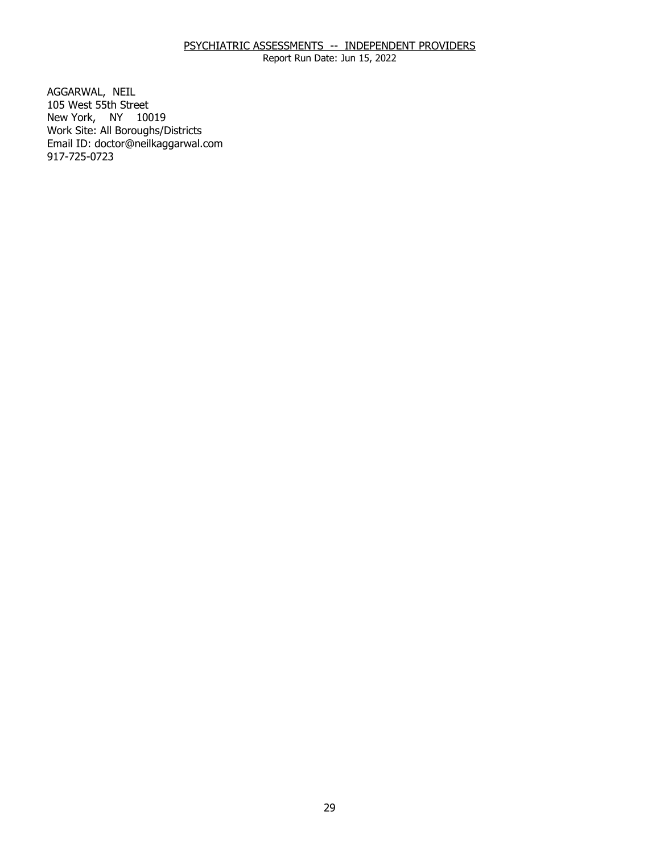Report Run Date: Jun 15, 2022

AGGARWAL, NEIL New York, NY 10019 105 West 55th Street Work Site: All Boroughs/Districts Email ID: [doctor@neilkaggarwal.com](mailto:doctor@neilkaggarwal.com)  917-725-0723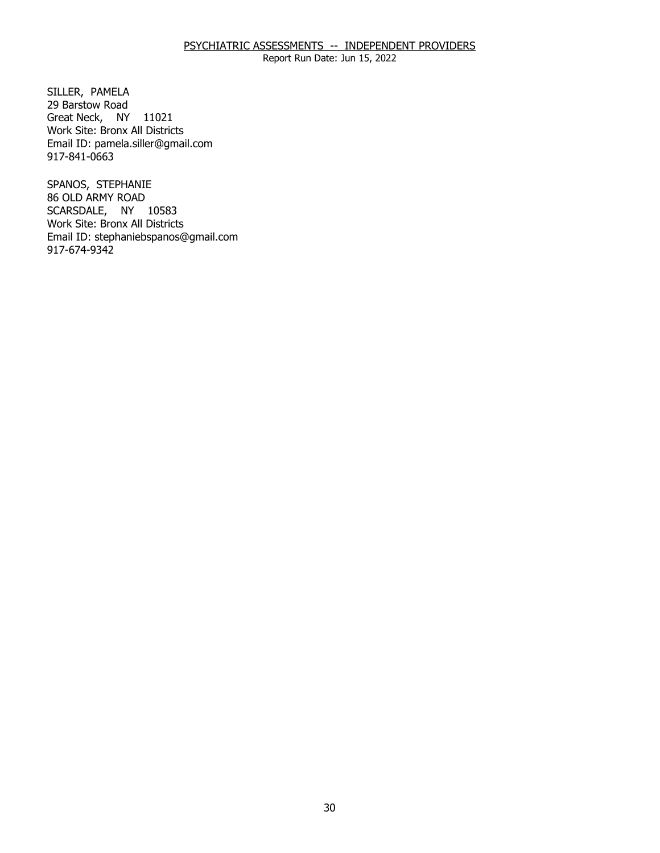Report Run Date: Jun 15, 2022

SILLER, PAMELA Great Neck, NY 11021 29 Barstow Road Work Site: Bronx All Districts Email ID: [pamela.siller@gmail.com](mailto:pamela.siller@gmail.com) 917-841-0663

SPANOS, STEPHANIE SCARSDALE, NY 10583 86 OLD ARMY ROAD Work Site: Bronx All Districts Email ID: [stephaniebspanos@gmail.com](mailto:stephaniebspanos@gmail.com) 917-674-9342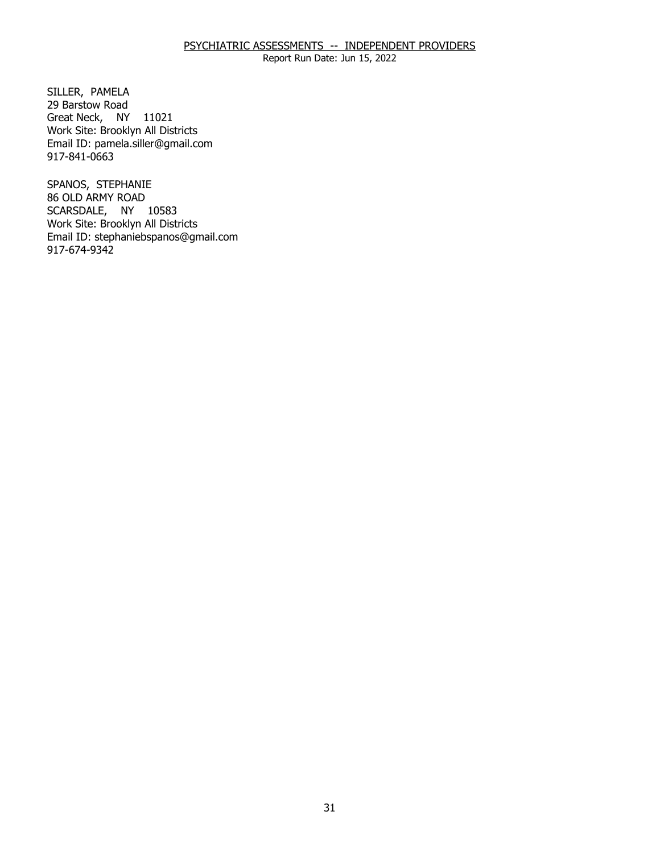Report Run Date: Jun 15, 2022

SILLER, PAMELA Great Neck, NY 11021 29 Barstow Road Work Site: Brooklyn All Districts Email ID: [pamela.siller@gmail.com](mailto:pamela.siller@gmail.com) 917-841-0663

SPANOS, STEPHANIE SCARSDALE, NY 10583 86 OLD ARMY ROAD Work Site: Brooklyn All Districts Email ID: [stephaniebspanos@gmail.com](mailto:stephaniebspanos@gmail.com) 917-674-9342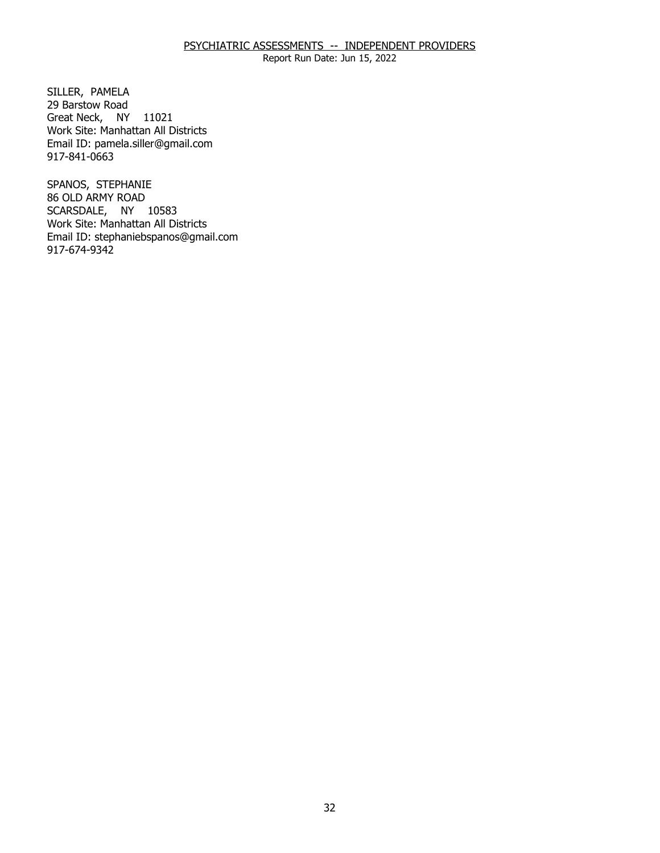Report Run Date: Jun 15, 2022

SILLER, PAMELA Great Neck, NY 11021 29 Barstow Road Work Site: Manhattan All Districts Email ID: [pamela.siller@gmail.com](mailto:pamela.siller@gmail.com) 917-841-0663

SPANOS, STEPHANIE SCARSDALE, NY 10583 86 OLD ARMY ROAD Work Site: Manhattan All Districts Email ID: [stephaniebspanos@gmail.com](mailto:stephaniebspanos@gmail.com) 917-674-9342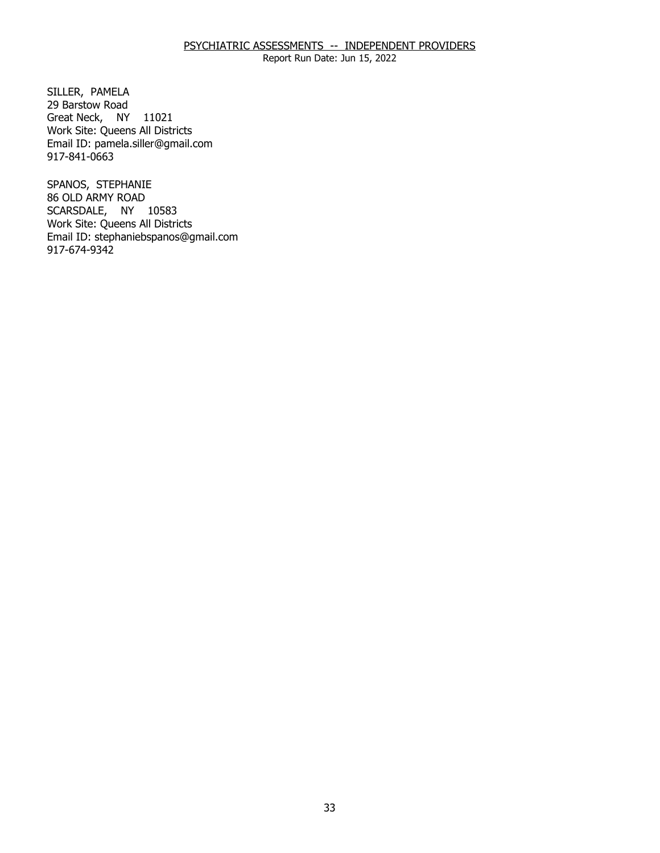Report Run Date: Jun 15, 2022

SILLER, PAMELA Great Neck, NY 11021 29 Barstow Road Work Site: Queens All Districts Email ID: [pamela.siller@gmail.com](mailto:pamela.siller@gmail.com) 917-841-0663

SPANOS, STEPHANIE SCARSDALE, NY 10583 86 OLD ARMY ROAD Work Site: Queens All Districts Email ID: [stephaniebspanos@gmail.com](mailto:stephaniebspanos@gmail.com) 917-674-9342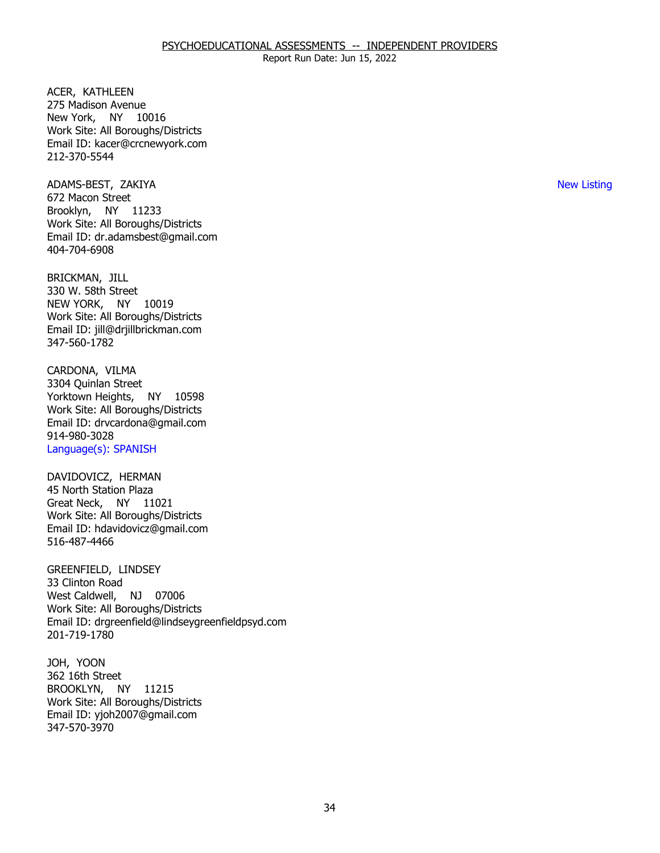ACER, KATHLEEN New York, NY 10016 275 Madison Avenue Work Site: All Boroughs/Districts Email ID: [kacer@crcnewyork.com](mailto:kacer@crcnewyork.com) 212-370-5544

 ADAMS-BEST, ZAKIYA New Listing Brooklyn, NY 11233 672 Macon Street Work Site: All Boroughs/Districts Email ID: [dr.adamsbest@gmail.com](mailto:dr.adamsbest@gmail.com)  404-704-6908

BRICKMAN, JILL NEW YORK, NY 10019 330 W. 58th Street Work Site: All Boroughs/Districts Email ID: [jill@drjillbrickman.com](mailto:jill@drjillbrickman.com) 347-560-1782

CARDONA, VILMA Yorktown Heights, NY 10598 3304 Quinlan Street Work Site: All Boroughs/Districts Email ID: [drvcardona@gmail.com](mailto:drvcardona@gmail.com)  914-980-3028 Language(s): SPANISH

DAVIDOVICZ, HERMAN<br>45 North Station Plaza Great Neck, NY 11021 Work Site: All Boroughs/Districts Email ID: [hdavidovicz@gmail.com](mailto:hdavidovicz@gmail.com) 516-487-4466

 GREENFIELD, LINDSEY 33 Clinton Road West Caldwell, NJ 07006 Work Site: All Boroughs/Districts Email ID: [drgreenfield@lindseygreenfieldpsyd.com](mailto:drgreenfield@lindseygreenfieldpsyd.com) 201-719-1780

JOH, YOON BROOKLYN, NY 11215 362 16th Street Work Site: All Boroughs/Districts Email ID: [yjoh2007@gmail.com](mailto:yjoh2007@gmail.com)  347-570-3970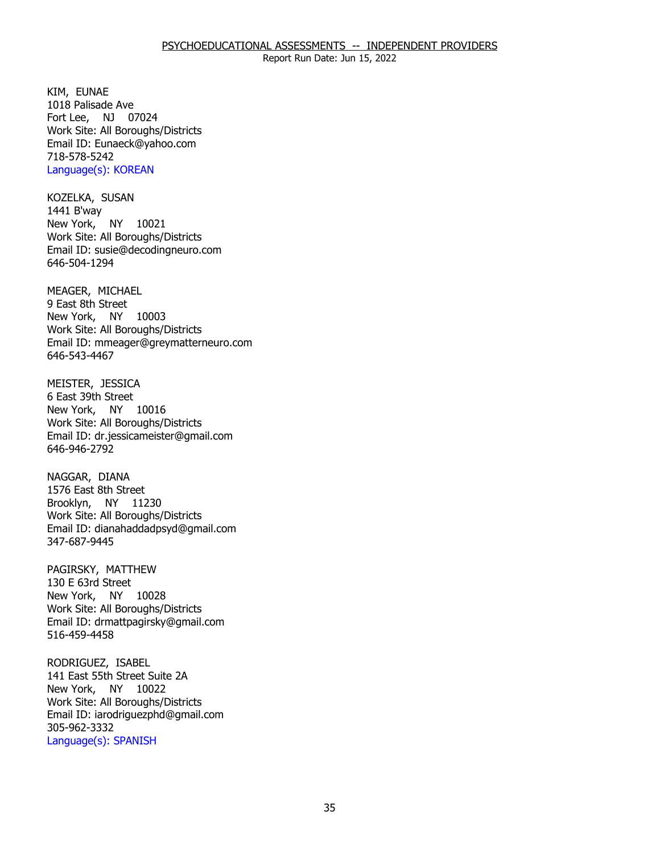KIM, EUNAE Fort Lee, NJ 07024 1018 Palisade Ave Work Site: All Boroughs/Districts Email ID: [Eunaeck@yahoo.com](mailto:Eunaeck@yahoo.com) 718-578-5242 Language(s): KOREAN

KOZELKA, SUSAN<br>1441 B'way New York, NY 10021 Work Site: All Boroughs/Districts Email ID: [susie@decodingneuro.com](mailto:susie@decodingneuro.com)  646-504-1294

MEAGER, MICHAEL<br>9 East 8th Street New York, NY 10003 Work Site: All Boroughs/Districts Email ID: [mmeager@greymatterneuro.com](mailto:mmeager@greymatterneuro.com) 646-543-4467

MEISTER, JESSICA New York, NY 10016 6 East 39th Street Work Site: All Boroughs/Districts Email ID: [dr.jessicameister@gmail.com](mailto:dr.jessicameister@gmail.com) 646-946-2792

NAGGAR, DIANA Brooklyn, NY 11230 1576 East 8th Street Work Site: All Boroughs/Districts Email ID: [dianahaddadpsyd@gmail.com](mailto:dianahaddadpsyd@gmail.com) 347-687-9445

PAGIRSKY, MATTHEW<br>130 E 63rd Street New York, NY 10028 Work Site: All Boroughs/Districts Email ID: [drmattpagirsky@gmail.com](mailto:drmattpagirsky@gmail.com) 516-459-4458

RODRIGUEZ, ISABEL New York, NY 10022 141 East 55th Street Suite 2A Work Site: All Boroughs/Districts Email ID: [iarodriguezphd@gmail.com](mailto:iarodriguezphd@gmail.com)  305-962-3332 Language(s): SPANISH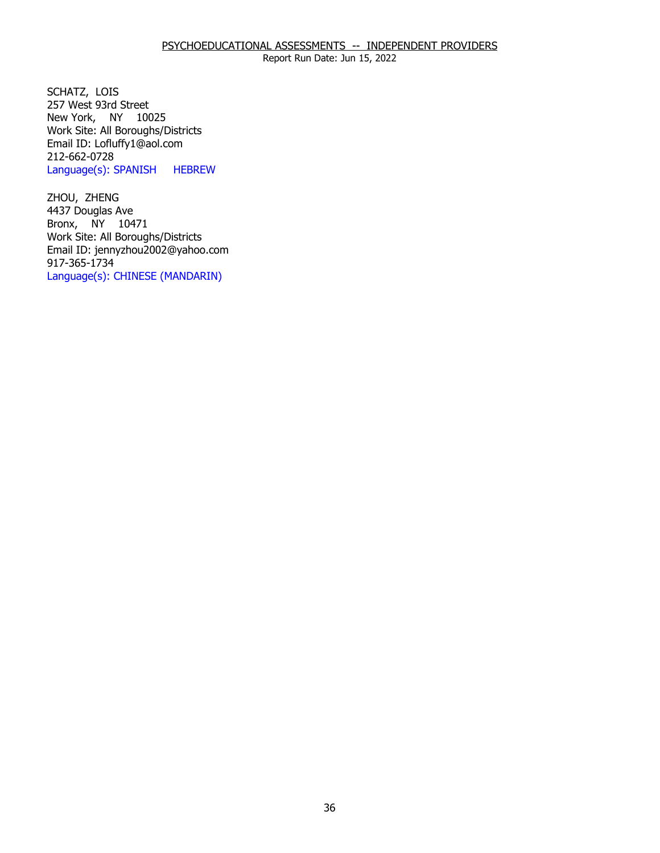SCHATZ, LOIS New York, NY 10025 257 West 93rd Street Work Site: All Boroughs/Districts Email ID: [Lofluffy1@aol.com](mailto:Lofluffy1@aol.com)  212-662-0728 Language(s): SPANISH HEBREW

ZHOU, ZHENG Bronx, NY 10471 4437 Douglas Ave Work Site: All Boroughs/Districts Email ID: [jennyzhou2002@yahoo.com](mailto:jennyzhou2002@yahoo.com) 917-365-1734 Language(s): CHINESE (MANDARIN)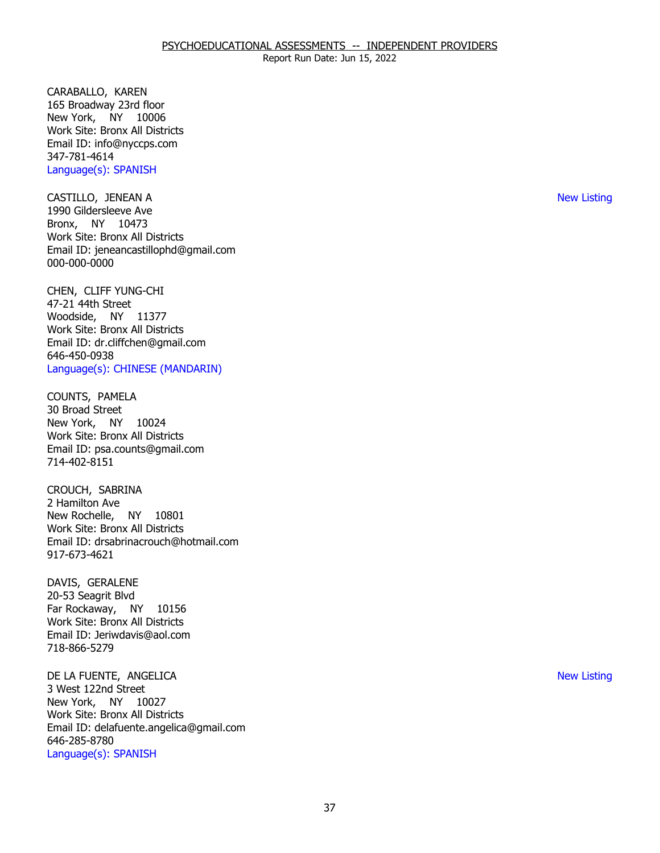CARABALLO, KAREN New York, NY 10006 165 Broadway 23rd floor Work Site: Bronx All Districts Email ID: [info@nyccps.com](mailto:info@nyccps.com)  347-781-4614 Language(s): SPANISH

 CASTILLO, JENEAN A New Listing Bronx, NY 10473 1990 Gildersleeve Ave Work Site: Bronx All Districts Email ID: [jeneancastillophd@gmail.com](mailto:jeneancastillophd@gmail.com)  000-000-0000

CHEN, CLIFF YUNG-CHI<br>47-21 44th Street Woodside, NY 11377 Work Site: Bronx All Districts Email ID: [dr.cliffchen@gmail.com](mailto:dr.cliffchen@gmail.com)  646-450-0938 Language(s): CHINESE (MANDARIN)

COUNTS, PAMELA<br>30 Broad Street New York, NY 10024 Work Site: Bronx All Districts Email ID: [psa.counts@gmail.com](mailto:psa.counts@gmail.com) 714-402-8151

 CROUCH, SABRINA 2 Hamilton Ave New Rochelle, NY 10801 Work Site: Bronx All Districts Email ID: [drsabrinacrouch@hotmail.com](mailto:drsabrinacrouch@hotmail.com)  917-673-4621

DAVIS, GERALENE Far Rockaway, NY 10156 20-53 Seagrit Blvd Work Site: Bronx All Districts Email ID: [Jeriwdavis@aol.com](mailto:Jeriwdavis@aol.com)  718-866-5279

 DE LA FUENTE, ANGELICA New Listing New York, NY 10027 3 West 122nd Street Work Site: Bronx All Districts Email ID: [delafuente.angelica@gmail.com](mailto:delafuente.angelica@gmail.com)  646-285-8780 Language(s): SPANISH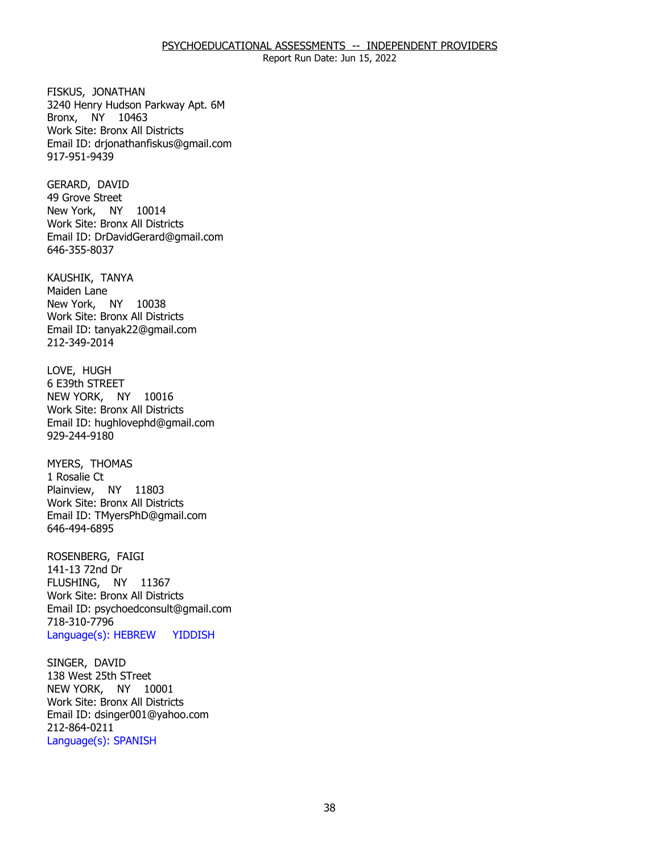#### PSYCHOEDUCATIONAL ASSESSMENTS -- INDEPENDENT PROVIDERS

Report Run Date: Jun 15, 2022

FISKUS, JONATHAN Bronx, NY 10463 3240 Henry Hudson Parkway Apt. 6M Work Site: Bronx All Districts Email ID: [drjonathanfiskus@gmail.com](mailto:drjonathanfiskus@gmail.com) 917-951-9439

GERARD, DAVID New York, NY 10014 49 Grove Street Work Site: Bronx All Districts Email ID: [DrDavidGerard@gmail.com](mailto:DrDavidGerard@gmail.com) 646-355-8037

KAUSHIK, TANYA<br>Maiden Lane New York, NY 10038 Work Site: Bronx All Districts Email ID: [tanyak22@gmail.com](mailto:tanyak22@gmail.com)  212-349-2014

LOVE, HUGH NEW YORK, NY 10016 6 E39th STREET Work Site: Bronx All Districts Email ID: [hughlovephd@gmail.com](mailto:hughlovephd@gmail.com) 929-244-9180

MYERS, THOMAS<br>1 Rosalie Ct Plainview, NY 11803 Work Site: Bronx All Districts Email ID: [TMyersPhD@gmail.com](mailto:TMyersPhD@gmail.com)  646-494-6895

ROSENBERG, FAIGI<br>141-13 72nd Dr FLUSHING, NY 11367 Work Site: Bronx All Districts Email ID: [psychoedconsult@gmail.com](mailto:psychoedconsult@gmail.com)  718-310-7796 Language(s): HEBREW YIDDISH

SINGER, DAVID NEW YORK, NY 10001 138 West 25th STreet Work Site: Bronx All Districts Email ID: [dsinger001@yahoo.com](mailto:dsinger001@yahoo.com)  212-864-0211 Language(s): SPANISH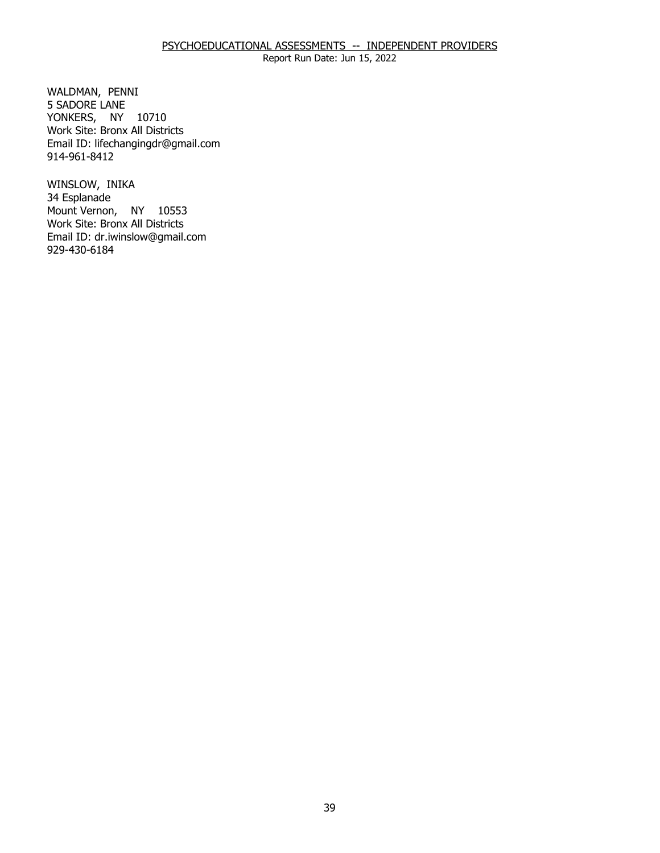# PSYCHOEDUCATIONAL ASSESSMENTS -- INDEPENDENT PROVIDERS

Report Run Date: Jun 15, 2022

WALDMAN, PENNI YONKERS, NY 10710 5 SADORE LANE Work Site: Bronx All Districts Email ID: [lifechangingdr@gmail.com](mailto:lifechangingdr@gmail.com) 914-961-8412

WINSLOW, INIKA<br>34 Esplanade Mount Vernon, NY 10553 Work Site: Bronx All Districts Email ID: [dr.iwinslow@gmail.com](mailto:dr.iwinslow@gmail.com)  929-430-6184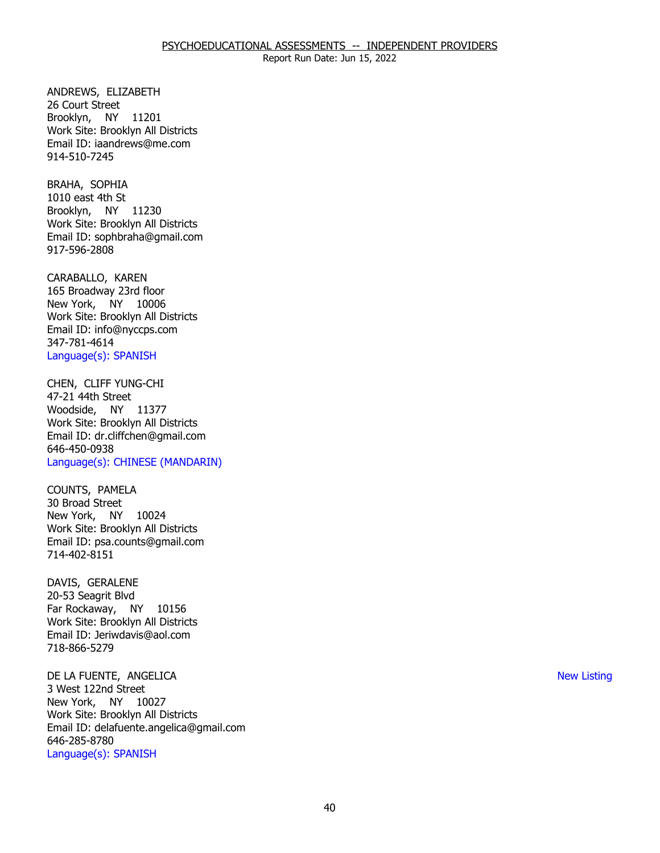ANDREWS, ELIZABETH<br>26 Court Street Brooklyn, NY 11201 Work Site: Brooklyn All Districts Email ID: [iaandrews@me.com](mailto:iaandrews@me.com)  914-510-7245

BRAHA, SOPHIA Brooklyn, NY 11230 1010 east 4th St Work Site: Brooklyn All Districts Email ID: [sophbraha@gmail.com](mailto:sophbraha@gmail.com) 917-596-2808

CARABALLO, KAREN New York, NY 10006 165 Broadway 23rd floor Work Site: Brooklyn All Districts Email ID: [info@nyccps.com](mailto:info@nyccps.com)  347-781-4614 Language(s): SPANISH

CHEN, CLIFF YUNG-CHI<br>47-21 44th Street Woodside, NY 11377 Work Site: Brooklyn All Districts Email ID: [dr.cliffchen@gmail.com](mailto:dr.cliffchen@gmail.com)  646-450-0938 Language(s): CHINESE (MANDARIN)

COUNTS, PAMELA<br>30 Broad Street New York, NY 10024 Work Site: Brooklyn All Districts Email ID: [psa.counts@gmail.com](mailto:psa.counts@gmail.com) 714-402-8151

DAVIS, GERALENE Far Rockaway, NY 10156 20-53 Seagrit Blvd Work Site: Brooklyn All Districts Email ID: [Jeriwdavis@aol.com](mailto:Jeriwdavis@aol.com)  718-866-5279

 DE LA FUENTE, ANGELICA New Listing New York, NY 10027 3 West 122nd Street Work Site: Brooklyn All Districts Email ID: [delafuente.angelica@gmail.com](mailto:delafuente.angelica@gmail.com)  646-285-8780 Language(s): SPANISH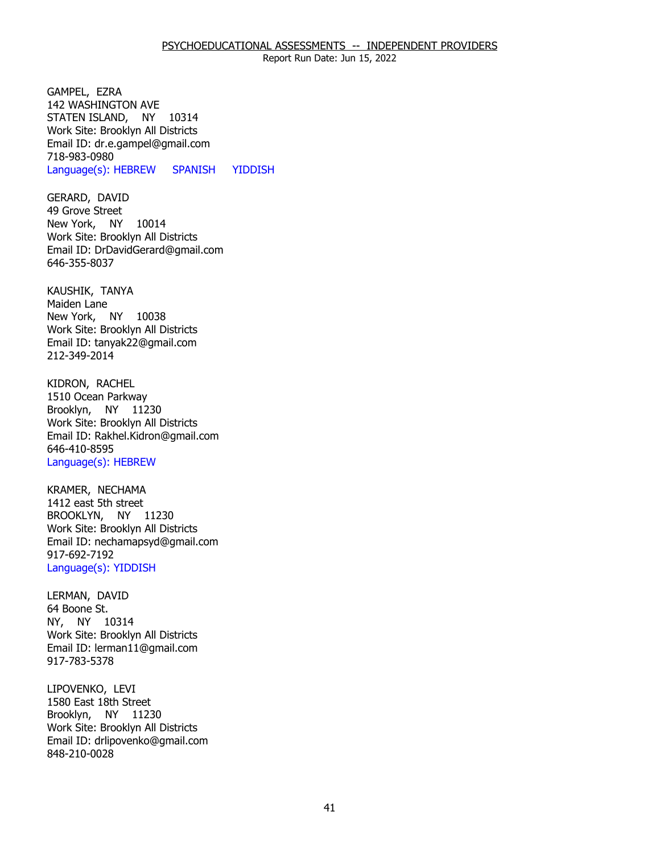GAMPEL, EZRA STATEN ISLAND, NY 10314 142 WASHINGTON AVE Work Site: Brooklyn All Districts Email ID: [dr.e.gampel@gmail.com](mailto:dr.e.gampel@gmail.com)  718-983-0980 Language(s): HEBREW SPANISH YIDDISH

GERARD, DAVID<br>49 Grove Street New York, NY 10014 Work Site: Brooklyn All Districts Email ID: [DrDavidGerard@gmail.com](mailto:DrDavidGerard@gmail.com) 646-355-8037

KAUSHIK, TANYA<br>Maiden Lane New York, NY 10038 Work Site: Brooklyn All Districts Email ID: [tanyak22@gmail.com](mailto:tanyak22@gmail.com)  212-349-2014

KIDRON, RACHEL Brooklyn, NY 11230 1510 Ocean Parkway Work Site: Brooklyn All Districts Email ID: [Rakhel.Kidron@gmail.com](mailto:Rakhel.Kidron@gmail.com) 646-410-8595 Language(s): HEBREW

KRAMER, NECHAMA BROOKLYN, NY 11230 1412 east 5th street Work Site: Brooklyn All Districts Email ID: [nechamapsyd@gmail.com](mailto:nechamapsyd@gmail.com)  917-692-7192 Language(s): YIDDISH

LERMAN, DAVID<br>64 Boone St. NY, NY 10314 Work Site: Brooklyn All Districts Email ID: [lerman11@gmail.com](mailto:lerman11@gmail.com) 917-783-5378

LIPOVENKO, LEVI Brooklyn, NY 11230 1580 East 18th Street Work Site: Brooklyn All Districts Email ID: [drlipovenko@gmail.com](mailto:drlipovenko@gmail.com) 848-210-0028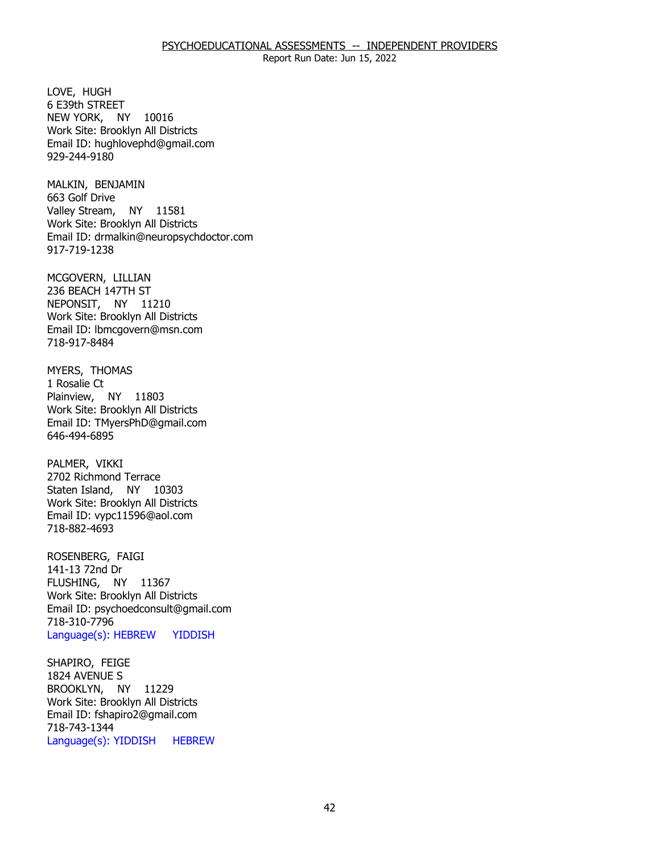LOVE, HUGH NEW YORK, NY 10016 6 E39th STREET Work Site: Brooklyn All Districts Email ID: [hughlovephd@gmail.com](mailto:hughlovephd@gmail.com) 929-244-9180

MALKIN, BENJAMIN<br>663 Golf Drive Valley Stream, NY 11581 Work Site: Brooklyn All Districts Email ID: [drmalkin@neuropsychdoctor.com](mailto:drmalkin@neuropsychdoctor.com)  917-719-1238

MCGOVERN, LILLIAN NEPONSIT, NY 11210 236 BEACH 147TH ST Work Site: Brooklyn All Districts Email ID: [lbmcgovern@msn.com](mailto:lbmcgovern@msn.com) 718-917-8484

MYERS, THOMAS<br>1 Rosalie Ct Plainview, NY 11803 Work Site: Brooklyn All Districts Email ID: [TMyersPhD@gmail.com](mailto:TMyersPhD@gmail.com)  646-494-6895

PALMER, VIKKI Staten Island, NY 10303 2702 Richmond Terrace Work Site: Brooklyn All Districts Email ID: [vypc11596@aol.com](mailto:vypc11596@aol.com)  718-882-4693

ROSENBERG, FAIGI<br>141-13 72nd Dr FLUSHING, NY 11367 Work Site: Brooklyn All Districts Email ID: [psychoedconsult@gmail.com](mailto:psychoedconsult@gmail.com)  718-310-7796 Language(s): HEBREW YIDDISH

SHAPIRO, FEIGE BROOKLYN, NY 11229 1824 AVENUE S Work Site: Brooklyn All Districts Email ID: [fshapiro2@gmail.com](mailto:fshapiro2@gmail.com) 718-743-1344 Language(s): YIDDISH HEBREW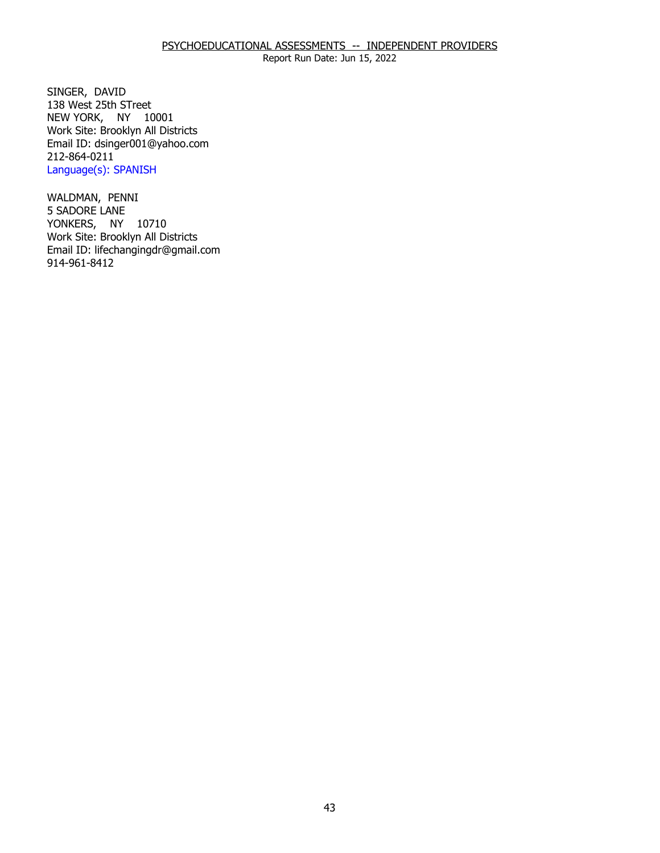SINGER, DAVID NEW YORK, NY 10001 138 West 25th STreet Work Site: Brooklyn All Districts Email ID: [dsinger001@yahoo.com](mailto:dsinger001@yahoo.com)  212-864-0211 Language(s): SPANISH

WALDMAN, PENNI<br>5 SADORE LANE YONKERS, NY 10710 Work Site: Brooklyn All Districts Email ID: [lifechangingdr@gmail.com](mailto:lifechangingdr@gmail.com) 914-961-8412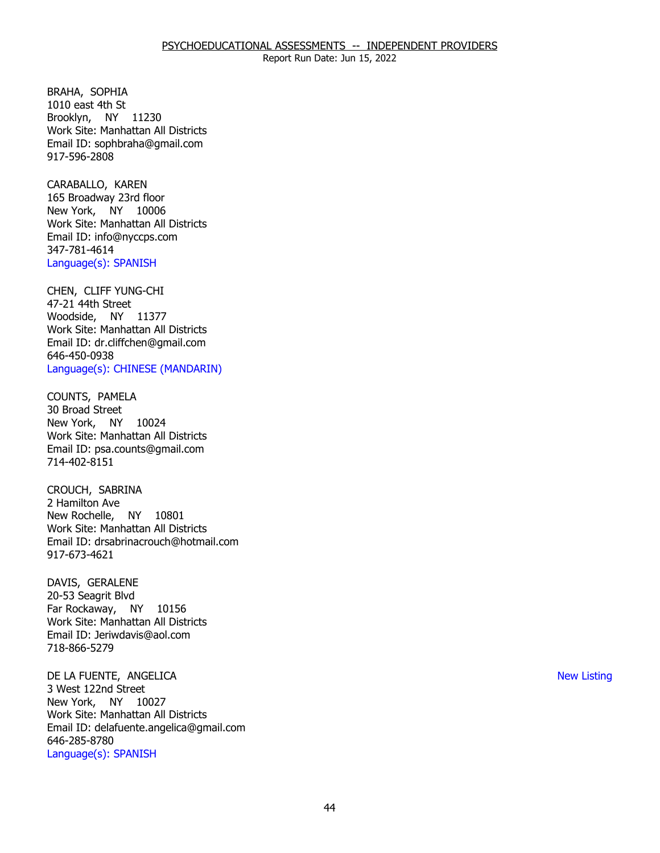BRAHA, SOPHIA Brooklyn, NY 11230 1010 east 4th St Work Site: Manhattan All Districts Email ID: [sophbraha@gmail.com](mailto:sophbraha@gmail.com) 917-596-2808

CARABALLO, KAREN New York, NY 10006 165 Broadway 23rd floor Work Site: Manhattan All Districts Email ID: [info@nyccps.com](mailto:info@nyccps.com)  347-781-4614 Language(s): SPANISH

CHEN, CLIFF YUNG-CHI<br>47-21 44th Street Woodside, NY 11377 Work Site: Manhattan All Districts Email ID: [dr.cliffchen@gmail.com](mailto:dr.cliffchen@gmail.com)  646-450-0938 Language(s): CHINESE (MANDARIN)

COUNTS, PAMELA<br>30 Broad Street New York, NY 10024 Work Site: Manhattan All Districts Email ID: [psa.counts@gmail.com](mailto:psa.counts@gmail.com) 714-402-8151

 CROUCH, SABRINA 2 Hamilton Ave New Rochelle, NY 10801 Work Site: Manhattan All Districts Email ID: [drsabrinacrouch@hotmail.com](mailto:drsabrinacrouch@hotmail.com)  917-673-4621

DAVIS, GERALENE Far Rockaway, NY 10156 20-53 Seagrit Blvd Work Site: Manhattan All Districts Email ID: [Jeriwdavis@aol.com](mailto:Jeriwdavis@aol.com)  718-866-5279

 DE LA FUENTE, ANGELICA New Listing New York, NY 10027 3 West 122nd Street Work Site: Manhattan All Districts Email ID: [delafuente.angelica@gmail.com](mailto:delafuente.angelica@gmail.com)  646-285-8780 Language(s): SPANISH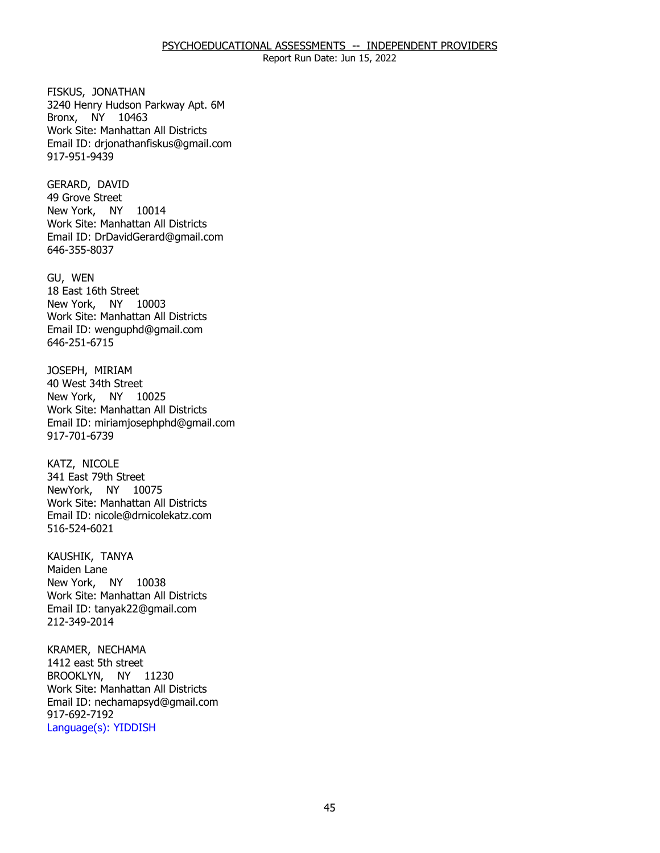### PSYCHOEDUCATIONAL ASSESSMENTS -- INDEPENDENT PROVIDERS

Report Run Date: Jun 15, 2022

FISKUS, JONATHAN Bronx, NY 10463 3240 Henry Hudson Parkway Apt. 6M Work Site: Manhattan All Districts Email ID: [drjonathanfiskus@gmail.com](mailto:drjonathanfiskus@gmail.com) 917-951-9439

GERARD, DAVID New York, NY 10014 49 Grove Street Work Site: Manhattan All Districts Email ID: [DrDavidGerard@gmail.com](mailto:DrDavidGerard@gmail.com) 646-355-8037

GU, WEN New York, NY 10003 18 East 16th Street Work Site: Manhattan All Districts Email ID: [wenguphd@gmail.com](mailto:wenguphd@gmail.com) 646-251-6715

JOSEPH, MIRIAM New York, NY 10025 40 West 34th Street Work Site: Manhattan All Districts Email ID: [miriamjosephphd@gmail.com](mailto:miriamjosephphd@gmail.com) 917-701-6739

KATZ, NICOLE NewYork, NY 10075 341 East 79th Street Work Site: Manhattan All Districts Email ID: [nicole@drnicolekatz.com](mailto:nicole@drnicolekatz.com)  516-524-6021

KAUSHIK, TANYA<br>Maiden Lane New York, NY 10038 Work Site: Manhattan All Districts Email ID: [tanyak22@gmail.com](mailto:tanyak22@gmail.com)  212-349-2014

KRAMER, NECHAMA<br>1412 east 5th street BROOKLYN, NY 11230 Work Site: Manhattan All Districts Email ID: [nechamapsyd@gmail.com](mailto:nechamapsyd@gmail.com)  917-692-7192 Language(s): YIDDISH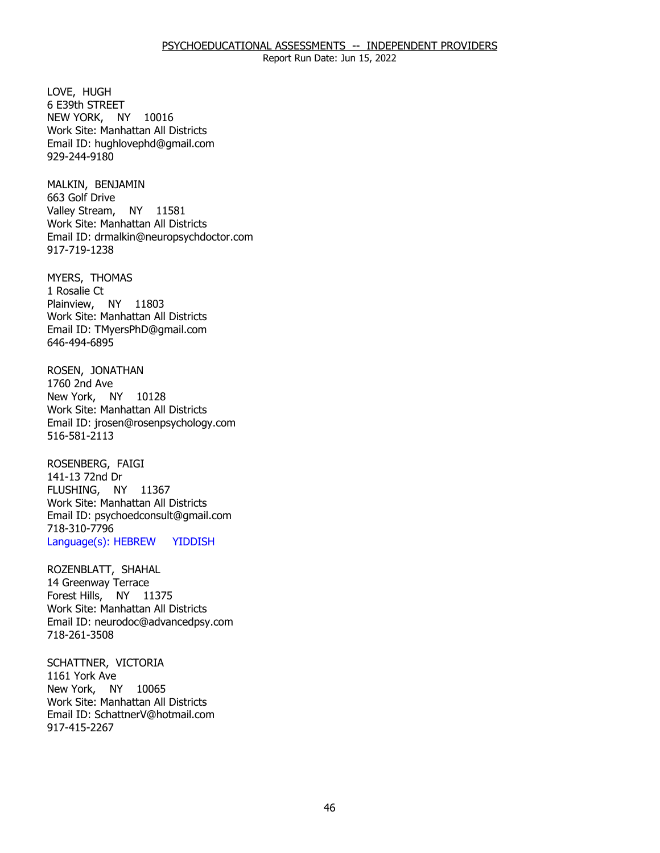LOVE, HUGH NEW YORK, NY 10016 6 E39th STREET Work Site: Manhattan All Districts Email ID: [hughlovephd@gmail.com](mailto:hughlovephd@gmail.com) 929-244-9180

MALKIN, BENJAMIN<br>663 Golf Drive Valley Stream, NY 11581 Work Site: Manhattan All Districts Email ID: [drmalkin@neuropsychdoctor.com](mailto:drmalkin@neuropsychdoctor.com)  917-719-1238

MYERS, THOMAS<br>1 Rosalie Ct Plainview, NY 11803 Work Site: Manhattan All Districts Email ID: [TMyersPhD@gmail.com](mailto:TMyersPhD@gmail.com)  646-494-6895

ROSEN, JONATHAN<br>1760 2nd Ave New York, NY 10128 Work Site: Manhattan All Districts Email ID: [jrosen@rosenpsychology.com](mailto:jrosen@rosenpsychology.com)  516-581-2113

ROSENBERG, FAIGI<br>141-13 72nd Dr FLUSHING, NY 11367 Work Site: Manhattan All Districts Email ID: [psychoedconsult@gmail.com](mailto:psychoedconsult@gmail.com)  718-310-7796 Language(s): HEBREW YIDDISH

ROZENBLATT, SHAHAL<br>14 Greenway Terrace Forest Hills, NY 11375 Work Site: Manhattan All Districts Email ID: [neurodoc@advancedpsy.com](mailto:neurodoc@advancedpsy.com) 718-261-3508

SCHATTNER, VICTORIA<br>1161 York Ave New York, NY 10065 Work Site: Manhattan All Districts Email ID: [SchattnerV@hotmail.com](mailto:SchattnerV@hotmail.com) 917-415-2267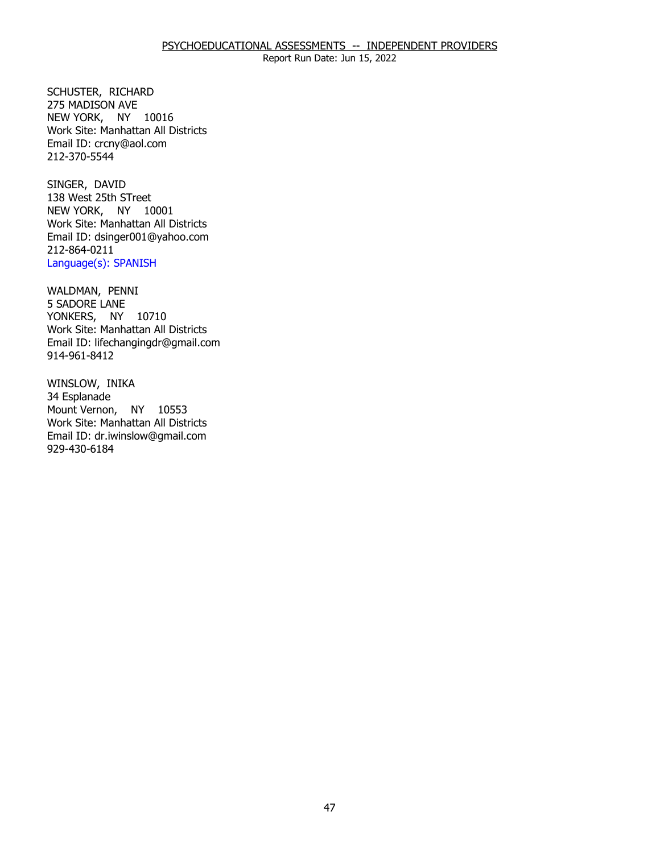SCHUSTER, RICHARD<br>275 MADISON AVE NEW YORK, NY 10016 Work Site: Manhattan All Districts Email ID: [crcny@aol.com](mailto:crcny@aol.com)  212-370-5544

SINGER, DAVID NEW YORK, NY 10001 138 West 25th STreet Work Site: Manhattan All Districts Email ID: [dsinger001@yahoo.com](mailto:dsinger001@yahoo.com)  212-864-0211 Language(s): SPANISH

WALDMAN, PENNI<br>5 SADORE LANE YONKERS, NY 10710 Work Site: Manhattan All Districts Email ID: [lifechangingdr@gmail.com](mailto:lifechangingdr@gmail.com) 914-961-8412

WINSLOW, INIKA<br>34 Esplanade Mount Vernon, NY 10553 Work Site: Manhattan All Districts Email ID: [dr.iwinslow@gmail.com](mailto:dr.iwinslow@gmail.com)  929-430-6184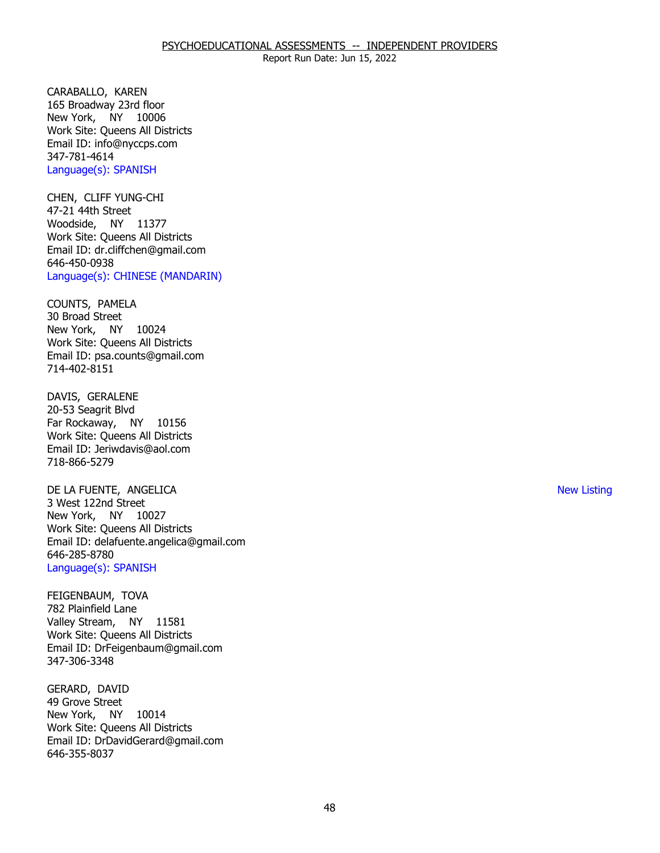CARABALLO, KAREN New York, NY 10006 165 Broadway 23rd floor Work Site: Queens All Districts Email ID: [info@nyccps.com](mailto:info@nyccps.com)  347-781-4614 Language(s): SPANISH

CHEN, CLIFF YUNG-CHI<br>47-21 44th Street Woodside, NY 11377 Work Site: Queens All Districts Email ID: [dr.cliffchen@gmail.com](mailto:dr.cliffchen@gmail.com)  646-450-0938 Language(s): CHINESE (MANDARIN)

COUNTS, PAMELA<br>30 Broad Street New York, NY 10024 Work Site: Queens All Districts Email ID: [psa.counts@gmail.com](mailto:psa.counts@gmail.com) 714-402-8151

DAVIS, GERALENE Far Rockaway, NY 10156 20-53 Seagrit Blvd Work Site: Queens All Districts Email ID: [Jeriwdavis@aol.com](mailto:Jeriwdavis@aol.com)  718-866-5279

 DE LA FUENTE, ANGELICA New Listing New York, NY 10027 3 West 122nd Street Work Site: Queens All Districts Email ID: [delafuente.angelica@gmail.com](mailto:delafuente.angelica@gmail.com)  646-285-8780 Language(s): SPANISH

FEIGENBAUM, TOVA<br>782 Plainfield Lane Valley Stream, NY 11581 Work Site: Queens All Districts Email ID: [DrFeigenbaum@gmail.com](mailto:DrFeigenbaum@gmail.com)  347-306-3348

GERARD, DAVID<br>49 Grove Street New York, NY 10014 Work Site: Queens All Districts Email ID: [DrDavidGerard@gmail.com](mailto:DrDavidGerard@gmail.com) 646-355-8037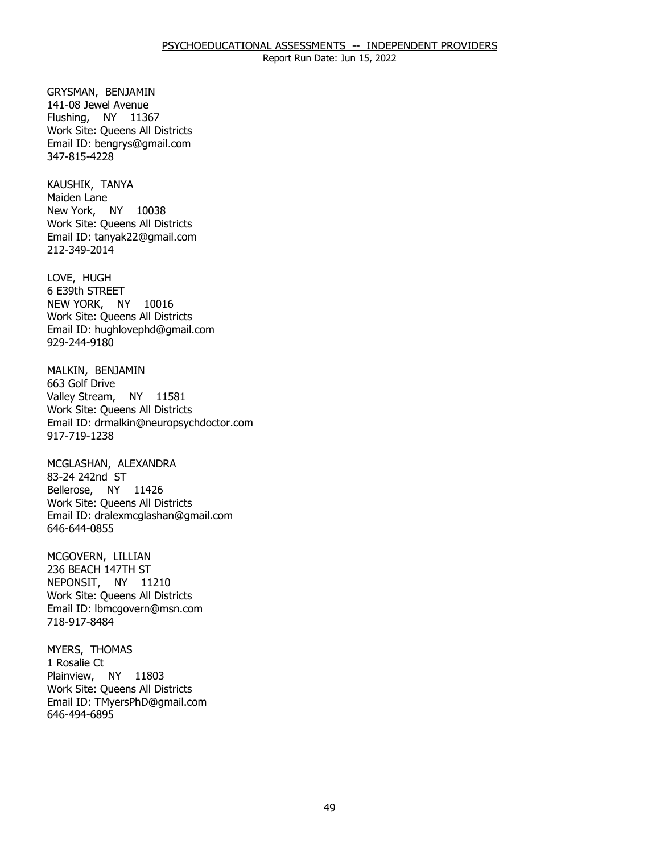GRYSMAN, BENJAMIN Flushing, NY 11367 141-08 Jewel Avenue Work Site: Queens All Districts Email ID: [bengrys@gmail.com](mailto:bengrys@gmail.com) 347-815-4228

KAUSHIK, TANYA<br>Maiden Lane New York, NY 10038 Work Site: Queens All Districts Email ID: [tanyak22@gmail.com](mailto:tanyak22@gmail.com)  212-349-2014

LOVE, HUGH NEW YORK, NY 10016 6 E39th STREET Work Site: Queens All Districts Email ID: [hughlovephd@gmail.com](mailto:hughlovephd@gmail.com) 929-244-9180

MALKIN, BENJAMIN<br>663 Golf Drive Valley Stream, NY 11581 Work Site: Queens All Districts Email ID: [drmalkin@neuropsychdoctor.com](mailto:drmalkin@neuropsychdoctor.com)  917-719-1238

MCGLASHAN, ALEXANDRA<br>83-24 242nd ST Bellerose, NY 11426 Work Site: Queens All Districts Email ID: [dralexmcglashan@gmail.com](mailto:dralexmcglashan@gmail.com) 646-644-0855

MCGOVERN, LILLIAN NEPONSIT, NY 11210 236 BEACH 147TH ST Work Site: Queens All Districts Email ID: [lbmcgovern@msn.com](mailto:lbmcgovern@msn.com) 718-917-8484

MYERS, THOMAS<br>1 Rosalie Ct Plainview, NY 11803 Work Site: Queens All Districts Email ID: [TMyersPhD@gmail.com](mailto:TMyersPhD@gmail.com)  646-494-6895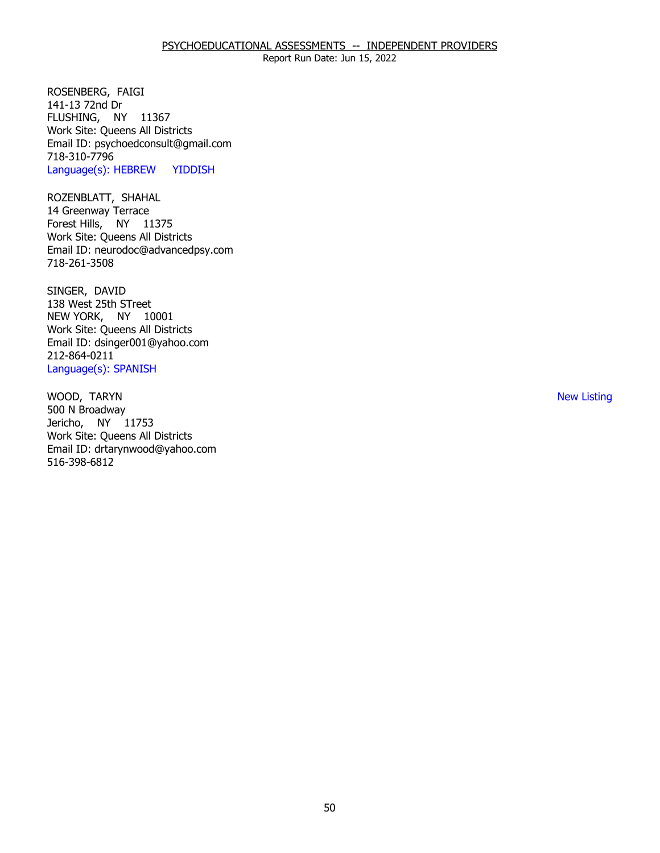ROSENBERG, FAIGI<br>141-13 72nd Dr FLUSHING, NY 11367 Work Site: Queens All Districts Email ID: [psychoedconsult@gmail.com](mailto:psychoedconsult@gmail.com)  718-310-7796 Language(s): HEBREW YIDDISH

ROZENBLATT, SHAHAL Forest Hills, NY 11375 14 Greenway Terrace Work Site: Queens All Districts Email ID: [neurodoc@advancedpsy.com](mailto:neurodoc@advancedpsy.com) 718-261-3508

SINGER, DAVID NEW YORK, NY 10001 138 West 25th STreet Work Site: Queens All Districts Email ID: [dsinger001@yahoo.com](mailto:dsinger001@yahoo.com)  212-864-0211 Language(s): SPANISH

WOOD, TARYN Jericho, NY 11753 500 N Broadway Work Site: Queens All Districts Email ID: [drtarynwood@yahoo.com](mailto:drtarynwood@yahoo.com)  516-398-6812

New Listing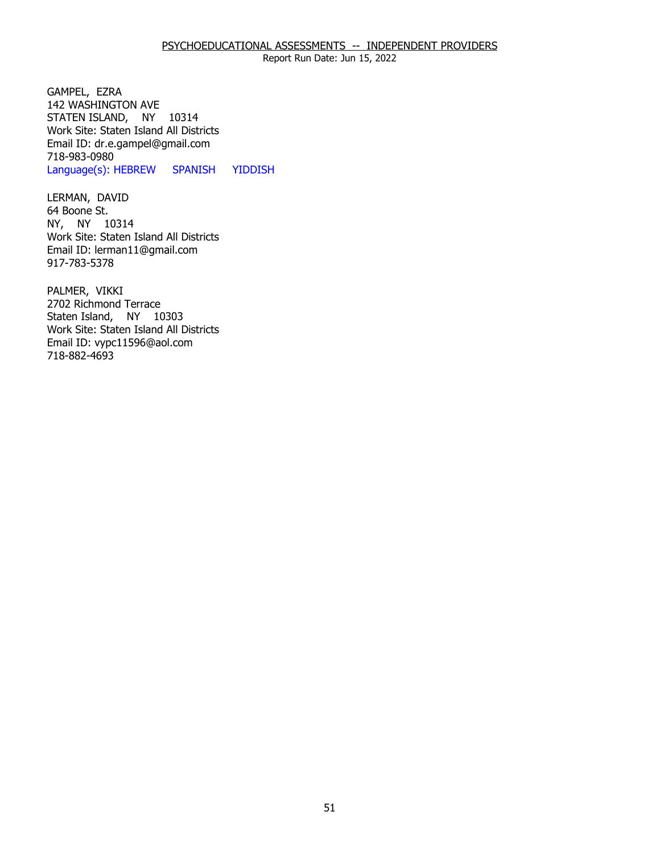### PSYCHOEDUCATIONAL ASSESSMENTS -- INDEPENDENT PROVIDERS

Report Run Date: Jun 15, 2022

GAMPEL, EZRA STATEN ISLAND, NY 10314 142 WASHINGTON AVE Work Site: Staten Island All Districts Email ID: [dr.e.gampel@gmail.com](mailto:dr.e.gampel@gmail.com)  718-983-0980 Language(s): HEBREW SPANISH YIDDISH

LERMAN, DAVID<br>64 Boone St. NY, NY 10314 Work Site: Staten Island All Districts Email ID: [lerman11@gmail.com](mailto:lerman11@gmail.com) 917-783-5378

PALMER, VIKKI Staten Island, NY 10303 2702 Richmond Terrace Work Site: Staten Island All Districts Email ID: [vypc11596@aol.com](mailto:vypc11596@aol.com)  718-882-4693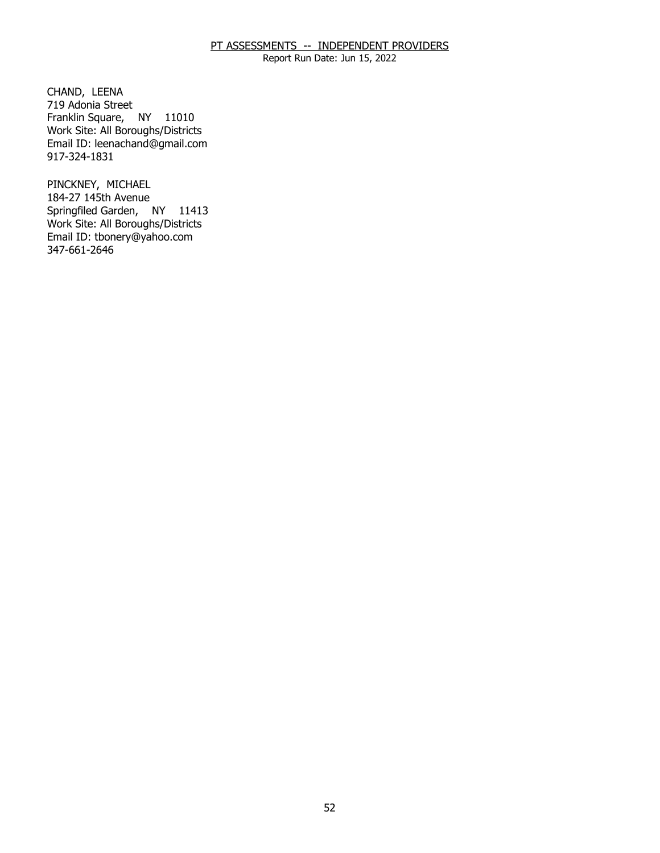Report Run Date: Jun 15, 2022

CHAND, LEENA Franklin Square, NY 11010 719 Adonia Street Work Site: All Boroughs/Districts Email ID: [leenachand@gmail.com](mailto:leenachand@gmail.com) 917-324-1831

PINCKNEY, MICHAEL Springfiled Garden, NY 11413 184-27 145th Avenue Work Site: All Boroughs/Districts Email ID: [tbonery@yahoo.com](mailto:tbonery@yahoo.com)  347-661-2646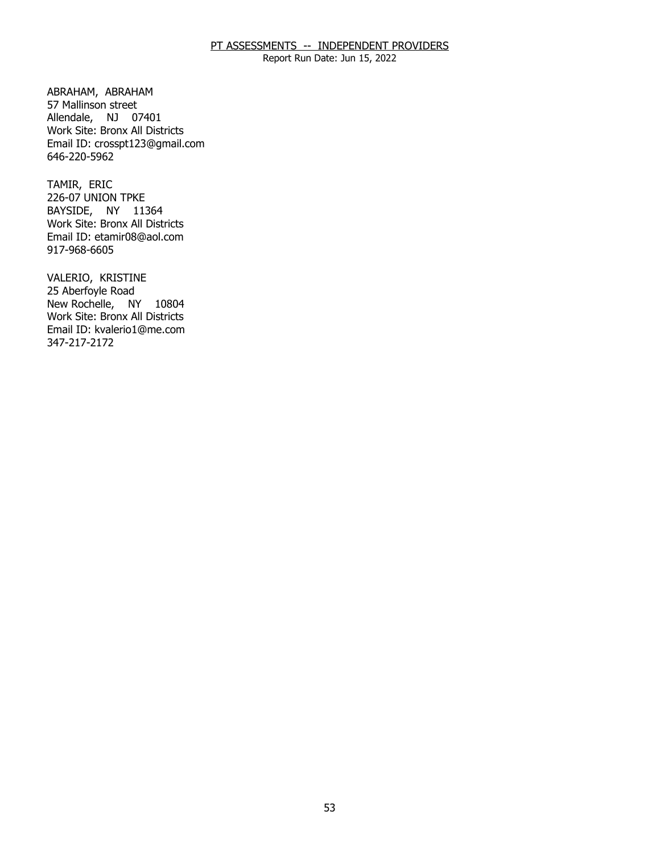Report Run Date: Jun 15, 2022

ABRAHAM, ABRAHAM Allendale, NJ 07401 57 Mallinson street Work Site: Bronx All Districts Email ID: [crosspt123@gmail.com](mailto:crosspt123@gmail.com) 646-220-5962

TAMIR, ERIC BAYSIDE, NY 11364 226-07 UNION TPKE Work Site: Bronx All Districts Email ID: [etamir08@aol.com](mailto:etamir08@aol.com)  917-968-6605

VALERIO, KRISTINE<br>25 Aberfoyle Road New Rochelle, NY 10804 Work Site: Bronx All Districts Email ID: [kvalerio1@me.com](mailto:kvalerio1@me.com)  347-217-2172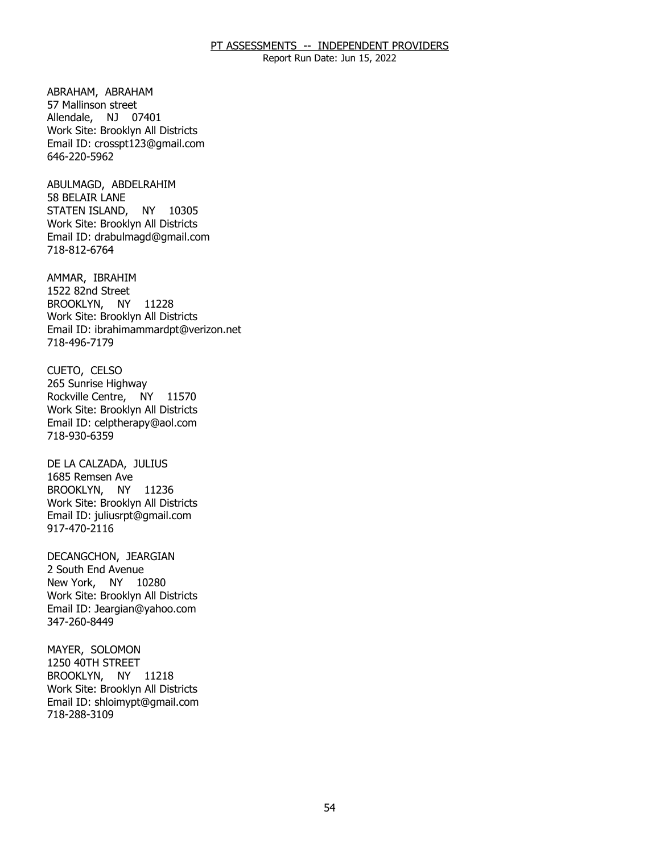Report Run Date: Jun 15, 2022

ABRAHAM, ABRAHAM Allendale, NJ 07401 57 Mallinson street Work Site: Brooklyn All Districts Email ID: [crosspt123@gmail.com](mailto:crosspt123@gmail.com) 646-220-5962

ABULMAGD, ABDELRAHIM<br>58 BELAIR LANE STATEN ISLAND, NY 10305 Work Site: Brooklyn All Districts Email ID: [drabulmagd@gmail.com](mailto:drabulmagd@gmail.com)  718-812-6764

AMMAR, IBRAHIM BROOKLYN, NY 11228 1522 82nd Street Work Site: Brooklyn All Districts Email ID: [ibrahimammardpt@verizon.net](mailto:ibrahimammardpt@verizon.net) 718-496-7179

CUETO, CELSO Rockville Centre, NY 11570 265 Sunrise Highway Work Site: Brooklyn All Districts Email ID: [celptherapy@aol.com](mailto:celptherapy@aol.com)  718-930-6359

DE LA CALZADA, JULIUS<br>1685 Remsen Ave BROOKLYN, NY 11236 Work Site: Brooklyn All Districts Email ID: [juliusrpt@gmail.com](mailto:juliusrpt@gmail.com)  917-470-2116

DECANGCHON, JEARGIAN<br>2 South End Avenue New York, NY 10280 Work Site: Brooklyn All Districts Email ID: [Jeargian@yahoo.com](mailto:Jeargian@yahoo.com) 347-260-8449

MAYER, SOLOMON<br>1250 40TH STREET BROOKLYN, NY 11218 Work Site: Brooklyn All Districts Email ID: [shloimypt@gmail.com](mailto:shloimypt@gmail.com)  718-288-3109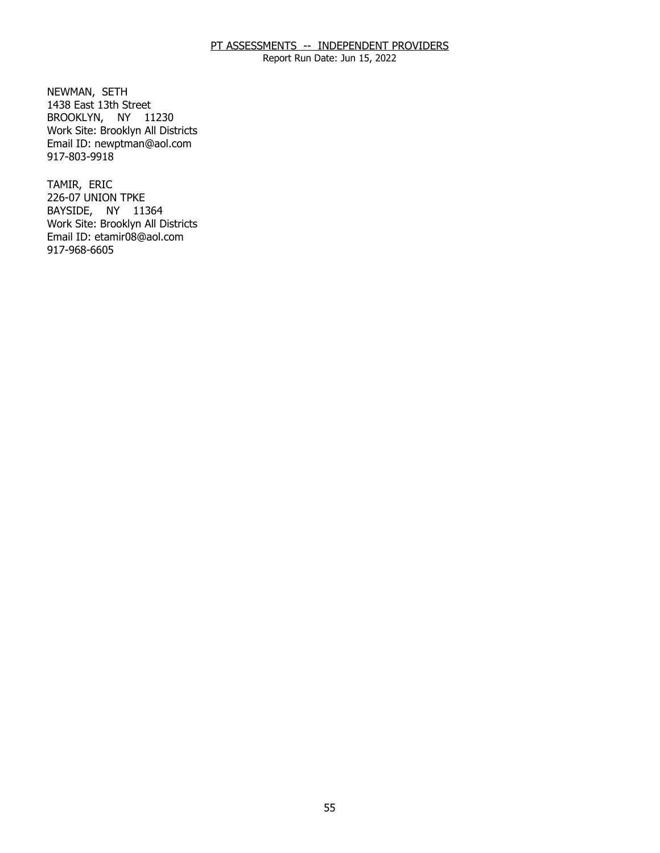Report Run Date: Jun 15, 2022

NEWMAN, SETH BROOKLYN, NY 11230 1438 East 13th Street Work Site: Brooklyn All Districts Email ID: [newptman@aol.com](mailto:newptman@aol.com)  917-803-9918

TAMIR, ERIC BAYSIDE, NY 11364 226-07 UNION TPKE Work Site: Brooklyn All Districts Email ID: [etamir08@aol.com](mailto:etamir08@aol.com)  917-968-6605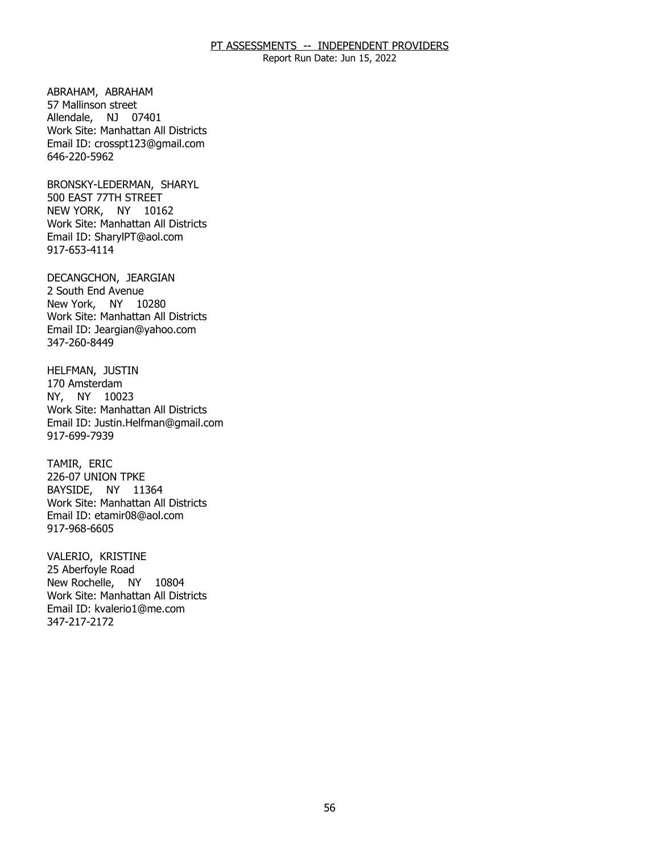Report Run Date: Jun 15, 2022

ABRAHAM, ABRAHAM Allendale, NJ 07401 57 Mallinson street Work Site: Manhattan All Districts Email ID: [crosspt123@gmail.com](mailto:crosspt123@gmail.com) 646-220-5962

BRONSKY-LEDERMAN, SHARYL<br>500 EAST 77TH STREET NEW YORK, NY 10162 Work Site: Manhattan All Districts Email ID: [SharylPT@aol.com](mailto:SharylPT@aol.com) 917-653-4114

DECANGCHON, JEARGIAN<br>2 South End Avenue New York, NY 10280 Work Site: Manhattan All Districts Email ID: [Jeargian@yahoo.com](mailto:Jeargian@yahoo.com) 347-260-8449

HELFMAN, JUSTIN<br>170 Amsterdam NY, NY 10023 Work Site: Manhattan All Districts Email ID: [Justin.Helfman@gmail.com](mailto:Justin.Helfman@gmail.com) 917-699-7939

TAMIR, ERIC BAYSIDE, NY 11364 226-07 UNION TPKE Work Site: Manhattan All Districts Email ID: [etamir08@aol.com](mailto:etamir08@aol.com)  917-968-6605

VALERIO, KRISTINE New Rochelle, NY 10804 25 Aberfoyle Road Work Site: Manhattan All Districts Email ID: [kvalerio1@me.com](mailto:kvalerio1@me.com)  347-217-2172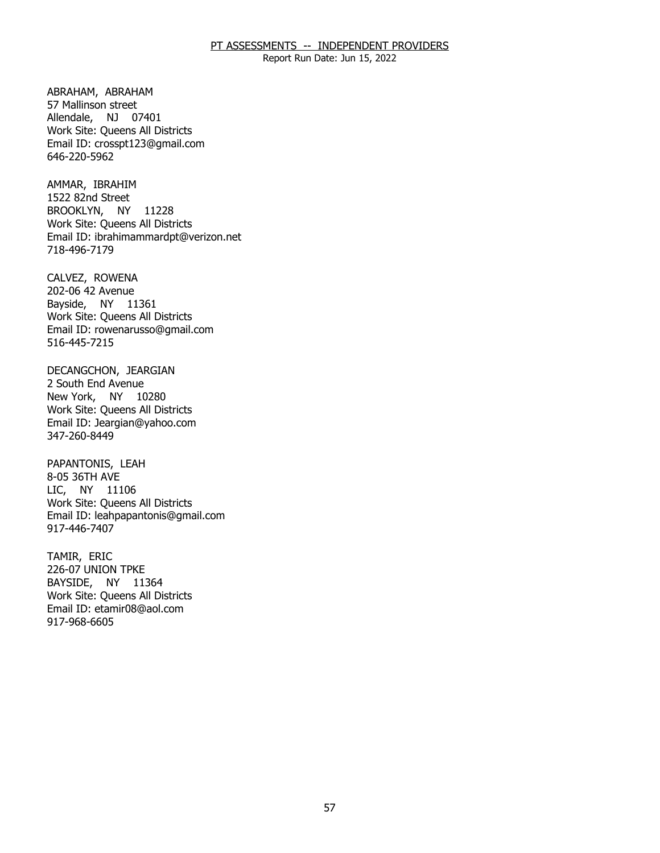Report Run Date: Jun 15, 2022

ABRAHAM, ABRAHAM Allendale, NJ 07401 57 Mallinson street Work Site: Queens All Districts Email ID: [crosspt123@gmail.com](mailto:crosspt123@gmail.com) 646-220-5962

AMMAR, IBRAHIM BROOKLYN, NY 11228 1522 82nd Street Work Site: Queens All Districts Email ID: [ibrahimammardpt@verizon.net](mailto:ibrahimammardpt@verizon.net) 718-496-7179

CALVEZ, ROWENA Bayside, NY 11361 202-06 42 Avenue Work Site: Queens All Districts Email ID: [rowenarusso@gmail.com](mailto:rowenarusso@gmail.com) 516-445-7215

DECANGCHON, JEARGIAN<br>2 South End Avenue New York, NY 10280 Work Site: Queens All Districts Email ID: [Jeargian@yahoo.com](mailto:Jeargian@yahoo.com) 347-260-8449

PAPANTONIS, LEAH<br>8-05 36TH AVE LIC, NY 11106 Work Site: Queens All Districts Email ID: [leahpapantonis@gmail.com](mailto:leahpapantonis@gmail.com)  917-446-7407

TAMIR, ERIC BAYSIDE, NY 11364 226-07 UNION TPKE Work Site: Queens All Districts Email ID: [etamir08@aol.com](mailto:etamir08@aol.com)  917-968-6605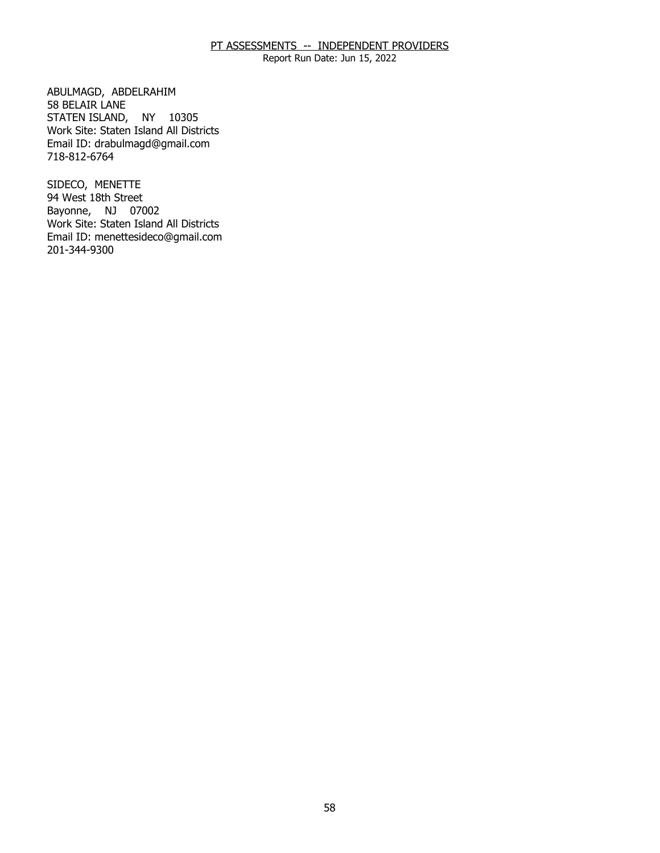Report Run Date: Jun 15, 2022

ABULMAGD, ABDELRAHIM<br>58 BELAIR LANE STATEN ISLAND, NY 10305 Work Site: Staten Island All Districts Email ID: [drabulmagd@gmail.com](mailto:drabulmagd@gmail.com)  718-812-6764

SIDECO, MENETTE Bayonne, NJ 07002 94 West 18th Street Work Site: Staten Island All Districts Email ID: [menettesideco@gmail.com](mailto:menettesideco@gmail.com) 201-344-9300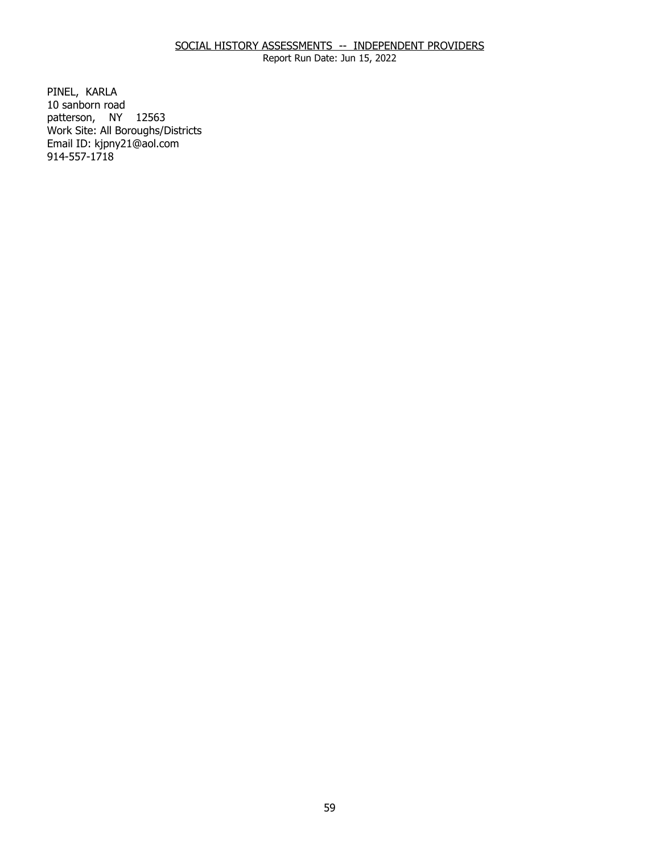# SOCIAL HISTORY ASSESSMENTS -- INDEPENDENT PROVIDERS

Report Run Date: Jun 15, 2022

PINEL, KARLA patterson, NY 12563 10 sanborn road Work Site: All Boroughs/Districts Email ID: [kjpny21@aol.com](mailto:kjpny21@aol.com) 914-557-1718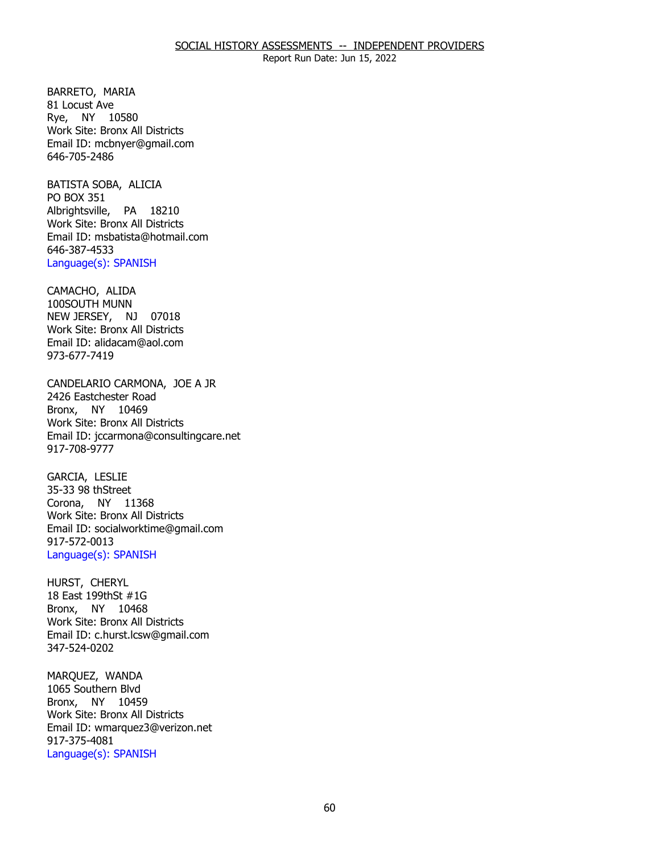BARRETO, MARIA<br>81 Locust Ave Rye, NY 10580 Work Site: Bronx All Districts Email ID: [mcbnyer@gmail.com](mailto:mcbnyer@gmail.com) 646-705-2486

BATISTA SOBA, ALICIA<br>PO BOX 351 Albrightsville, PA 18210 Work Site: Bronx All Districts Email ID: [msbatista@hotmail.com](mailto:msbatista@hotmail.com) 646-387-4533 Language(s): SPANISH

CAMACHO, ALIDA<br>100SOUTH MUNN NEW JERSEY, NJ 07018 Work Site: Bronx All Districts Email ID: [alidacam@aol.com](mailto:alidacam@aol.com) 973-677-7419

CANDELARIO CARMONA, JOE A JR<br>2426 Eastchester Road Bronx, NY 10469 Work Site: Bronx All Districts Email ID: [jccarmona@consultingcare.net](mailto:jccarmona@consultingcare.net) 917-708-9777

GARCIA, LESLIE Corona, NY 11368 35-33 98 thStreet Work Site: Bronx All Districts Email ID: [socialworktime@gmail.com](mailto:socialworktime@gmail.com) 917-572-0013 Language(s): SPANISH

HURST, CHERYL Bronx, NY 10468 18 East 199thSt #1G Work Site: Bronx All Districts Email ID: [c.hurst.lcsw@gmail.com](mailto:c.hurst.lcsw@gmail.com) 347-524-0202

MARQUEZ, WANDA Bronx, NY 10459 1065 Southern Blvd Work Site: Bronx All Districts Email ID: [wmarquez3@verizon.net](mailto:wmarquez3@verizon.net)  917-375-4081 Language(s): SPANISH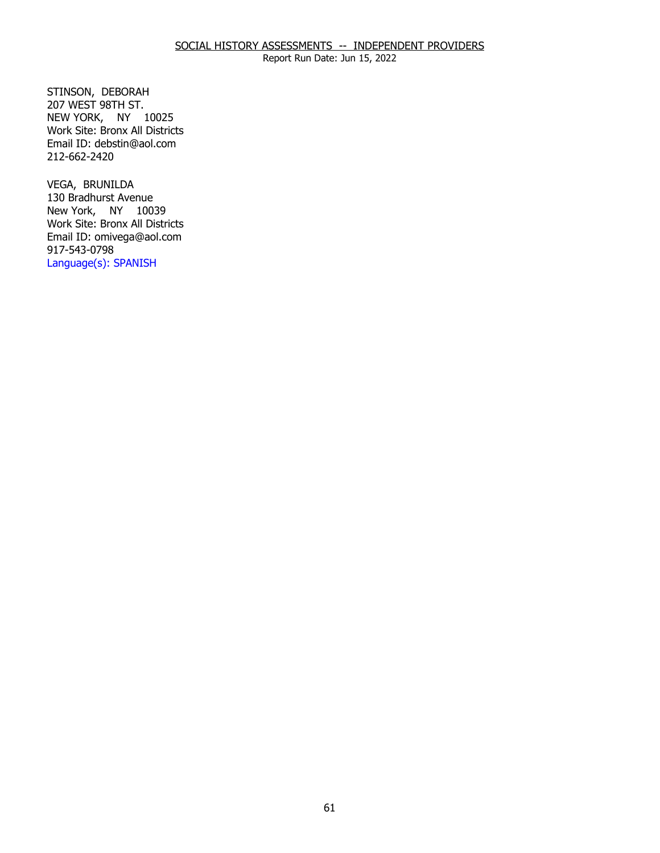STINSON, DEBORAH NEW YORK, NY 10025 207 WEST 98TH ST. Work Site: Bronx All Districts Email ID: [debstin@aol.com](mailto:debstin@aol.com) 212-662-2420

VEGA, BRUNILDA New York, NY 10039 130 Bradhurst Avenue Work Site: Bronx All Districts Email ID: [omivega@aol.com](mailto:omivega@aol.com)  917-543-0798 Language(s): SPANISH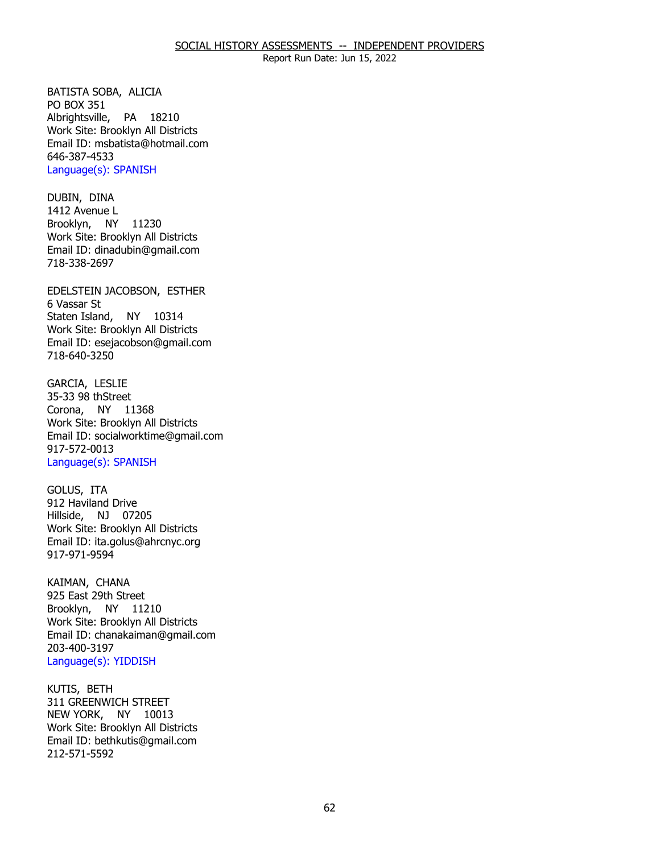BATISTA SOBA, ALICIA<br>PO BOX 351 Albrightsville, PA 18210 Work Site: Brooklyn All Districts Email ID: [msbatista@hotmail.com](mailto:msbatista@hotmail.com) 646-387-4533 Language(s): SPANISH

DUBIN, DINA Brooklyn, NY 11230 1412 Avenue L Work Site: Brooklyn All Districts Email ID: [dinadubin@gmail.com](mailto:dinadubin@gmail.com) 718-338-2697

EDELSTEIN JACOBSON, ESTHER<br>6 Vassar St Staten Island, NY 10314 Work Site: Brooklyn All Districts Email ID: [esejacobson@gmail.com](mailto:esejacobson@gmail.com) 718-640-3250

**GARCIA, LESLIE**  Corona, NY 11368 35-33 98 thStreet Work Site: Brooklyn All Districts Email ID: [socialworktime@gmail.com](mailto:socialworktime@gmail.com) 917-572-0013 Language(s): SPANISH

GOLUS, ITA Hillside, NJ 07205 912 Haviland Drive Work Site: Brooklyn All Districts Email ID: [ita.golus@ahrcnyc.org](mailto:ita.golus@ahrcnyc.org)  917-971-9594

KAIMAN, CHANA Brooklyn, NY 11210 925 East 29th Street Work Site: Brooklyn All Districts Email ID: [chanakaiman@gmail.com](mailto:chanakaiman@gmail.com) 203-400-3197 Language(s): YIDDISH

KUTIS, BETH NEW YORK, NY 10013 311 GREENWICH STREET Work Site: Brooklyn All Districts Email ID: [bethkutis@gmail.com](mailto:bethkutis@gmail.com)  212-571-5592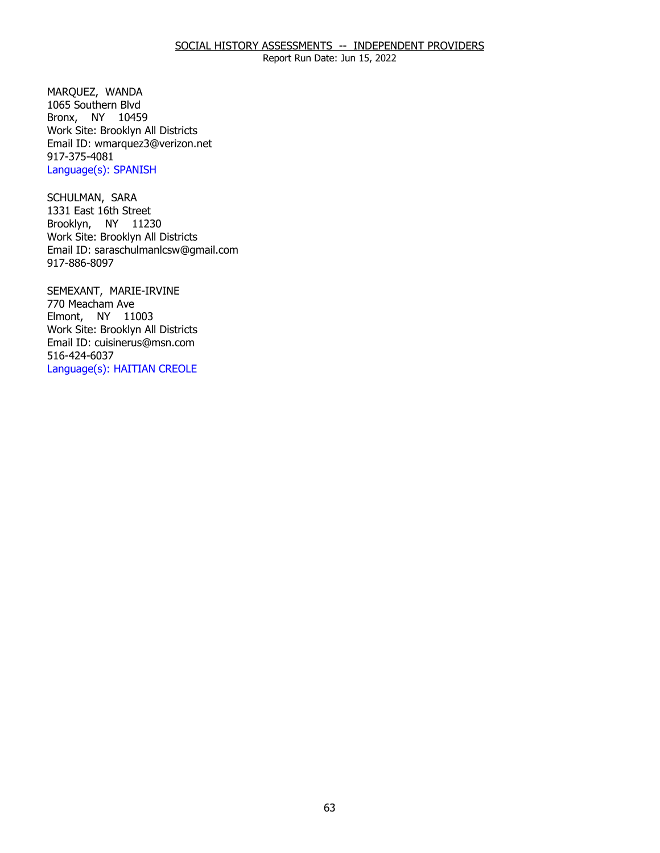# SOCIAL HISTORY ASSESSMENTS -- INDEPENDENT PROVIDERS

Report Run Date: Jun 15, 2022

MARQUEZ, WANDA Bronx, NY 10459 1065 Southern Blvd Work Site: Brooklyn All Districts Email ID: [wmarquez3@verizon.net](mailto:wmarquez3@verizon.net)  917-375-4081 Language(s): SPANISH

SCHULMAN, SARA Brooklyn, NY 11230 1331 East 16th Street Work Site: Brooklyn All Districts Email ID: [saraschulmanlcsw@gmail.com](mailto:saraschulmanlcsw@gmail.com) 917-886-8097

 SEMEXANT, MARIE-IRVINE 770 Meacham Ave Elmont, NY 11003 Work Site: Brooklyn All Districts Email ID: [cuisinerus@msn.com](mailto:cuisinerus@msn.com)  516-424-6037 Language(s): HAITIAN CREOLE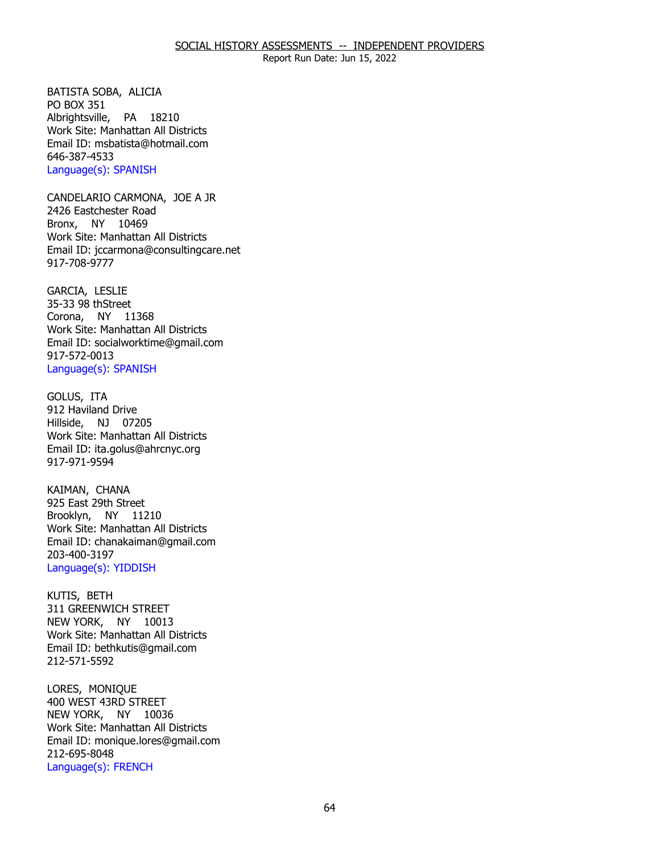BATISTA SOBA, ALICIA<br>PO BOX 351 Albrightsville, PA 18210 Work Site: Manhattan All Districts Email ID: [msbatista@hotmail.com](mailto:msbatista@hotmail.com) 646-387-4533 Language(s): SPANISH

CANDELARIO CARMONA, JOE A JR<br>2426 Eastchester Road Bronx, NY 10469 Work Site: Manhattan All Districts Email ID: [jccarmona@consultingcare.net](mailto:jccarmona@consultingcare.net) 917-708-9777

GARCIA, LESLIE Corona, NY 11368 35-33 98 thStreet Work Site: Manhattan All Districts Email ID: [socialworktime@gmail.com](mailto:socialworktime@gmail.com) 917-572-0013 Language(s): SPANISH

GOLUS, ITA Hillside, NJ 07205 912 Haviland Drive Work Site: Manhattan All Districts Email ID: [ita.golus@ahrcnyc.org](mailto:ita.golus@ahrcnyc.org)  917-971-9594

KAIMAN, CHANA Brooklyn, NY 11210 925 East 29th Street Work Site: Manhattan All Districts Email ID: [chanakaiman@gmail.com](mailto:chanakaiman@gmail.com) 203-400-3197 Language(s): YIDDISH

KUTIS, BETH NEW YORK, NY 10013 311 GREENWICH STREET Work Site: Manhattan All Districts Email ID: [bethkutis@gmail.com](mailto:bethkutis@gmail.com)  212-571-5592

LORES, MONIQUE NEW YORK, NY 10036 400 WEST 43RD STREET Work Site: Manhattan All Districts Email ID: [monique.lores@gmail.com](mailto:monique.lores@gmail.com) 212-695-8048 Language(s): FRENCH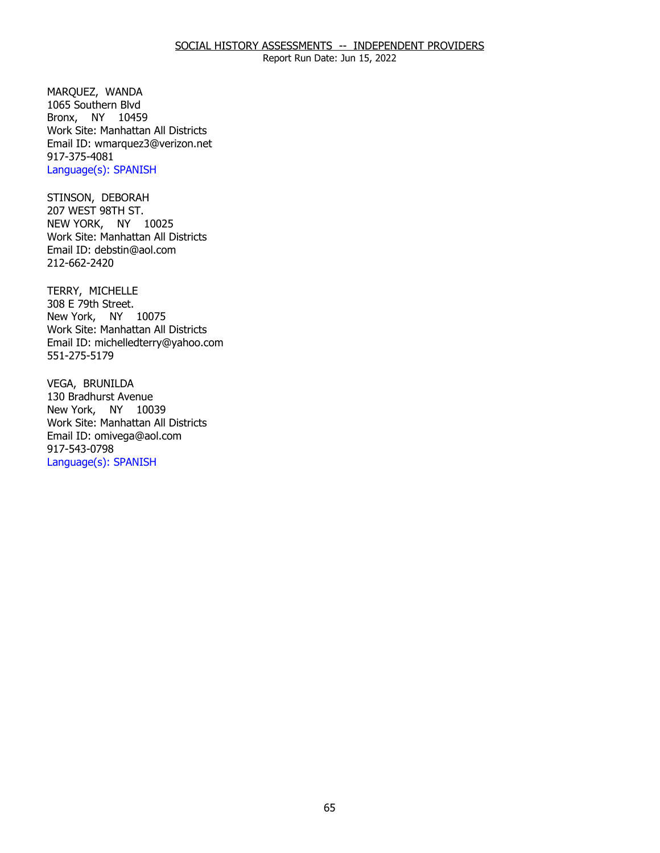### SOCIAL HISTORY ASSESSMENTS -- INDEPENDENT PROVIDERS

Report Run Date: Jun 15, 2022

MARQUEZ, WANDA Bronx, NY 10459 1065 Southern Blvd Work Site: Manhattan All Districts Email ID: [wmarquez3@verizon.net](mailto:wmarquez3@verizon.net)  917-375-4081 Language(s): SPANISH

STINSON, DEBORAH NEW YORK, NY 10025 207 WEST 98TH ST. Work Site: Manhattan All Districts Email ID: [debstin@aol.com](mailto:debstin@aol.com) 212-662-2420

TERRY, MICHELLE New York, NY 10075 308 E 79th Street. Work Site: Manhattan All Districts Email ID: [michelledterry@yahoo.com](mailto:michelledterry@yahoo.com) 551-275-5179

VEGA, BRUNILDA New York, NY 10039 130 Bradhurst Avenue Work Site: Manhattan All Districts Email ID: [omivega@aol.com](mailto:omivega@aol.com)  917-543-0798 Language(s): SPANISH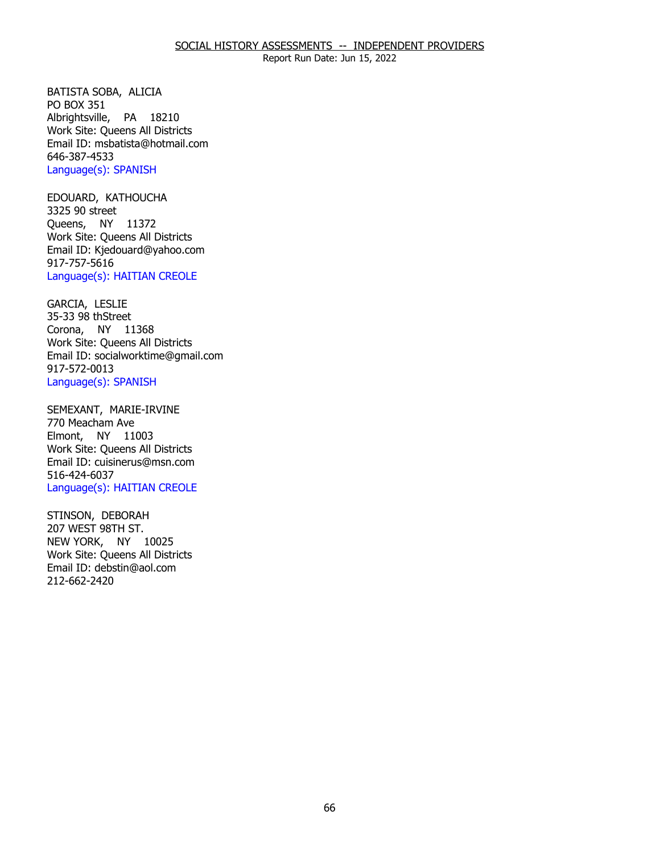BATISTA SOBA, ALICIA<br>PO BOX 351 Albrightsville, PA 18210 Work Site: Queens All Districts Email ID: [msbatista@hotmail.com](mailto:msbatista@hotmail.com) 646-387-4533 Language(s): SPANISH

EDOUARD, KATHOUCHA<br>3325 90 street Queens, NY 11372 Work Site: Queens All Districts Email ID: [Kjedouard@yahoo.com](mailto:Kjedouard@yahoo.com) 917-757-5616 Language(s): HAITIAN CREOLE

**GARCIA, LESLIE**  Corona, NY 11368 35-33 98 thStreet Work Site: Queens All Districts Email ID: [socialworktime@gmail.com](mailto:socialworktime@gmail.com) 917-572-0013 Language(s): SPANISH

 SEMEXANT, MARIE-IRVINE 770 Meacham Ave Elmont, NY 11003 Work Site: Queens All Districts Email ID: [cuisinerus@msn.com](mailto:cuisinerus@msn.com)  516-424-6037 Language(s): HAITIAN CREOLE

STINSON, DEBORAH<br>207 WEST 98TH ST. NEW YORK, NY 10025 Work Site: Queens All Districts Email ID: [debstin@aol.com](mailto:debstin@aol.com) 212-662-2420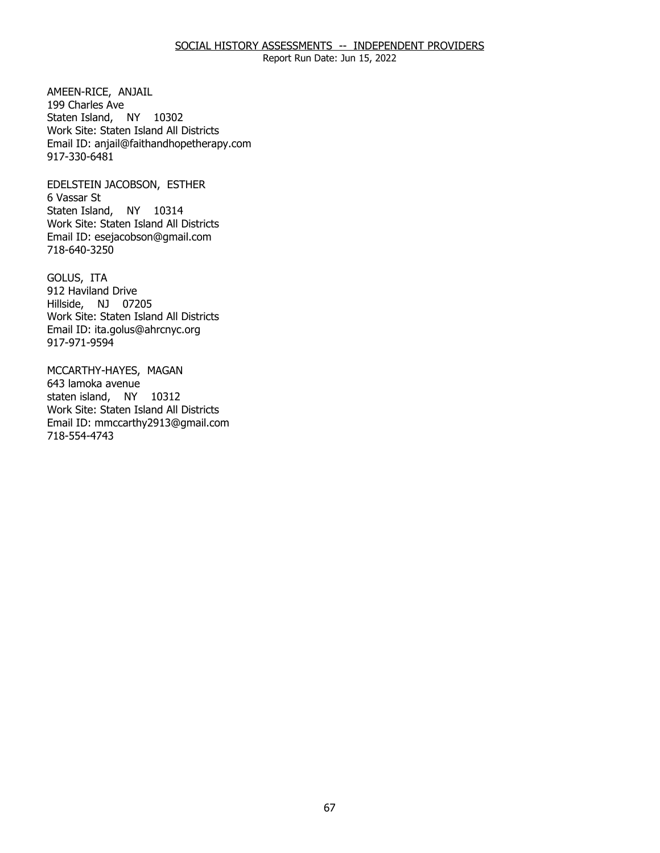### SOCIAL HISTORY ASSESSMENTS -- INDEPENDENT PROVIDERS

Report Run Date: Jun 15, 2022

AMEEN-RICE, ANJAIL<br>199 Charles Ave Staten Island, NY 10302 Work Site: Staten Island All Districts Email ID: [anjail@faithandhopetherapy.com](mailto:anjail@faithandhopetherapy.com) 917-330-6481

EDELSTEIN JACOBSON, ESTHER<br>6 Vassar St Staten Island, NY 10314 Work Site: Staten Island All Districts Email ID: [esejacobson@gmail.com](mailto:esejacobson@gmail.com) 718-640-3250

GOLUS, ITA Hillside, NJ 07205 912 Haviland Drive Work Site: Staten Island All Districts Email ID: [ita.golus@ahrcnyc.org](mailto:ita.golus@ahrcnyc.org)  917-971-9594

MCCARTHY-HAYES, MAGAN<br>643 lamoka avenue staten island, NY 10312 Work Site: Staten Island All Districts Email ID: [mmccarthy2913@gmail.com](mailto:mmccarthy2913@gmail.com)  718-554-4743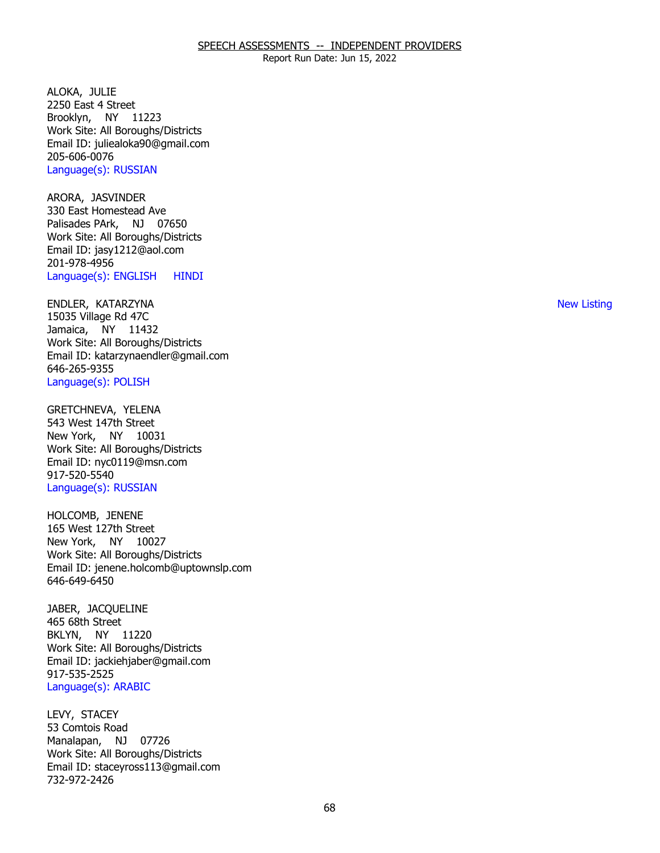Report Run Date: Jun 15, 2022

ALOKA, JULIE Brooklyn, NY 11223 2250 East 4 Street Work Site: All Boroughs/Districts Email ID: [juliealoka90@gmail.com](mailto:juliealoka90@gmail.com)  205-606-0076 Language(s): RUSSIAN

ARORA, JASVINDER Palisades PArk, NJ 07650 330 East Homestead Ave Work Site: All Boroughs/Districts Email ID: [jasy1212@aol.com](mailto:jasy1212@aol.com)  201-978-4956 Language(s): ENGLISH HINDI

 ENDLER, KATARZYNA New Listing Jamaica, NY 11432 15035 Village Rd 47C Work Site: All Boroughs/Districts Email ID: [katarzynaendler@gmail.com](mailto:katarzynaendler@gmail.com) 646-265-9355 Language(s): POLISH

GRETCHNEVA, YELENA New York, NY 10031 543 West 147th Street Work Site: All Boroughs/Districts Email ID: [nyc0119@msn.com](mailto:nyc0119@msn.com)  917-520-5540 Language(s): RUSSIAN

HOLCOMB, JENENE New York, NY 10027 165 West 127th Street Work Site: All Boroughs/Districts Email ID: [jenene.holcomb@uptownslp.com](mailto:jenene.holcomb@uptownslp.com)  646-649-6450

JABER, JACQUELINE<br>465 68th Street BKLYN, NY 11220 Work Site: All Boroughs/Districts Email ID: [jackiehjaber@gmail.com](mailto:jackiehjaber@gmail.com) 917-535-2525 Language(s): ARABIC

LEVY, STACEY Manalapan, NJ 07726 53 Comtois Road Work Site: All Boroughs/Districts Email ID: [staceyross113@gmail.com](mailto:staceyross113@gmail.com) 732-972-2426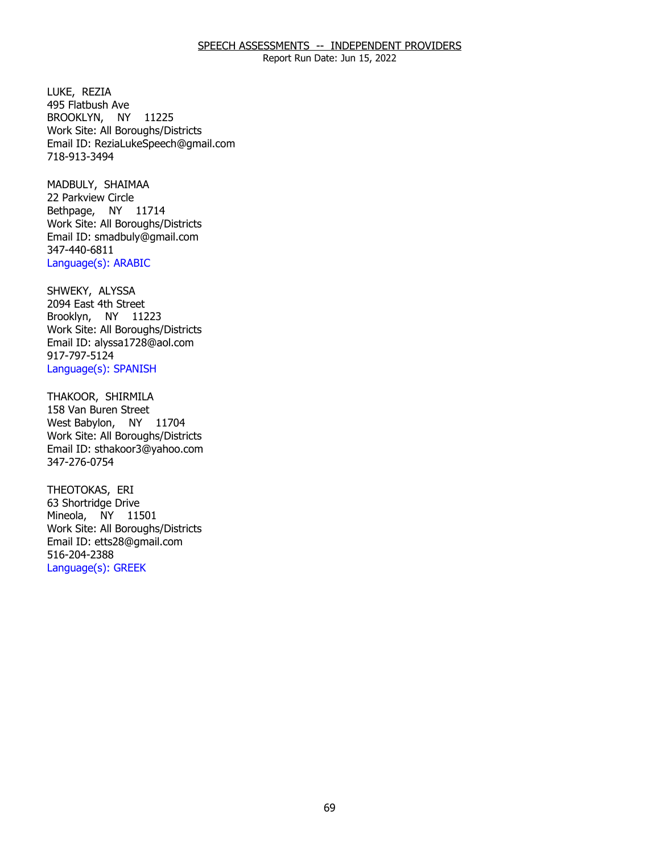Report Run Date: Jun 15, 2022

LUKE, REZIA BROOKLYN, NY 11225 495 Flatbush Ave Work Site: All Boroughs/Districts Email ID: [ReziaLukeSpeech@gmail.com](mailto:ReziaLukeSpeech@gmail.com) 718-913-3494

MADBULY, SHAIMAA Bethpage, NY 11714 22 Parkview Circle Work Site: All Boroughs/Districts Email ID: [smadbuly@gmail.com](mailto:smadbuly@gmail.com) 347-440-6811 Language(s): ARABIC

SHWEKY, ALYSSA Brooklyn, NY 11223 2094 East 4th Street Work Site: All Boroughs/Districts Email ID: [alyssa1728@aol.com](mailto:alyssa1728@aol.com)  917-797-5124 Language(s): SPANISH

THAKOOR, SHIRMILA<br>158 Van Buren Street West Babylon, NY 11704 Work Site: All Boroughs/Districts Email ID: [sthakoor3@yahoo.com](mailto:sthakoor3@yahoo.com)  347-276-0754

THEOTOKAS, ERI Mineola, NY 11501 63 Shortridge Drive Work Site: All Boroughs/Districts Email ID: [etts28@gmail.com](mailto:etts28@gmail.com)  516-204-2388 Language(s): GREEK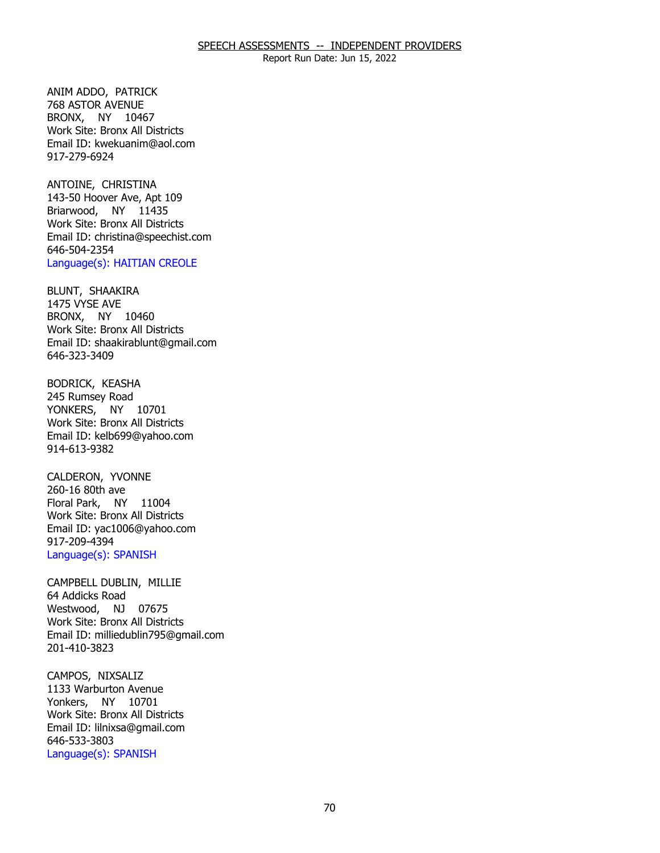ANIM ADDO, PATRICK BRONX, NY 10467 768 ASTOR AVENUE Work Site: Bronx All Districts Email ID: [kwekuanim@aol.com](mailto:kwekuanim@aol.com) 917-279-6924

ANTOINE, CHRISTINA Briarwood, NY 11435 143-50 Hoover Ave, Apt 109 Work Site: Bronx All Districts Email ID: [christina@speechist.com](mailto:christina@speechist.com) 646-504-2354 Language(s): HAITIAN CREOLE

BLUNT, SHAAKIRA<br>1475 VYSE AVE BRONX, NY 10460 Work Site: Bronx All Districts Email ID: [shaakirablunt@gmail.com](mailto:shaakirablunt@gmail.com) 646-323-3409

**BODRICK, KEASHA**  YONKERS, NY 10701 245 Rumsey Road Work Site: Bronx All Districts Email ID: [kelb699@yahoo.com](mailto:kelb699@yahoo.com)  914-613-9382

CALDERON, YVONNE<br>260-16 80th ave Floral Park, NY 11004 Work Site: Bronx All Districts Email ID: [yac1006@yahoo.com](mailto:yac1006@yahoo.com)  917-209-4394 Language(s): SPANISH

 CAMPBELL DUBLIN, MILLIE 64 Addicks Road Westwood, NJ 07675 Work Site: Bronx All Districts Email ID: [milliedublin795@gmail.com](mailto:milliedublin795@gmail.com) 201-410-3823

CAMPOS, NIXSALIZ Yonkers, NY 10701 1133 Warburton Avenue Work Site: Bronx All Districts Email ID: [lilnixsa@gmail.com](mailto:lilnixsa@gmail.com)  646-533-3803 Language(s): SPANISH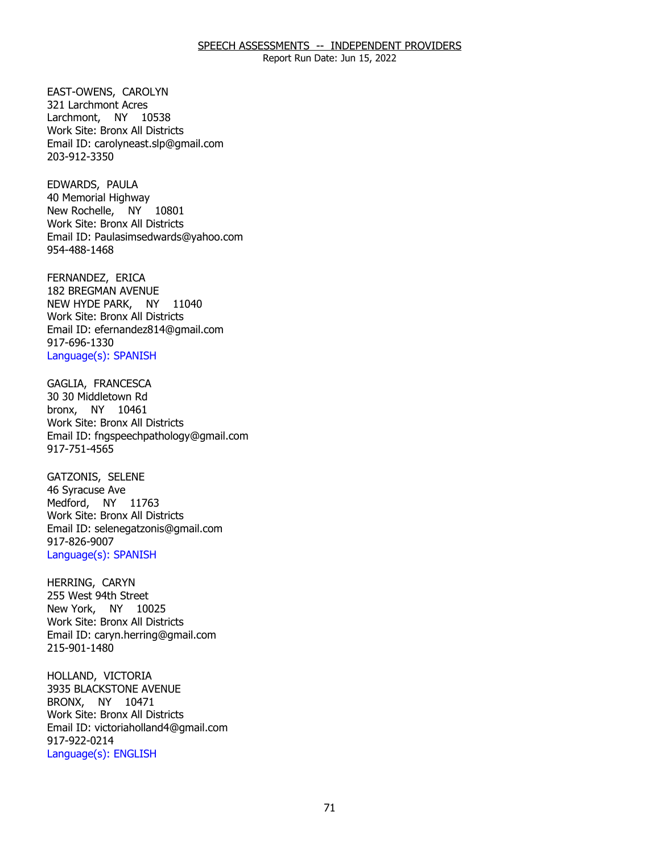Report Run Date: Jun 15, 2022

 EAST-OWENS, CAROLYN 321 Larchmont Acres Larchmont, NY 10538 Work Site: Bronx All Districts Email ID: [carolyneast.slp@gmail.com](mailto:carolyneast.slp@gmail.com)  203-912-3350

EDWARDS, PAULA New Rochelle, NY 10801 40 Memorial Highway Work Site: Bronx All Districts Email ID: [Paulasimsedwards@yahoo.com](mailto:Paulasimsedwards@yahoo.com)  954-488-1468

FERNANDEZ, ERICA NEW HYDE PARK, NY 11040 182 BREGMAN AVENUE Work Site: Bronx All Districts Email ID: [efernandez814@gmail.com](mailto:efernandez814@gmail.com) 917-696-1330 Language(s): SPANISH

GAGLIA, FRANCESCA bronx, NY 10461 30 30 Middletown Rd Work Site: Bronx All Districts Email ID: [fngspeechpathology@gmail.com](mailto:fngspeechpathology@gmail.com)  917-751-4565

GATZONIS, SELENE<br>46 Syracuse Ave Medford, NY 11763 Work Site: Bronx All Districts Email ID: [selenegatzonis@gmail.com](mailto:selenegatzonis@gmail.com)  917-826-9007 Language(s): SPANISH

HERRING, CARYN New York, NY 10025 255 West 94th Street Work Site: Bronx All Districts Email ID: [caryn.herring@gmail.com](mailto:caryn.herring@gmail.com)  215-901-1480

HOLLAND, VICTORIA BRONX, NY 10471 3935 BLACKSTONE AVENUE Work Site: Bronx All Districts Email ID: [victoriaholland4@gmail.com](mailto:victoriaholland4@gmail.com) 917-922-0214 Language(s): ENGLISH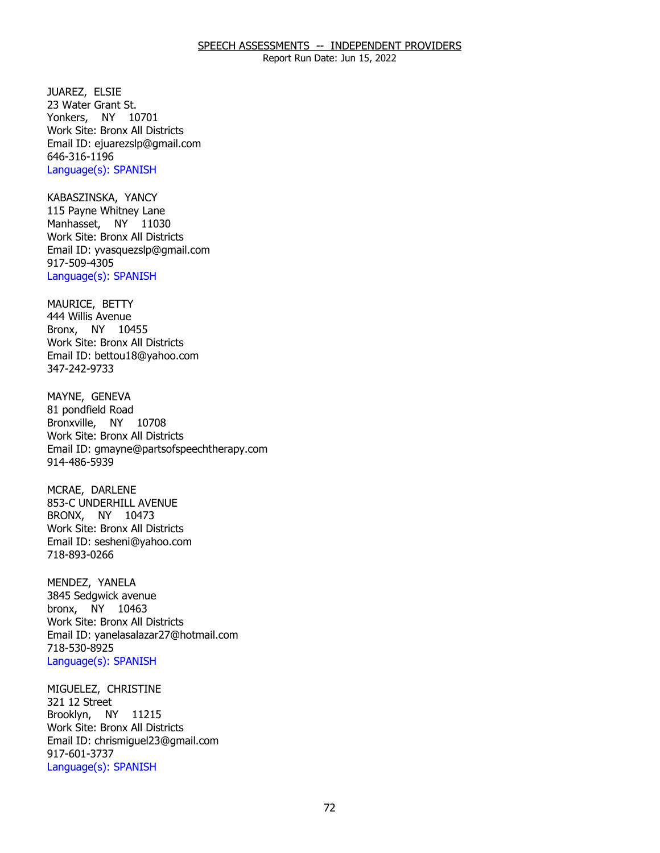Report Run Date: Jun 15, 2022

JUAREZ, ELSIE Yonkers, NY 10701 23 Water Grant St. Work Site: Bronx All Districts Email ID: [ejuarezslp@gmail.com](mailto:ejuarezslp@gmail.com)  646-316-1196 Language(s): SPANISH

KABASZINSKA, YANCY Manhasset, NY 11030 115 Payne Whitney Lane Work Site: Bronx All Districts Email ID: [yvasquezslp@gmail.com](mailto:yvasquezslp@gmail.com)  917-509-4305 Language(s): SPANISH

MAURICE, BETTY Bronx, NY 10455 444 Willis Avenue Work Site: Bronx All Districts Email ID: [bettou18@yahoo.com](mailto:bettou18@yahoo.com)  347-242-9733

MAYNE, GENEVA Bronxville, NY 10708 81 pondfield Road Work Site: Bronx All Districts Email ID: [gmayne@partsofspeechtherapy.com](mailto:gmayne@partsofspeechtherapy.com)  914-486-5939

MCRAE, DARLENE BRONX, NY 10473 853-C UNDERHILL AVENUE Work Site: Bronx All Districts Email ID: [sesheni@yahoo.com](mailto:sesheni@yahoo.com) 718-893-0266

MENDEZ, YANELA bronx, NY 10463 3845 Sedgwick avenue Work Site: Bronx All Districts Email ID: [yanelasalazar27@hotmail.com](mailto:yanelasalazar27@hotmail.com) 718-530-8925 Language(s): SPANISH

MIGUELEZ, CHRISTINE<br>321 12 Street Brooklyn, NY 11215 Work Site: Bronx All Districts Email ID: [chrismiguel23@gmail.com](mailto:chrismiguel23@gmail.com) 917-601-3737 Language(s): SPANISH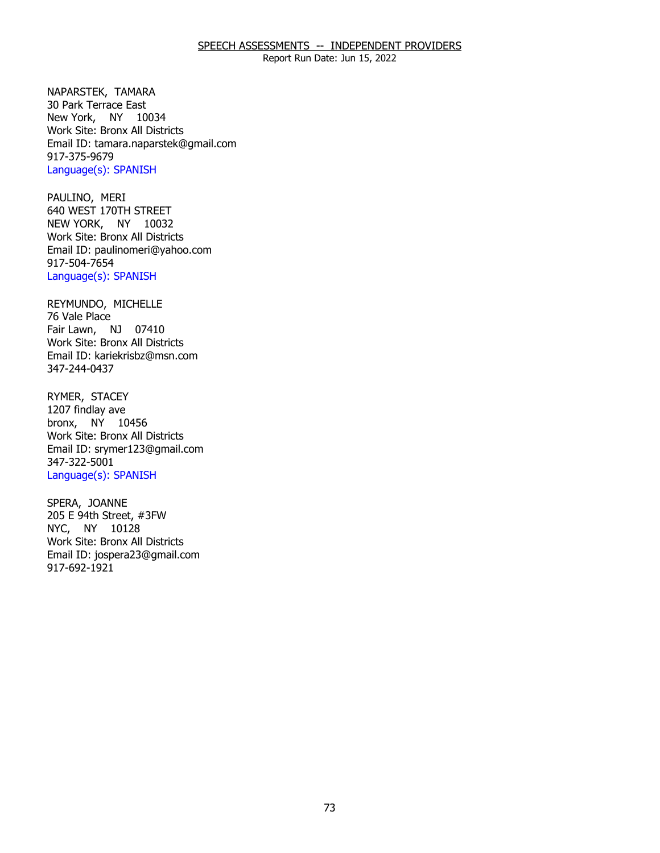Report Run Date: Jun 15, 2022

NAPARSTEK, TAMARA New York, NY 10034 30 Park Terrace East Work Site: Bronx All Districts Email ID: [tamara.naparstek@gmail.com](mailto:tamara.naparstek@gmail.com)  917-375-9679 Language(s): SPANISH

PAULINO, MERI NEW YORK, NY 10032 640 WEST 170TH STREET Work Site: Bronx All Districts Email ID: [paulinomeri@yahoo.com](mailto:paulinomeri@yahoo.com)  917-504-7654 Language(s): SPANISH

REYMUNDO, MICHELLE<br>76 Vale Place Fair Lawn, NJ 07410 Work Site: Bronx All Districts Email ID: [kariekrisbz@msn.com](mailto:kariekrisbz@msn.com)  347-244-0437

RYMER, STACEY bronx, NY 10456 1207 findlay ave Work Site: Bronx All Districts Email ID: [srymer123@gmail.com](mailto:srymer123@gmail.com)  347-322-5001 Language(s): SPANISH

SPERA, JOANNE NYC, NY 10128 205 E 94th Street, #3FW Work Site: Bronx All Districts Email ID: [jospera23@gmail.com](mailto:jospera23@gmail.com)  917-692-1921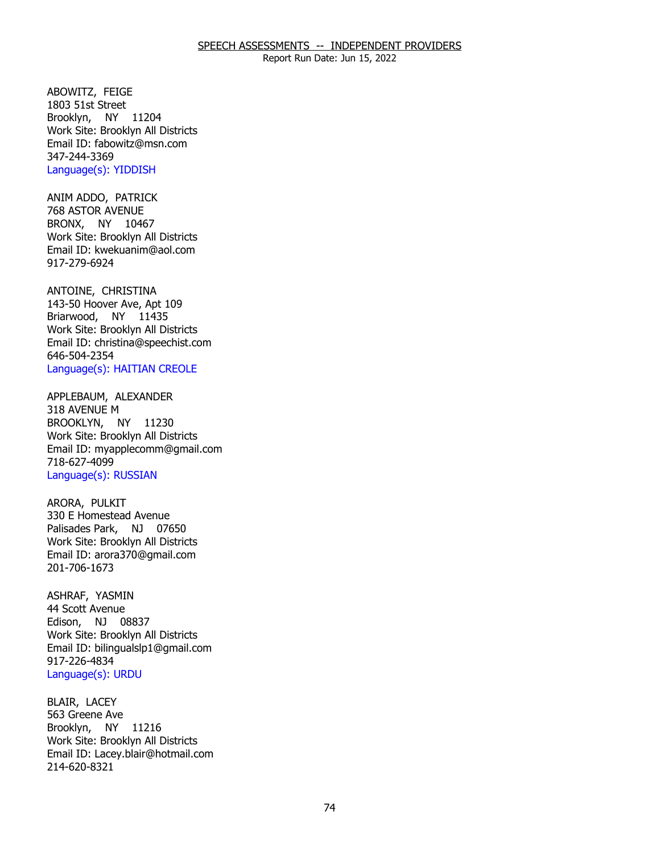Report Run Date: Jun 15, 2022

ABOWITZ, FEIGE Brooklyn, NY 11204 1803 51st Street Work Site: Brooklyn All Districts Email ID: [fabowitz@msn.com](mailto:fabowitz@msn.com)  347-244-3369 Language(s): YIDDISH

ANIM ADDO, PATRICK<br>768 ASTOR AVENUE BRONX, NY 10467 Work Site: Brooklyn All Districts Email ID: [kwekuanim@aol.com](mailto:kwekuanim@aol.com) 917-279-6924

ANTOINE, CHRISTINA Briarwood, NY 11435 143-50 Hoover Ave, Apt 109 Work Site: Brooklyn All Districts Email ID: [christina@speechist.com](mailto:christina@speechist.com) 646-504-2354 Language(s): HAITIAN CREOLE

APPLEBAUM, ALEXANDER<br>318 AVENUE M BROOKLYN, NY 11230 Work Site: Brooklyn All Districts Email ID: [myapplecomm@gmail.com](mailto:myapplecomm@gmail.com) 718-627-4099 Language(s): RUSSIAN

ARORA, PULKIT Palisades Park, NJ 07650 330 E Homestead Avenue Work Site: Brooklyn All Districts Email ID: [arora370@gmail.com](mailto:arora370@gmail.com)  201-706-1673

ASHRAF, YASMIN<br>44 Scott Avenue Edison, NJ 08837 Work Site: Brooklyn All Districts Email ID: [bilingualslp1@gmail.com](mailto:bilingualslp1@gmail.com)  917-226-4834 Language(s): URDU

BLAIR, LACEY Brooklyn, NY 11216 563 Greene Ave Work Site: Brooklyn All Districts Email ID: [Lacey.blair@hotmail.com](mailto:Lacey.blair@hotmail.com) 214-620-8321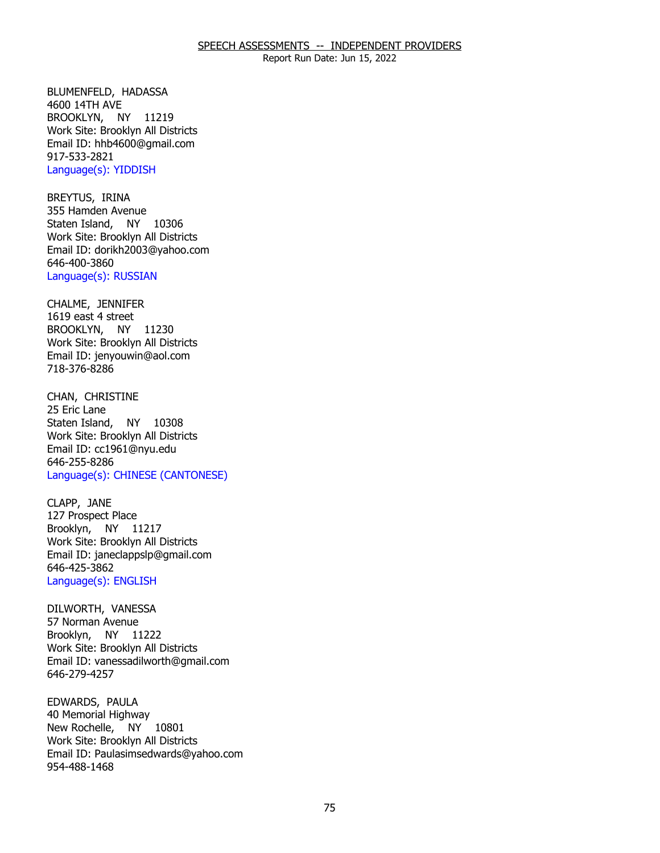BLUMENFELD, HADASSA<br>4600 14TH AVE BROOKLYN, NY 11219 Work Site: Brooklyn All Districts Email ID: [hhb4600@gmail.com](mailto:hhb4600@gmail.com)  917-533-2821 Language(s): YIDDISH

BREYTUS, IRINA Staten Island, NY 10306 355 Hamden Avenue Work Site: Brooklyn All Districts Email ID: [dorikh2003@yahoo.com](mailto:dorikh2003@yahoo.com) 646-400-3860 Language(s): RUSSIAN

CHALME, JENNIFER BROOKLYN, NY 11230 1619 east 4 street Work Site: Brooklyn All Districts Email ID: [jenyouwin@aol.com](mailto:jenyouwin@aol.com) 718-376-8286

CHAN, CHRISTINE<br>25 Eric Lane Staten Island, NY 10308 Work Site: Brooklyn All Districts Email ID: [cc1961@nyu.edu](mailto:cc1961@nyu.edu)  646-255-8286 Language(s): CHINESE (CANTONESE)

CLAPP, JANE Brooklyn, NY 11217 127 Prospect Place Work Site: Brooklyn All Districts Email ID: [janeclappslp@gmail.com](mailto:janeclappslp@gmail.com)  646-425-3862 Language(s): ENGLISH

DILWORTH, VANESSA<br>57 Norman Avenue Brooklyn, NY 11222 Work Site: Brooklyn All Districts Email ID: [vanessadilworth@gmail.com](mailto:vanessadilworth@gmail.com)  646-279-4257

EDWARDS, PAULA New Rochelle, NY 10801 40 Memorial Highway Work Site: Brooklyn All Districts Email ID: [Paulasimsedwards@yahoo.com](mailto:Paulasimsedwards@yahoo.com)  954-488-1468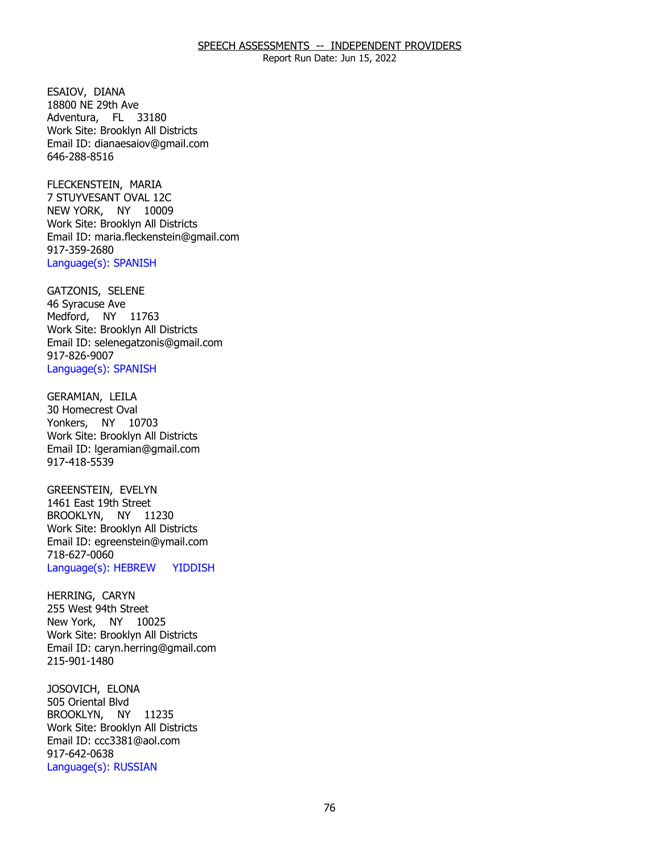Report Run Date: Jun 15, 2022

 ESAIOV, DIANA Adventura, FL 33180 18800 NE 29th Ave Work Site: Brooklyn All Districts Email ID: [dianaesaiov@gmail.com](mailto:dianaesaiov@gmail.com)  646-288-8516

FLECKENSTEIN, MARIA NEW YORK, NY 10009 7 STUYVESANT OVAL 12C Work Site: Brooklyn All Districts Email ID: [maria.fleckenstein@gmail.com](mailto:maria.fleckenstein@gmail.com) 917-359-2680 Language(s): SPANISH

GATZONIS, SELENE<br>46 Syracuse Ave Medford, NY 11763 Work Site: Brooklyn All Districts Email ID: [selenegatzonis@gmail.com](mailto:selenegatzonis@gmail.com)  917-826-9007 Language(s): SPANISH

GERAMIAN, LEILA<br>30 Homecrest Oval Yonkers, NY 10703 Work Site: Brooklyn All Districts Email ID: [lgeramian@gmail.com](mailto:lgeramian@gmail.com)  917-418-5539

GREENSTEIN, EVELYN BROOKLYN, NY 11230 1461 East 19th Street Work Site: Brooklyn All Districts Email ID: [egreenstein@ymail.com](mailto:egreenstein@ymail.com) 718-627-0060 Language(s): HEBREW YIDDISH

HERRING, CARYN New York, NY 10025 255 West 94th Street Work Site: Brooklyn All Districts Email ID: [caryn.herring@gmail.com](mailto:caryn.herring@gmail.com)  215-901-1480

JOSOVICH, ELONA<br>505 Oriental Blvd BROOKLYN, NY 11235 Work Site: Brooklyn All Districts Email ID: [ccc3381@aol.com](mailto:ccc3381@aol.com) 917-642-0638 Language(s): RUSSIAN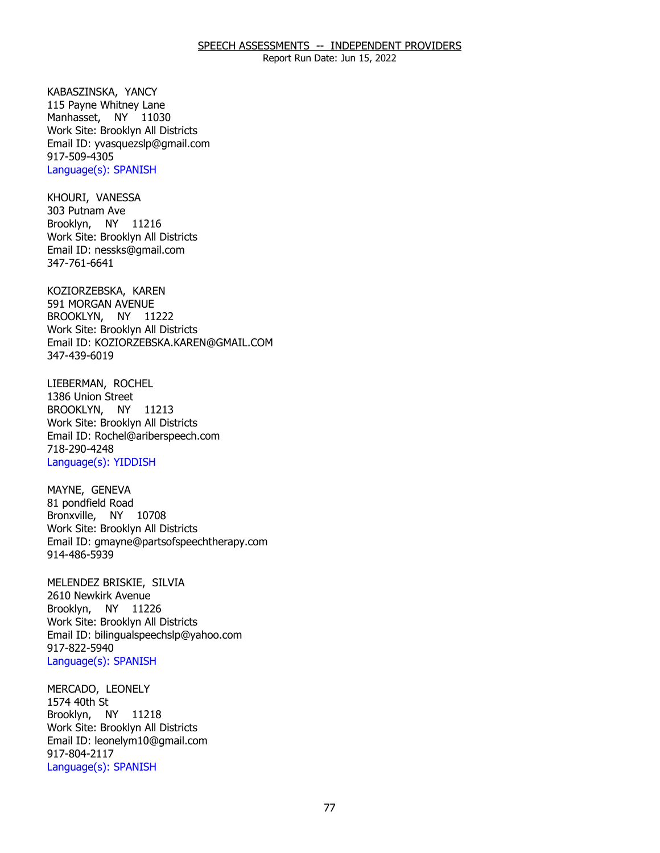Report Run Date: Jun 15, 2022

KABASZINSKA, YANCY Manhasset, NY 11030 115 Payne Whitney Lane Work Site: Brooklyn All Districts Email ID: [yvasquezslp@gmail.com](mailto:yvasquezslp@gmail.com)  917-509-4305 Language(s): SPANISH

KHOURI, VANESSA<br>303 Putnam Ave Brooklyn, NY 11216 Work Site: Brooklyn All Districts Email ID: [nessks@gmail.com](mailto:nessks@gmail.com) 347-761-6641

KOZIORZEBSKA, KAREN<br>591 MORGAN AVENUE BROOKLYN, NY 11222 Work Site: Brooklyn All Districts Email ID: [KOZIORZEBSKA.KAREN@GMAIL.COM](mailto:KOZIORZEBSKA.KAREN@GMAIL.COM) 347-439-6019

LIEBERMAN, ROCHEL BROOKLYN, NY 11213 1386 Union Street Work Site: Brooklyn All Districts Email ID: [Rochel@ariberspeech.com](mailto:Rochel@ariberspeech.com) 718-290-4248 Language(s): YIDDISH

MAYNE, GENEVA Bronxville, NY 10708 81 pondfield Road Work Site: Brooklyn All Districts Email ID: [gmayne@partsofspeechtherapy.com](mailto:gmayne@partsofspeechtherapy.com)  914-486-5939

MELENDEZ BRISKIE, SILVIA<br>2610 Newkirk Avenue Brooklyn, NY 11226 Work Site: Brooklyn All Districts Email ID: [bilingualspeechslp@yahoo.com](mailto:bilingualspeechslp@yahoo.com)  917-822-5940 Language(s): SPANISH

MERCADO, LEONELY<br>1574 40th St Brooklyn, NY 11218 Work Site: Brooklyn All Districts Email ID: [leonelym10@gmail.com](mailto:leonelym10@gmail.com)  917-804-2117 Language(s): SPANISH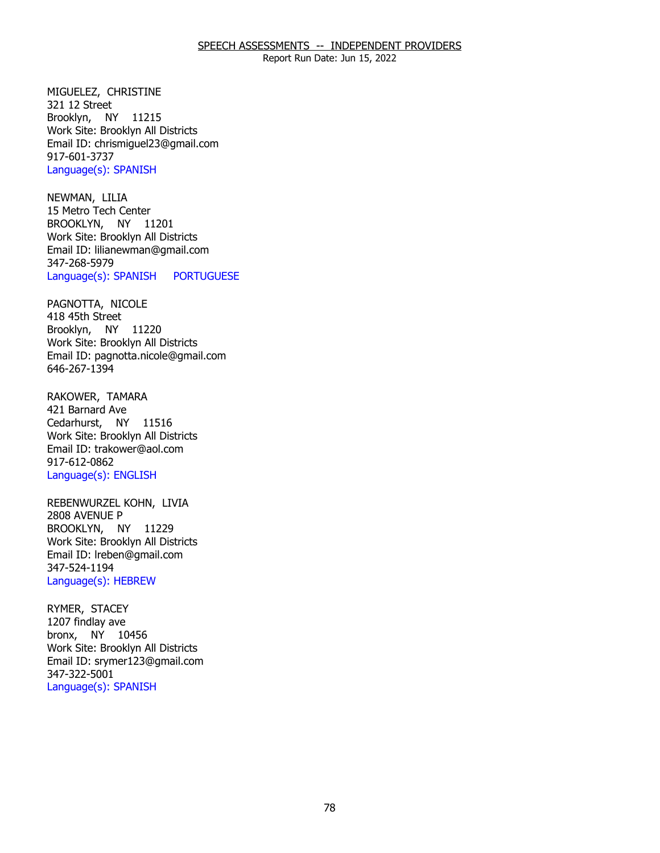Report Run Date: Jun 15, 2022

MIGUELEZ, CHRISTINE<br>321 12 Street Brooklyn, NY 11215 Work Site: Brooklyn All Districts Email ID: [chrismiguel23@gmail.com](mailto:chrismiguel23@gmail.com) 917-601-3737 Language(s): SPANISH

NEWMAN, LILIA BROOKLYN, NY 11201 15 Metro Tech Center Work Site: Brooklyn All Districts Email ID: [lilianewman@gmail.com](mailto:lilianewman@gmail.com) 347-268-5979 Language(s): SPANISH PORTUGUESE

PAGNOTTA, NICOLE<br>418 45th Street Brooklyn, NY 11220 Work Site: Brooklyn All Districts Email ID: [pagnotta.nicole@gmail.com](mailto:pagnotta.nicole@gmail.com)  646-267-1394

RAKOWER, TAMARA<br>421 Barnard Ave Cedarhurst, NY 11516 Work Site: Brooklyn All Districts Email ID: [trakower@aol.com](mailto:trakower@aol.com) 917-612-0862 Language(s): ENGLISH

REBENWURZEL KOHN, LIVIA<br>2808 AVENUE P BROOKLYN, NY 11229 Work Site: Brooklyn All Districts Email ID: [lreben@gmail.com](mailto:lreben@gmail.com)  347-524-1194 Language(s): HEBREW

RYMER, STACEY<br>1207 findlay ave bronx, NY 10456 Work Site: Brooklyn All Districts Email ID: [srymer123@gmail.com](mailto:srymer123@gmail.com)  347-322-5001 Language(s): SPANISH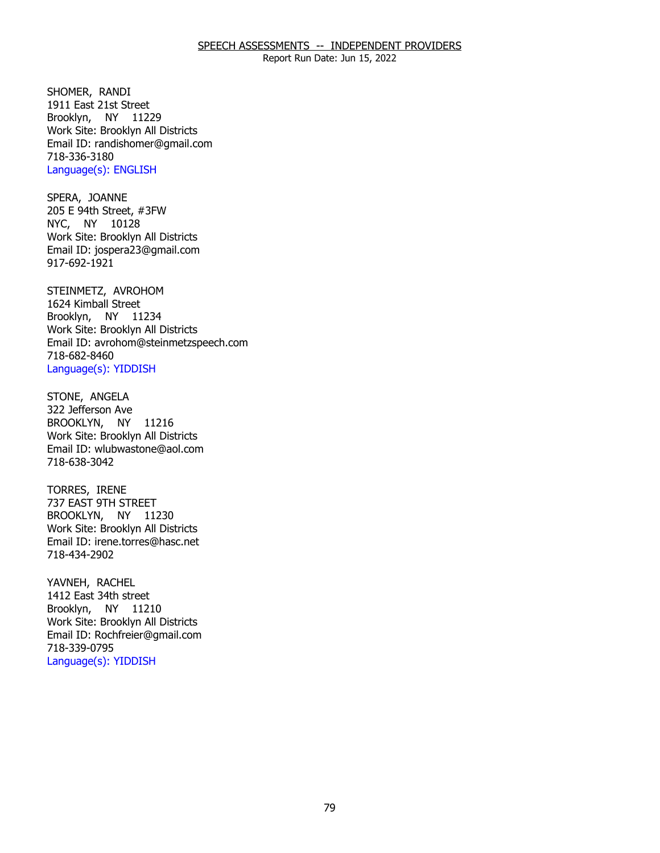Report Run Date: Jun 15, 2022

SHOMER, RANDI Brooklyn, NY 11229 1911 East 21st Street Work Site: Brooklyn All Districts Email ID: [randishomer@gmail.com](mailto:randishomer@gmail.com) 718-336-3180 Language(s): ENGLISH

SPERA, JOANNE NYC, NY 10128 205 E 94th Street, #3FW Work Site: Brooklyn All Districts Email ID: [jospera23@gmail.com](mailto:jospera23@gmail.com)  917-692-1921

 STEINMETZ, AVROHOM 1624 Kimball Street Brooklyn, NY 11234 Work Site: Brooklyn All Districts Email ID: [avrohom@steinmetzspeech.com](mailto:avrohom@steinmetzspeech.com) 718-682-8460 Language(s): YIDDISH

STONE, ANGELA BROOKLYN, NY 11216 322 Jefferson Ave Work Site: Brooklyn All Districts Email ID: [wlubwastone@aol.com](mailto:wlubwastone@aol.com)  718-638-3042

TORRES, IRENE BROOKLYN, NY 11230 737 EAST 9TH STREET Work Site: Brooklyn All Districts Email ID: [irene.torres@hasc.net](mailto:irene.torres@hasc.net)  718-434-2902

YAVNEH, RACHEL Brooklyn, NY 11210 1412 East 34th street Work Site: Brooklyn All Districts Email ID: [Rochfreier@gmail.com](mailto:Rochfreier@gmail.com) 718-339-0795 Language(s): YIDDISH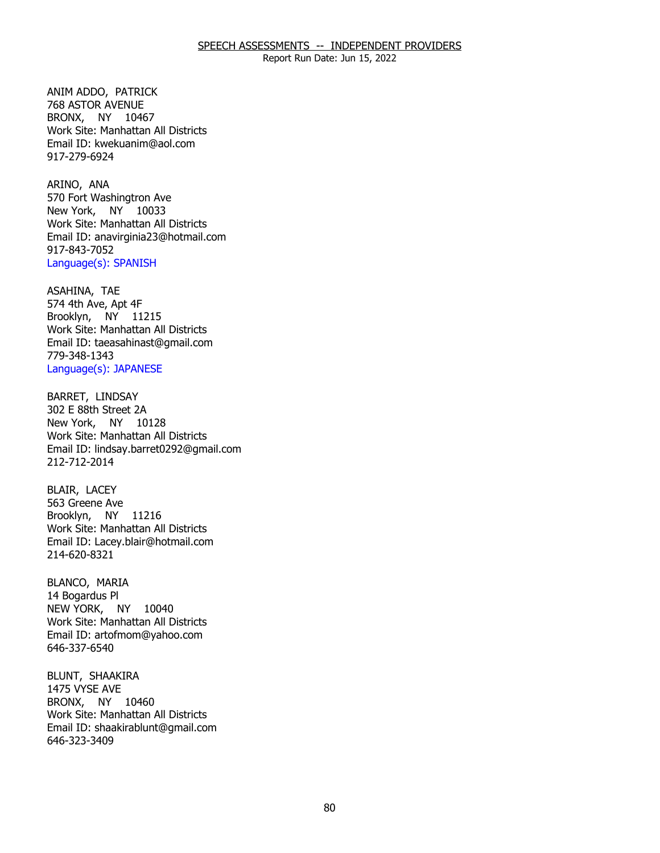ANIM ADDO, PATRICK BRONX, NY 10467 768 ASTOR AVENUE Work Site: Manhattan All Districts Email ID: [kwekuanim@aol.com](mailto:kwekuanim@aol.com) 917-279-6924

ARINO, ANA New York, NY 10033 570 Fort Washingtron Ave Work Site: Manhattan All Districts Email ID: [anavirginia23@hotmail.com](mailto:anavirginia23@hotmail.com)  917-843-7052 Language(s): SPANISH

ASAHINA, TAE Brooklyn, NY 11215 574 4th Ave, Apt 4F Work Site: Manhattan All Districts Email ID: [taeasahinast@gmail.com](mailto:taeasahinast@gmail.com)  779-348-1343 Language(s): JAPANESE

BARRET, LINDSAY New York, NY 10128 302 E 88th Street 2A Work Site: Manhattan All Districts Email ID: [lindsay.barret0292@gmail.com](mailto:lindsay.barret0292@gmail.com) 212-712-2014

BLAIR, LACEY Brooklyn, NY 11216 563 Greene Ave Work Site: Manhattan All Districts Email ID: [Lacey.blair@hotmail.com](mailto:Lacey.blair@hotmail.com) 214-620-8321

BLANCO, MARIA NEW YORK, NY 10040 14 Bogardus Pl Work Site: Manhattan All Districts Email ID: [artofmom@yahoo.com](mailto:artofmom@yahoo.com) 646-337-6540

BLUNT, SHAAKIRA<br>1475 VYSE AVE BRONX, NY 10460 Work Site: Manhattan All Districts Email ID: [shaakirablunt@gmail.com](mailto:shaakirablunt@gmail.com) 646-323-3409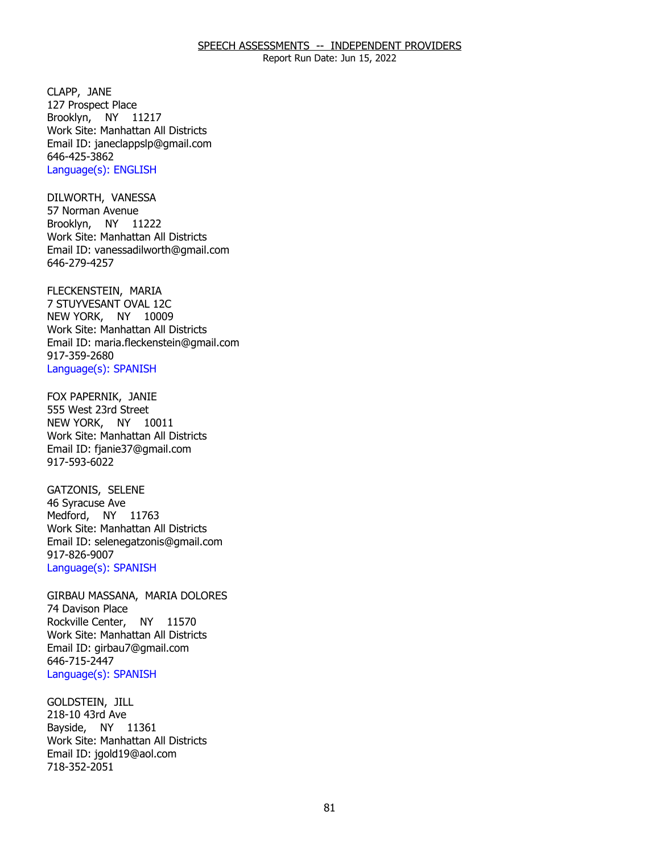Report Run Date: Jun 15, 2022

CLAPP, JANE Brooklyn, NY 11217 127 Prospect Place Work Site: Manhattan All Districts Email ID: [janeclappslp@gmail.com](mailto:janeclappslp@gmail.com)  646-425-3862 Language(s): ENGLISH

DILWORTH, VANESSA<br>57 Norman Avenue Brooklyn, NY 11222 Work Site: Manhattan All Districts Email ID: [vanessadilworth@gmail.com](mailto:vanessadilworth@gmail.com)  646-279-4257

FLECKENSTEIN, MARIA NEW YORK, NY 10009 7 STUYVESANT OVAL 12C Work Site: Manhattan All Districts Email ID: [maria.fleckenstein@gmail.com](mailto:maria.fleckenstein@gmail.com) 917-359-2680 Language(s): SPANISH

 FOX PAPERNIK, JANIE 555 West 23rd Street NEW YORK, NY 10011 Work Site: Manhattan All Districts Email ID: [fjanie37@gmail.com](mailto:fjanie37@gmail.com) 917-593-6022

GATZONIS, SELENE<br>46 Syracuse Ave Medford, NY 11763 Work Site: Manhattan All Districts Email ID: [selenegatzonis@gmail.com](mailto:selenegatzonis@gmail.com)  917-826-9007 Language(s): SPANISH

GIRBAU MASSANA, MARIA DOLORES<br>74 Davison Place Rockville Center, NY 11570 Work Site: Manhattan All Districts Email ID: [girbau7@gmail.com](mailto:girbau7@gmail.com) 646-715-2447 Language(s): SPANISH

**GOLDSTEIN, JILL**  Bayside, NY 11361 218-10 43rd Ave Work Site: Manhattan All Districts Email ID: [jgold19@aol.com](mailto:jgold19@aol.com)  718-352-2051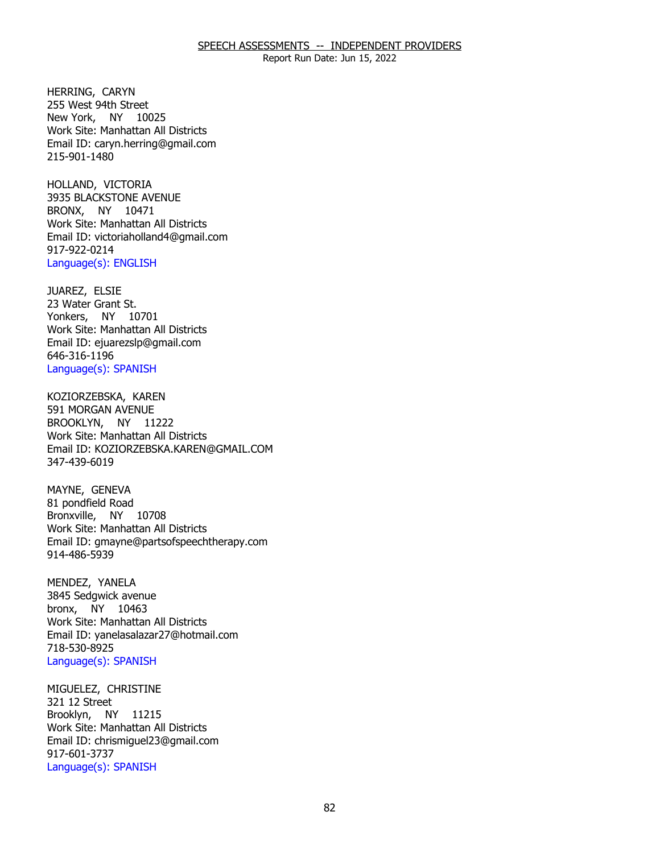Report Run Date: Jun 15, 2022

HERRING, CARYN New York, NY 10025 255 West 94th Street Work Site: Manhattan All Districts Email ID: [caryn.herring@gmail.com](mailto:caryn.herring@gmail.com)  215-901-1480

HOLLAND, VICTORIA BRONX, NY 10471 3935 BLACKSTONE AVENUE Work Site: Manhattan All Districts Email ID: [victoriaholland4@gmail.com](mailto:victoriaholland4@gmail.com) 917-922-0214 Language(s): ENGLISH

JUAREZ, ELSIE Yonkers, NY 10701 23 Water Grant St. Work Site: Manhattan All Districts Email ID: [ejuarezslp@gmail.com](mailto:ejuarezslp@gmail.com)  646-316-1196 Language(s): SPANISH

KOZIORZEBSKA, KAREN<br>591 MORGAN AVENUE BROOKLYN, NY 11222 Work Site: Manhattan All Districts Email ID: [KOZIORZEBSKA.KAREN@GMAIL.COM](mailto:KOZIORZEBSKA.KAREN@GMAIL.COM) 347-439-6019

MAYNE, GENEVA Bronxville, NY 10708 81 pondfield Road Work Site: Manhattan All Districts Email ID: [gmayne@partsofspeechtherapy.com](mailto:gmayne@partsofspeechtherapy.com)  914-486-5939

MENDEZ, YANELA bronx, NY 10463 3845 Sedgwick avenue Work Site: Manhattan All Districts Email ID: [yanelasalazar27@hotmail.com](mailto:yanelasalazar27@hotmail.com) 718-530-8925 Language(s): SPANISH

MIGUELEZ, CHRISTINE<br>321 12 Street Brooklyn, NY 11215 Work Site: Manhattan All Districts Email ID: [chrismiguel23@gmail.com](mailto:chrismiguel23@gmail.com) 917-601-3737 Language(s): SPANISH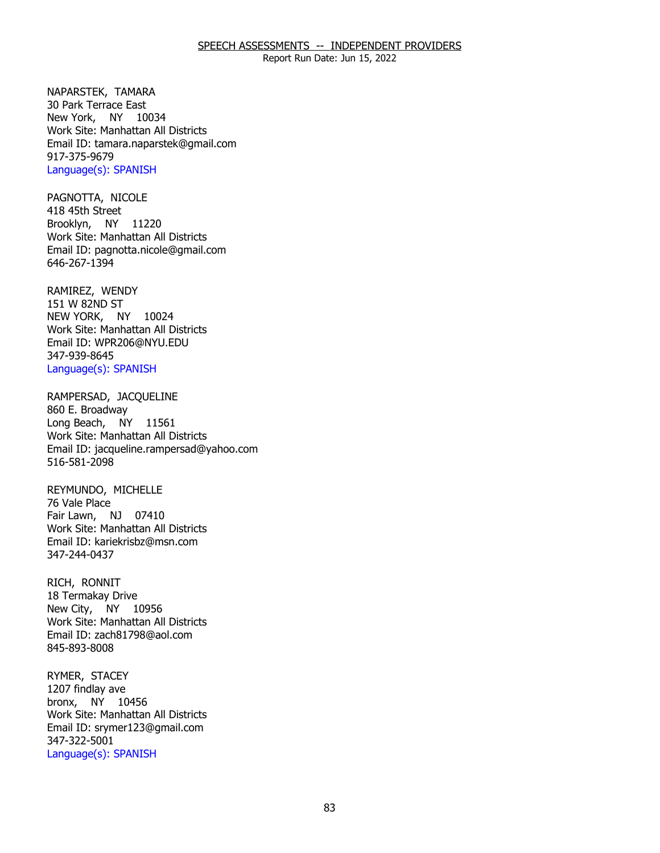Report Run Date: Jun 15, 2022

NAPARSTEK, TAMARA New York, NY 10034 30 Park Terrace East Work Site: Manhattan All Districts Email ID: [tamara.naparstek@gmail.com](mailto:tamara.naparstek@gmail.com)  917-375-9679 Language(s): SPANISH

PAGNOTTA, NICOLE<br>418 45th Street Brooklyn, NY 11220 Work Site: Manhattan All Districts Email ID: [pagnotta.nicole@gmail.com](mailto:pagnotta.nicole@gmail.com)  646-267-1394

RAMIREZ, WENDY<br>151 W 82ND ST NEW YORK, NY 10024 Work Site: Manhattan All Districts Email ID: [WPR206@NYU.EDU](mailto:WPR206@NYU.EDU) 347-939-8645 Language(s): SPANISH

RAMPERSAD, JACQUELINE<br>860 E. Broadway Long Beach, NY 11561 Work Site: Manhattan All Districts Email ID: [jacqueline.rampersad@yahoo.com](mailto:jacqueline.rampersad@yahoo.com)  516-581-2098

REYMUNDO, MICHELLE<br>76 Vale Place Fair Lawn, NJ 07410 Work Site: Manhattan All Districts Email ID: [kariekrisbz@msn.com](mailto:kariekrisbz@msn.com)  347-244-0437

RICH, RONNIT New City, NY 10956 18 Termakay Drive Work Site: Manhattan All Districts Email ID: [zach81798@aol.com](mailto:zach81798@aol.com)  845-893-8008

RYMER, STACEY bronx, NY 10456 1207 findlay ave Work Site: Manhattan All Districts Email ID: [srymer123@gmail.com](mailto:srymer123@gmail.com)  347-322-5001 Language(s): SPANISH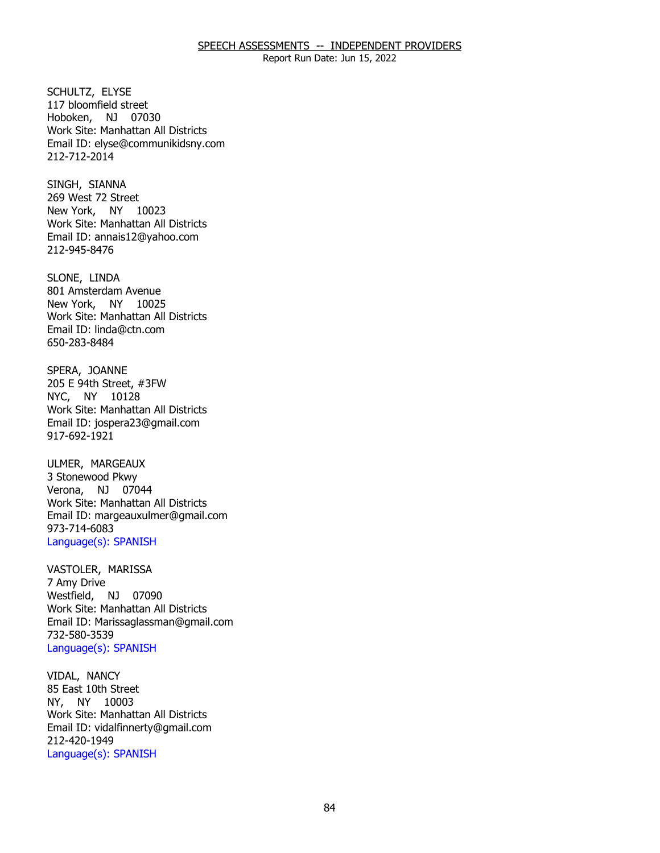Report Run Date: Jun 15, 2022

SCHULTZ, ELYSE Hoboken, NJ 07030 117 bloomfield street Work Site: Manhattan All Districts Email ID: [elyse@communikidsny.com](mailto:elyse@communikidsny.com)  212-712-2014

SINGH, SIANNA New York, NY 10023 269 West 72 Street Work Site: Manhattan All Districts Email ID: [annais12@yahoo.com](mailto:annais12@yahoo.com) 212-945-8476

SLONE, LINDA New York, NY 10025 801 Amsterdam Avenue Work Site: Manhattan All Districts Email ID: [linda@ctn.com](mailto:linda@ctn.com)  650-283-8484

SPERA, JOANNE NYC, NY 10128 205 E 94th Street, #3FW Work Site: Manhattan All Districts Email ID: [jospera23@gmail.com](mailto:jospera23@gmail.com)  917-692-1921

ULMER, MARGEAUX Verona, NJ 07044 3 Stonewood Pkwy Work Site: Manhattan All Districts Email ID: [margeauxulmer@gmail.com](mailto:margeauxulmer@gmail.com) 973-714-6083 Language(s): SPANISH

VASTOLER, MARISSA<br>7 Amy Drive Westfield, NJ 07090 Work Site: Manhattan All Districts Email ID: [Marissaglassman@gmail.com](mailto:Marissaglassman@gmail.com) 732-580-3539 Language(s): SPANISH

VIDAL, NANCY NY, NY 10003 85 East 10th Street Work Site: Manhattan All Districts Email ID: [vidalfinnerty@gmail.com](mailto:vidalfinnerty@gmail.com) 212-420-1949 Language(s): SPANISH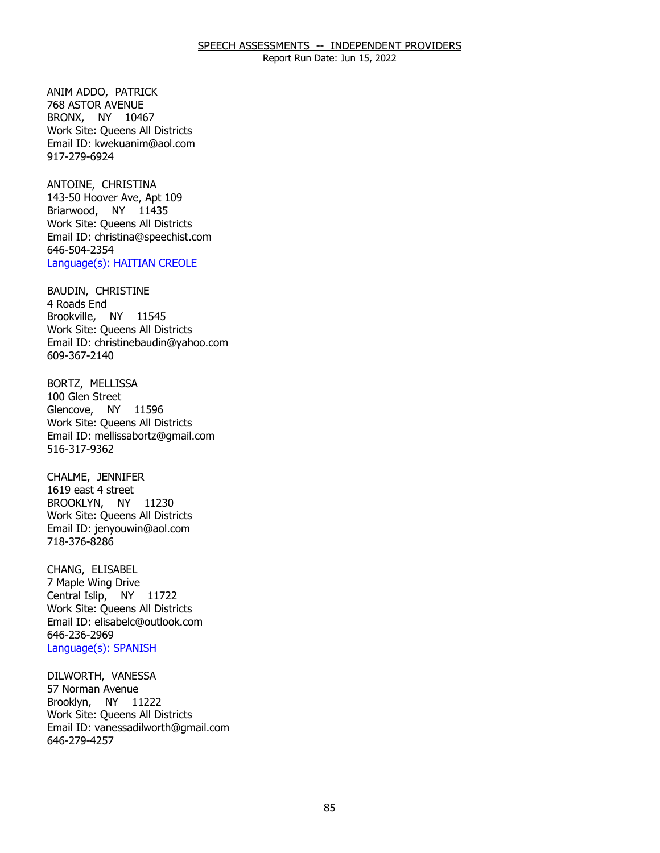ANIM ADDO, PATRICK BRONX, NY 10467 768 ASTOR AVENUE Work Site: Queens All Districts Email ID: [kwekuanim@aol.com](mailto:kwekuanim@aol.com) 917-279-6924

ANTOINE, CHRISTINA Briarwood, NY 11435 143-50 Hoover Ave, Apt 109 Work Site: Queens All Districts Email ID: [christina@speechist.com](mailto:christina@speechist.com) 646-504-2354 Language(s): HAITIAN CREOLE

BAUDIN, CHRISTINE<br>4 Roads End Brookville, NY 11545 Work Site: Queens All Districts Email ID: [christinebaudin@yahoo.com](mailto:christinebaudin@yahoo.com)  609-367-2140

BORTZ, MELLISSA<br>100 Glen Street Glencove, NY 11596 Work Site: Queens All Districts Email ID: [mellissabortz@gmail.com](mailto:mellissabortz@gmail.com) 516-317-9362

CHALME, JENNIFER<br>1619 east 4 street BROOKLYN, NY 11230 Work Site: Queens All Districts Email ID: [jenyouwin@aol.com](mailto:jenyouwin@aol.com) 718-376-8286

CHANG, ELISABEL Central Islip, NY 11722 7 Maple Wing Drive Work Site: Queens All Districts Email ID: [elisabelc@outlook.com](mailto:elisabelc@outlook.com) 646-236-2969 Language(s): SPANISH

DILWORTH, VANESSA<br>57 Norman Avenue Brooklyn, NY 11222 Work Site: Queens All Districts Email ID: [vanessadilworth@gmail.com](mailto:vanessadilworth@gmail.com)  646-279-4257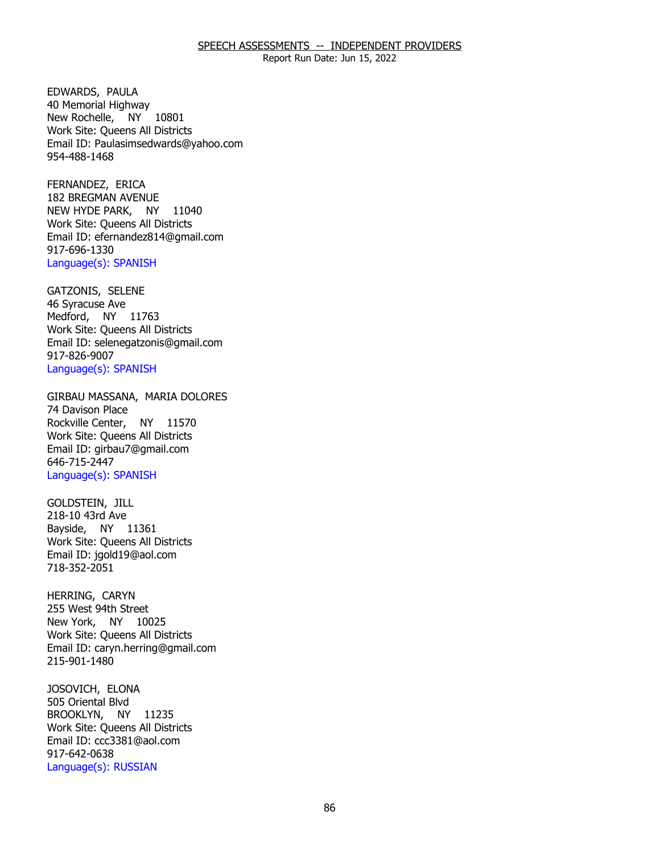Report Run Date: Jun 15, 2022

EDWARDS, PAULA New Rochelle, NY 10801 40 Memorial Highway Work Site: Queens All Districts Email ID: [Paulasimsedwards@yahoo.com](mailto:Paulasimsedwards@yahoo.com)  954-488-1468

FERNANDEZ, ERICA NEW HYDE PARK, NY 11040 182 BREGMAN AVENUE Work Site: Queens All Districts Email ID: [efernandez814@gmail.com](mailto:efernandez814@gmail.com) 917-696-1330 Language(s): SPANISH

GATZONIS, SELENE<br>46 Syracuse Ave Medford, NY 11763 Work Site: Queens All Districts Email ID: [selenegatzonis@gmail.com](mailto:selenegatzonis@gmail.com)  917-826-9007 Language(s): SPANISH

GIRBAU MASSANA, MARIA DOLORES<br>74 Davison Place Rockville Center, NY 11570 Work Site: Queens All Districts Email ID: [girbau7@gmail.com](mailto:girbau7@gmail.com) 646-715-2447 Language(s): SPANISH

GOLDSTEIN, JILL Bayside, NY 11361 218-10 43rd Ave Work Site: Queens All Districts Email ID: [jgold19@aol.com](mailto:jgold19@aol.com)  718-352-2051

HERRING, CARYN New York, NY 10025 255 West 94th Street Work Site: Queens All Districts Email ID: [caryn.herring@gmail.com](mailto:caryn.herring@gmail.com)  215-901-1480

JOSOVICH, ELONA<br>505 Oriental Blvd BROOKLYN, NY 11235 Work Site: Queens All Districts Email ID: [ccc3381@aol.com](mailto:ccc3381@aol.com) 917-642-0638 Language(s): RUSSIAN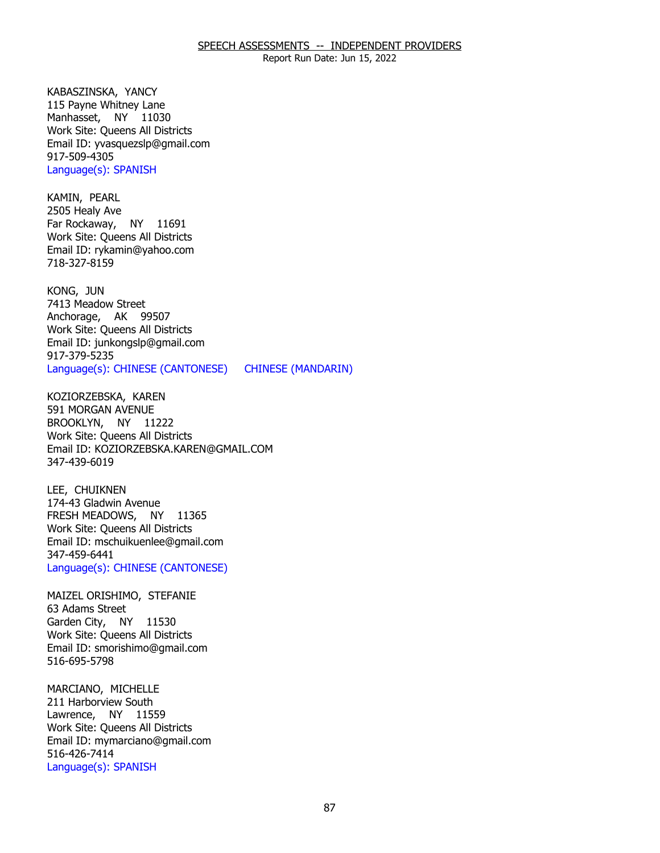Report Run Date: Jun 15, 2022

KABASZINSKA, YANCY Manhasset, NY 11030 115 Payne Whitney Lane Work Site: Queens All Districts Email ID: [yvasquezslp@gmail.com](mailto:yvasquezslp@gmail.com)  917-509-4305 Language(s): SPANISH

KAMIN, PEARL Far Rockaway, NY 11691 2505 Healy Ave Work Site: Queens All Districts Email ID: [rykamin@yahoo.com](mailto:rykamin@yahoo.com) 718-327-8159

KONG, JUN Anchorage, AK 99507 7413 Meadow Street Work Site: Queens All Districts Email ID: [junkongslp@gmail.com](mailto:junkongslp@gmail.com) 917-379-5235 Language(s): CHINESE (CANTONESE) CHINESE (MANDARIN)

KOZIORZEBSKA, KAREN<br>591 MORGAN AVENUE BROOKLYN, NY 11222 Work Site: Queens All Districts Email ID: [KOZIORZEBSKA.KAREN@GMAIL.COM](mailto:KOZIORZEBSKA.KAREN@GMAIL.COM) 347-439-6019

LEE, CHUIKNEN FRESH MEADOWS, NY 11365 174-43 Gladwin Avenue Work Site: Queens All Districts Email ID: [mschuikuenlee@gmail.com](mailto:mschuikuenlee@gmail.com) 347-459-6441 Language(s): CHINESE (CANTONESE)

MAIZEL ORISHIMO, STEFANIE<br>63 Adams Street Garden City, NY 11530 Work Site: Queens All Districts Email ID: [smorishimo@gmail.com](mailto:smorishimo@gmail.com)  516-695-5798

MARCIANO, MICHELLE<br>211 Harborview South Lawrence, NY 11559 Work Site: Queens All Districts Email ID: [mymarciano@gmail.com](mailto:mymarciano@gmail.com) 516-426-7414 Language(s): SPANISH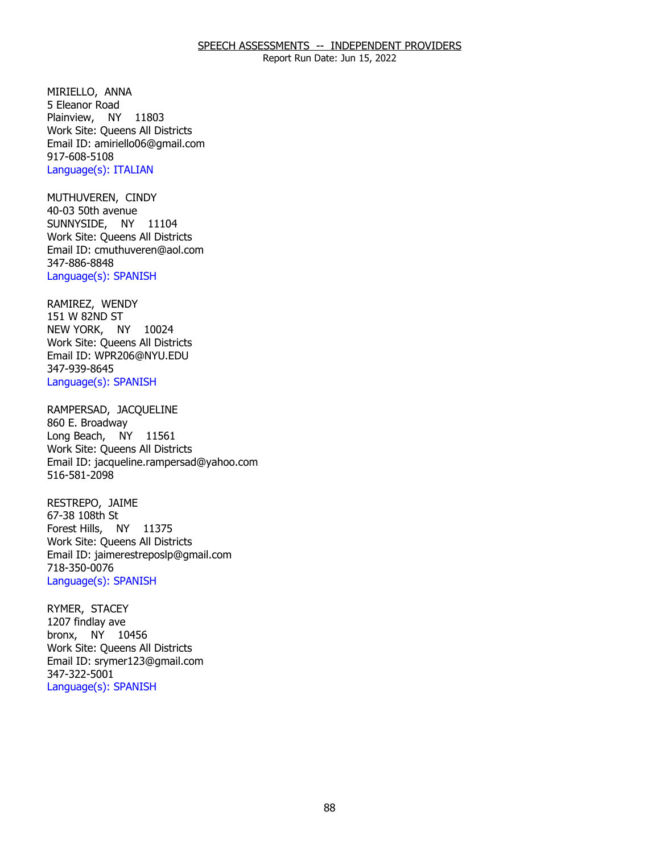Report Run Date: Jun 15, 2022

MIRIELLO, ANNA Plainview, NY 11803 5 Eleanor Road Work Site: Queens All Districts Email ID: [amiriello06@gmail.com](mailto:amiriello06@gmail.com) 917-608-5108 Language(s): ITALIAN

MUTHUVEREN, CINDY<br>40-03 50th avenue SUNNYSIDE, NY 11104 Work Site: Queens All Districts Email ID: [cmuthuveren@aol.com](mailto:cmuthuveren@aol.com) 347-886-8848 Language(s): SPANISH

RAMIREZ, WENDY<br>151 W 82ND ST NEW YORK, NY 10024 Work Site: Queens All Districts Email ID: [WPR206@NYU.EDU](mailto:WPR206@NYU.EDU) 347-939-8645 Language(s): SPANISH

RAMPERSAD, JACQUELINE<br>860 E. Broadway Long Beach, NY 11561 Work Site: Queens All Districts Email ID: [jacqueline.rampersad@yahoo.com](mailto:jacqueline.rampersad@yahoo.com)  516-581-2098

RESTREPO, JAIME<br>67-38 108th St Forest Hills, NY 11375 Work Site: Queens All Districts Email ID: [jaimerestreposlp@gmail.com](mailto:jaimerestreposlp@gmail.com) 718-350-0076 Language(s): SPANISH

RYMER, STACEY<br>1207 findlay ave bronx, NY 10456 Work Site: Queens All Districts Email ID: [srymer123@gmail.com](mailto:srymer123@gmail.com)  347-322-5001 Language(s): SPANISH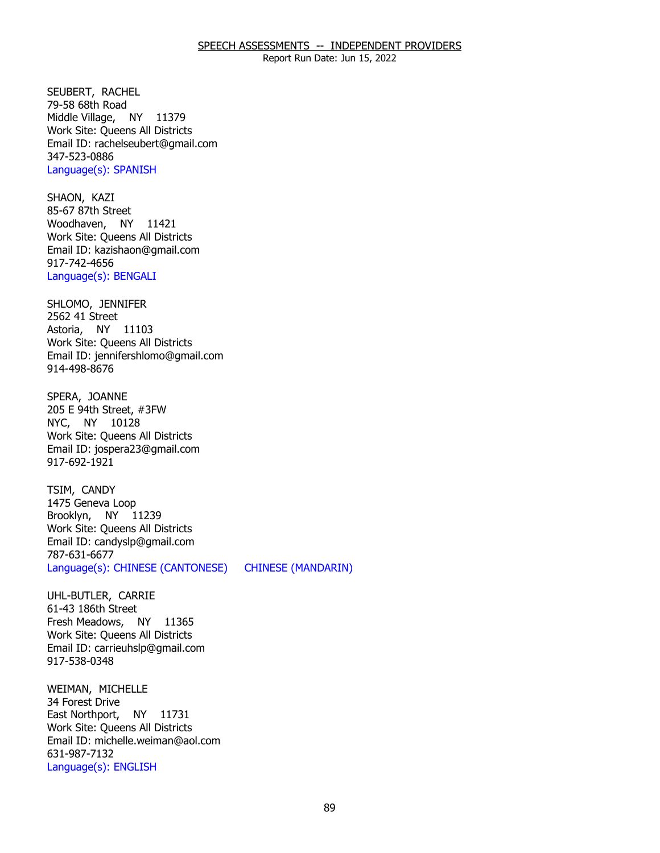Report Run Date: Jun 15, 2022

SEUBERT, RACHEL<br>79-58 68th Road Middle Village, NY 11379 Work Site: Queens All Districts Email ID: [rachelseubert@gmail.com](mailto:rachelseubert@gmail.com)  347-523-0886 Language(s): SPANISH

SHAON, KAZI Woodhaven, NY 11421 85-67 87th Street Work Site: Queens All Districts Email ID: [kazishaon@gmail.com](mailto:kazishaon@gmail.com)  917-742-4656 Language(s): BENGALI

SHLOMO, JENNIFER<br>2562 41 Street Astoria, NY 11103 Work Site: Queens All Districts Email ID: [jennifershlomo@gmail.com](mailto:jennifershlomo@gmail.com) 914-498-8676

SPERA, JOANNE NYC, NY 10128 205 E 94th Street, #3FW Work Site: Queens All Districts Email ID: [jospera23@gmail.com](mailto:jospera23@gmail.com)  917-692-1921

TSIM, CANDY Brooklyn, NY 11239 1475 Geneva Loop Work Site: Queens All Districts Email ID: [candyslp@gmail.com](mailto:candyslp@gmail.com) 787-631-6677 Language(s): CHINESE (CANTONESE) CHINESE (MANDARIN)

UHL-BUTLER, CARRIE<br>61-43 186th Street Fresh Meadows, NY 11365 Work Site: Queens All Districts Email ID: [carrieuhslp@gmail.com](mailto:carrieuhslp@gmail.com) 917-538-0348

WEIMAN, MICHELLE<br>34 Forest Drive East Northport, NY 11731 Work Site: Queens All Districts Email ID: [michelle.weiman@aol.com](mailto:michelle.weiman@aol.com)  631-987-7132 Language(s): ENGLISH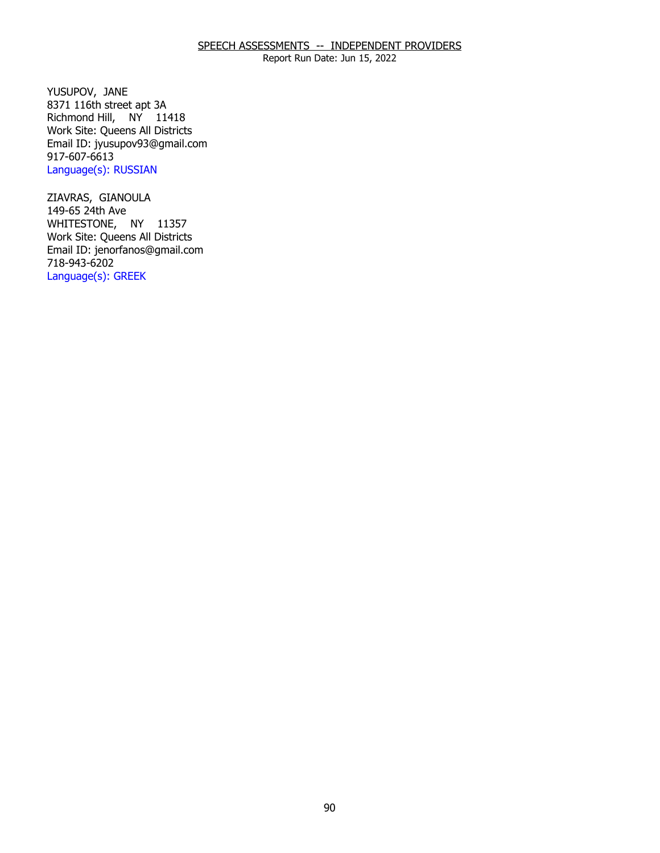Report Run Date: Jun 15, 2022

YUSUPOV, JANE Richmond Hill, NY 11418 8371 116th street apt 3A Work Site: Queens All Districts Email ID: [jyusupov93@gmail.com](mailto:jyusupov93@gmail.com) 917-607-6613 Language(s): RUSSIAN

ZIAVRAS, GIANOULA<br>149-65 24th Ave WHITESTONE, NY 11357 Work Site: Queens All Districts Email ID: [jenorfanos@gmail.com](mailto:jenorfanos@gmail.com)  718-943-6202 Language(s): GREEK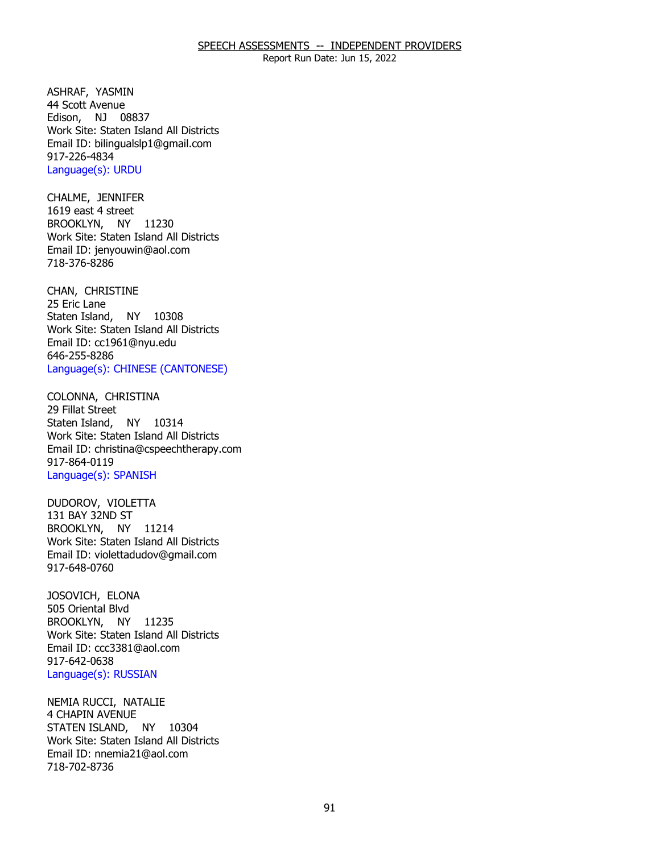Report Run Date: Jun 15, 2022

ASHRAF, YASMIN Edison, NJ 08837 44 Scott Avenue Work Site: Staten Island All Districts Email ID: [bilingualslp1@gmail.com](mailto:bilingualslp1@gmail.com)  917-226-4834 Language(s): URDU

CHALME, JENNIFER<br>1619 east 4 street BROOKLYN, NY 11230 Work Site: Staten Island All Districts Email ID: [jenyouwin@aol.com](mailto:jenyouwin@aol.com) 718-376-8286

CHAN, CHRISTINE<br>25 Eric Lane Staten Island, NY 10308 Work Site: Staten Island All Districts Email ID: [cc1961@nyu.edu](mailto:cc1961@nyu.edu)  646-255-8286 Language(s): CHINESE (CANTONESE)

COLONNA, CHRISTINA<br>29 Fillat Street Staten Island, NY 10314 Work Site: Staten Island All Districts Email ID: [christina@cspeechtherapy.com](mailto:christina@cspeechtherapy.com) 917-864-0119 Language(s): SPANISH

 DUDOROV, VIOLETTA 131 BAY 32ND ST BROOKLYN, NY 11214 Work Site: Staten Island All Districts Email ID: [violettadudov@gmail.com](mailto:violettadudov@gmail.com) 917-648-0760

JOSOVICH, ELONA<br>505 Oriental Blvd BROOKLYN, NY 11235 Work Site: Staten Island All Districts Email ID: [ccc3381@aol.com](mailto:ccc3381@aol.com) 917-642-0638 Language(s): RUSSIAN

NEMIA RUCCI, NATALIE<br>4 CHAPIN AVENUE STATEN ISLAND, NY 10304 Work Site: Staten Island All Districts Email ID: [nnemia21@aol.com](mailto:nnemia21@aol.com)  718-702-8736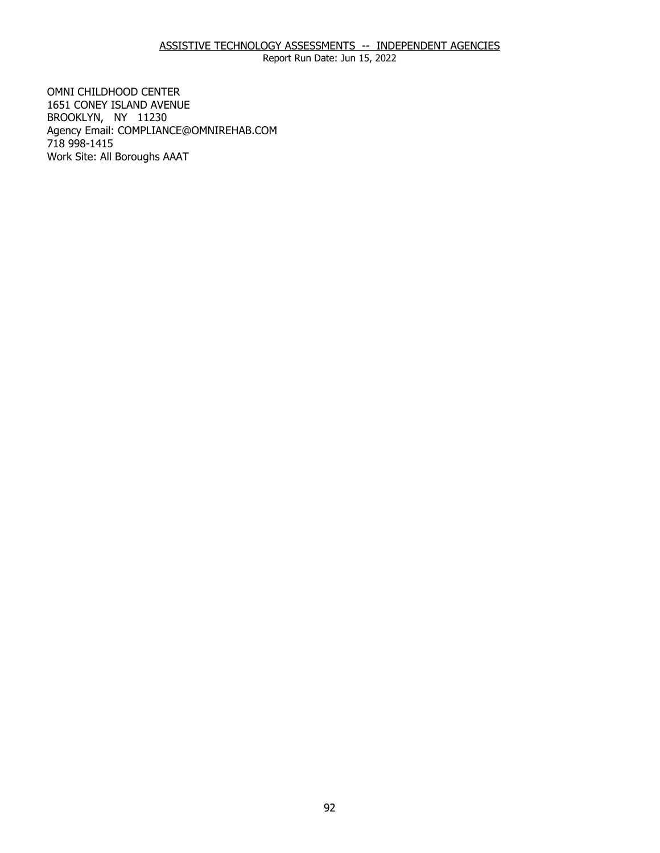# ASSISTIVE TECHNOLOGY ASSESSMENTS -- INDEPENDENT AGENCIES

Report Run Date: Jun 15, 2022

1651 CONEY ISLAND AVENUE 1651 CONEY ISLAND AVENUE BROOKLYN, NY 11230 OMNI CHILDHOOD CENTER Agency Email: [COMPLIANCE@OMNIREHAB.COM](mailto:COMPLIANCE@OMNIREHAB.COM) 718 998-1415 Work Site: All Boroughs AAAT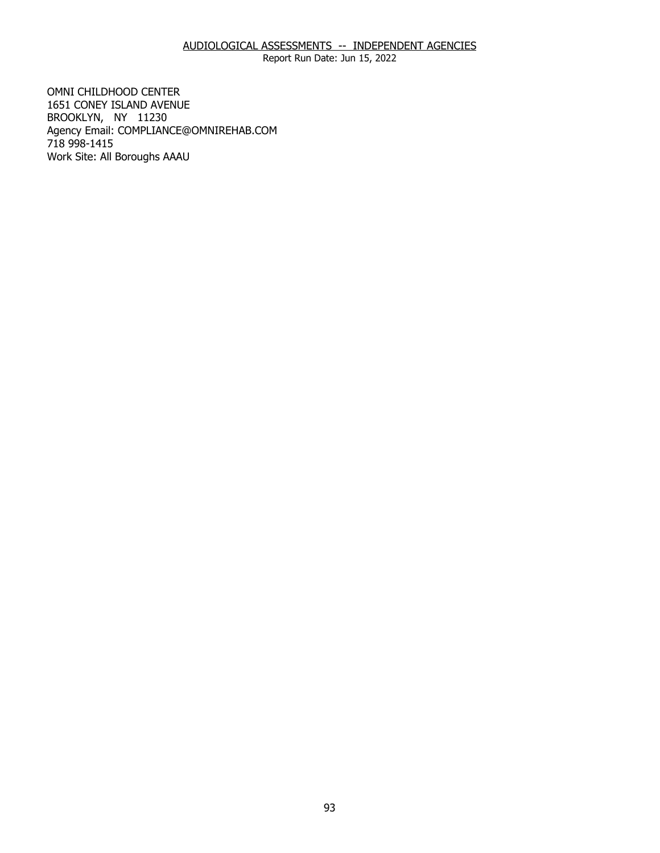Report Run Date: Jun 15, 2022

1651 CONEY ISLAND AVENUE 1651 CONEY ISLAND AVENUE BROOKLYN, NY 11230 OMNI CHILDHOOD CENTER Agency Email: [COMPLIANCE@OMNIREHAB.COM](mailto:COMPLIANCE@OMNIREHAB.COM) 718 998-1415 Work Site: All Boroughs AAAU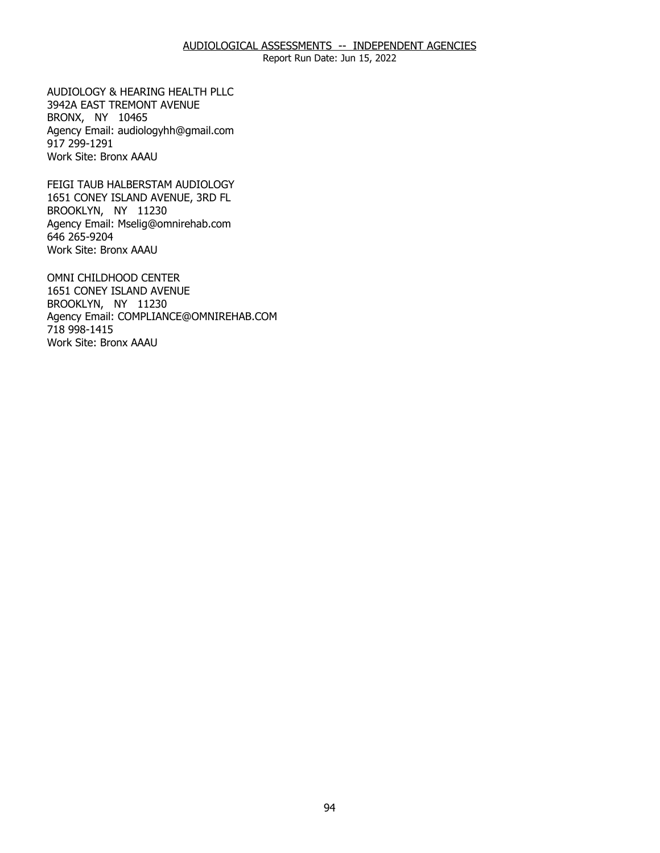Report Run Date: Jun 15, 2022

 3942A EAST TREMONT AVENUE BRONX, NY 10465 BRONX, NY 10465 AUDIOLOGY & HEARING HEALTH PLLC Agency Email: [audiologyhh@gmail.com](mailto:audiologyhh@gmail.com) 917 299-1291 Work Site: Bronx AAAU

1651 CONEY ISLAND AVENUE, 3RD FL<br>BROOKLYN, NY 11230 BROOKLYN, NY 11230 FEIGI TAUB HALBERSTAM AUDIOLOGY Agency Email: [Mselig@omnirehab.com](mailto:Mselig@omnirehab.com) 646 265-9204 Work Site: Bronx AAAU

 1651 CONEY ISLAND AVENUE BROOKLYN, NY 11230 BROOKLYN, NY 11230 OMNI CHILDHOOD CENTER Agency Email: [COMPLIANCE@OMNIREHAB.COM](mailto:COMPLIANCE@OMNIREHAB.COM) 718 998-1415 Work Site: Bronx AAAU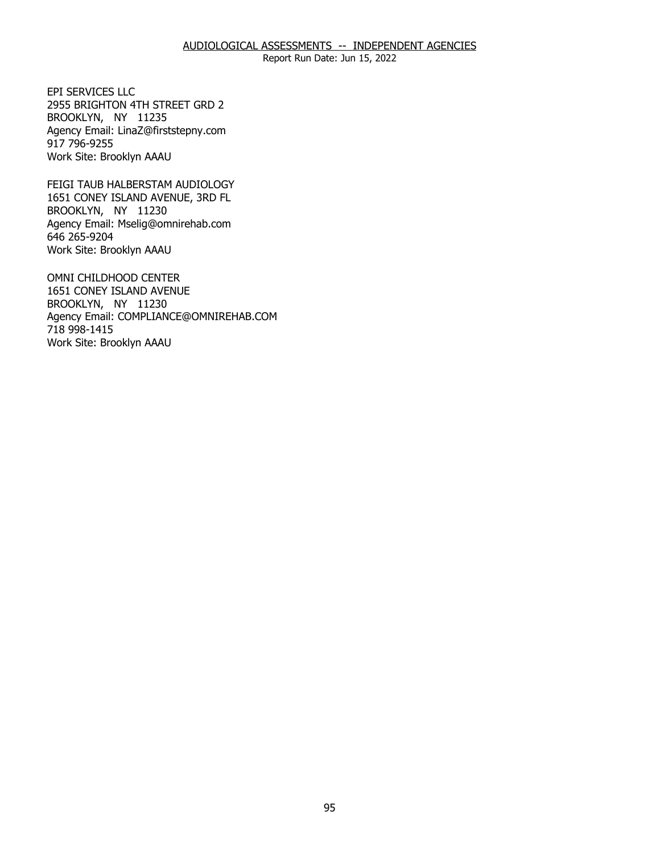2955 BRIGHTON 4TH STREET GRD 2<br>BROOKLYN, NY 11235 BROOKLYN, NY 11235 EPI SERVICES LLC Agency Email: [LinaZ@firststepny.com](mailto:LinaZ@firststepny.com)  917 796-9255 Work Site: Brooklyn AAAU

1651 CONEY ISLAND AVENUE, 3RD FL<br>BROOKLYN, NY 11230 BROOKLYN, NY 11230 FEIGI TAUB HALBERSTAM AUDIOLOGY Agency Email: [Mselig@omnirehab.com](mailto:Mselig@omnirehab.com) 646 265-9204 Work Site: Brooklyn AAAU

 1651 CONEY ISLAND AVENUE BROOKLYN, NY 11230 BROOKLYN, NY 11230 OMNI CHILDHOOD CENTER Agency Email: [COMPLIANCE@OMNIREHAB.COM](mailto:COMPLIANCE@OMNIREHAB.COM) 718 998-1415 Work Site: Brooklyn AAAU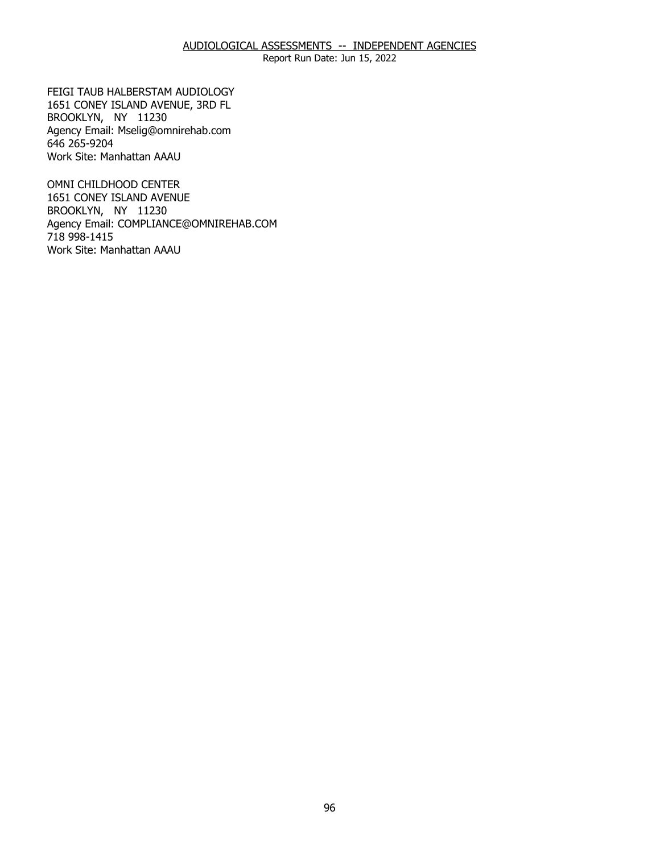1651 CONEY ISLAND AVENUE, 3RD FL<br>BROOKLYN, NY 11230 BROOKLYN, NY 11230 FEIGI TAUB HALBERSTAM AUDIOLOGY Agency Email: [Mselig@omnirehab.com](mailto:Mselig@omnirehab.com) 646 265-9204 Work Site: Manhattan AAAU

1651 CONEY ISLAND AVENUE 1651 CONEY ISLAND AVENUE BROOKLYN, NY 11230 OMNI CHILDHOOD CENTER Agency Email: [COMPLIANCE@OMNIREHAB.COM](mailto:COMPLIANCE@OMNIREHAB.COM) 718 998-1415 Work Site: Manhattan AAAU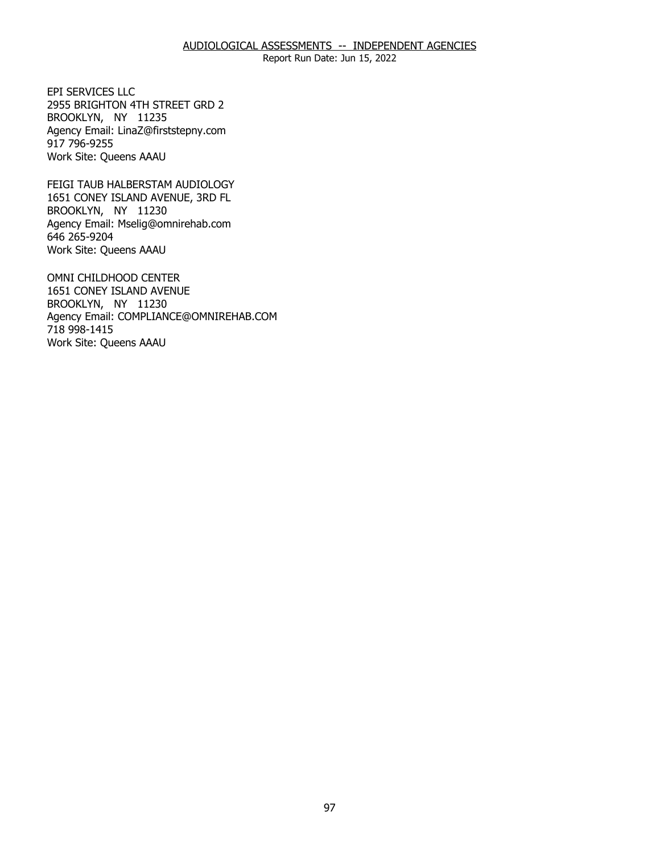2955 BRIGHTON 4TH STREET GRD 2<br>BROOKLYN, NY 11235 BROOKLYN, NY 11235 EPI SERVICES LLC Agency Email: [LinaZ@firststepny.com](mailto:LinaZ@firststepny.com)  917 796-9255 Work Site: Queens AAAU

1651 CONEY ISLAND AVENUE, 3RD FL<br>BROOKLYN, NY 11230 BROOKLYN, NY 11230 FEIGI TAUB HALBERSTAM AUDIOLOGY Agency Email: [Mselig@omnirehab.com](mailto:Mselig@omnirehab.com) 646 265-9204 Work Site: Queens AAAU

 1651 CONEY ISLAND AVENUE BROOKLYN, NY 11230 BROOKLYN, NY 11230 OMNI CHILDHOOD CENTER Agency Email: [COMPLIANCE@OMNIREHAB.COM](mailto:COMPLIANCE@OMNIREHAB.COM) 718 998-1415 Work Site: Queens AAAU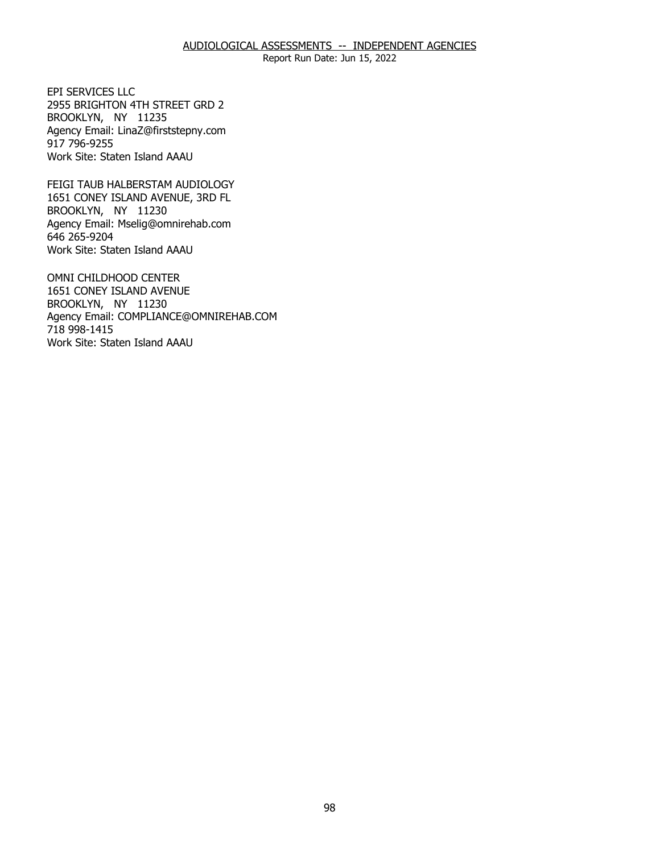2955 BRIGHTON 4TH STREET GRD 2<br>BROOKLYN, NY 11235 BROOKLYN, NY 11235 EPI SERVICES LLC Agency Email: [LinaZ@firststepny.com](mailto:LinaZ@firststepny.com)  917 796-9255 Work Site: Staten Island AAAU

1651 CONEY ISLAND AVENUE, 3RD FL<br>BROOKLYN, NY 11230 BROOKLYN, NY 11230 FEIGI TAUB HALBERSTAM AUDIOLOGY Agency Email: [Mselig@omnirehab.com](mailto:Mselig@omnirehab.com) 646 265-9204 Work Site: Staten Island AAAU

 1651 CONEY ISLAND AVENUE BROOKLYN, NY 11230 BROOKLYN, NY 11230 OMNI CHILDHOOD CENTER Agency Email: [COMPLIANCE@OMNIREHAB.COM](mailto:COMPLIANCE@OMNIREHAB.COM) 718 998-1415 Work Site: Staten Island AAAU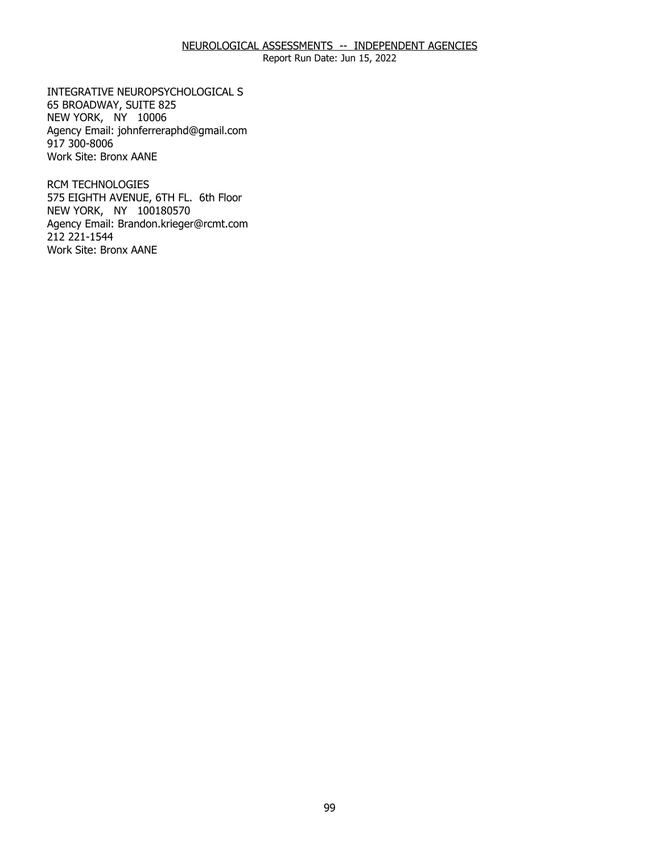Report Run Date: Jun 15, 2022

65 BROADWAY, SUITE 825 65 BROADWAY, SUITE 825<br>NEW YORK, NY 10006 INTEGRATIVE NEUROPSYCHOLOGICAL S Agency Email: [johnferreraphd@gmail.com](mailto:johnferreraphd@gmail.com) 917 300-8006 Work Site: Bronx AANE

 NEW YORK, NY 100180570 RCM TECHNOLOGIES 575 EIGHTH AVENUE, 6TH FL. 6th Floor Agency Email: [Brandon.krieger@rcmt.com](mailto:Brandon.krieger@rcmt.com) 212 221-1544 Work Site: Bronx AANE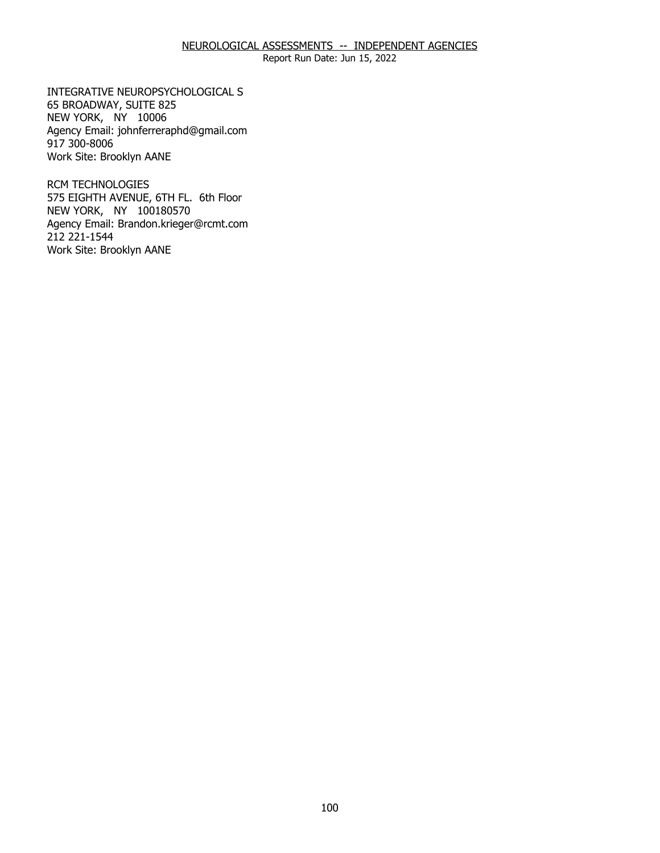Report Run Date: Jun 15, 2022

65 BROADWAY, SUITE 825 65 BROADWAY, SUITE 825<br>NEW YORK, NY 10006 INTEGRATIVE NEUROPSYCHOLOGICAL S Agency Email: [johnferreraphd@gmail.com](mailto:johnferreraphd@gmail.com) 917 300-8006 Work Site: Brooklyn AANE

 NEW YORK, NY 100180570 RCM TECHNOLOGIES 575 EIGHTH AVENUE, 6TH FL. 6th Floor Agency Email: [Brandon.krieger@rcmt.com](mailto:Brandon.krieger@rcmt.com) 212 221-1544 Work Site: Brooklyn AANE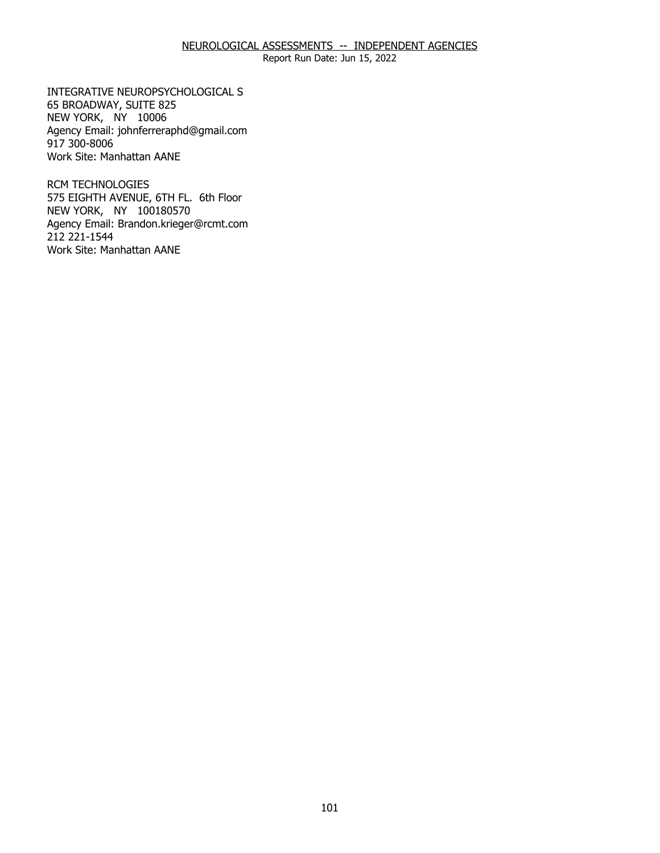Report Run Date: Jun 15, 2022

65 BROADWAY, SUITE 825 65 BROADWAY, SUITE 825<br>NEW YORK, NY 10006 INTEGRATIVE NEUROPSYCHOLOGICAL S Agency Email: [johnferreraphd@gmail.com](mailto:johnferreraphd@gmail.com) 917 300-8006 Work Site: Manhattan AANE

 NEW YORK, NY 100180570 RCM TECHNOLOGIES 575 EIGHTH AVENUE, 6TH FL. 6th Floor Agency Email: [Brandon.krieger@rcmt.com](mailto:Brandon.krieger@rcmt.com) 212 221-1544 Work Site: Manhattan AANE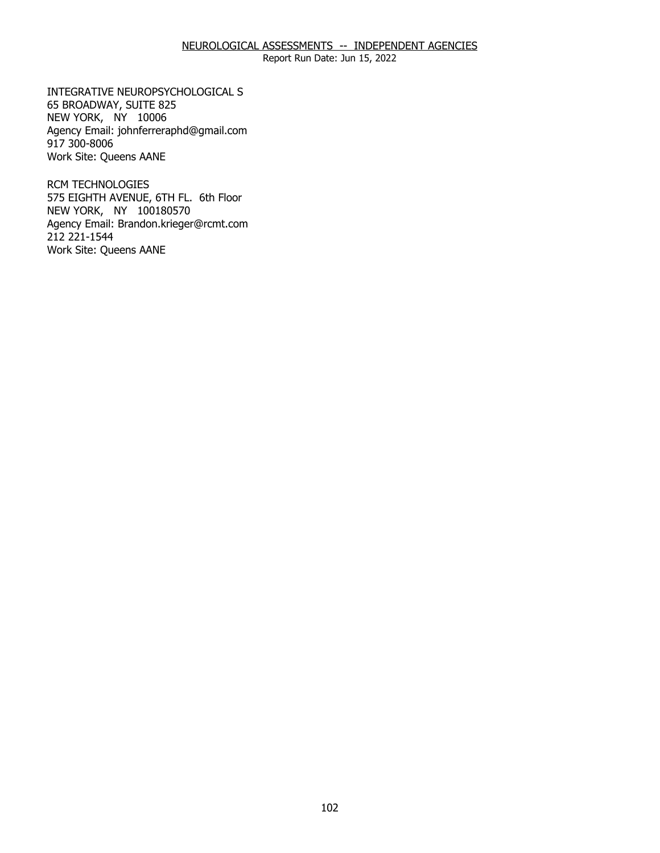Report Run Date: Jun 15, 2022

65 BROADWAY, SUITE 825 65 BROADWAY, SUITE 825<br>NEW YORK, NY 10006 INTEGRATIVE NEUROPSYCHOLOGICAL S Agency Email: [johnferreraphd@gmail.com](mailto:johnferreraphd@gmail.com) 917 300-8006 Work Site: Queens AANE

 NEW YORK, NY 100180570 RCM TECHNOLOGIES 575 EIGHTH AVENUE, 6TH FL. 6th Floor Agency Email: [Brandon.krieger@rcmt.com](mailto:Brandon.krieger@rcmt.com) 212 221-1544 Work Site: Queens AANE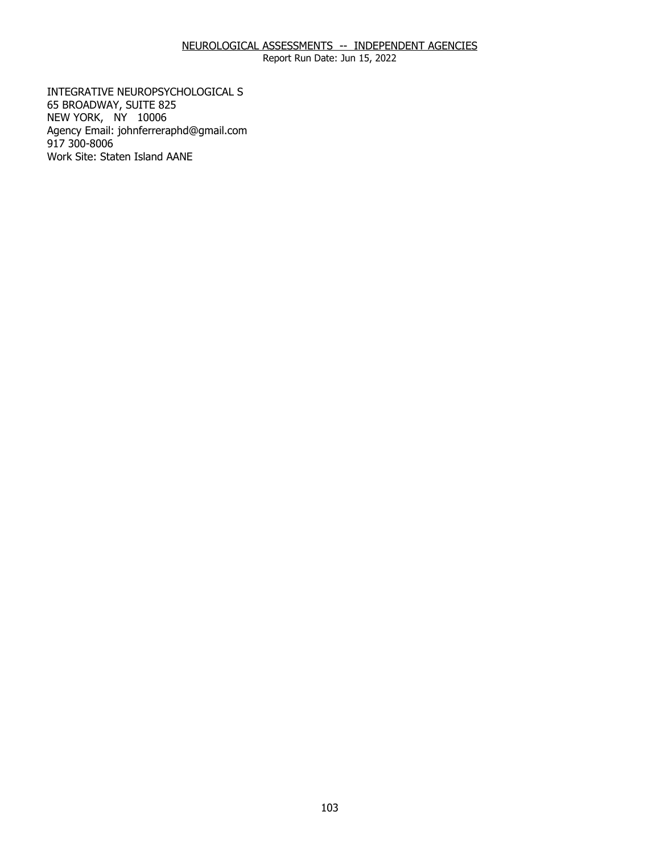Report Run Date: Jun 15, 2022

65 BROADWAY, SUITE 825 65 BROADWAY, SUITE 825<br>NEW YORK, NY 10006 INTEGRATIVE NEUROPSYCHOLOGICAL S Agency Email: [johnferreraphd@gmail.com](mailto:johnferreraphd@gmail.com) 917 300-8006 Work Site: Staten Island AANE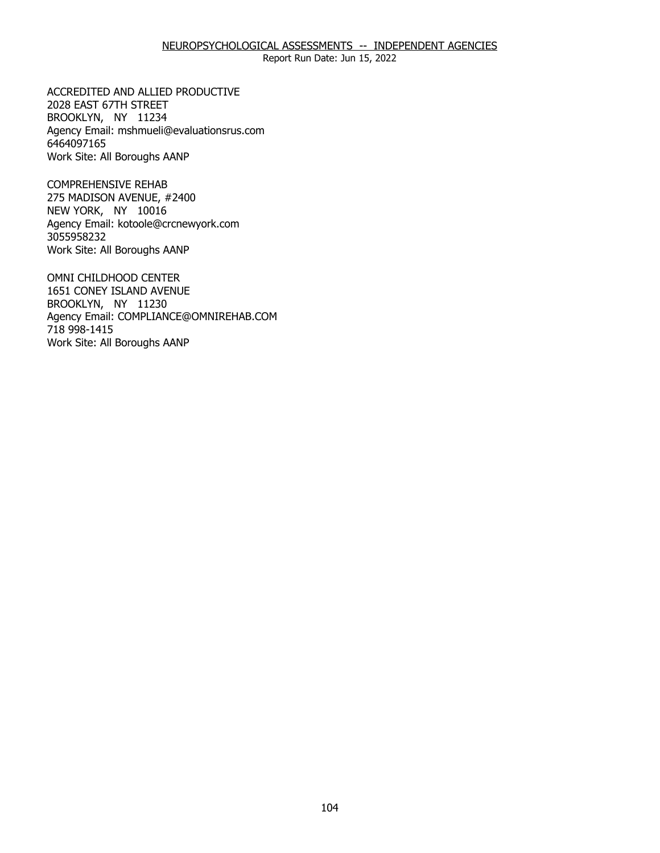Report Run Date: Jun 15, 2022

2028 EAST 67TH STREET 2028 EAST 67TH STREET<br>BROOKLYN, NY 11234 ACCREDITED AND ALLIED PRODUCTIVE Agency Email: [mshmueli@evaluationsrus.com](mailto:mshmueli@evaluationsrus.com)  6464097165 Work Site: All Boroughs AANP

275 MADISON AVENUE, #2400<br>NEW YORK, NY 10016 NEW YORK, NY 10016 COMPREHENSIVE REHAB Agency Email: [kotoole@crcnewyork.com](mailto:kotoole@crcnewyork.com) 3055958232 Work Site: All Boroughs AANP

 1651 CONEY ISLAND AVENUE BROOKLYN, NY 11230 BROOKLYN, NY 11230 OMNI CHILDHOOD CENTER Agency Email: [COMPLIANCE@OMNIREHAB.COM](mailto:COMPLIANCE@OMNIREHAB.COM) 718 998-1415 Work Site: All Boroughs AANP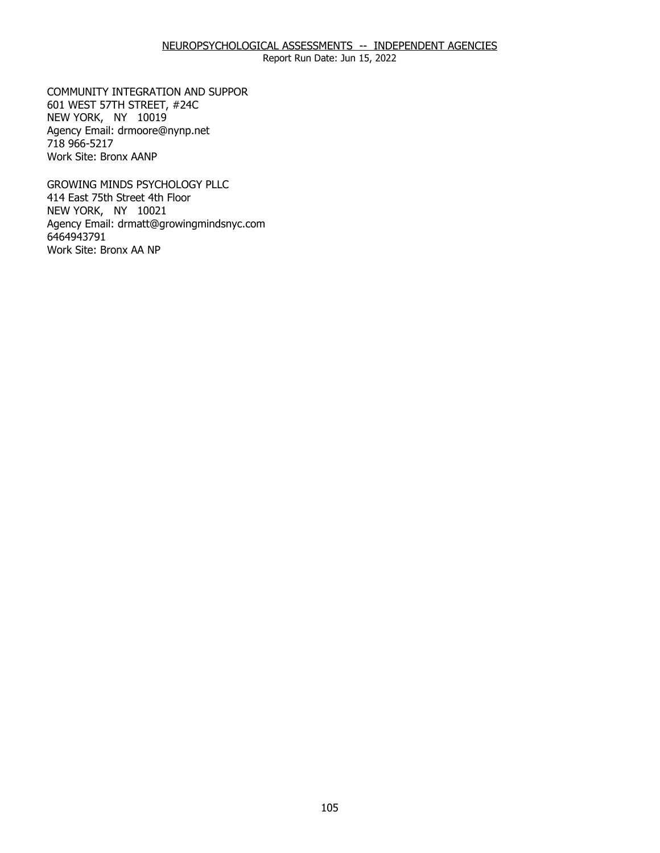601 WEST 57TH STREET, #24C<br>NEW YORK, NY 10019 NEW YORK, NY 10019 COMMUNITY INTEGRATION AND SUPPOR Agency Email: [drmoore@nynp.net](mailto:drmoore@nynp.net)  718 966-5217 Work Site: Bronx AANP

414 East 75th Street 4th Floor 414 East 75th Street 4th Floor<br>NEW YORK, NY 10021 GROWING MINDS PSYCHOLOGY PLLC Agency Email: [drmatt@growingmindsnyc.com](mailto:drmatt@growingmindsnyc.com) 6464943791 Work Site: Bronx AA NP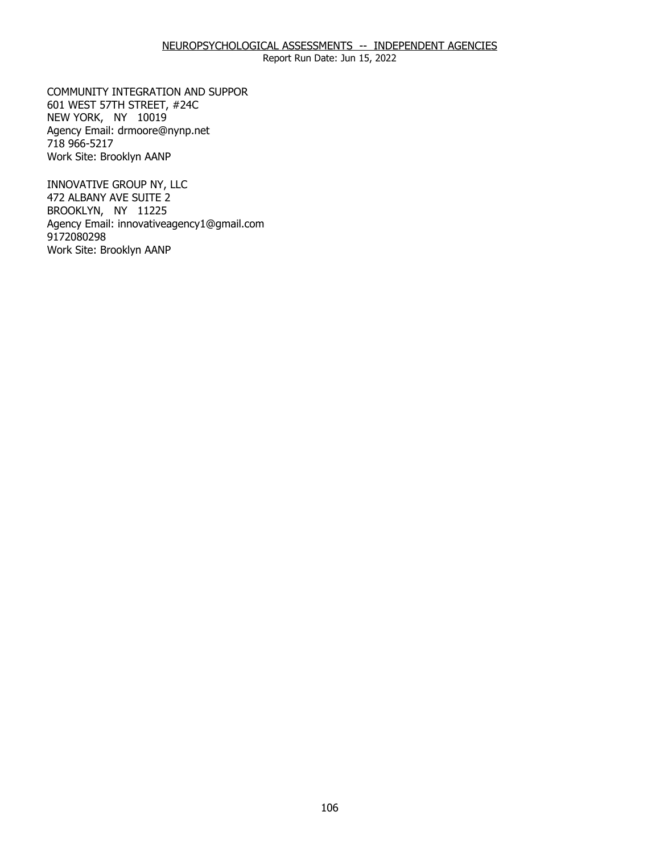601 WEST 57TH STREET, #24C<br>NEW YORK, NY 10019 NEW YORK, NY 10019 COMMUNITY INTEGRATION AND SUPPOR Agency Email: [drmoore@nynp.net](mailto:drmoore@nynp.net)  718 966-5217 Work Site: Brooklyn AANP

472 ALBANY AVE SUITE 2 [472](#page-1-0) ALBANY AVE SUITE 2<br>BROOKLYN, NY 11225 INNOVATIVE GROUP NY, LLC Agency Email: [innovativeagency1@gmail.com](mailto:innovativeagency1@gmail.com) 9172080298 Work Site: Brooklyn AANP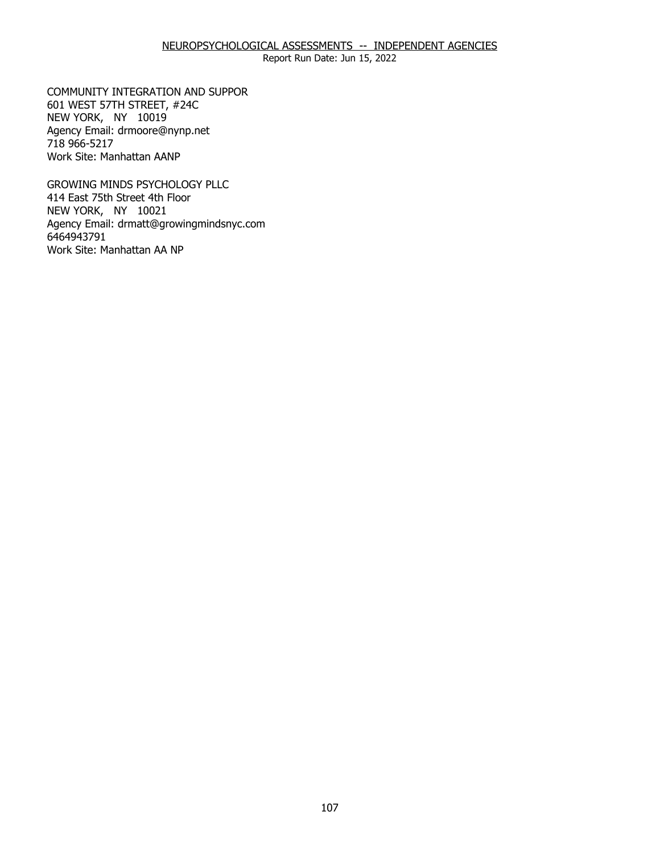601 WEST 57TH STREET, #24C<br>NEW YORK, NY 10019 NEW YORK, NY 10019 COMMUNITY INTEGRATION AND SUPPOR Agency Email: [drmoore@nynp.net](mailto:drmoore@nynp.net)  718 966-5217 Work Site: Manhattan AANP

414 East 75th Street 4th Floor 414 East 75th Street 4th Floor<br>NEW YORK, NY 10021 GROWING MINDS PSYCHOLOGY PLLC Agency Email: [drmatt@growingmindsnyc.com](mailto:drmatt@growingmindsnyc.com) 6464943791 Work Site: Manhattan AA NP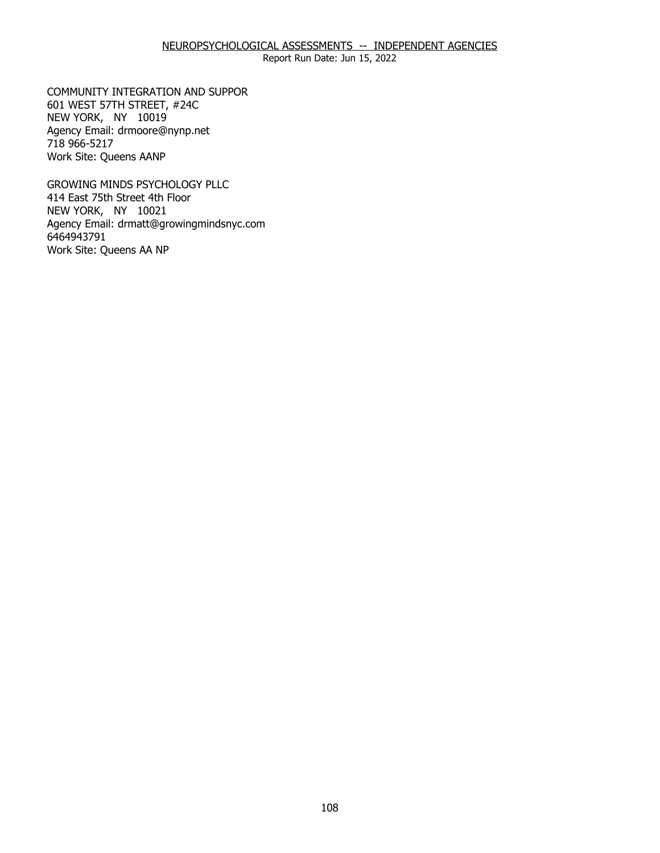601 WEST 57TH STREET, #24C<br>NEW YORK, NY 10019 NEW YORK, NY 10019 COMMUNITY INTEGRATION AND SUPPOR Agency Email: [drmoore@nynp.net](mailto:drmoore@nynp.net)  718 966-5217 Work Site: Queens AANP

414 East 75th Street 4th Floor 414 East 75th Street 4th Floor<br>NEW YORK, NY 10021 GROWING MINDS PSYCHOLOGY PLLC Agency Email: [drmatt@growingmindsnyc.com](mailto:drmatt@growingmindsnyc.com) 6464943791 Work Site: Queens AA NP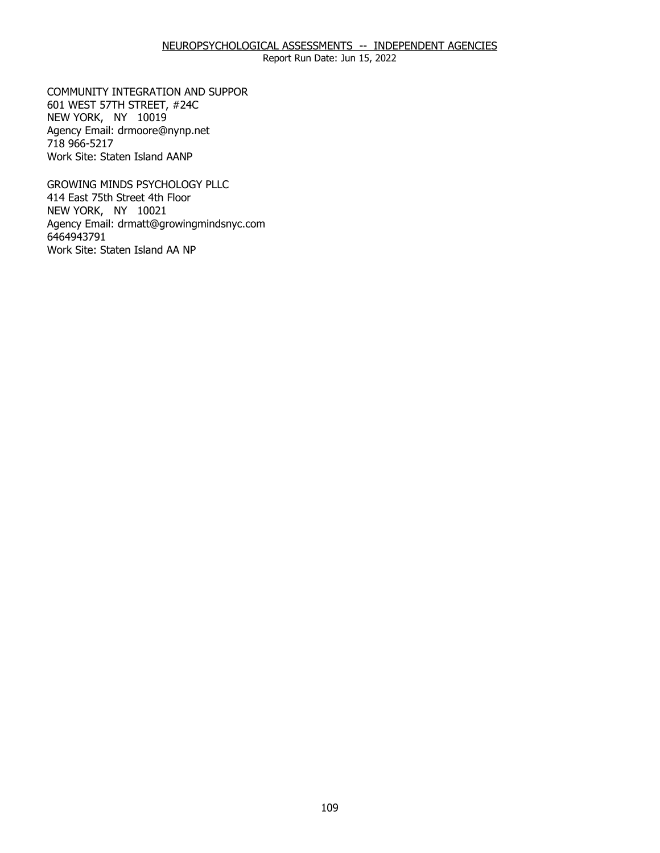Report Run Date: Jun 15, 2022

601 WEST 57TH STREET, #24C<br>NEW YORK, NY 10019 NEW YORK, NY 10019 COMMUNITY INTEGRATION AND SUPPOR Agency Email: [drmoore@nynp.net](mailto:drmoore@nynp.net)  718 966-5217 Work Site: Staten Island AANP

414 East 75th Street 4th Floor 414 East 75th Street 4th Floor<br>NEW YORK, NY 10021 GROWING MINDS PSYCHOLOGY PLLC Agency Email: [drmatt@growingmindsnyc.com](mailto:drmatt@growingmindsnyc.com) 6464943791 Work Site: Staten Island AA NP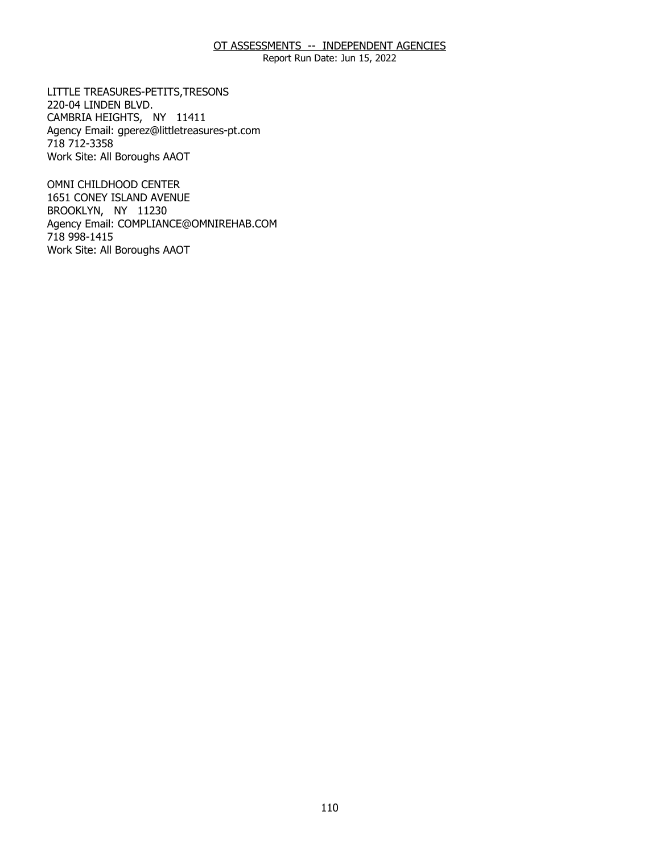Report Run Date: Jun 15, 2022

220-04 LINDEN BLVD. 220-04 LINDEN BLVD.<br>CAMBRIA HEIGHTS, NY 11411 LITTLE TREASURES-PETITS,TRESONS Agency Email: [gperez@littletreasures-pt.com](mailto:gperez@littletreasures-pt.com)  718 712-3358 Work Site: All Boroughs AAOT

1651 CONEY ISLAND AVENUE 1651 CONEY ISLAND AVENUE BROOKLYN, NY 11230 OMNI CHILDHOOD CENTER Agency Email: [COMPLIANCE@OMNIREHAB.COM](mailto:COMPLIANCE@OMNIREHAB.COM) 718 998-1415 Work Site: All Boroughs AAOT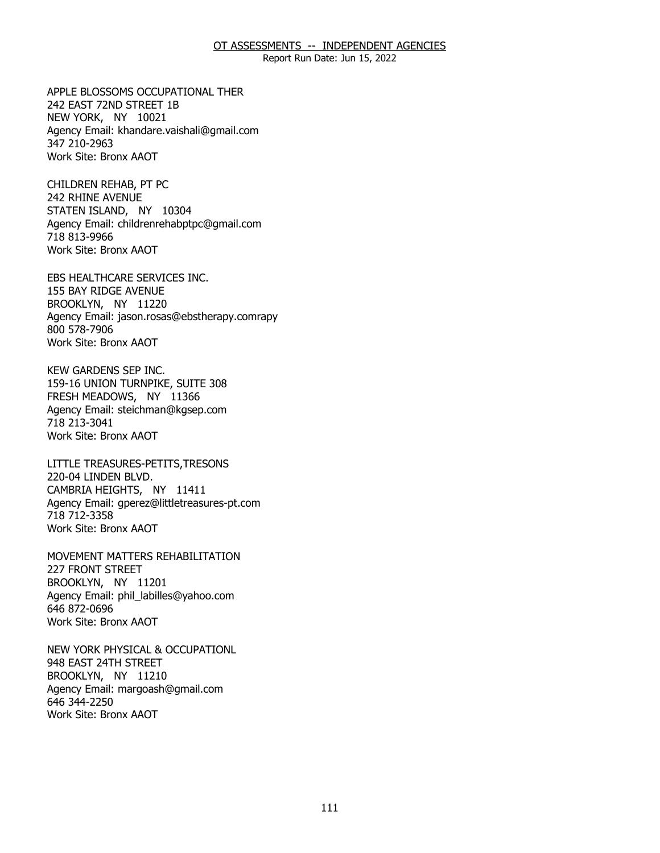Report Run Date: Jun 15, 2022

242 EAST 72ND STREET 1B 242 EAST 72ND STREET 1B<br>NEW YORK, NY 10021 APPLE BLOSSOMS OCCUPATIONAL THER Agency Email: [khandare.vaishali@gmail.com](mailto:khandare.vaishali@gmail.com) 347 210-2963 Work Site: Bronx AAOT

242 RHINE AVENUE 242 RHINE AVENUE<br>STATEN ISLAND, NY 10304 CHILDREN REHAB, PT PC Agency Email: [childrenrehabptpc@gmail.com](mailto:childrenrehabptpc@gmail.com)  718 813-9966 Work Site: Bronx AAOT

155 BAY RIDGE AVENUE 155 BAY RIDGE AVENUE<br>BROOKLYN, NY 11220 EBS HEALTHCARE SERVICES INC. Agency Email: jason.rosas@ebstherapy.comrapy 800 578-7906 Work Site: Bronx AAOT

159-16 UNION TURNPIKE, SUITE 308 159-16 UNION TURNPIKE, SUITE 308 FRESH MEADOWS, NY 11366 KEW GARDENS SEP INC. Agency Email: [steichman@kgsep.com](mailto:steichman@kgsep.com) 718 213-3041 Work Site: Bronx AAOT

220-04 LINDEN BLVD. 220-04 LINDEN BLVD.<br>CAMBRIA HEIGHTS, NY 11411 LITTLE TREASURES-PETITS,TRESONS Agency Email: [gperez@littletreasures-pt.com](mailto:gperez@littletreasures-pt.com)  718 712-3358 Work Site: Bronx AAOT

227 FRONT STREET 227 FRONT STREET<br>BROOKLYN, NY 11201 MOVEMENT MATTERS REHABILITATION Agency Email: [phil\\_labilles@yahoo.com](mailto:phil_labilles@yahoo.com) 646 872-0696 Work Site: Bronx AAOT

948 EAST 24TH STREET 948 EAST 24TH STREET<br>BROOKLYN, NY 11210 NEW YORK PHYSICAL & OCCUPATIONL Agency Email: [margoash@gmail.com](mailto:margoash@gmail.com) 646 344-2250 Work Site: Bronx AAOT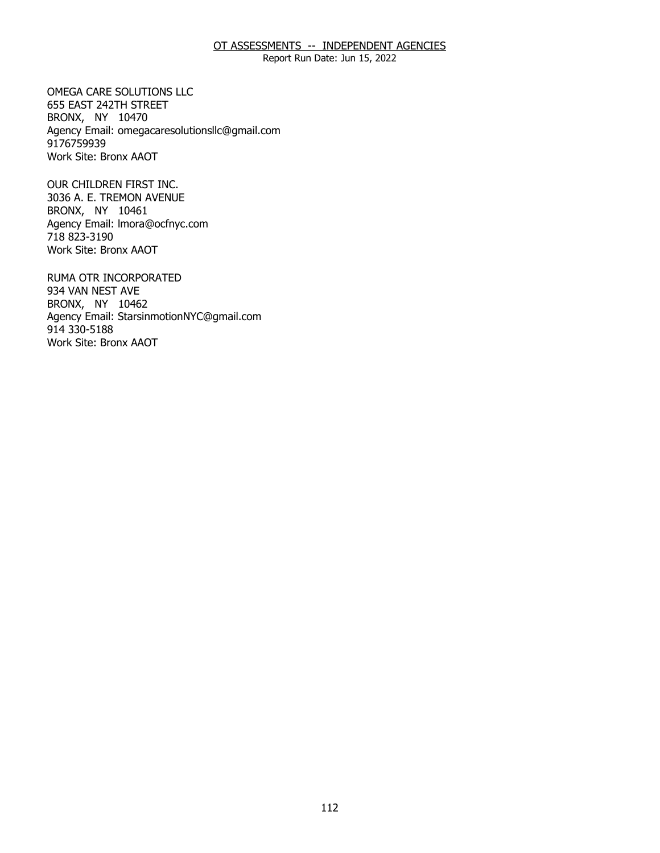Report Run Date: Jun 15, 2022

655 EAST 242TH STREET 655 EAST 242TH STREET<br>BRONX, NY 10470 OMEGA CARE SOLUTIONS LLC Agency Email: [omegacaresolutionsllc@gmail.com](mailto:omegacaresolutionsllc@gmail.com) 9176759939 Work Site: Bronx AAOT

3036 A. E. TREMON AVENUE<br>BRONX, NY 10461 BRONX, NY 10461 OUR CHILDREN FIRST INC. Agency Email: [lmora@ocfnyc.com](mailto:lmora@ocfnyc.com) 718 823-3190 Work Site: Bronx AAOT

934 VAN NEST AVE 934 VAN NEST AVE<br>BRONX, NY 10462 RUMA OTR INCORPORATED Agency Email: [StarsinmotionNYC@gmail.com](mailto:StarsinmotionNYC@gmail.com)  914 330-5188 Work Site: Bronx AAOT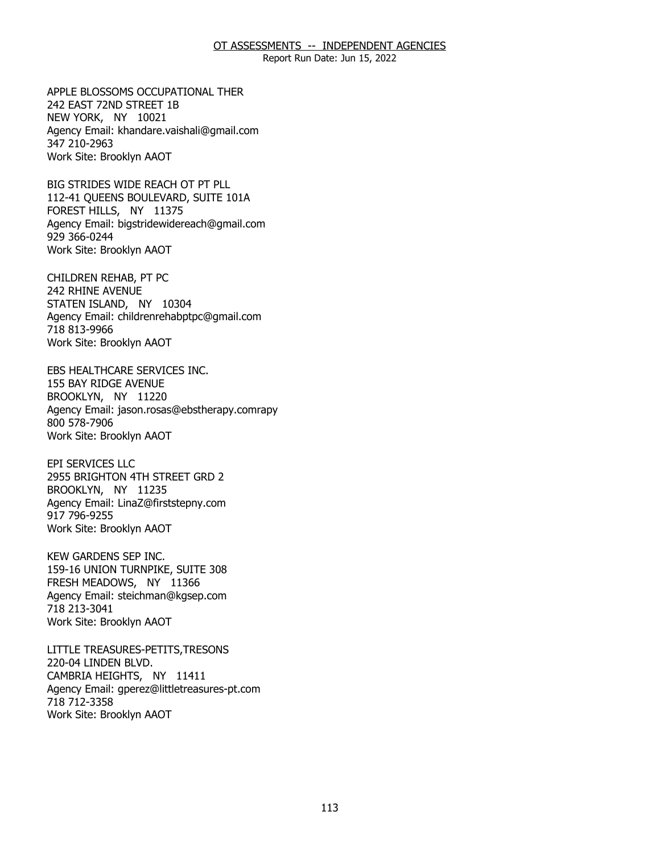Report Run Date: Jun 15, 2022

242 EAST 72ND STREET 1B 242 EAST 72ND STREET 1B<br>NEW YORK, NY 10021 APPLE BLOSSOMS OCCUPATIONAL THER Agency Email: [khandare.vaishali@gmail.com](mailto:khandare.vaishali@gmail.com) 347 210-2963 Work Site: Brooklyn AAOT

 112-41 QUEENS BOULEVARD, SUITE 101A FOREST HILLS, NY 11375 FOREST HILLS, NY 11375 BIG STRIDES WIDE REACH OT PT PLL Agency Email: [bigstridewidereach@gmail.com](mailto:bigstridewidereach@gmail.com) 929 366-0244 Work Site: Brooklyn AAOT

242 RHINE AVENUE 242 RHINE AVENUE<br>STATEN ISLAND, NY 10304 CHILDREN REHAB, PT PC Agency Email: [childrenrehabptpc@gmail.com](mailto:childrenrehabptpc@gmail.com)  718 813-9966 Work Site: Brooklyn AAOT

155 BAY RIDGE AVENUE 155 BAY RIDGE AVENUE<br>BROOKLYN, NY 11220 EBS HEALTHCARE SERVICES INC. Agency Email: jason.rosas@ebstherapy.comrapy 800 578-7906 Work Site: Brooklyn AAOT

2955 BRIGHTON 4TH STREET GRD 2<br>BROOKLYN, NY 11235 BROOKLYN, NY 11235 EPI SERVICES LLC Agency Email: [LinaZ@firststepny.com](mailto:LinaZ@firststepny.com)  917 796-9255 Work Site: Brooklyn AAOT

 159-16 UNION TURNPIKE, SUITE 308 FRESH MEADOWS, NY 11366 FRESH MEADOWS, NY 11366 KEW GARDENS SEP INC. Agency Email: [steichman@kgsep.com](mailto:steichman@kgsep.com) 718 213-3041 Work Site: Brooklyn AAOT

220-04 LINDEN BLVD. 220-04 LINDEN BLVD.<br>CAMBRIA HEIGHTS, NY 11411 LITTLE TREASURES-PETITS,TRESONS Agency Email: [gperez@littletreasures-pt.com](mailto:gperez@littletreasures-pt.com)  718 712-3358 Work Site: Brooklyn AAOT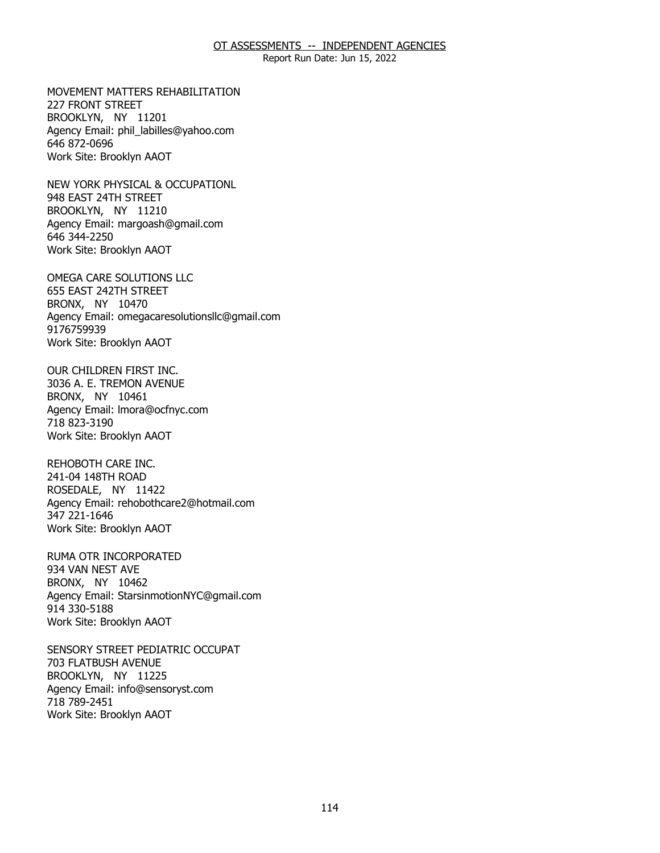Report Run Date: Jun 15, 2022

227 FRONT STREET 227 FRONT STREET<br>BROOKLYN, NY 11201 MOVEMENT MATTERS REHABILITATION Agency Email: [phil\\_labilles@yahoo.com](mailto:phil_labilles@yahoo.com) 646 872-0696 Work Site: Brooklyn AAOT

948 EAST 24TH STREET 948 EAST 24TH STREET<br>BROOKLYN, NY 11210 NEW YORK PHYSICAL & OCCUPATIONL Agency Email: [margoash@gmail.com](mailto:margoash@gmail.com) 646 344-2250 Work Site: Brooklyn AAOT

655 EAST 242TH STREET<br>BRONX, NY 10470 BRONX, NY 10470 OMEGA CARE SOLUTIONS LLC Agency Email: [omegacaresolutionsllc@gmail.com](mailto:omegacaresolutionsllc@gmail.com) 9176759939 Work Site: Brooklyn AAOT

 3036 A. E. TREMON AVENUE BRONX, NY 10461 BRONX, NY 10461 OUR CHILDREN FIRST INC. Agency Email: [lmora@ocfnyc.com](mailto:lmora@ocfnyc.com) 718 823-3190 Work Site: Brooklyn AAOT

241-04 148TH ROAD 241-04 148TH ROAD<br>ROSEDALE, NY 11422 REHOBOTH CARE INC. Agency Email: [rehobothcare2@hotmail.com](mailto:rehobothcare2@hotmail.com) 347 221-1646 Work Site: Brooklyn AAOT

934 VAN NEST AVE 934 VAN NEST AVE<br>BRONX, NY 10462 RUMA OTR INCORPORATED Agency Email: [StarsinmotionNYC@gmail.com](mailto:StarsinmotionNYC@gmail.com)  914 330-5188 Work Site: Brooklyn AAOT

**703 FLATBUSH AVENUE** 703 FLATBUSH AVENUE<br>BROOKLYN, NY 11225 SENSORY STREET PEDIATRIC OCCUPAT Agency Email: [info@sensoryst.com](mailto:info@sensoryst.com)  718 789-2451 Work Site: Brooklyn AAOT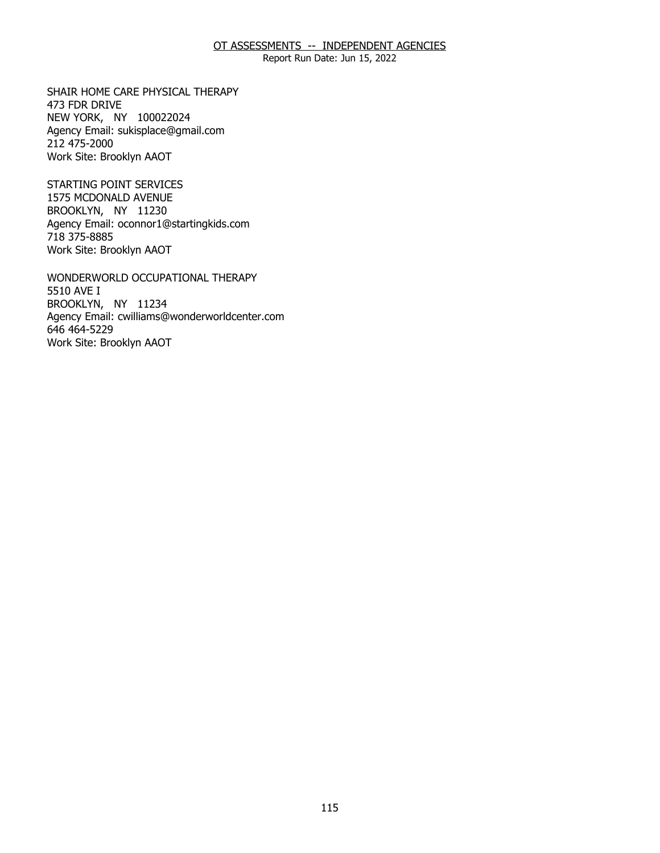Report Run Date: Jun 15, 2022

473 FDR DRIVE 473 FDR DRIVE<br>NEW YORK, NY 100022024 SHAIR HOME CARE PHYSICAL THERAPY Agency Email: [sukisplace@gmail.com](mailto:sukisplace@gmail.com) 212 475-2000 Work Site: Brooklyn AAOT

1575 MCDONALD AVENUE 1575 MCDONALD AVENUE BROOKLYN, NY 11230 STARTING POINT SERVICES Agency Email: [oconnor1@startingkids.com](mailto:oconnor1@startingkids.com)  718 375-8885 Work Site: Brooklyn AAOT

5510 AVE I 5510 AVE I<br>BROOKLYN, NY 11234 WONDERWORLD OCCUPATIONAL THERAPY Agency Email: [cwilliams@wonderworldcenter.com](mailto:cwilliams@wonderworldcenter.com)  646 464-5229 Work Site: Brooklyn AAOT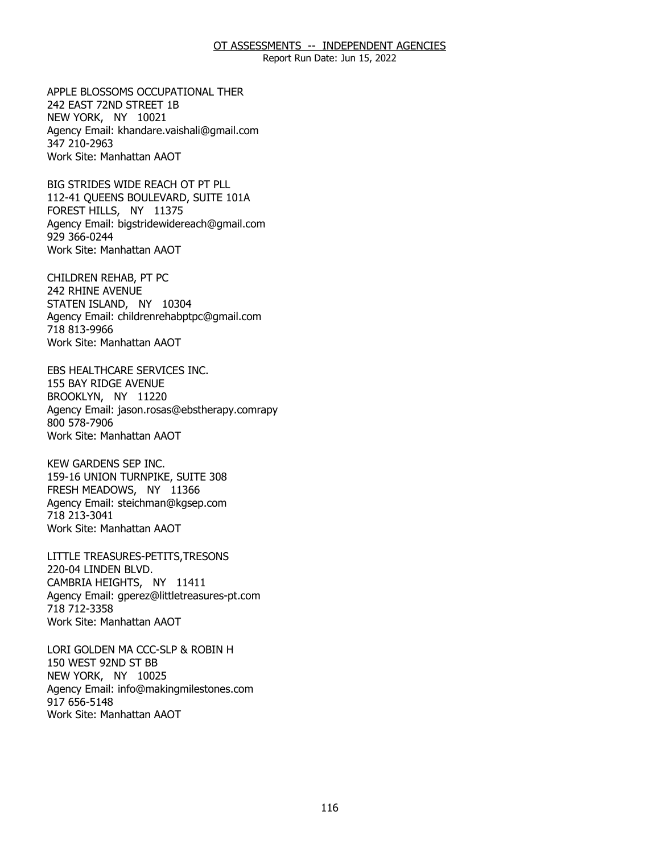Report Run Date: Jun 15, 2022

242 EAST 72ND STREET 1B 242 EAST 72ND STREET 1B<br>NEW YORK, NY 10021 APPLE BLOSSOMS OCCUPATIONAL THER Agency Email: [khandare.vaishali@gmail.com](mailto:khandare.vaishali@gmail.com) 347 210-2963 Work Site: Manhattan AAOT

 112-41 QUEENS BOULEVARD, SUITE 101A FOREST HILLS, NY 11375 FOREST HILLS, NY 11375 BIG STRIDES WIDE REACH OT PT PLL Agency Email: [bigstridewidereach@gmail.com](mailto:bigstridewidereach@gmail.com) 929 366-0244 Work Site: Manhattan AAOT

242 RHINE AVENUE 242 RHINE AVENUE<br>STATEN ISLAND, NY 10304 CHILDREN REHAB, PT PC Agency Email: [childrenrehabptpc@gmail.com](mailto:childrenrehabptpc@gmail.com)  718 813-9966 Work Site: Manhattan AAOT

155 BAY RIDGE AVENUE 155 BAY RIDGE AVENUE<br>BROOKLYN, NY 11220 EBS HEALTHCARE SERVICES INC. Agency Email: jason.rosas@ebstherapy.comrapy 800 578-7906 Work Site: Manhattan AAOT

159-16 UNION TURNPIKE, SUITE 308 159-16 UNION TURNPIKE, SUITE 308 FRESH MEADOWS, NY 11366 KEW GARDENS SEP INC. Agency Email: [steichman@kgsep.com](mailto:steichman@kgsep.com) 718 213-3041 Work Site: Manhattan AAOT

220-04 LINDEN BLVD. 220-04 LINDEN BLVD.<br>CAMBRIA HEIGHTS, NY 11411 LITTLE TREASURES-PETITS,TRESONS Agency Email: [gperez@littletreasures-pt.com](mailto:gperez@littletreasures-pt.com)  718 712-3358 Work Site: Manhattan AAOT

150 WEST 92ND ST BB 150 WEST 92ND ST BB<br>NEW YORK, NY 10025 LORI GOLDEN MA CCC-SLP & ROBIN H Agency Email: [info@makingmilestones.com](mailto:info@makingmilestones.com) 917 656-5148 Work Site: Manhattan AAOT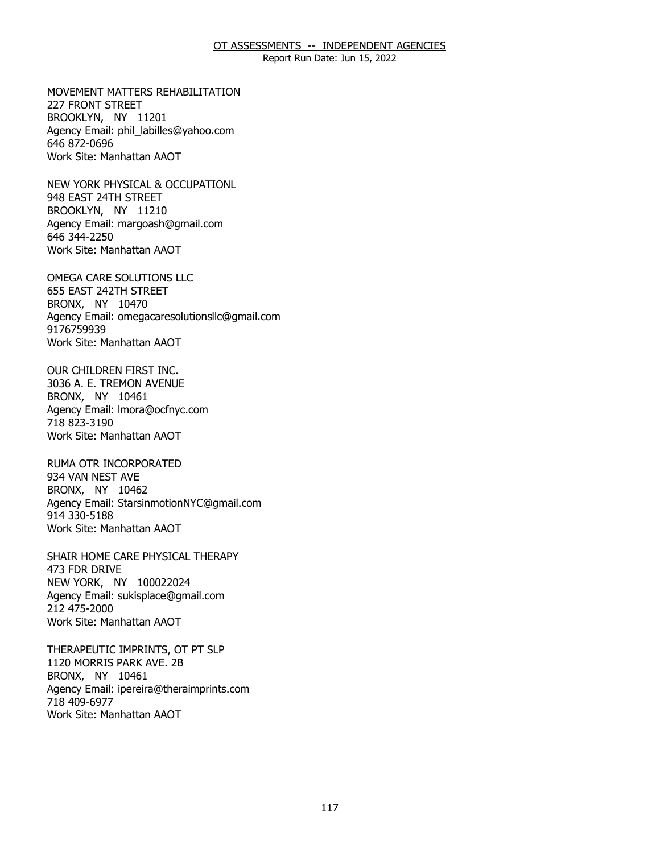Report Run Date: Jun 15, 2022

227 FRONT STREET 227 FRONT STREET<br>BROOKLYN, NY 11201 MOVEMENT MATTERS REHABILITATION Agency Email: [phil\\_labilles@yahoo.com](mailto:phil_labilles@yahoo.com) 646 872-0696 Work Site: Manhattan AAOT

948 EAST 24TH STREET 948 EAST 24TH STREET<br>BROOKLYN, NY 11210 NEW YORK PHYSICAL & OCCUPATIONL Agency Email: [margoash@gmail.com](mailto:margoash@gmail.com) 646 344-2250 Work Site: Manhattan AAOT

655 EAST 242TH STREET<br>BRONX, NY 10470 BRONX, NY 10470 OMEGA CARE SOLUTIONS LLC Agency Email: [omegacaresolutionsllc@gmail.com](mailto:omegacaresolutionsllc@gmail.com) 9176759939 Work Site: Manhattan AAOT

 3036 A. E. TREMON AVENUE BRONX, NY 10461 BRONX, NY 10461 OUR CHILDREN FIRST INC. Agency Email: [lmora@ocfnyc.com](mailto:lmora@ocfnyc.com) 718 823-3190 Work Site: Manhattan AAOT

934 VAN NEST AVE 934 VAN NEST AVE<br>BRONX, NY 10462 RUMA OTR INCORPORATED Agency Email: [StarsinmotionNYC@gmail.com](mailto:StarsinmotionNYC@gmail.com)  914 330-5188 Work Site: Manhattan AAOT

473 FDR DRIVE 473 FDR DRIVE<br>NEW YORK, NY 100022024 SHAIR HOME CARE PHYSICAL THERAPY Agency Email: [sukisplace@gmail.com](mailto:sukisplace@gmail.com) 212 475-2000 Work Site: Manhattan AAOT

1120 MORRIS PARK AVE, 2B 1120 MORRIS PARK AVE. 2B<br>BRONX, NY 10461 THERAPEUTIC IMPRINTS, OT PT SLP Agency Email: [ipereira@theraimprints.com](mailto:ipereira@theraimprints.com) 718 409-6977 Work Site: Manhattan AAOT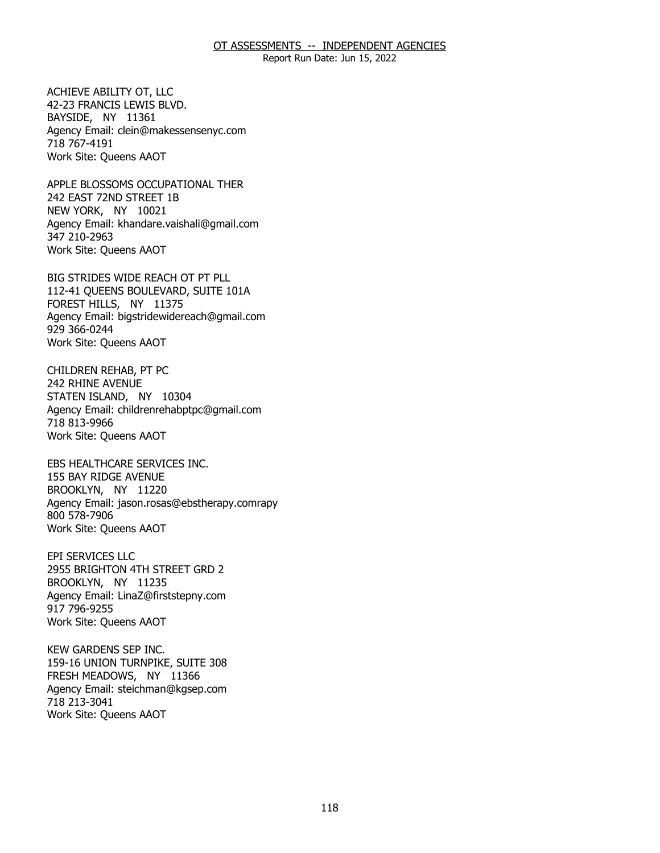Report Run Date: Jun 15, 2022

42-23 FRANCIS LEWIS BLVD.<br>BAYSIDE, NY 11361 BAYSIDE, NY 11361 ACHIEVE ABILITY OT, LLC Agency Email: [clein@makessensenyc.com](mailto:clein@makessensenyc.com) 718 767-4191 Work Site: Queens AAOT

242 EAST 72ND STREET 1B 242 EAST 72ND STREET 1B<br>NEW YORK, NY 10021 APPLE BLOSSOMS OCCUPATIONAL THER Agency Email: [khandare.vaishali@gmail.com](mailto:khandare.vaishali@gmail.com) 347 210-2963 Work Site: Queens AAOT

 112-41 QUEENS BOULEVARD, SUITE 101A FOREST HILLS, NY 11375 FOREST HILLS, NY 11375 BIG STRIDES WIDE REACH OT PT PLL Agency Email: [bigstridewidereach@gmail.com](mailto:bigstridewidereach@gmail.com) 929 366-0244 Work Site: Queens AAOT

**242 RHINE AVENUE** 242 RHINE AVENUE<br>STATEN ISLAND, NY 10304 CHILDREN REHAB, PT PC Agency Email: [childrenrehabptpc@gmail.com](mailto:childrenrehabptpc@gmail.com)  718 813-9966 Work Site: Queens AAOT

155 BAY RIDGE AVENUE 155 BAY RIDGE AVENUE<br>BROOKLYN, NY 11220 EBS HEALTHCARE SERVICES INC. Agency Email: jason.rosas@ebstherapy.comrapy 800 578-7906 Work Site: Queens AAOT

2955 BRIGHTON 4TH STREET GRD 2<br>BROOKLYN, NY 11235 BROOKLYN, NY 11235 EPI SERVICES LLC Agency Email: [LinaZ@firststepny.com](mailto:LinaZ@firststepny.com)  917 796-9255 Work Site: Queens AAOT

159-16 UNION TURNPIKE, SUITE 308 159-16 UNION TURNPIKE, SUITE 308 FRESH MEADOWS, NY 11366 KEW GARDENS SEP INC. Agency Email: [steichman@kgsep.com](mailto:steichman@kgsep.com) 718 213-3041 Work Site: Queens AAOT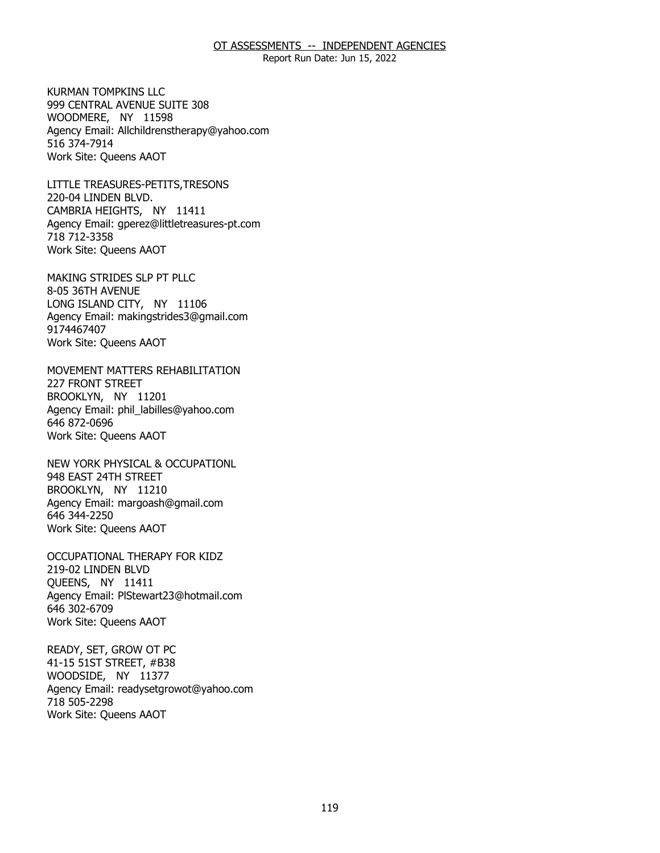Report Run Date: Jun 15, 2022

999 CENTRAL AVENUE SUITE 308 999 CENTRAL AVENUE SUITE 308 WOODMERE, NY 11598 KURMAN TOMPKINS LLC Agency Email: [Allchildrenstherapy@yahoo.com](mailto:Allchildrenstherapy@yahoo.com)  516 374-7914 Work Site: Queens AAOT

220-04 LINDEN BLVD. 220-04 LINDEN BLVD.<br>CAMBRIA HEIGHTS, NY 11411 LITTLE TREASURES-PETITS,TRESONS Agency Email: [gperez@littletreasures-pt.com](mailto:gperez@littletreasures-pt.com)  718 712-3358 Work Site: Queens AAOT

8-05 36TH AVENUE 8-05 36TH AVENUE<br>LONG ISLAND CITY, NY 11106 MAKING STRIDES SLP PT PLLC Agency Email: [makingstrides3@gmail.com](mailto:makingstrides3@gmail.com) 9174467407 Work Site: Queens AAOT

**227 FRONT STREET** 227 FRONT STREET<br>BROOKLYN, NY 11201 MOVEMENT MATTERS REHABILITATION Agency Email: [phil\\_labilles@yahoo.com](mailto:phil_labilles@yahoo.com) 646 872-0696 Work Site: Queens AAOT

948 EAST 24TH STREET 948 EAST 24TH STREET<br>BROOKLYN, NY 11210 NEW YORK PHYSICAL & OCCUPATIONL Agency Email: [margoash@gmail.com](mailto:margoash@gmail.com) 646 344-2250 Work Site: Queens AAOT

219-02 LINDEN BLVD 219-02 LINDEN BLVD<br>QUEENS, NY 11411 OCCUPATIONAL THERAPY FOR KIDZ Agency Email: [PlStewart23@hotmail.com](mailto:PlStewart23@hotmail.com)  646 302-6709 Work Site: Queens AAOT

41-15 51ST STREET, #B38 41-15 51ST STREET, #B38 WOODSIDE, NY 11377 READY, SET, GROW OT PC Agency Email: [readysetgrowot@yahoo.com](mailto:readysetgrowot@yahoo.com) 718 505-2298 Work Site: Queens AAOT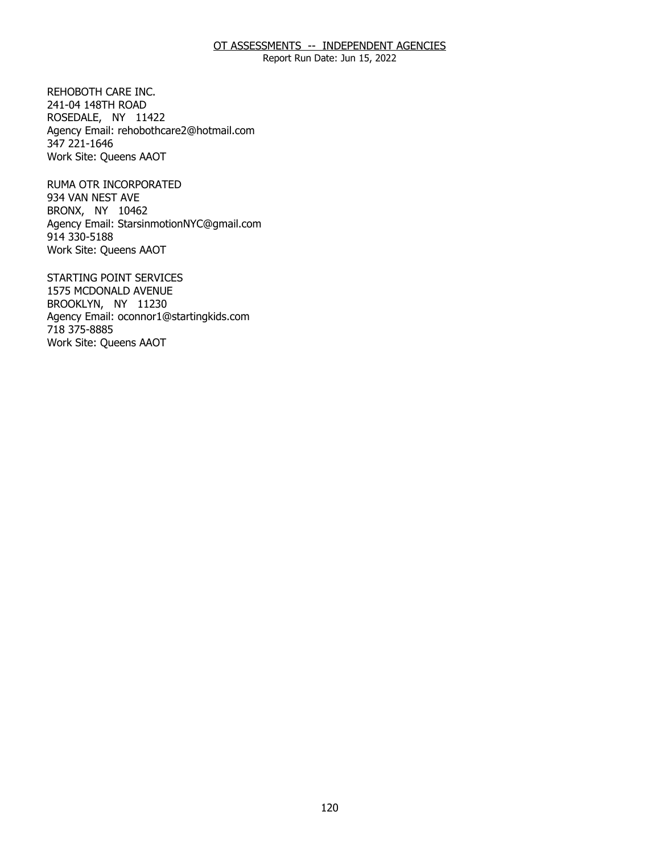Report Run Date: Jun 15, 2022

241-04 148TH ROAD 241-04 148TH ROAD<br>ROSEDALE, NY 11422 REHOBOTH CARE INC. Agency Email: [rehobothcare2@hotmail.com](mailto:rehobothcare2@hotmail.com) 347 221-1646 Work Site: Queens AAOT

934 VAN NEST AVE 934 VAN NEST AVE<br>BRONX, NY 10462 RUMA OTR INCORPORATED Agency Email: [StarsinmotionNYC@gmail.com](mailto:StarsinmotionNYC@gmail.com)  914 330-5188 Work Site: Queens AAOT

1575 MCDONALD AVENUE 1575 MCDONALD AVENUE BROOKLYN, NY 11230 STARTING POINT SERVICES Agency Email: [oconnor1@startingkids.com](mailto:oconnor1@startingkids.com)  718 375-8885 Work Site: Queens AAOT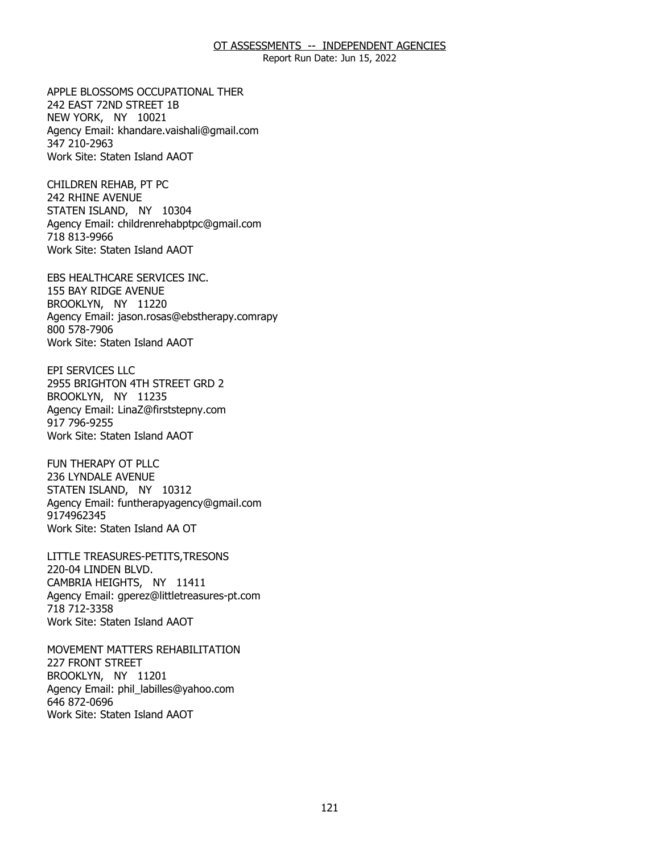Report Run Date: Jun 15, 2022

242 EAST 72ND STREET 1B 242 EAST 72ND STREET 1B<br>NEW YORK, NY 10021 APPLE BLOSSOMS OCCUPATIONAL THER Agency Email: [khandare.vaishali@gmail.com](mailto:khandare.vaishali@gmail.com) 347 210-2963 Work Site: Staten Island AAOT

242 RHINE AVENUE 242 RHINE AVENUE<br>STATEN ISLAND, NY 10304 CHILDREN REHAB, PT PC Agency Email: [childrenrehabptpc@gmail.com](mailto:childrenrehabptpc@gmail.com)  718 813-9966 Work Site: Staten Island AAOT

155 BAY RIDGE AVENUE<br>BROOKLYN, NY 11220 BROOKLYN, NY 11220 EBS HEALTHCARE SERVICES INC. Agency Email: jason.rosas@ebstherapy.comrapy 800 578-7906 Work Site: Staten Island AAOT

2955 BRIGHTON 4TH STREET GRD 2<br>BROOKLYN, NY 11235 BROOKLYN, NY 11235 EPI SERVICES LLC Agency Email: [LinaZ@firststepny.com](mailto:LinaZ@firststepny.com)  917 796-9255 Work Site: Staten Island AAOT

236 LYNDALE AVENUE 236 LYNDALE AVENUE<br>STATEN ISLAND, NY 10312 FUN THERAPY OT PLLC Agency Email: [funtherapyagency@gmail.com](mailto:funtherapyagency@gmail.com)  9174962345 Work Site: Staten Island AA OT

220-04 LINDEN BLVD. 220-04 LINDEN BLVD.<br>CAMBRIA HEIGHTS, NY 11411 LITTLE TREASURES-PETITS,TRESONS Agency Email: [gperez@littletreasures-pt.com](mailto:gperez@littletreasures-pt.com)  718 712-3358 Work Site: Staten Island AAOT

**227 FRONT STREET** 227 FRONT STREET<br>BROOKLYN, NY 11201 MOVEMENT MATTERS REHABILITATION Agency Email: [phil\\_labilles@yahoo.com](mailto:phil_labilles@yahoo.com) 646 872-0696 Work Site: Staten Island AAOT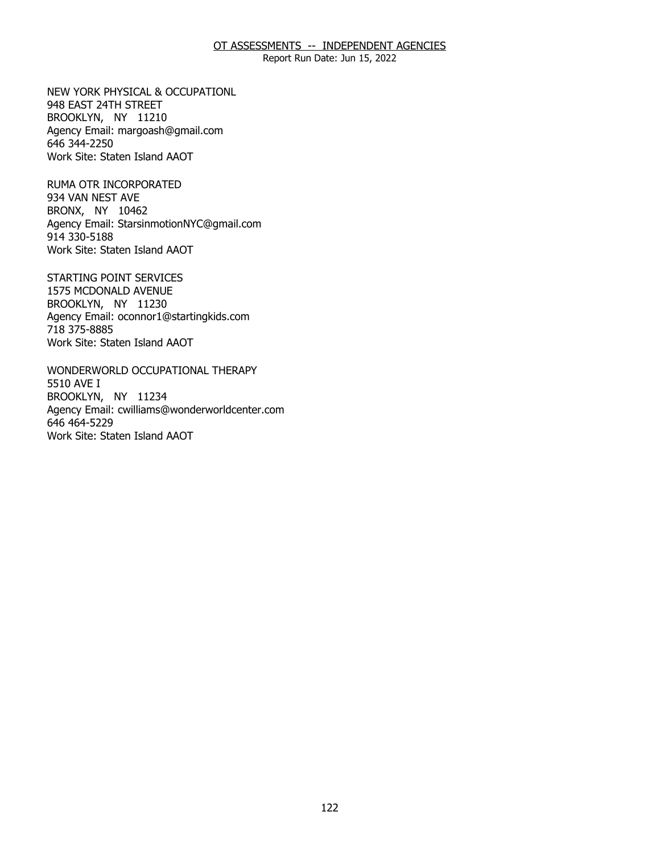Report Run Date: Jun 15, 2022

948 EAST 24TH STREET 948 EAST 24TH STREET<br>BROOKLYN, NY 11210 NEW YORK PHYSICAL & OCCUPATIONL Agency Email: [margoash@gmail.com](mailto:margoash@gmail.com) 646 344-2250 Work Site: Staten Island AAOT

934 VAN NEST AVE 934 VAN NEST AVE<br>BRONX, NY 10462 RUMA OTR INCORPORATED Agency Email: [StarsinmotionNYC@gmail.com](mailto:StarsinmotionNYC@gmail.com)  914 330-5188 Work Site: Staten Island AAOT

1575 MCDONALD AVENUE 1575 MCDONALD AVENUE BROOKLYN, NY 11230 STARTING POINT SERVICES Agency Email: [oconnor1@startingkids.com](mailto:oconnor1@startingkids.com)  718 375-8885 Work Site: Staten Island AAOT

5510 AVE I 5510 AVE I<br>BROOKLYN, NY 11234 WONDERWORLD OCCUPATIONAL THERAPY Agency Email: [cwilliams@wonderworldcenter.com](mailto:cwilliams@wonderworldcenter.com)  646 464-5229 Work Site: Staten Island AAOT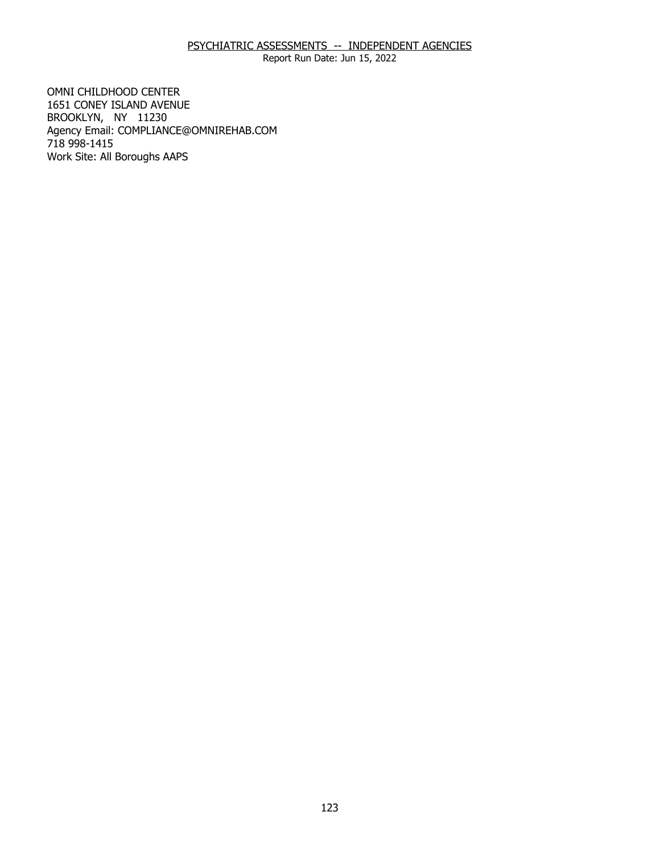# PSYCHIATRIC ASSESSMENTS -- INDEPENDENT AGENCIES

Report Run Date: Jun 15, 2022

1651 CONEY ISLAND AVENUE 1651 CONEY ISLAND AVENUE BROOKLYN, NY 11230 OMNI CHILDHOOD CENTER Agency Email: [COMPLIANCE@OMNIREHAB.COM](mailto:COMPLIANCE@OMNIREHAB.COM) 718 998-1415 Work Site: All Boroughs AAPS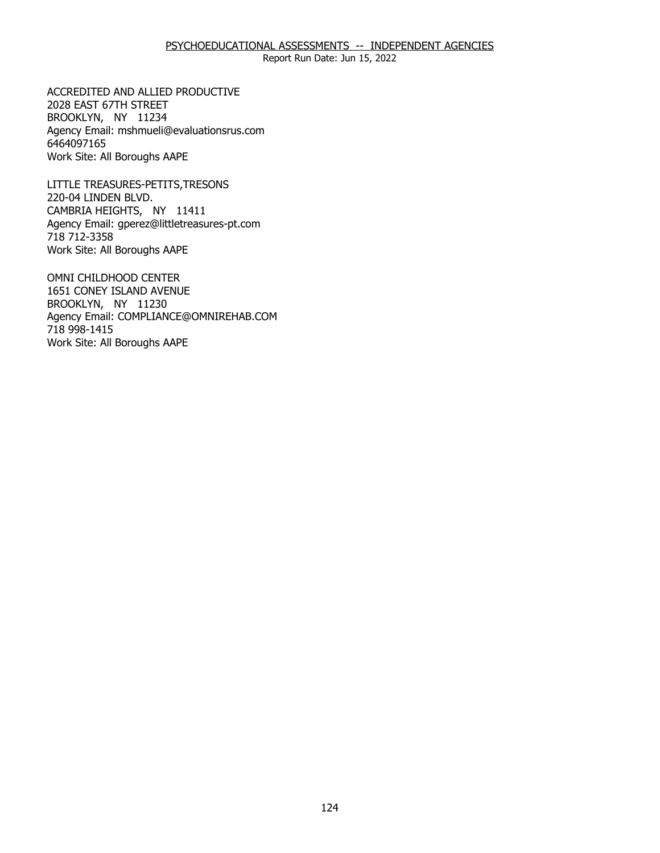## PSYCHOEDUCATIONAL ASSESSMENTS -- INDEPENDENT AGENCIES

Report Run Date: Jun 15, 2022

2028 EAST 67TH STREET 2028 EAST 67TH STREET<br>BROOKLYN, NY 11234 ACCREDITED AND ALLIED PRODUCTIVE Agency Email: [mshmueli@evaluationsrus.com](mailto:mshmueli@evaluationsrus.com)  6464097165 Work Site: All Boroughs AAPE

220-04 LINDEN BLVD. 220-04 LINDEN BLVD.<br>CAMBRIA HEIGHTS, NY 11411 LITTLE TREASURES-PETITS,TRESONS Agency Email: [gperez@littletreasures-pt.com](mailto:gperez@littletreasures-pt.com)  718 712-3358 Work Site: All Boroughs AAPE

 1651 CONEY ISLAND AVENUE BROOKLYN, NY 11230 BROOKLYN, NY 11230 OMNI CHILDHOOD CENTER Agency Email: [COMPLIANCE@OMNIREHAB.COM](mailto:COMPLIANCE@OMNIREHAB.COM) 718 998-1415 Work Site: All Boroughs AAPE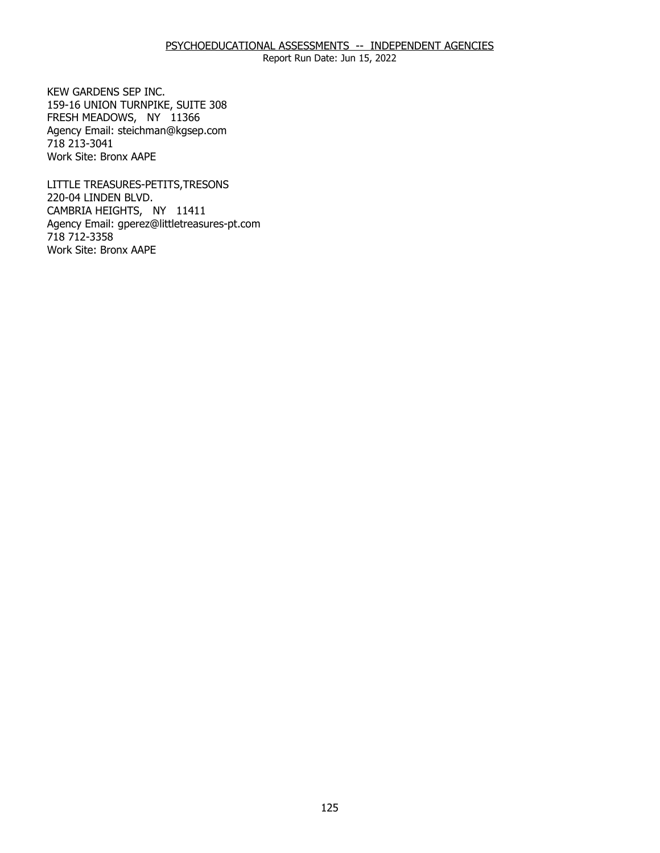Report Run Date: Jun 15, 2022

159-16 UNION TURNPIKE, SUITE 308 159-16 UNION TURNPIKE, SUITE 308 FRESH MEADOWS, NY 11366 KEW GARDENS SEP INC. Agency Email: [steichman@kgsep.com](mailto:steichman@kgsep.com) 718 213-3041 Work Site: Bronx AAPE

220-04 LINDEN BLVD. 220-04 LINDEN BLVD.<br>CAMBRIA HEIGHTS, NY 11411 LITTLE TREASURES-PETITS,TRESONS Agency Email: [gperez@littletreasures-pt.com](mailto:gperez@littletreasures-pt.com)  718 712-3358 Work Site: Bronx AAPE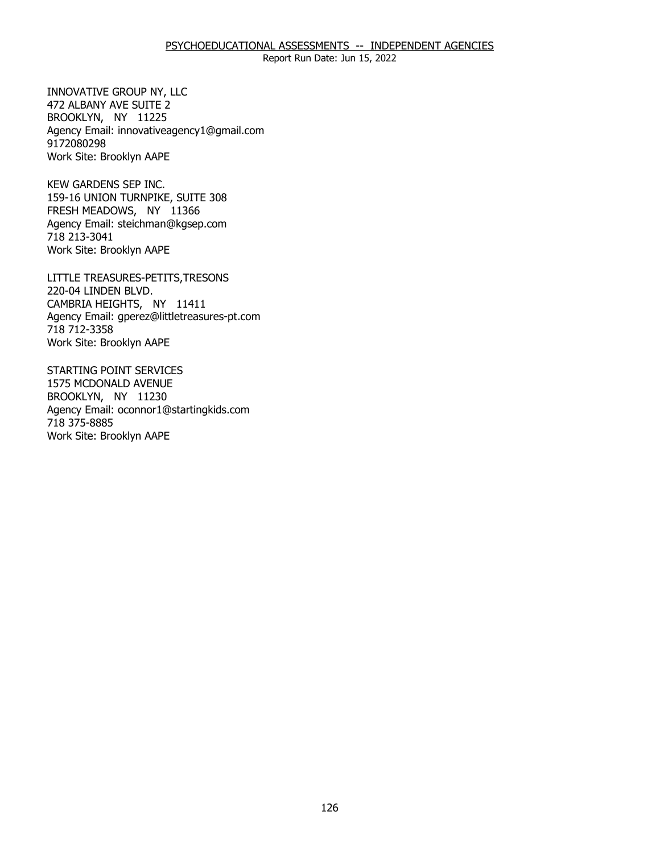### PSYCHOEDUCATIONAL ASSESSMENTS -- INDEPENDENT AGENCIES

Report Run Date: Jun 15, 2022

472 ALBANY AVE SUITE 2 472 ALBANY AVE SUITE 2<br>BROOKLYN, NY 11225 INNOVATIVE GROUP NY, LLC Agency Email: [innovativeagency1@gmail.com](mailto:innovativeagency1@gmail.com) 9172080298 Work Site: Brooklyn AAPE

159-16 UNION TURNPIKE, SUITE 308 159-16 UNION TURNPIKE, SUITE 308 FRESH MEADOWS, NY 11366 KEW GARDENS SEP INC. Agency Email: [steichman@kgsep.com](mailto:steichman@kgsep.com) 718 213-3041 Work Site: Brooklyn AAPE

220-04 LINDEN BLVD. 220-04 LINDEN BLVD.<br>CAMBRIA HEIGHTS, NY 11411 LITTLE TREASURES-PETITS,TRESONS Agency Email: [gperez@littletreasures-pt.com](mailto:gperez@littletreasures-pt.com)  718 712-3358 Work Site: Brooklyn AAPE

1575 MCDONALD AVENUE 1575 MCDONALD AVENUE BROOKLYN, NY 11230 STARTING POINT SERVICES Agency Email: [oconnor1@startingkids.com](mailto:oconnor1@startingkids.com)  718 375-8885 Work Site: Brooklyn AAPE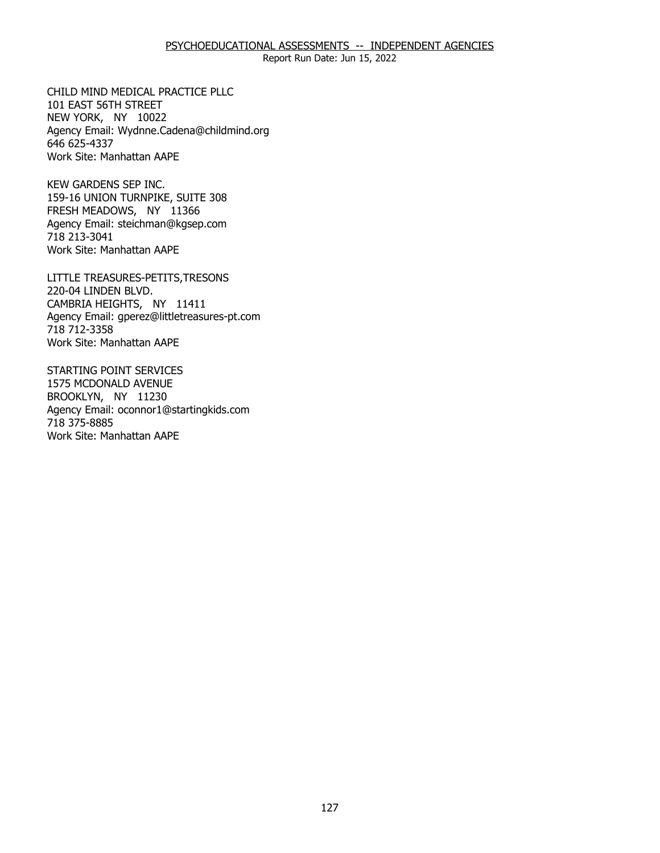### PSYCHOEDUCATIONAL ASSESSMENTS -- INDEPENDENT AGENCIES

Report Run Date: Jun 15, 2022

101 EAST 56TH STREET 101 EAST 56TH STREET NEW YORK, NY 10022 CHILD MIND MEDICAL PRACTICE PLLC Agency Email: [Wydnne.Cadena@childmind.org](mailto:Wydnne.Cadena@childmind.org)  646 625-4337 Work Site: Manhattan AAPE

159-16 UNION TURNPIKE, SUITE 308 159-16 UNION TURNPIKE, SUITE 308 FRESH MEADOWS, NY 11366 KEW GARDENS SEP INC. Agency Email: [steichman@kgsep.com](mailto:steichman@kgsep.com) 718 213-3041 Work Site: Manhattan AAPE

220-04 LINDEN BLVD. 220-04 LINDEN BLVD.<br>CAMBRIA HEIGHTS, NY 11411 LITTLE TREASURES-PETITS,TRESONS Agency Email: [gperez@littletreasures-pt.com](mailto:gperez@littletreasures-pt.com)  718 712-3358 Work Site: Manhattan AAPE

1575 MCDONALD AVENUE 1575 MCDONALD AVENUE BROOKLYN, NY 11230 STARTING POINT SERVICES Agency Email: [oconnor1@startingkids.com](mailto:oconnor1@startingkids.com)  718 375-8885 Work Site: Manhattan AAPE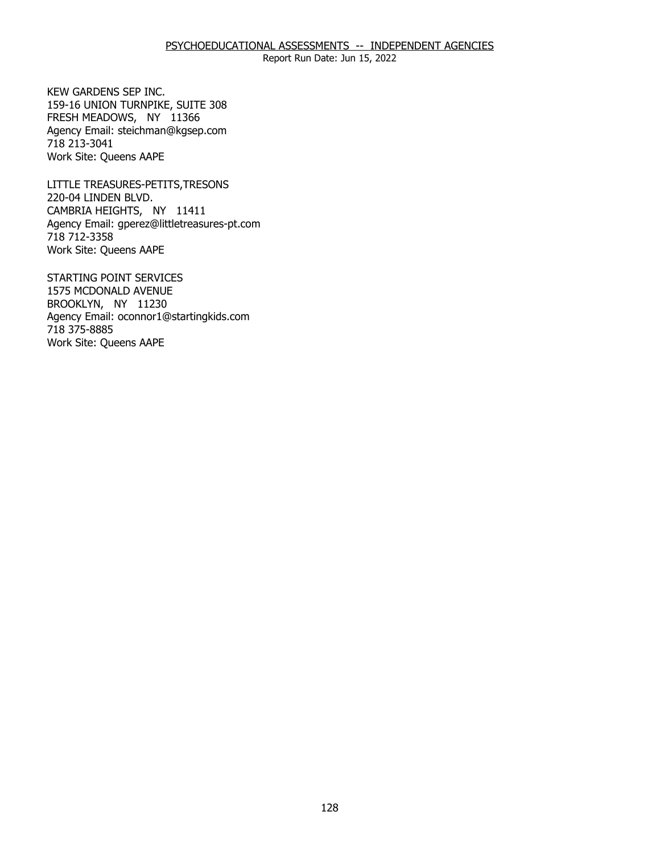Report Run Date: Jun 15, 2022

159-16 UNION TURNPIKE, SUITE 308 159-16 UNION TURNPIKE, SUITE 308 FRESH MEADOWS, NY 11366 KEW GARDENS SEP INC. Agency Email: [steichman@kgsep.com](mailto:steichman@kgsep.com) 718 213-3041 Work Site: Queens AAPE

220-04 LINDEN BLVD. 220-04 LINDEN BLVD.<br>CAMBRIA HEIGHTS, NY 11411 LITTLE TREASURES-PETITS,TRESONS Agency Email: [gperez@littletreasures-pt.com](mailto:gperez@littletreasures-pt.com)  718 712-3358 Work Site: Queens AAPE

1575 MCDONALD AVENUE 1575 MCDONALD AVENUE BROOKLYN, NY 11230 STARTING POINT SERVICES Agency Email: [oconnor1@startingkids.com](mailto:oconnor1@startingkids.com)  718 375-8885 Work Site: Queens AAPE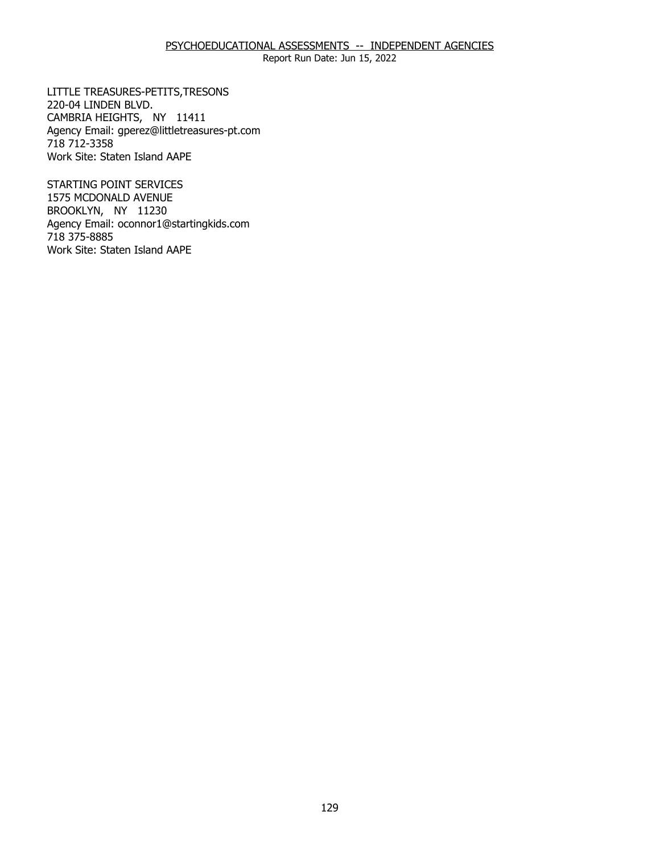# PSYCHOEDUCATIONAL ASSESSMENTS -- INDEPENDENT AGENCIES

Report Run Date: Jun 15, 2022

220-04 LINDEN BLVD. 220-04 LINDEN BLVD.<br>CAMBRIA HEIGHTS, NY 11411 LITTLE TREASURES-PETITS,TRESONS Agency Email: [gperez@littletreasures-pt.com](mailto:gperez@littletreasures-pt.com)  718 712-3358 Work Site: Staten Island AAPE

1575 MCDONALD AVENUE 1575 MCDONALD AVENUE BROOKLYN, NY 11230 STARTING POINT SERVICES Agency Email: [oconnor1@startingkids.com](mailto:oconnor1@startingkids.com)  718 375-8885 Work Site: Staten Island AAPE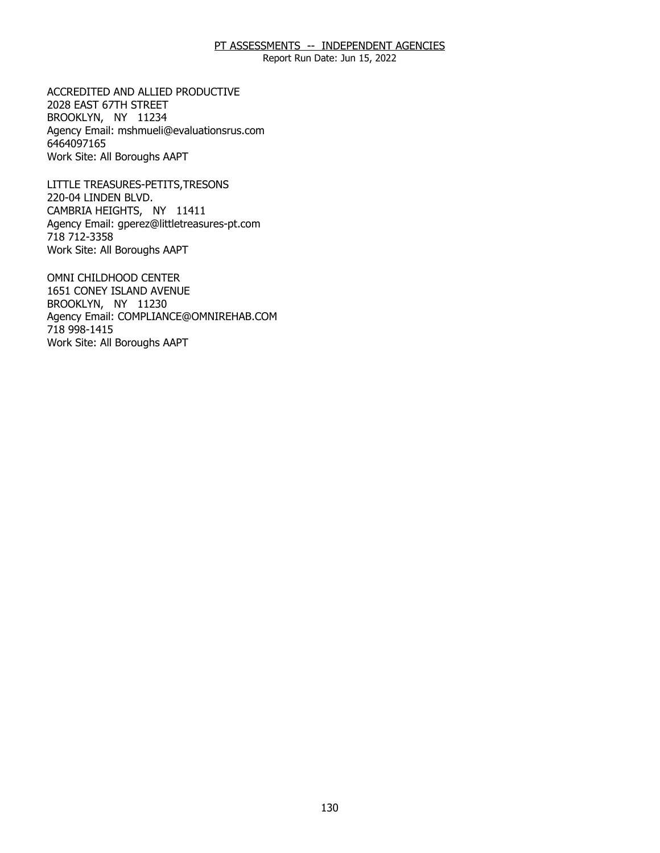Report Run Date: Jun 15, 2022

2028 EAST 67TH STREET 2028 EAST 67TH STREET<br>BROOKLYN, NY 11234 ACCREDITED AND ALLIED PRODUCTIVE Agency Email: [mshmueli@evaluationsrus.com](mailto:mshmueli@evaluationsrus.com)  6464097165 Work Site: All Boroughs AAPT

220-04 LINDEN BLVD. 220-04 LINDEN BLVD.<br>CAMBRIA HEIGHTS, NY 11411 LITTLE TREASURES-PETITS,TRESONS Agency Email: [gperez@littletreasures-pt.com](mailto:gperez@littletreasures-pt.com)  718 712-3358 Work Site: All Boroughs AAPT

 1651 CONEY ISLAND AVENUE BROOKLYN, NY 11230 BROOKLYN, NY 11230 OMNI CHILDHOOD CENTER Agency Email: [COMPLIANCE@OMNIREHAB.COM](mailto:COMPLIANCE@OMNIREHAB.COM) 718 998-1415 Work Site: All Boroughs AAPT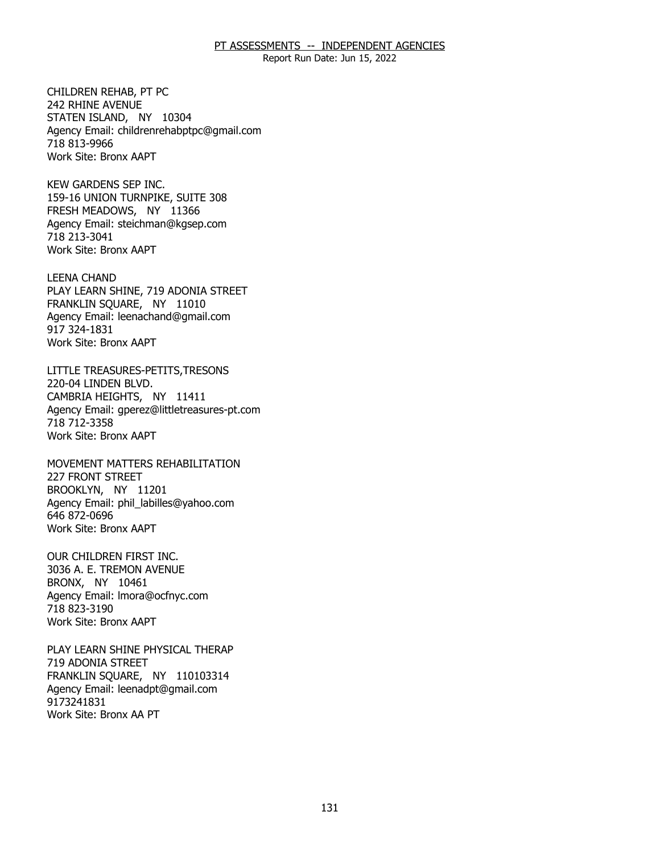Report Run Date: Jun 15, 2022

242 RHINE AVENUE 242 RHINE AVENUE<br>STATEN ISLAND, NY 10304 CHILDREN REHAB, PT PC Agency Email: [childrenrehabptpc@gmail.com](mailto:childrenrehabptpc@gmail.com)  718 813-9966 Work Site: Bronx AAPT

 159-16 UNION TURNPIKE, SUITE 308 FRESH MEADOWS, NY 11366 FRESH MEADOWS, NY 11366 KEW GARDENS SEP INC. Agency Email: [steichman@kgsep.com](mailto:steichman@kgsep.com) 718 213-3041 Work Site: Bronx AAPT

PLAY LEARN SHINE, 719 ADONIA STREET<br>FRANKLIN SQUARE, NY 11010 FRANKLIN SOUARE, NY 11010 LEENA CHAND Agency Email: [leenachand@gmail.com](mailto:leenachand@gmail.com)  917 324-1831 Work Site: Bronx AAPT

220-04 LINDEN BLVD. 220-04 LINDEN BLVD.<br>CAMBRIA HEIGHTS, NY 11411 LITTLE TREASURES-PETITS,TRESONS Agency Email: [gperez@littletreasures-pt.com](mailto:gperez@littletreasures-pt.com)  718 712-3358 Work Site: Bronx AAPT

227 FRONT STREET 227 FRONT STREET<br>BROOKLYN, NY 11201 MOVEMENT MATTERS REHABILITATION Agency Email: [phil\\_labilles@yahoo.com](mailto:phil_labilles@yahoo.com) 646 872-0696 Work Site: Bronx AAPT

3036 A. E. TREMON AVENUE<br>BRONX, NY 10461 BRONX, NY 10461 OUR CHILDREN FIRST INC. Agency Email: [lmora@ocfnyc.com](mailto:lmora@ocfnyc.com) 718 823-3190 Work Site: Bronx AAPT

719 ADONIA STREET 719 ADONIA STREET<br>FRANKLIN SQUARE, NY 110103314 PLAY LEARN SHINE PHYSICAL THERAP Agency Email: [leenadpt@gmail.com](mailto:leenadpt@gmail.com)  9173241831 Work Site: Bronx AA PT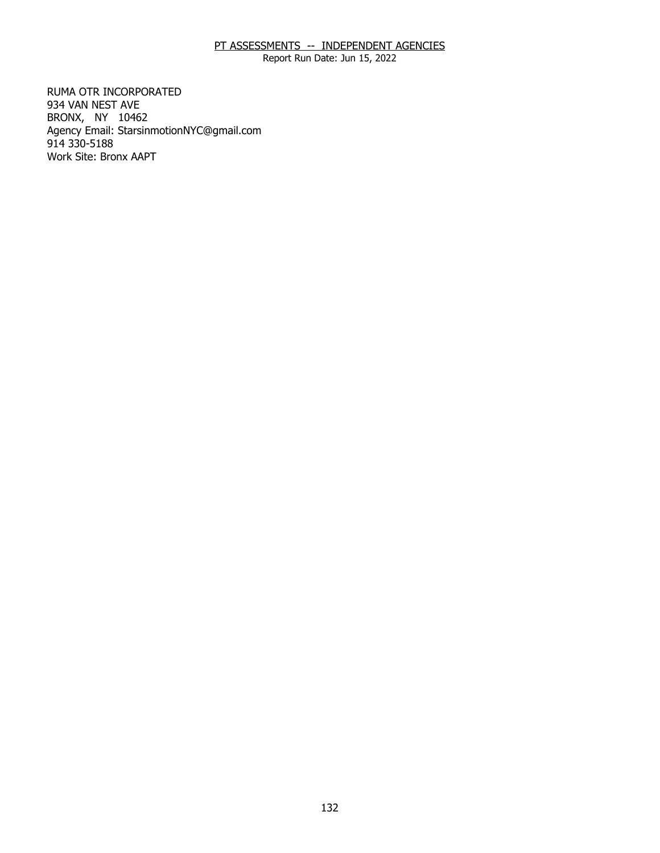Report Run Date: Jun 15, 2022

934 VAN NEST AVE 934 VAN NEST AVE<br>BRONX, NY 10462 RUMA OTR INCORPORATED Agency Email: [StarsinmotionNYC@gmail.com](mailto:StarsinmotionNYC@gmail.com)  914 330-5188 Work Site: Bronx AAPT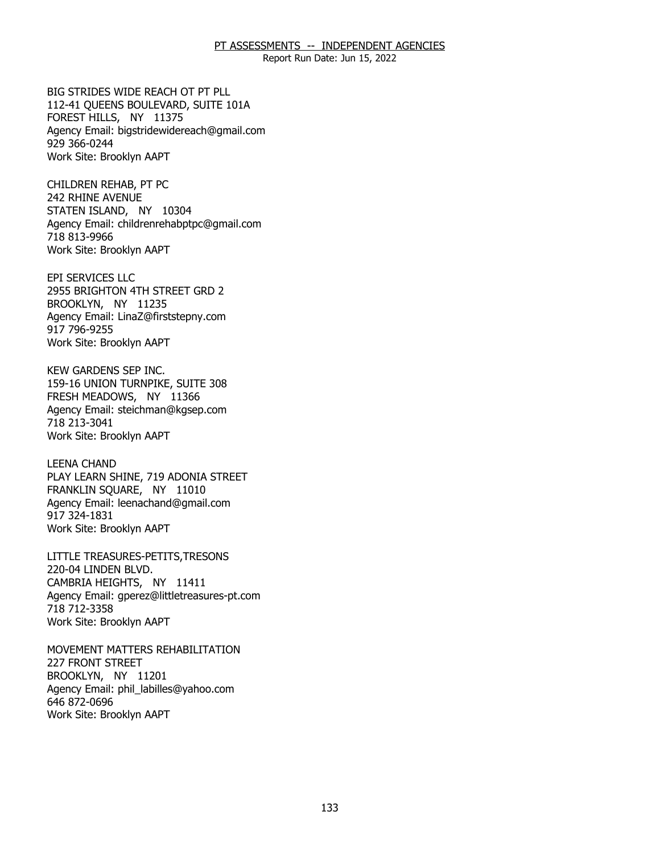Report Run Date: Jun 15, 2022

 112-41 QUEENS BOULEVARD, SUITE 101A FOREST HILLS, NY 11375 FOREST HILLS, NY 11375 BIG STRIDES WIDE REACH OT PT PLL Agency Email: [bigstridewidereach@gmail.com](mailto:bigstridewidereach@gmail.com) 929 366-0244 Work Site: Brooklyn AAPT

242 RHINE AVENUE 242 RHINE AVENUE<br>STATEN ISLAND, NY 10304 CHILDREN REHAB, PT PC Agency Email: [childrenrehabptpc@gmail.com](mailto:childrenrehabptpc@gmail.com)  718 813-9966 Work Site: Brooklyn AAPT

2955 BRIGHTON 4TH STREET GRD 2<br>BROOKLYN, NY 11235 BROOKLYN, NY 11235 EPI SERVICES LLC Agency Email: [LinaZ@firststepny.com](mailto:LinaZ@firststepny.com)  917 796-9255 Work Site: Brooklyn AAPT

159-16 UNION TURNPIKE, SUITE 308 159-16 UNION TURNPIKE, SUITE 308 FRESH MEADOWS, NY 11366 KEW GARDENS SEP INC. Agency Email: [steichman@kgsep.com](mailto:steichman@kgsep.com) 718 213-3041 Work Site: Brooklyn AAPT

PLAY LEARN SHINE, 719 ADONIA STREET<br>FRANKLIN SQUARE, NY 11010 FRANKLIN SQUARE, NY 11010 LEENA CHAND Agency Email: [leenachand@gmail.com](mailto:leenachand@gmail.com)  917 324-1831 Work Site: Brooklyn AAPT

220-04 LINDEN BLVD. 220-04 LINDEN BLVD.<br>CAMBRIA HEIGHTS, NY 11411 LITTLE TREASURES-PETITS,TRESONS Agency Email: [gperez@littletreasures-pt.com](mailto:gperez@littletreasures-pt.com)  718 712-3358 Work Site: Brooklyn AAPT

**227 FRONT STREET** 227 FRONT STREET<br>BROOKLYN, NY 11201 MOVEMENT MATTERS REHABILITATION Agency Email: [phil\\_labilles@yahoo.com](mailto:phil_labilles@yahoo.com) 646 872-0696 Work Site: Brooklyn AAPT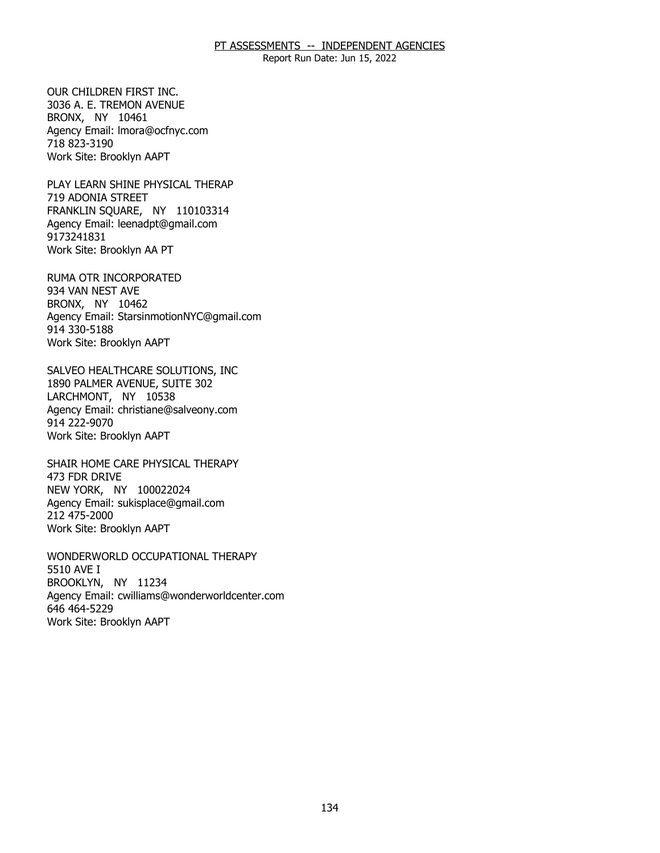Report Run Date: Jun 15, 2022

 3036 A. E. TREMON AVENUE BRONX, NY 10461 BRONX, NY 10461 OUR CHILDREN FIRST INC. Agency Email: [lmora@ocfnyc.com](mailto:lmora@ocfnyc.com) 718 823-3190 Work Site: Brooklyn AAPT

719 ADONIA STREET 719 ADONIA STREET<br>FRANKLIN SQUARE, NY 110103314 PLAY LEARN SHINE PHYSICAL THERAP Agency Email: [leenadpt@gmail.com](mailto:leenadpt@gmail.com)  9173241831 Work Site: Brooklyn AA PT

934 VAN NEST AVE 934 VAN NEST AVE<br>BRONX, NY 10462 RUMA OTR INCORPORATED Agency Email: [StarsinmotionNYC@gmail.com](mailto:StarsinmotionNYC@gmail.com)  914 330-5188 Work Site: Brooklyn AAPT

1890 PALMER AVENUE, SUITE 302<br>LARCHMONT, NY 10538 LARCHMONT, NY 10538 SALVEO HEALTHCARE SOLUTIONS, INC Agency Email: [christiane@salveony.com](mailto:christiane@salveony.com) 914 222-9070 Work Site: Brooklyn AAPT

473 FDR DRIVE 473 FDR DRIVE<br>NEW YORK, NY 100022024 SHAIR HOME CARE PHYSICAL THERAPY Agency Email: [sukisplace@gmail.com](mailto:sukisplace@gmail.com) 212 475-2000 Work Site: Brooklyn AAPT

5510 AVE I 5510 AVE I<br>BROOKLYN, NY 11234 WONDERWORLD OCCUPATIONAL THERAPY Agency Email: [cwilliams@wonderworldcenter.com](mailto:cwilliams@wonderworldcenter.com)  646 464-5229 Work Site: Brooklyn AAPT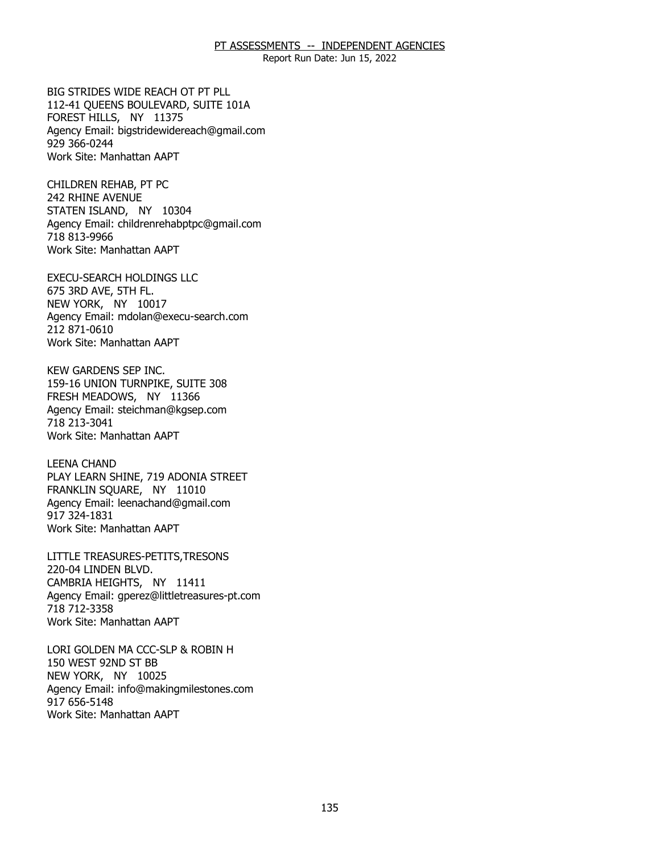Report Run Date: Jun 15, 2022

 112-41 QUEENS BOULEVARD, SUITE 101A FOREST HILLS, NY 11375 FOREST HILLS, NY 11375 BIG STRIDES WIDE REACH OT PT PLL Agency Email: [bigstridewidereach@gmail.com](mailto:bigstridewidereach@gmail.com) 929 366-0244 Work Site: Manhattan AAPT

242 RHINE AVENUE 242 RHINE AVENUE<br>STATEN ISLAND, NY 10304 CHILDREN REHAB, PT PC Agency Email: [childrenrehabptpc@gmail.com](mailto:childrenrehabptpc@gmail.com)  718 813-9966 Work Site: Manhattan AAPT

675 3RD AVE, 5TH FL. 675 3RD AVE, 5TH FL.<br>NEW YORK, NY 10017 EXECU-SEARCH HOLDINGS LLC Agency Email: [mdolan@execu-search.com](mailto:mdolan@execu-search.com) 212 871-0610 Work Site: Manhattan AAPT

159-16 UNION TURNPIKE, SUITE 308 159-16 UNION TURNPIKE, SUITE 308 FRESH MEADOWS, NY 11366 KEW GARDENS SEP INC. Agency Email: [steichman@kgsep.com](mailto:steichman@kgsep.com) 718 213-3041 Work Site: Manhattan AAPT

PLAY LEARN SHINE, 719 ADONIA STREET<br>FRANKLIN SQUARE, NY 11010 FRANKLIN SQUARE, NY 11010 LEENA CHAND Agency Email: [leenachand@gmail.com](mailto:leenachand@gmail.com)  917 324-1831 Work Site: Manhattan AAPT

220-04 LINDEN BLVD. 220-04 LINDEN BLVD.<br>CAMBRIA HEIGHTS, NY 11411 LITTLE TREASURES-PETITS,TRESONS Agency Email: [gperez@littletreasures-pt.com](mailto:gperez@littletreasures-pt.com)  718 712-3358 Work Site: Manhattan AAPT

150 WEST 92ND ST BB 150 WEST 92ND ST BB<br>NEW YORK, NY 10025 LORI GOLDEN MA CCC-SLP & ROBIN H Agency Email: [info@makingmilestones.com](mailto:info@makingmilestones.com) 917 656-5148 Work Site: Manhattan AAPT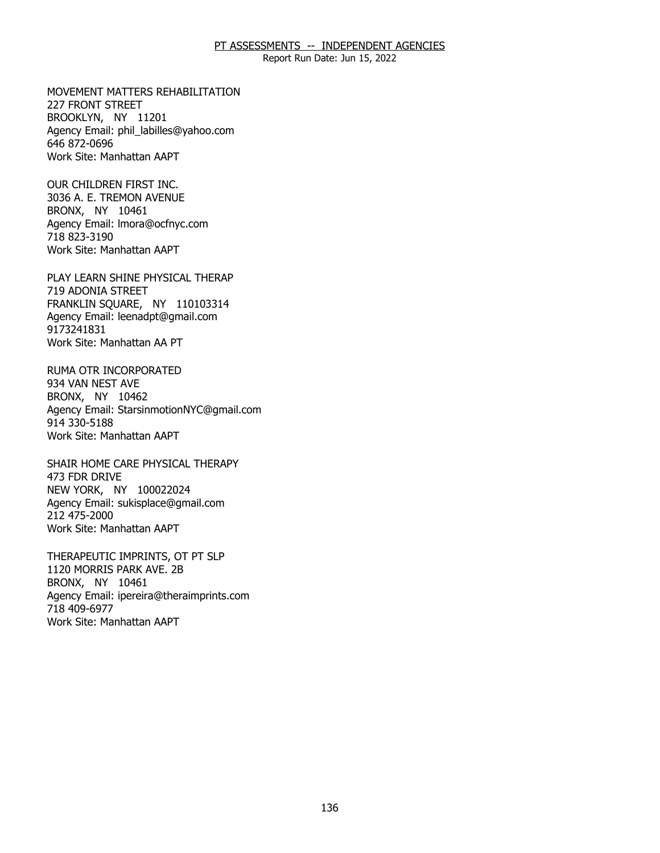Report Run Date: Jun 15, 2022

227 FRONT STREET 227 FRONT STREET<br>BROOKLYN, NY 11201 MOVEMENT MATTERS REHABILITATION Agency Email: [phil\\_labilles@yahoo.com](mailto:phil_labilles@yahoo.com) 646 872-0696 Work Site: Manhattan AAPT

3036 A. E. TREMON AVENUE<br>BRONX, NY 10461 BRONX, NY 10461 OUR CHILDREN FIRST INC. Agency Email: [lmora@ocfnyc.com](mailto:lmora@ocfnyc.com) 718 823-3190 Work Site: Manhattan AAPT

719 ADONIA STREET 719 ADONIA STREET<br>FRANKLIN SQUARE, NY 110103314 PLAY LEARN SHINE PHYSICAL THERAP Agency Email: [leenadpt@gmail.com](mailto:leenadpt@gmail.com)  9173241831 Work Site: Manhattan AA PT

934 VAN NEST AVE 934 VAN NEST AVE<br>BRONX, NY 10462 RUMA OTR INCORPORATED Agency Email: [StarsinmotionNYC@gmail.com](mailto:StarsinmotionNYC@gmail.com)  914 330-5188 Work Site: Manhattan AAPT

473 FDR DRIVE 473 FDR DRIVE<br>NEW YORK, NY 100022024 SHAIR HOME CARE PHYSICAL THERAPY Agency Email: [sukisplace@gmail.com](mailto:sukisplace@gmail.com) 212 475-2000 Work Site: Manhattan AAPT

1120 MORRIS PARK AVE. 2B<br>BRONX, NY 10461 BRONX, NY 10461 THERAPEUTIC IMPRINTS, OT PT SLP Agency Email: [ipereira@theraimprints.com](mailto:ipereira@theraimprints.com) 718 409-6977 Work Site: Manhattan AAPT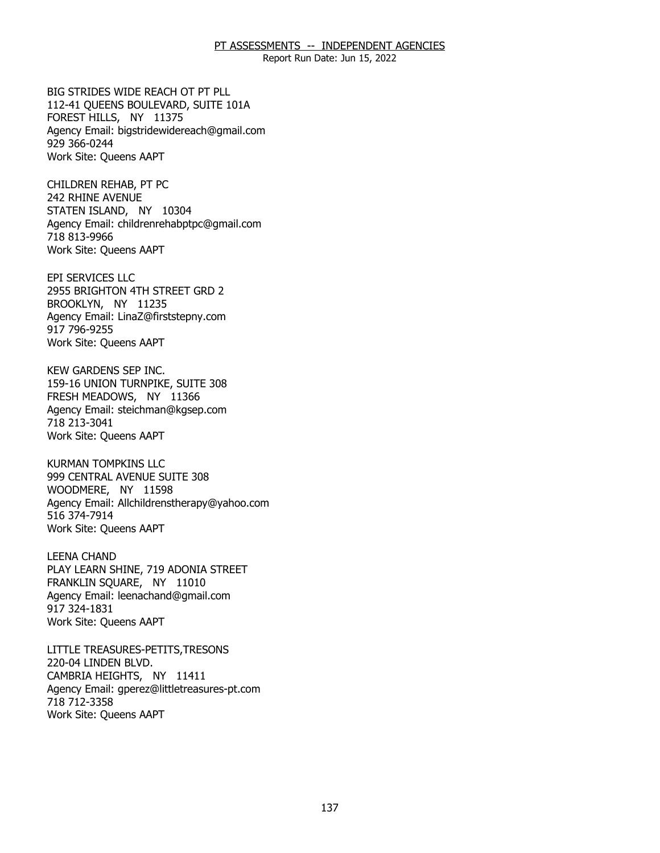Report Run Date: Jun 15, 2022

 112-41 QUEENS BOULEVARD, SUITE 101A FOREST HILLS, NY 11375 FOREST HILLS, NY 11375 BIG STRIDES WIDE REACH OT PT PLL Agency Email: [bigstridewidereach@gmail.com](mailto:bigstridewidereach@gmail.com) 929 366-0244 Work Site: Queens AAPT

242 RHINE AVENUE 242 RHINE AVENUE<br>STATEN ISLAND, NY 10304 CHILDREN REHAB, PT PC Agency Email: [childrenrehabptpc@gmail.com](mailto:childrenrehabptpc@gmail.com)  718 813-9966 Work Site: Queens AAPT

2955 BRIGHTON 4TH STREET GRD 2<br>BROOKLYN, NY 11235 BROOKLYN, NY 11235 EPI SERVICES LLC Agency Email: [LinaZ@firststepny.com](mailto:LinaZ@firststepny.com)  917 796-9255 Work Site: Queens AAPT

159-16 UNION TURNPIKE, SUITE 308 159-16 UNION TURNPIKE, SUITE 308 FRESH MEADOWS, NY 11366 KEW GARDENS SEP INC. Agency Email: [steichman@kgsep.com](mailto:steichman@kgsep.com) 718 213-3041 Work Site: Queens AAPT

 999 CENTRAL AVENUE SUITE 308 WOODMERE, NY 11598 WOODMERE, NY 11598 KURMAN TOMPKINS LLC Agency Email: [Allchildrenstherapy@yahoo.com](mailto:Allchildrenstherapy@yahoo.com)  516 374-7914 Work Site: Queens AAPT

PLAY LEARN SHINE, 719 ADONIA STREET<br>FRANKLIN SQUARE, NY 11010 FRANKLIN SOUARE, NY 11010 LEENA CHAND Agency Email: [leenachand@gmail.com](mailto:leenachand@gmail.com)  917 324-1831 Work Site: Queens AAPT

220-04 LINDEN BLVD. 220-04 LINDEN BLVD.<br>CAMBRIA HEIGHTS, NY 11411 LITTLE TREASURES-PETITS,TRESONS Agency Email: [gperez@littletreasures-pt.com](mailto:gperez@littletreasures-pt.com)  718 712-3358 Work Site: Queens AAPT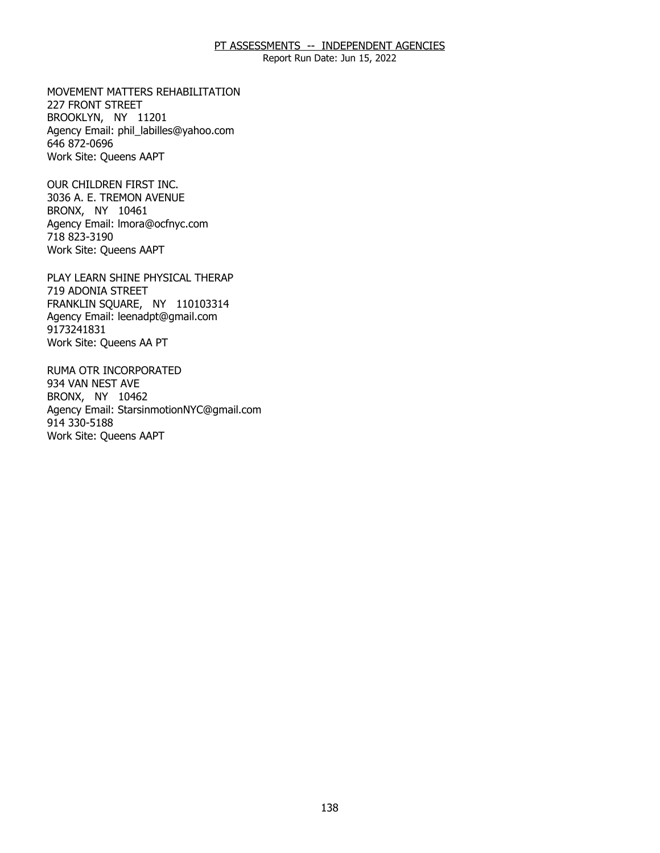Report Run Date: Jun 15, 2022

227 FRONT STREET 227 FRONT STREET<br>BROOKLYN, NY 11201 MOVEMENT MATTERS REHABILITATION Agency Email: [phil\\_labilles@yahoo.com](mailto:phil_labilles@yahoo.com) 646 872-0696 Work Site: Queens AAPT

3036 A. E. TREMON AVENUE<br>BRONX, NY 10461 BRONX, NY 10461 OUR CHILDREN FIRST INC. Agency Email: [lmora@ocfnyc.com](mailto:lmora@ocfnyc.com) 718 823-3190 Work Site: Queens AAPT

719 ADONIA STREET 719 ADONIA STREET<br>FRANKLIN SQUARE, NY 110103314 PLAY LEARN SHINE PHYSICAL THERAP Agency Email: [leenadpt@gmail.com](mailto:leenadpt@gmail.com)  9173241831 Work Site: Queens AA PT

934 VAN NEST AVE 934 VAN NEST AVE<br>BRONX, NY 10462 RUMA OTR INCORPORATED Agency Email: [StarsinmotionNYC@gmail.com](mailto:StarsinmotionNYC@gmail.com)  914 330-5188 Work Site: Queens AAPT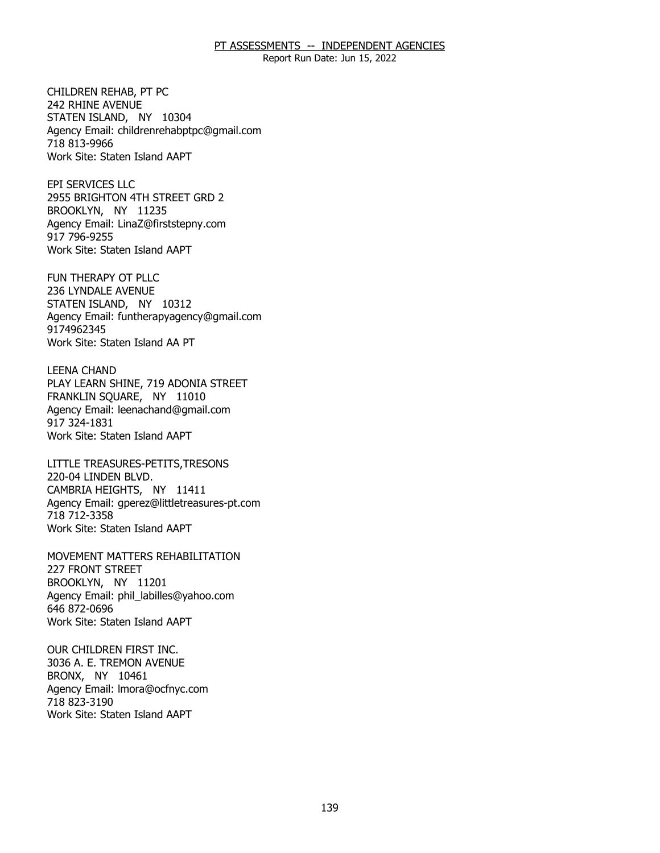Report Run Date: Jun 15, 2022

242 RHINE AVENUE 242 RHINE AVENUE<br>STATEN ISLAND, NY 10304 CHILDREN REHAB, PT PC Agency Email: [childrenrehabptpc@gmail.com](mailto:childrenrehabptpc@gmail.com)  718 813-9966 Work Site: Staten Island AAPT

2955 BRIGHTON 4TH STREET GRD 2<br>BROOKLYN, NY 11235 BROOKLYN, NY 11235 EPI SERVICES LLC Agency Email: [LinaZ@firststepny.com](mailto:LinaZ@firststepny.com)  917 796-9255 Work Site: Staten Island AAPT

236 LYNDALE AVENUE 236 LYNDALE AVENUE<br>STATEN ISLAND, NY 10312 FUN THERAPY OT PLLC Agency Email: [funtherapyagency@gmail.com](mailto:funtherapyagency@gmail.com)  9174962345 Work Site: Staten Island AA PT

PLAY LEARN SHINE, 719 ADONIA STREET<br>FRANKLIN SQUARE, NY 11010 FRANKLIN SQUARE, NY 11010 LEENA CHAND Agency Email: [leenachand@gmail.com](mailto:leenachand@gmail.com)  917 324-1831 Work Site: Staten Island AAPT

220-04 LINDEN BLVD. 220-04 LINDEN BLVD.<br>CAMBRIA HEIGHTS, NY 11411 LITTLE TREASURES-PETITS,TRESONS Agency Email: [gperez@littletreasures-pt.com](mailto:gperez@littletreasures-pt.com)  718 712-3358 Work Site: Staten Island AAPT

227 FRONT STREET 227 FRONT STREET<br>BROOKLYN, NY 11201 MOVEMENT MATTERS REHABILITATION Agency Email: [phil\\_labilles@yahoo.com](mailto:phil_labilles@yahoo.com) 646 872-0696 Work Site: Staten Island AAPT

3036 A. E. TREMON AVENUE 3036 A. E. TREMON AVENUE BRONX, NY 10461 OUR CHILDREN FIRST INC. Agency Email: [lmora@ocfnyc.com](mailto:lmora@ocfnyc.com) 718 823-3190 Work Site: Staten Island AAPT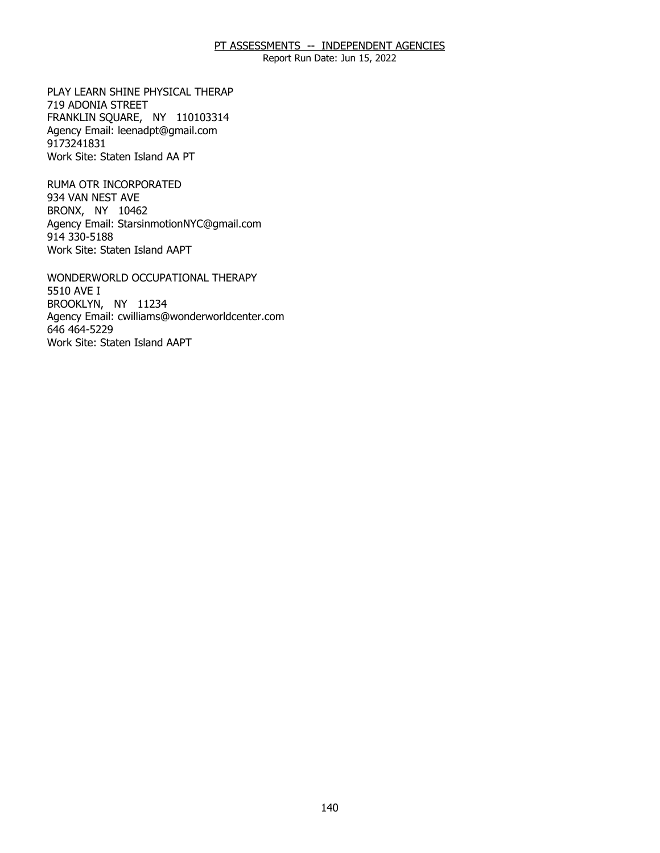Report Run Date: Jun 15, 2022

719 ADONIA STREET 719 ADONIA STREET<br>FRANKLIN SQUARE, NY 110103314 PLAY LEARN SHINE PHYSICAL THERAP Agency Email: [leenadpt@gmail.com](mailto:leenadpt@gmail.com)  9173241831 Work Site: Staten Island AA PT

934 VAN NEST AVE 934 VAN NEST AVE<br>BRONX, NY 10462 RUMA OTR INCORPORATED Agency Email: [StarsinmotionNYC@gmail.com](mailto:StarsinmotionNYC@gmail.com)  914 330-5188 Work Site: Staten Island AAPT

5510 AVE I 5510 AVE I<br>BROOKLYN, NY 11234 WONDERWORLD OCCUPATIONAL THERAPY Agency Email: [cwilliams@wonderworldcenter.com](mailto:cwilliams@wonderworldcenter.com)  646 464-5229 Work Site: Staten Island AAPT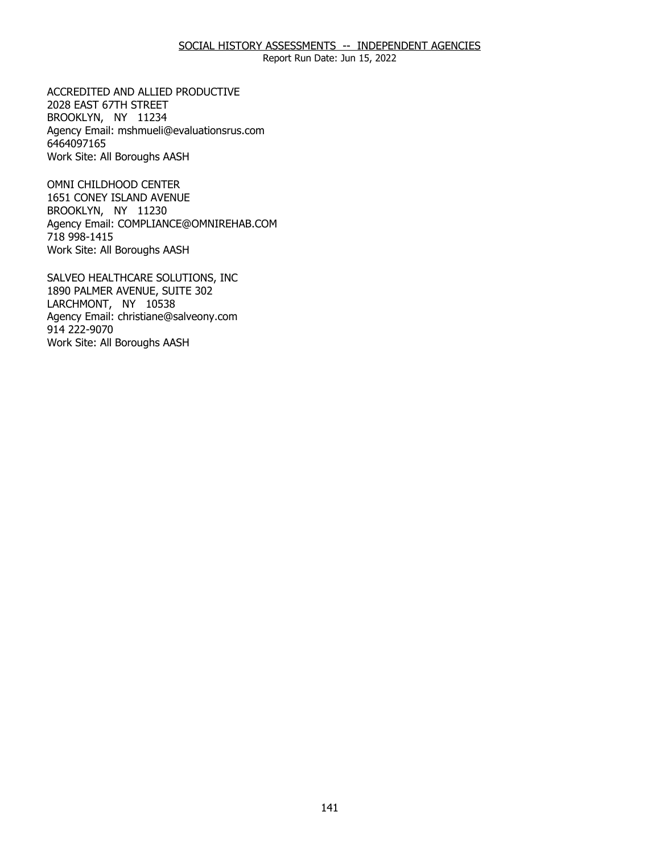Report Run Date: Jun 15, 2022

2028 EAST 67TH STREET 2028 EAST 67TH STREET<br>BROOKLYN, NY 11234 ACCREDITED AND ALLIED PRODUCTIVE Agency Email: [mshmueli@evaluationsrus.com](mailto:mshmueli@evaluationsrus.com)  6464097165 Work Site: All Boroughs AASH

 1651 CONEY ISLAND AVENUE BROOKLYN, NY 11230 BROOKLYN, NY 11230 OMNI CHILDHOOD CENTER Agency Email: [COMPLIANCE@OMNIREHAB.COM](mailto:COMPLIANCE@OMNIREHAB.COM) 718 998-1415 Work Site: All Boroughs AASH

1890 PALMER AVENUE, SUITE 302 1890 PALMER AVENUE, SUITE 302<br>LARCHMONT, NY 10538 SALVEO HEALTHCARE SOLUTIONS, INC Agency Email: [christiane@salveony.com](mailto:christiane@salveony.com) 914 222-9070 Work Site: All Boroughs AASH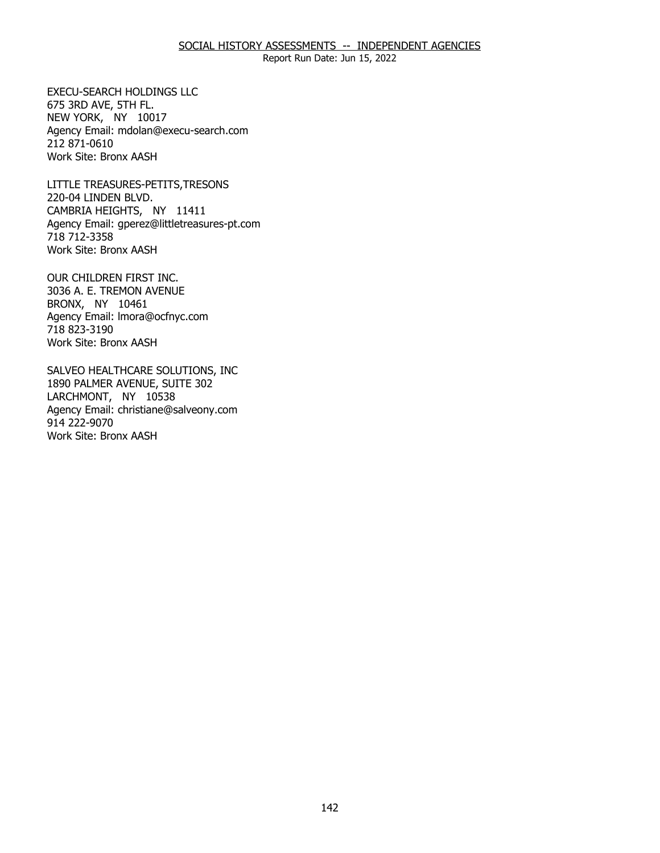Report Run Date: Jun 15, 2022

675 3RD AVE, 5TH FL. 675 3RD AVE, 5TH FL.<br>NEW YORK, NY 10017 EXECU-SEARCH HOLDINGS LLC Agency Email: [mdolan@execu-search.com](mailto:mdolan@execu-search.com) 212 871-0610 Work Site: Bronx AASH

220-04 LINDEN BLVD. 220-04 LINDEN BLVD.<br>CAMBRIA HEIGHTS, NY 11411 LITTLE TREASURES-PETITS,TRESONS Agency Email: [gperez@littletreasures-pt.com](mailto:gperez@littletreasures-pt.com)  718 712-3358 Work Site: Bronx AASH

3036 A. E. TREMON AVENUE<br>BRONX, NY 10461 BRONX, NY 10461 OUR CHILDREN FIRST INC. Agency Email: [lmora@ocfnyc.com](mailto:lmora@ocfnyc.com) 718 823-3190 Work Site: Bronx AASH

1890 PALMER AVENUE, SUITE 302<br>LARCHMONT, NY 10538 LARCHMONT, NY 10538 SALVEO HEALTHCARE SOLUTIONS, INC Agency Email: [christiane@salveony.com](mailto:christiane@salveony.com) 914 222-9070 Work Site: Bronx AASH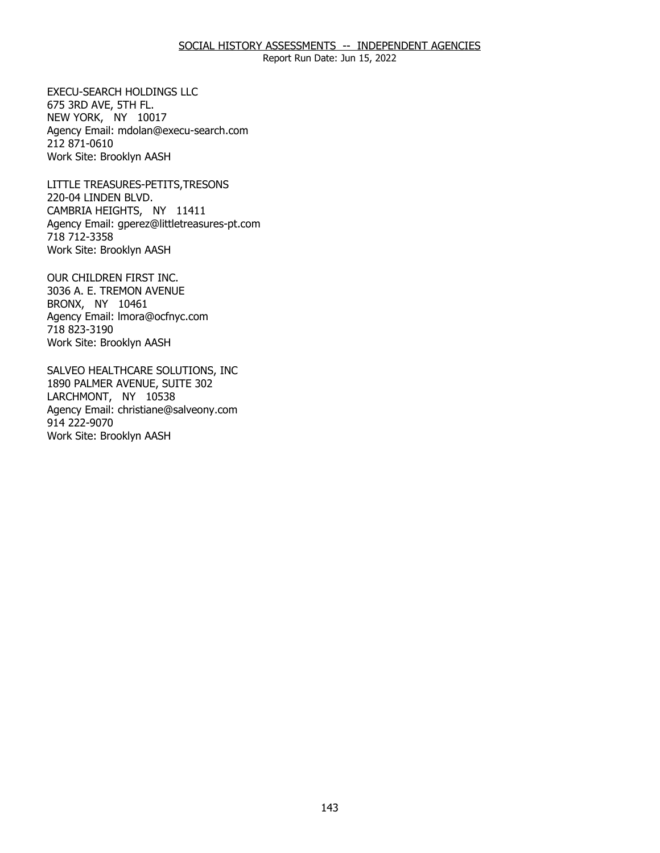Report Run Date: Jun 15, 2022

675 3RD AVE, 5TH FL. 675 3RD AVE, 5TH FL.<br>NEW YORK, NY 10017 EXECU-SEARCH HOLDINGS LLC Agency Email: [mdolan@execu-search.com](mailto:mdolan@execu-search.com) 212 871-0610 Work Site: Brooklyn AASH

220-04 LINDEN BLVD. 220-04 LINDEN BLVD.<br>CAMBRIA HEIGHTS, NY 11411 LITTLE TREASURES-PETITS,TRESONS Agency Email: [gperez@littletreasures-pt.com](mailto:gperez@littletreasures-pt.com)  718 712-3358 Work Site: Brooklyn AASH

3036 A. E. TREMON AVENUE<br>BRONX, NY 10461 BRONX, NY 10461 OUR CHILDREN FIRST INC. Agency Email: [lmora@ocfnyc.com](mailto:lmora@ocfnyc.com) 718 823-3190 Work Site: Brooklyn AASH

1890 PALMER AVENUE, SUITE 302<br>LARCHMONT, NY 10538 LARCHMONT, NY 10538 SALVEO HEALTHCARE SOLUTIONS, INC Agency Email: [christiane@salveony.com](mailto:christiane@salveony.com) 914 222-9070 Work Site: Brooklyn AASH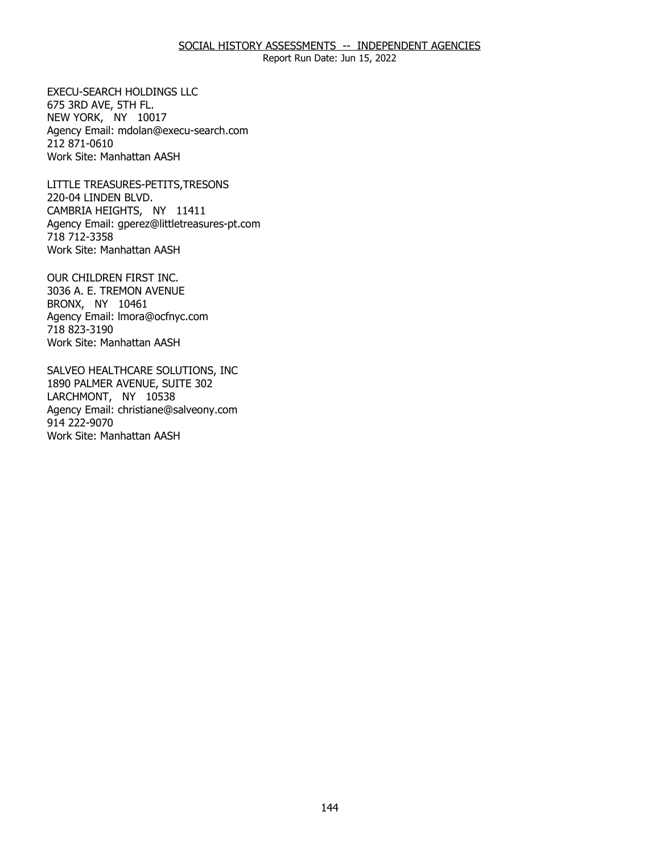Report Run Date: Jun 15, 2022

675 3RD AVE, 5TH FL. 675 3RD AVE, 5TH FL.<br>NEW YORK, NY 10017 EXECU-SEARCH HOLDINGS LLC Agency Email: [mdolan@execu-search.com](mailto:mdolan@execu-search.com) 212 871-0610 Work Site: Manhattan AASH

220-04 LINDEN BLVD. 220-04 LINDEN BLVD.<br>CAMBRIA HEIGHTS, NY 11411 LITTLE TREASURES-PETITS,TRESONS Agency Email: [gperez@littletreasures-pt.com](mailto:gperez@littletreasures-pt.com)  718 712-3358 Work Site: Manhattan AASH

3036 A. E. TREMON AVENUE<br>BRONX, NY 10461 BRONX, NY 10461 OUR CHILDREN FIRST INC. Agency Email: [lmora@ocfnyc.com](mailto:lmora@ocfnyc.com) 718 823-3190 Work Site: Manhattan AASH

1890 PALMER AVENUE, SUITE 302<br>LARCHMONT, NY 10538 LARCHMONT, NY 10538 SALVEO HEALTHCARE SOLUTIONS, INC Agency Email: [christiane@salveony.com](mailto:christiane@salveony.com) 914 222-9070 Work Site: Manhattan AASH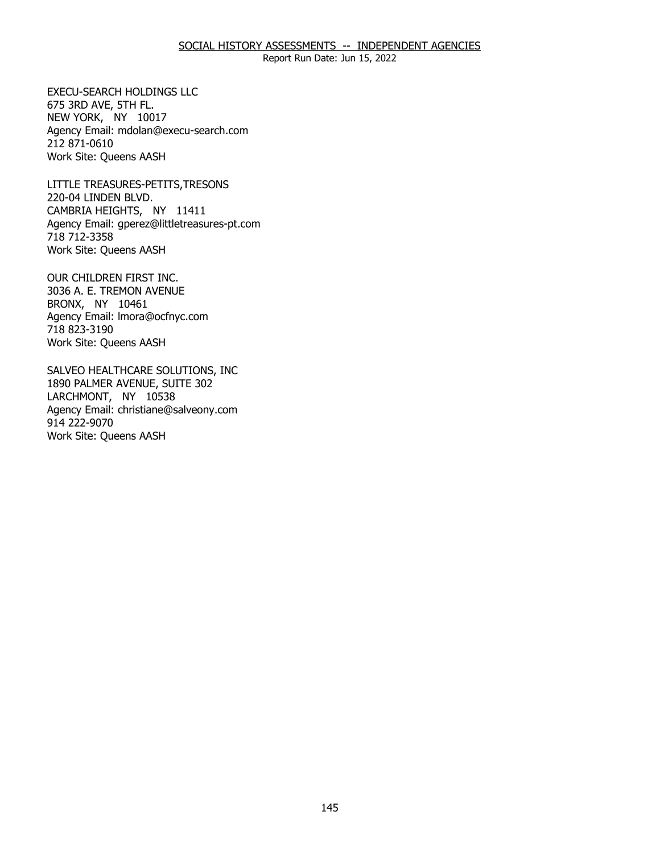# SOCIAL HISTORY ASSESSMENTS -- INDEPENDENT AGENCIES

Report Run Date: Jun 15, 2022

675 3RD AVE, 5TH FL. 675 3RD AVE, 5TH FL.<br>NEW YORK, NY 10017 EXECU-SEARCH HOLDINGS LLC Agency Email: [mdolan@execu-search.com](mailto:mdolan@execu-search.com) 212 871-0610 Work Site: Queens AASH

220-04 LINDEN BLVD. 220-04 LINDEN BLVD.<br>CAMBRIA HEIGHTS, NY 11411 LITTLE TREASURES-PETITS,TRESONS Agency Email: [gperez@littletreasures-pt.com](mailto:gperez@littletreasures-pt.com)  718 712-3358 Work Site: Queens AASH

3036 A. E. TREMON AVENUE<br>BRONX, NY 10461 BRONX, NY 10461 OUR CHILDREN FIRST INC. Agency Email: [lmora@ocfnyc.com](mailto:lmora@ocfnyc.com) 718 823-3190 Work Site: Queens AASH

1890 PALMER AVENUE, SUITE 302<br>LARCHMONT, NY 10538 LARCHMONT, NY 10538 SALVEO HEALTHCARE SOLUTIONS, INC Agency Email: [christiane@salveony.com](mailto:christiane@salveony.com) 914 222-9070 Work Site: Queens AASH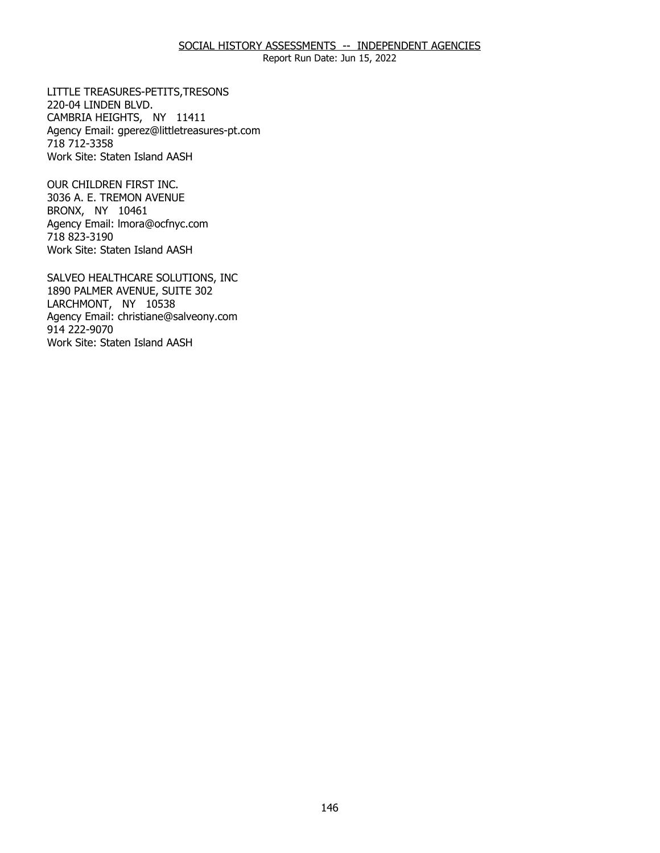# SOCIAL HISTORY ASSESSMENTS -- INDEPENDENT AGENCIES

Report Run Date: Jun 15, 2022

220-04 LINDEN BLVD. 220-04 LINDEN BLVD.<br>CAMBRIA HEIGHTS, NY 11411 LITTLE TREASURES-PETITS,TRESONS Agency Email: [gperez@littletreasures-pt.com](mailto:gperez@littletreasures-pt.com)  718 712-3358 Work Site: Staten Island AASH

3036 A. E. TREMON AVENUE<br>BRONX, NY 10461 BRONX, NY 10461 OUR CHILDREN FIRST INC. Agency Email: [lmora@ocfnyc.com](mailto:lmora@ocfnyc.com) 718 823-3190 Work Site: Staten Island AASH

1890 PALMER AVENUE, SUITE 302<br>LARCHMONT, NY 10538 LARCHMONT, NY 10538 SALVEO HEALTHCARE SOLUTIONS, INC Agency Email: [christiane@salveony.com](mailto:christiane@salveony.com) 914 222-9070 Work Site: Staten Island AASH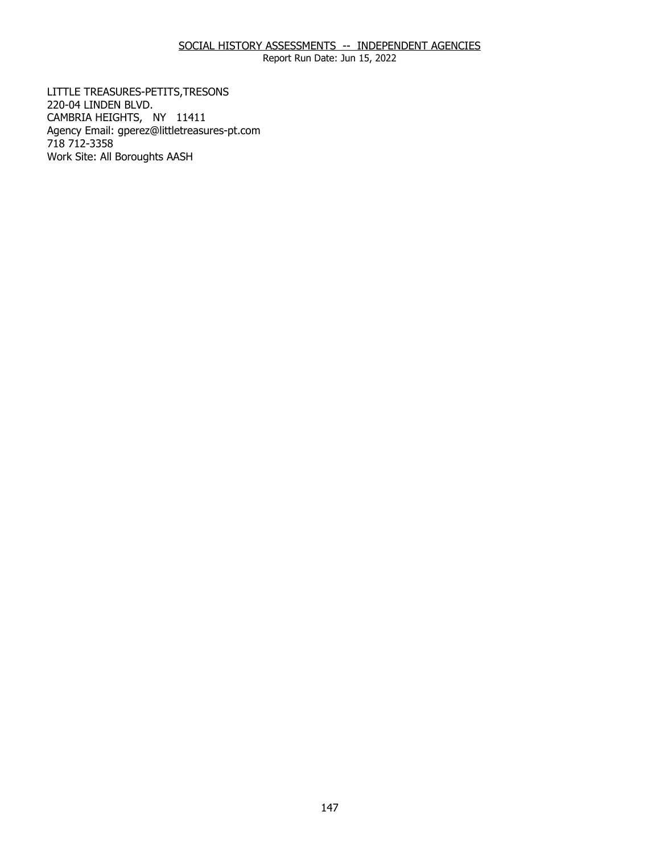# SOCIAL HISTORY ASSESSMENTS -- INDEPENDENT AGENCIES

Report Run Date: Jun 15, 2022

220-04 LINDEN BLVD. 220-04 LINDEN BLVD.<br>CAMBRIA HEIGHTS, NY 11411 LITTLE TREASURES-PETITS,TRESONS Agency Email: [gperez@littletreasures-pt.com](mailto:gperez@littletreasures-pt.com)  718 712-3358 Work Site: All Boroughts AASH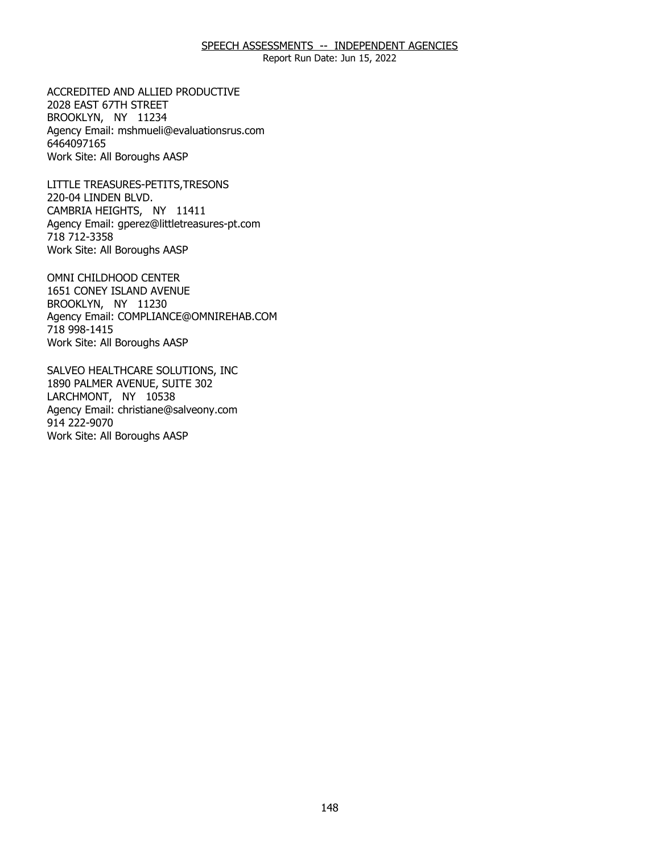Report Run Date: Jun 15, 2022

2028 EAST 67TH STREET 2028 EAST 67TH STREET<br>BROOKLYN, NY 11234 ACCREDITED AND ALLIED PRODUCTIVE Agency Email: [mshmueli@evaluationsrus.com](mailto:mshmueli@evaluationsrus.com)  6464097165 Work Site: All Boroughs AASP

220-04 LINDEN BLVD. 220-04 LINDEN BLVD.<br>CAMBRIA HEIGHTS, NY 11411 LITTLE TREASURES-PETITS,TRESONS Agency Email: [gperez@littletreasures-pt.com](mailto:gperez@littletreasures-pt.com)  718 712-3358 Work Site: All Boroughs AASP

 1651 CONEY ISLAND AVENUE BROOKLYN, NY 11230 BROOKLYN, NY 11230 OMNI CHILDHOOD CENTER Agency Email: [COMPLIANCE@OMNIREHAB.COM](mailto:COMPLIANCE@OMNIREHAB.COM) 718 998-1415 Work Site: All Boroughs AASP

1890 PALMER AVENUE, SUITE 302<br>LARCHMONT, NY 10538 LARCHMONT, NY 10538 SALVEO HEALTHCARE SOLUTIONS, INC Agency Email: [christiane@salveony.com](mailto:christiane@salveony.com) 914 222-9070 Work Site: All Boroughs AASP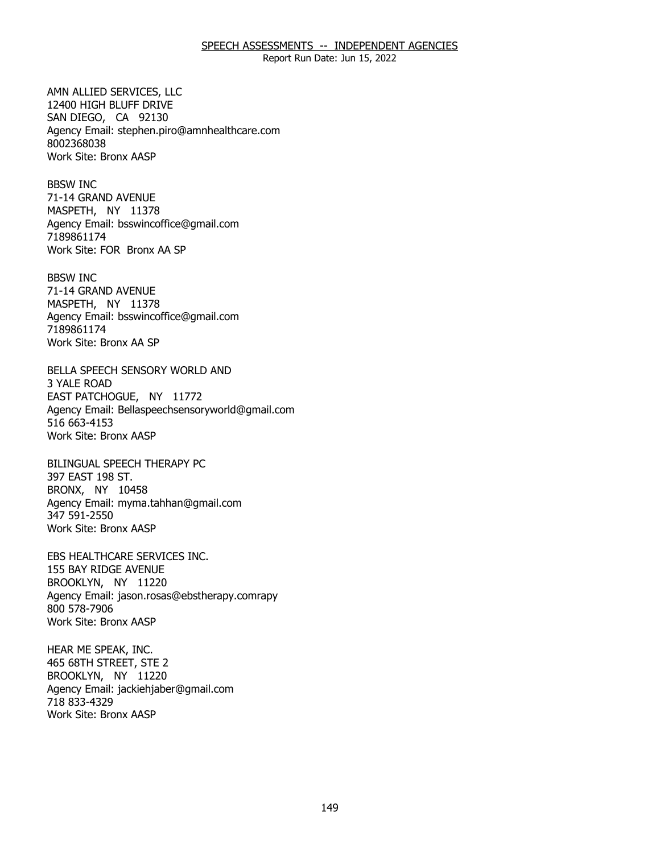Report Run Date: Jun 15, 2022

12400 HIGH BLUFF DRIVE 12400 HIGH BLUFF DRIVE SAN DIEGO, CA 92130 AMN ALLIED SERVICES, LLC Agency Email: [stephen.piro@amnhealthcare.com](mailto:stephen.piro@amnhealthcare.com) 8002368038 Work Site: Bronx AASP

71-14 GRAND AVENUE 71-14 GRAND AVENUE<br>MASPETH, NY 11378 BBSW INC Agency Email: [bsswincoffice@gmail.com](mailto:bsswincoffice@gmail.com)  7189861174 Work Site: FOR Bronx AA SP

71-14 GRAND AVENUE 71-14 GRAND AVENUE<br>MASPETH, NY 11378 BBSW INC Agency Email: [bsswincoffice@gmail.com](mailto:bsswincoffice@gmail.com)  7189861174 Work Site: Bronx AA SP

3 YALE ROAD 3 YALE ROAD<br>EAST PATCHOGUE, NY 11772 BELLA SPEECH SENSORY WORLD AND Agency Email: [Bellaspeechsensoryworld@gmail.com](mailto:Bellaspeechsensoryworld@gmail.com) 516 663-4153 Work Site: Bronx AASP

397 EAST 198 ST. 397 EAST 198 ST.<br>BRONX, NY 10458 BILINGUAL SPEECH THERAPY PC Agency Email: [myma.tahhan@gmail.com](mailto:myma.tahhan@gmail.com) 347 591-2550 Work Site: Bronx AASP

155 BAY RIDGE AVENUE 155 BAY RIDGE AVENUE<br>BROOKLYN, NY 11220 EBS HEALTHCARE SERVICES INC. Agency Email: jason.rosas@ebstherapy.comrapy 800 578-7906 Work Site: Bronx AASP

465 68TH STREET, STE 2 465 68TH STREET, STE 2<br>BROOKLYN, NY 11220 HEAR ME SPEAK, INC. Agency Email: [jackiehjaber@gmail.com](mailto:jackiehjaber@gmail.com)  718 833-4329 Work Site: Bronx AASP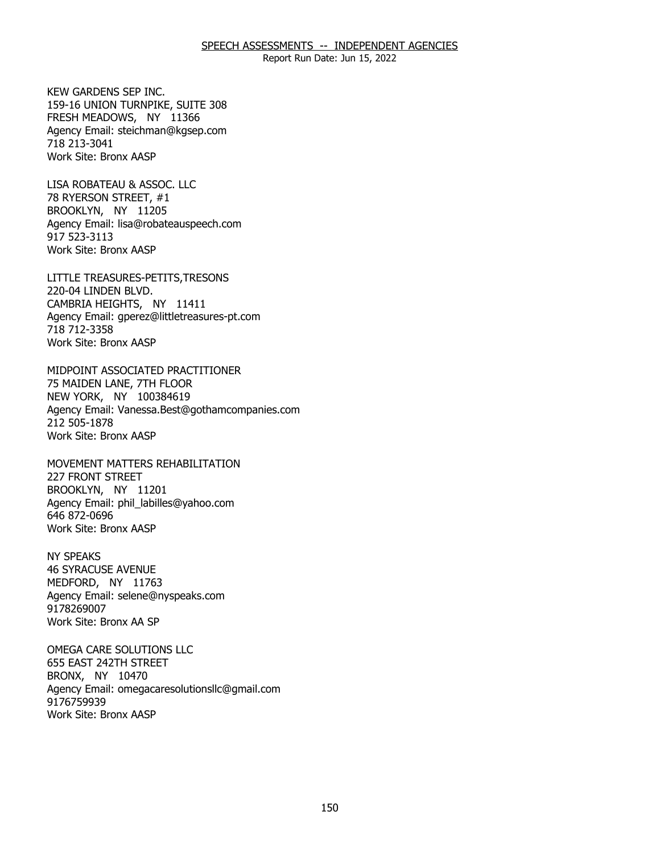Report Run Date: Jun 15, 2022

159-16 UNION TURNPIKE, SUITE 308 159-16 UNION TURNPIKE, SUITE 308 FRESH MEADOWS, NY 11366 KEW GARDENS SEP INC. Agency Email: [steichman@kgsep.com](mailto:steichman@kgsep.com) 718 213-3041 Work Site: Bronx AASP

78 RYERSON STREET, #1 78 RYERSON STREET, #1<br>BROOKLYN, NY 11205 LISA ROBATEAU & ASSOC. LLC Agency Email: [lisa@robateauspeech.com](mailto:lisa@robateauspeech.com) 917 523-3113 Work Site: Bronx AASP

220-04 LINDEN BLVD. 220-04 LINDEN BLVD.<br>CAMBRIA HEIGHTS, NY 11411 LITTLE TREASURES-PETITS,TRESONS Agency Email: [gperez@littletreasures-pt.com](mailto:gperez@littletreasures-pt.com)  718 712-3358 Work Site: Bronx AASP

75 MAIDEN LANE, 7TH FLOOR 75 MAIDEN LANE, 7TH FLOOR<br>NEW YORK, NY 100384619 MIDPOINT ASSOCIATED PRACTITIONER Agency Email: [Vanessa.Best@gothamcompanies.com](mailto:Vanessa.Best@gothamcompanies.com) 212 505-1878 Work Site: Bronx AASP

227 FRONT STREET 227 FRONT STREET<br>BROOKLYN, NY 11201 MOVEMENT MATTERS REHABILITATION Agency Email: [phil\\_labilles@yahoo.com](mailto:phil_labilles@yahoo.com) 646 872-0696 Work Site: Bronx AASP

**46 SYRACUSE AVENUE** 46 SYRACUSE AVENUE<br>MEDFORD, NY 11763 NY SPEAKS Agency Email: [selene@nyspeaks.com](mailto:selene@nyspeaks.com)  9178269007 Work Site: Bronx AA SP

655 EAST 242TH STREET 655 EAST 242TH STREET<br>BRONX, NY 10470 OMEGA CARE SOLUTIONS LLC Agency Email: [omegacaresolutionsllc@gmail.com](mailto:omegacaresolutionsllc@gmail.com) 9176759939 Work Site: Bronx AASP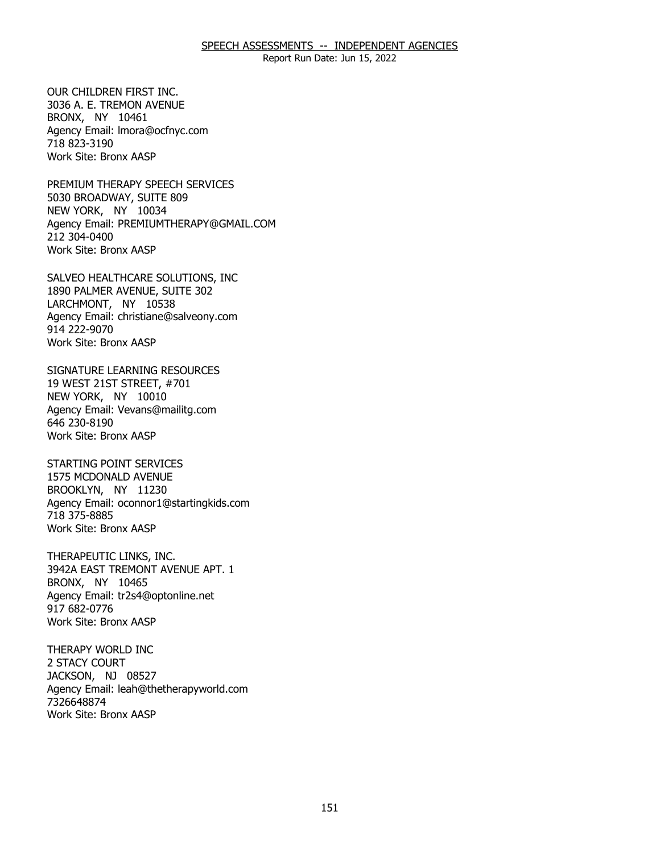Report Run Date: Jun 15, 2022

 3036 A. E. TREMON AVENUE BRONX, NY 10461 BRONX, NY 10461 OUR CHILDREN FIRST INC. Agency Email: [lmora@ocfnyc.com](mailto:lmora@ocfnyc.com) 718 823-3190 Work Site: Bronx AASP

5030 BROADWAY, SUITE 809<br>NEW YORK, NY 10034 NEW YORK, NY 10034 PREMIUM THERAPY SPEECH SERVICES Agency Email: [PREMIUMTHERAPY@GMAIL.COM](mailto:PREMIUMTHERAPY@GMAIL.COM) 212 304-0400 Work Site: Bronx AASP

1890 PALMER AVENUE, SUITE 302 1890 PALMER AVENUE, SUITE 302<br>LARCHMONT, NY 10538 SALVEO HEALTHCARE SOLUTIONS, INC Agency Email: [christiane@salveony.com](mailto:christiane@salveony.com) 914 222-9070 Work Site: Bronx AASP

19 WEST 21ST STREET, #701 19 WEST 21ST STREET, #701<br>NEW YORK, NY 10010 SIGNATURE LEARNING RESOURCES Agency Email: [Vevans@mailitg.com](mailto:Vevans@mailitg.com)  646 230-8190 Work Site: Bronx AASP

1575 MCDONALD AVENUE 1575 MCDONALD AVENUE BROOKLYN, NY 11230 STARTING POINT SERVICES Agency Email: [oconnor1@startingkids.com](mailto:oconnor1@startingkids.com)  718 375-8885 Work Site: Bronx AASP

3942A EAST TREMONT AVENUE APT. 1<br>BRONX, NY 10465 BRONX, NY 10465 THERAPEUTIC LINKS, INC. Agency Email: [tr2s4@optonline.net](mailto:tr2s4@optonline.net)  917 682-0776 Work Site: Bronx AASP

2 STACY COURT 2 STACY COURT<br>JACKSON, NJ 08527 THERAPY WORLD INC Agency Email: [leah@thetherapyworld.com](mailto:leah@thetherapyworld.com) 7326648874 Work Site: Bronx AASP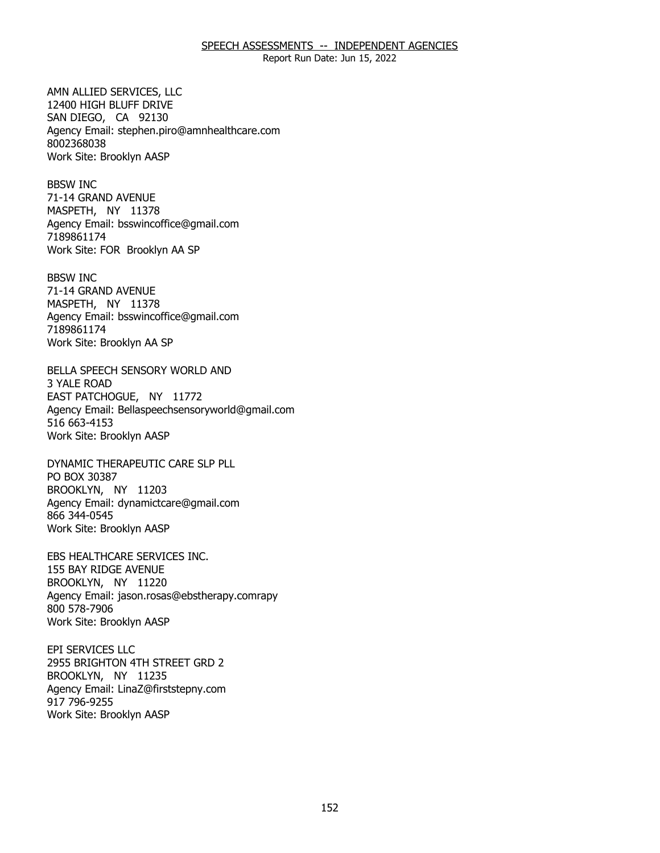Report Run Date: Jun 15, 2022

12400 HIGH BLUFF DRIVE 12400 HIGH BLUFF DRIVE SAN DIEGO, CA 92130 AMN ALLIED SERVICES, LLC Agency Email: [stephen.piro@amnhealthcare.com](mailto:stephen.piro@amnhealthcare.com) 8002368038 Work Site: Brooklyn AASP

71-14 GRAND AVENUE 71-14 GRAND AVENUE<br>MASPETH, NY 11378 BBSW INC Agency Email: [bsswincoffice@gmail.com](mailto:bsswincoffice@gmail.com)  7189861174 Work Site: FOR Brooklyn AA SP

71-14 GRAND AVENUE 71-14 GRAND AVENUE<br>MASPETH, NY 11378 BBSW INC Agency Email: [bsswincoffice@gmail.com](mailto:bsswincoffice@gmail.com)  7189861174 Work Site: Brooklyn AA SP

**3 YALE ROAD** 3 YALE ROAD<br>EAST PATCHOGUE, NY 11772 BELLA SPEECH SENSORY WORLD AND Agency Email: [Bellaspeechsensoryworld@gmail.com](mailto:Bellaspeechsensoryworld@gmail.com) 516 663-4153 Work Site: Brooklyn AASP

PO BOX 30387 PO BOX 30387<br>BROOKLYN, NY 11203 DYNAMIC THERAPEUTIC CARE SLP PLL Agency Email: [dynamictcare@gmail.com](mailto:dynamictcare@gmail.com) 866 344-0545 Work Site: Brooklyn AASP

155 BAY RIDGE AVENUE 155 BAY RIDGE AVENUE<br>BROOKLYN, NY 11220 EBS HEALTHCARE SERVICES INC. Agency Email: jason.rosas@ebstherapy.comrapy 800 578-7906 Work Site: Brooklyn AASP

2955 BRIGHTON 4TH STREET GRD 2<br>BROOKLYN, NY 11235 BROOKLYN, NY 11235 EPI SERVICES LLC Agency Email: [LinaZ@firststepny.com](mailto:LinaZ@firststepny.com)  917 796-9255 Work Site: Brooklyn AASP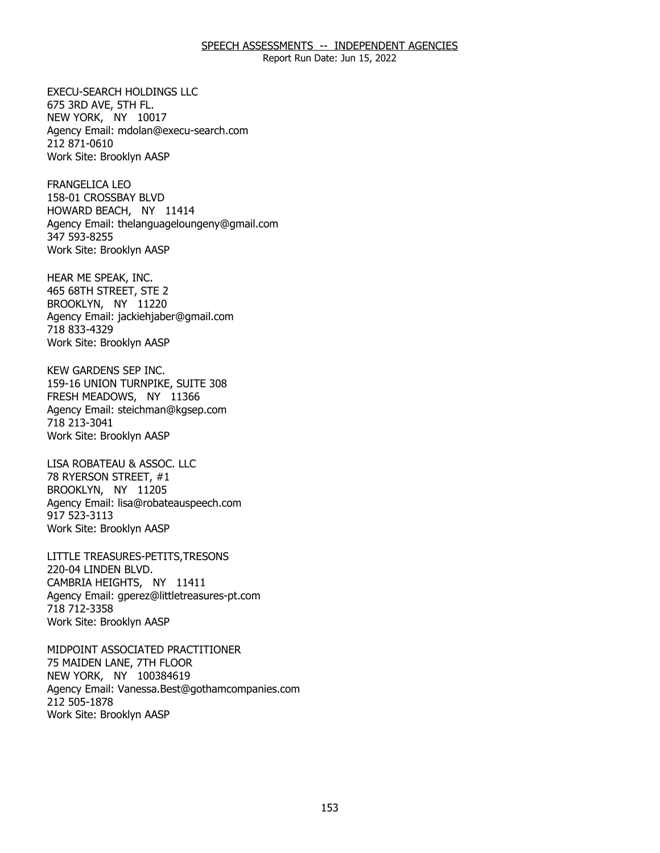Report Run Date: Jun 15, 2022

675 3RD AVE, 5TH FL. 675 3RD AVE, 5TH FL.<br>NEW YORK, NY 10017 EXECU-SEARCH HOLDINGS LLC Agency Email: [mdolan@execu-search.com](mailto:mdolan@execu-search.com) 212 871-0610 Work Site: Brooklyn AASP

158-01 CROSSBAY BLVD 158-01 CROSSBAY BLVD HOWARD BEACH, NY 11414 FRANGELICA LEO Agency Email: [thelanguageloungeny@gmail.com](mailto:thelanguageloungeny@gmail.com) 347 593-8255 Work Site: Brooklyn AASP

465 68TH STREET, STE 2<br>BROOKLYN, NY 11220 BROOKLYN, NY 11220 HEAR ME SPEAK, INC. Agency Email: [jackiehjaber@gmail.com](mailto:jackiehjaber@gmail.com)  718 833-4329 Work Site: Brooklyn AASP

159-16 UNION TURNPIKE, SUITE 308 159-16 UNION TURNPIKE, SUITE 308 FRESH MEADOWS, NY 11366 KEW GARDENS SEP INC. Agency Email: [steichman@kgsep.com](mailto:steichman@kgsep.com) 718 213-3041 Work Site: Brooklyn AASP

78 RYERSON STREET, #1 78 RYERSON STREET, #1<br>BROOKLYN, NY 11205 LISA ROBATEAU & ASSOC. LLC Agency Email: [lisa@robateauspeech.com](mailto:lisa@robateauspeech.com) 917 523-3113 Work Site: Brooklyn AASP

220-04 LINDEN BLVD. 220-04 LINDEN BLVD.<br>CAMBRIA HEIGHTS, NY 11411 LITTLE TREASURES-PETITS,TRESONS Agency Email: [gperez@littletreasures-pt.com](mailto:gperez@littletreasures-pt.com)  718 712-3358 Work Site: Brooklyn AASP

75 MAIDEN LANE, 7TH FLOOR 75 MAIDEN LANE, 7TH FLOOR<br>NEW YORK, NY 100384619 MIDPOINT ASSOCIATED PRACTITIONER Agency Email: [Vanessa.Best@gothamcompanies.com](mailto:Vanessa.Best@gothamcompanies.com) 212 505-1878 Work Site: Brooklyn AASP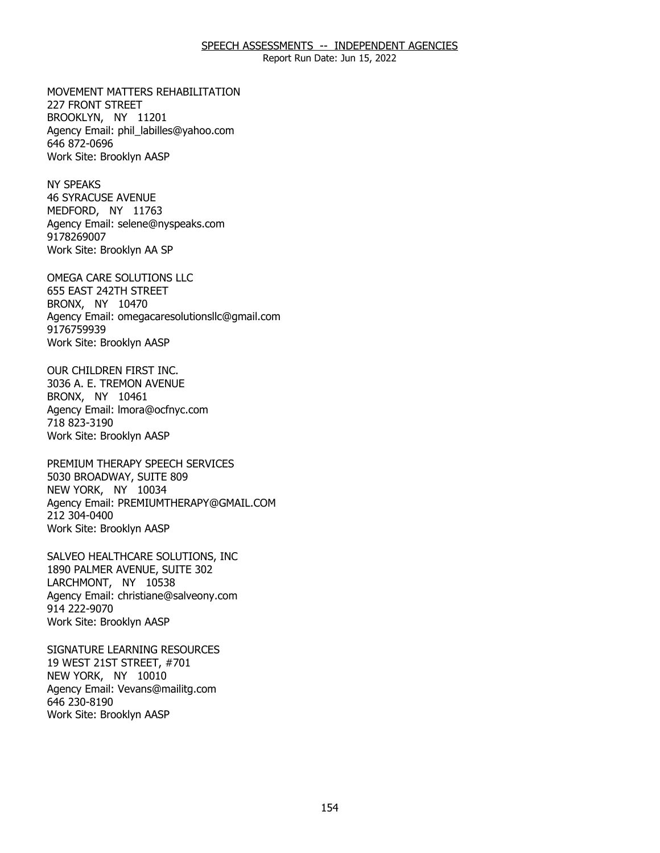Report Run Date: Jun 15, 2022

227 FRONT STREET 227 FRONT STREET<br>BROOKLYN, NY 11201 MOVEMENT MATTERS REHABILITATION Agency Email: [phil\\_labilles@yahoo.com](mailto:phil_labilles@yahoo.com) 646 872-0696 Work Site: Brooklyn AASP

**46 SYRACUSE AVENUE** 46 SYRACUSE AVENUE<br>MEDFORD, NY 11763 NY SPEAKS Agency Email: [selene@nyspeaks.com](mailto:selene@nyspeaks.com)  9178269007 Work Site: Brooklyn AA SP

655 EAST 242TH STREET<br>BRONX, NY 10470 BRONX, NY 10470 OMEGA CARE SOLUTIONS LLC Agency Email: [omegacaresolutionsllc@gmail.com](mailto:omegacaresolutionsllc@gmail.com) 9176759939 Work Site: Brooklyn AASP

 3036 A. E. TREMON AVENUE BRONX, NY 10461 BRONX, NY 10461 OUR CHILDREN FIRST INC. Agency Email: [lmora@ocfnyc.com](mailto:lmora@ocfnyc.com) 718 823-3190 Work Site: Brooklyn AASP

5030 BROADWAY, SUITE 809<br>NEW YORK, NY 10034 NEW YORK, NY 10034 PREMIUM THERAPY SPEECH SERVICES Agency Email: [PREMIUMTHERAPY@GMAIL.COM](mailto:PREMIUMTHERAPY@GMAIL.COM) 212 304-0400 Work Site: Brooklyn AASP

1890 PALMER AVENUE, SUITE 302<br>LARCHMONT, NY 10538 LARCHMONT, NY 10538 SALVEO HEALTHCARE SOLUTIONS, INC Agency Email: [christiane@salveony.com](mailto:christiane@salveony.com) 914 222-9070 Work Site: Brooklyn AASP

19 WEST 21ST STREET, #701 19 WEST 21ST STREET, #701<br>NEW YORK, NY 10010 SIGNATURE LEARNING RESOURCES Agency Email: [Vevans@mailitg.com](mailto:Vevans@mailitg.com)  646 230-8190 Work Site: Brooklyn AASP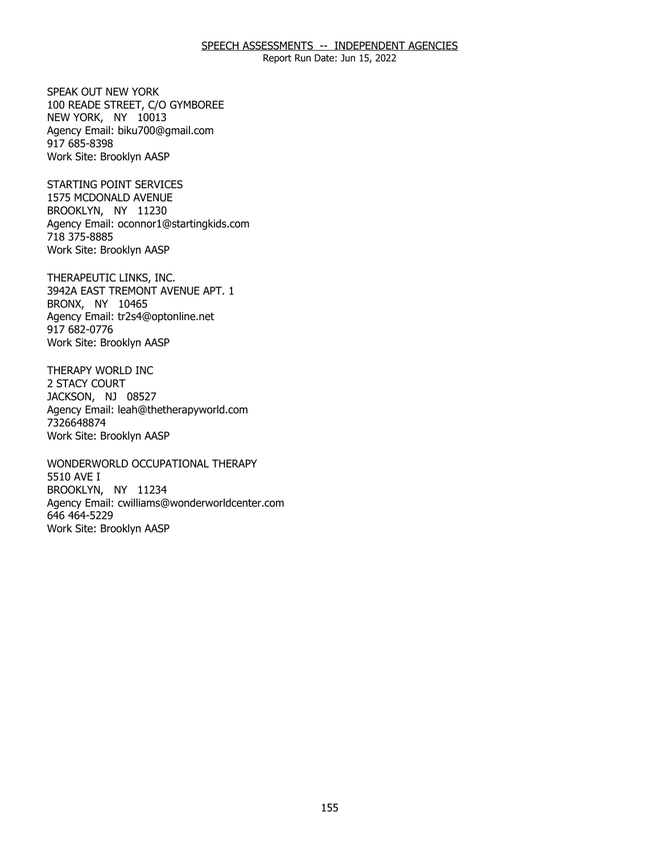Report Run Date: Jun 15, 2022

 100 READE STREET, C/O GYMBOREE NEW YORK, NY 10013 NEW YORK, NY 10013 SPEAK OUT NEW YORK Agency Email: [biku700@gmail.com](mailto:biku700@gmail.com) 917 685-8398 Work Site: Brooklyn AASP

1575 MCDONALD AVENUE 1575 MCDONALD AVENUE BROOKLYN, NY 11230 STARTING POINT SERVICES Agency Email: [oconnor1@startingkids.com](mailto:oconnor1@startingkids.com)  718 375-8885 Work Site: Brooklyn AASP

3942A EAST TREMONT AVENUE APT. 1<br>BRONX, NY 10465 BRONX, NY 10465 THERAPEUTIC LINKS, INC. Agency Email: [tr2s4@optonline.net](mailto:tr2s4@optonline.net)  917 682-0776 Work Site: Brooklyn AASP

2 STACY COURT 2 STACY COURT<br>JACKSON, NJ 08527 THERAPY WORLD INC Agency Email: [leah@thetherapyworld.com](mailto:leah@thetherapyworld.com) 7326648874 Work Site: Brooklyn AASP

5510 AVE I 5510 AVE I<br>BROOKLYN, NY 11234 WONDERWORLD OCCUPATIONAL THERAPY Agency Email: [cwilliams@wonderworldcenter.com](mailto:cwilliams@wonderworldcenter.com)  646 464-5229 Work Site: Brooklyn AASP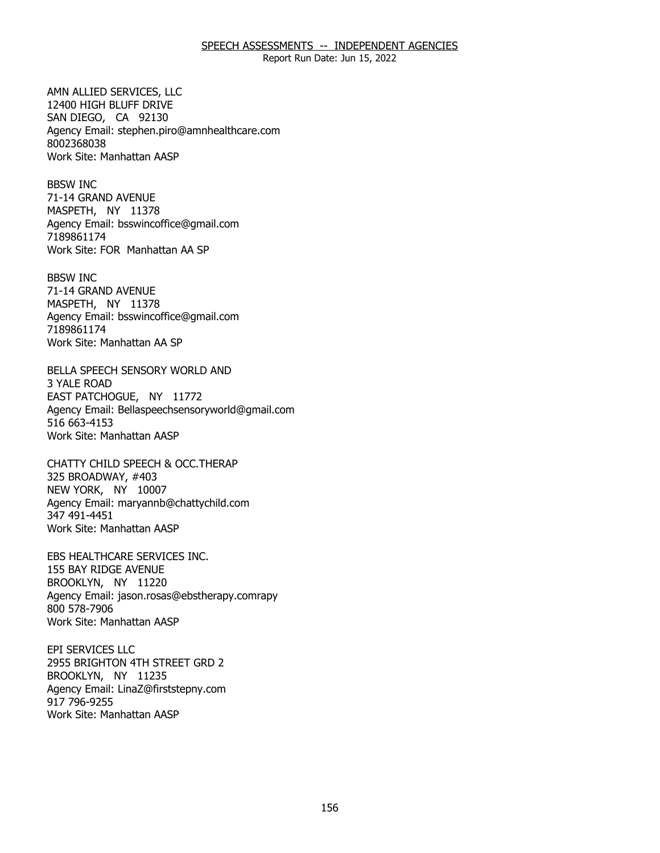Report Run Date: Jun 15, 2022

12400 HIGH BLUFF DRIVE 12400 HIGH BLUFF DRIVE SAN DIEGO, CA 92130 AMN ALLIED SERVICES, LLC Agency Email: [stephen.piro@amnhealthcare.com](mailto:stephen.piro@amnhealthcare.com) 8002368038 Work Site: Manhattan AASP

71-14 GRAND AVENUE 71-14 GRAND AVENUE<br>MASPETH, NY 11378 BBSW INC Agency Email: [bsswincoffice@gmail.com](mailto:bsswincoffice@gmail.com)  7189861174 Work Site: FOR Manhattan AA SP

71-14 GRAND AVENUE 71-14 GRAND AVENUE<br>MASPETH, NY 11378 BBSW INC Agency Email: [bsswincoffice@gmail.com](mailto:bsswincoffice@gmail.com)  7189861174 Work Site: Manhattan AA SP

3 YALE ROAD 3 YALE ROAD<br>EAST PATCHOGUE, NY 11772 BELLA SPEECH SENSORY WORLD AND Agency Email: [Bellaspeechsensoryworld@gmail.com](mailto:Bellaspeechsensoryworld@gmail.com) 516 663-4153 Work Site: Manhattan AASP

325 BROADWAY, #403 325 BROADWAY, #403<br>NEW YORK, NY 10007 CHATTY CHILD SPEECH & OCC.THERAP Agency Email: [maryannb@chattychild.com](mailto:maryannb@chattychild.com) 347 491-4451 Work Site: Manhattan AASP

155 BAY RIDGE AVENUE 155 BAY RIDGE AVENUE<br>BROOKLYN, NY 11220 EBS HEALTHCARE SERVICES INC. Agency Email: jason.rosas@ebstherapy.comrapy 800 578-7906 Work Site: Manhattan AASP

2955 BRIGHTON 4TH STREET GRD 2<br>BROOKLYN, NY 11235 BROOKLYN, NY 11235 EPI SERVICES LLC Agency Email: [LinaZ@firststepny.com](mailto:LinaZ@firststepny.com)  917 796-9255 Work Site: Manhattan AASP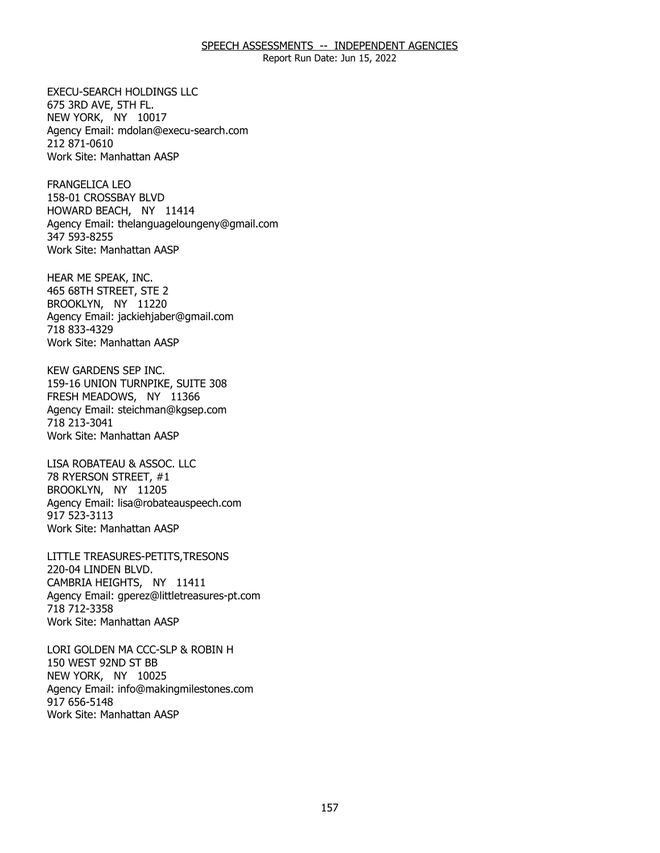Report Run Date: Jun 15, 2022

675 3RD AVE, 5TH FL. 675 3RD AVE, 5TH FL.<br>NEW YORK, NY 10017 EXECU-SEARCH HOLDINGS LLC Agency Email: [mdolan@execu-search.com](mailto:mdolan@execu-search.com) 212 871-0610 Work Site: Manhattan AASP

158-01 CROSSBAY BLVD 158-01 CROSSBAY BLVD HOWARD BEACH, NY 11414 FRANGELICA LEO Agency Email: [thelanguageloungeny@gmail.com](mailto:thelanguageloungeny@gmail.com) 347 593-8255 Work Site: Manhattan AASP

465 68TH STREET, STE 2<br>BROOKLYN, NY 11220 BROOKLYN, NY 11220 HEAR ME SPEAK, INC. Agency Email: [jackiehjaber@gmail.com](mailto:jackiehjaber@gmail.com)  718 833-4329 Work Site: Manhattan AASP

159-16 UNION TURNPIKE, SUITE 308 159-16 UNION TURNPIKE, SUITE 308 FRESH MEADOWS, NY 11366 KEW GARDENS SEP INC. Agency Email: [steichman@kgsep.com](mailto:steichman@kgsep.com) 718 213-3041 Work Site: Manhattan AASP

78 RYERSON STREET, #1 78 RYERSON STREET, #1<br>BROOKLYN, NY 11205 LISA ROBATEAU & ASSOC. LLC Agency Email: [lisa@robateauspeech.com](mailto:lisa@robateauspeech.com) 917 523-3113 Work Site: Manhattan AASP

220-04 LINDEN BLVD. 220-04 LINDEN BLVD.<br>CAMBRIA HEIGHTS, NY 11411 LITTLE TREASURES-PETITS,TRESONS Agency Email: [gperez@littletreasures-pt.com](mailto:gperez@littletreasures-pt.com)  718 712-3358 Work Site: Manhattan AASP

150 WEST 92ND ST BB 150 WEST 92ND ST BB<br>NEW YORK, NY 10025 LORI GOLDEN MA CCC-SLP & ROBIN H Agency Email: [info@makingmilestones.com](mailto:info@makingmilestones.com) 917 656-5148 Work Site: Manhattan AASP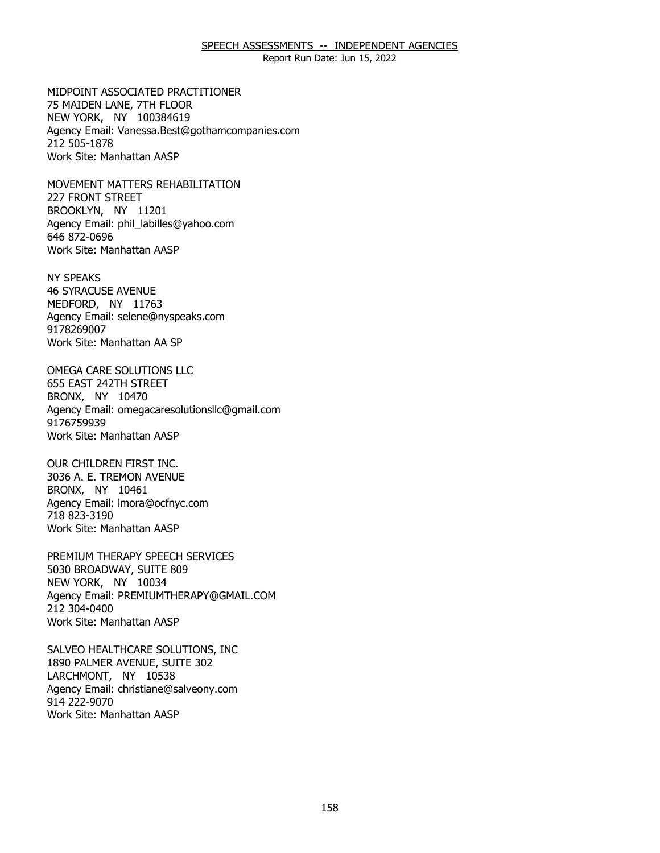Report Run Date: Jun 15, 2022

75 MAIDEN LANE, 7TH FLOOR 75 MAIDEN LANE, 7TH FLOOR<br>NEW YORK, NY 100384619 MIDPOINT ASSOCIATED PRACTITIONER Agency Email: [Vanessa.Best@gothamcompanies.com](mailto:Vanessa.Best@gothamcompanies.com) 212 505-1878 Work Site: Manhattan AASP

227 FRONT STREET 227 FRONT STREET<br>BROOKLYN, NY 11201 MOVEMENT MATTERS REHABILITATION Agency Email: [phil\\_labilles@yahoo.com](mailto:phil_labilles@yahoo.com) 646 872-0696 Work Site: Manhattan AASP

**46 SYRACUSE AVENUE** 46 SYRACUSE AVENUE<br>MEDFORD, NY 11763 NY SPEAKS Agency Email: [selene@nyspeaks.com](mailto:selene@nyspeaks.com)  9178269007 Work Site: Manhattan AA SP

655 EAST 242TH STREET 655 EAST 242TH STREET<br>BRONX, NY 10470 OMEGA CARE SOLUTIONS LLC Agency Email: [omegacaresolutionsllc@gmail.com](mailto:omegacaresolutionsllc@gmail.com) 9176759939 Work Site: Manhattan AASP

 3036 A. E. TREMON AVENUE BRONX, NY 10461 BRONX, NY 10461 OUR CHILDREN FIRST INC. Agency Email: [lmora@ocfnyc.com](mailto:lmora@ocfnyc.com) 718 823-3190 Work Site: Manhattan AASP

5030 BROADWAY, SUITE 809<br>NEW YORK, NY 10034 NEW YORK, NY 10034 PREMIUM THERAPY SPEECH SERVICES Agency Email: [PREMIUMTHERAPY@GMAIL.COM](mailto:PREMIUMTHERAPY@GMAIL.COM) 212 304-0400 Work Site: Manhattan AASP

1890 PALMER AVENUE, SUITE 302<br>LARCHMONT, NY 10538 LARCHMONT, NY 10538 SALVEO HEALTHCARE SOLUTIONS, INC Agency Email: [christiane@salveony.com](mailto:christiane@salveony.com) 914 222-9070 Work Site: Manhattan AASP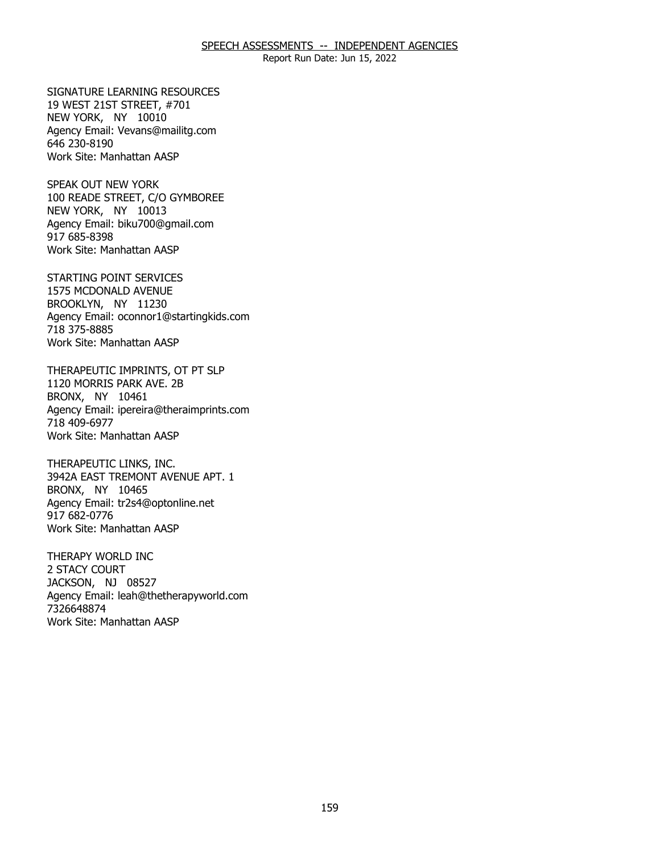Report Run Date: Jun 15, 2022

19 WEST 21ST STREET, #701 19 WEST 21ST STREET, #701<br>NEW YORK, NY 10010 SIGNATURE LEARNING RESOURCES Agency Email: [Vevans@mailitg.com](mailto:Vevans@mailitg.com)  646 230-8190 Work Site: Manhattan AASP

 100 READE STREET, C/O GYMBOREE NEW YORK, NY 10013 NEW YORK, NY 10013 SPEAK OUT NEW YORK Agency Email: [biku700@gmail.com](mailto:biku700@gmail.com) 917 685-8398 Work Site: Manhattan AASP

 1575 MCDONALD AVENUE BROOKLYN, NY 11230 BROOKLYN, NY 11230 STARTING POINT SERVICES Agency Email: [oconnor1@startingkids.com](mailto:oconnor1@startingkids.com)  718 375-8885 Work Site: Manhattan AASP

1120 MORRIS PARK AVE. 2B 1120 MORRIS PARK AVE. 2B<br>BRONX, NY 10461 THERAPEUTIC IMPRINTS, OT PT SLP Agency Email: [ipereira@theraimprints.com](mailto:ipereira@theraimprints.com) 718 409-6977 Work Site: Manhattan AASP

3942A EAST TREMONT AVENUE APT. 1<br>BRONX, NY 10465 BRONX, NY 10465 THERAPEUTIC LINKS, INC. Agency Email: [tr2s4@optonline.net](mailto:tr2s4@optonline.net)  917 682-0776 Work Site: Manhattan AASP

2 STACY COURT 2 STACY COURT<br>JACKSON, NJ 08527 THERAPY WORLD INC Agency Email: [leah@thetherapyworld.com](mailto:leah@thetherapyworld.com) 7326648874 Work Site: Manhattan AASP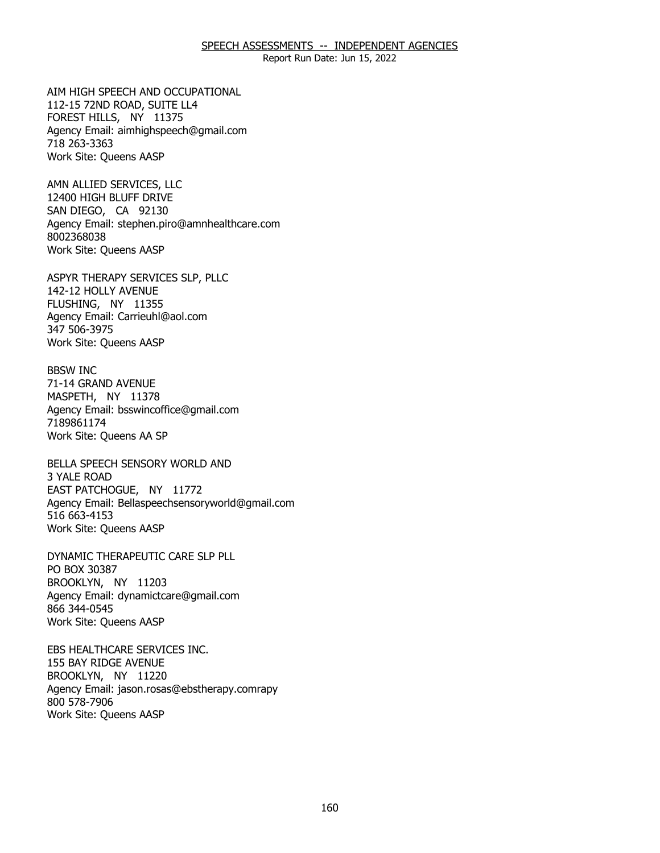Report Run Date: Jun 15, 2022

112-15 72ND ROAD, SUITE LL4 112-15 72ND ROAD, SUITE LL4 FOREST HILLS, NY 11375 AIM HIGH SPEECH AND OCCUPATIONAL Agency Email: [aimhighspeech@gmail.com](mailto:aimhighspeech@gmail.com) 718 263-3363 Work Site: Queens AASP

12400 HIGH BLUFF DRIVE 12400 HIGH BLUFF DRIVE SAN DIEGO, CA 92130 AMN ALLIED SERVICES, LLC Agency Email: [stephen.piro@amnhealthcare.com](mailto:stephen.piro@amnhealthcare.com) 8002368038 Work Site: Queens AASP

142-12 HOLLY AVENUE 142-12 HOLLY AVENUE<br>FLUSHING, NY 11355 ASPYR THERAPY SERVICES SLP, PLLC Agency Email: [Carrieuhl@aol.com](mailto:Carrieuhl@aol.com) 347 506-3975 Work Site: Queens AASP

71-14 GRAND AVENUE 71-14 GRAND AVENUE<br>MASPETH, NY 11378 BBSW INC Agency Email: [bsswincoffice@gmail.com](mailto:bsswincoffice@gmail.com)  7189861174 Work Site: Queens AA SP

3 YALE ROAD 3 YALE ROAD<br>EAST PATCHOGUE, NY 11772 BELLA SPEECH SENSORY WORLD AND Agency Email: [Bellaspeechsensoryworld@gmail.com](mailto:Bellaspeechsensoryworld@gmail.com) 516 663-4153 Work Site: Queens AASP

PO BOX 30387 PO BOX 30387<br>BROOKLYN, NY 11203 DYNAMIC THERAPEUTIC CARE SLP PLL Agency Email: [dynamictcare@gmail.com](mailto:dynamictcare@gmail.com) 866 344-0545 Work Site: Queens AASP

155 BAY RIDGE AVENUE 155 BAY RIDGE AVENUE<br>BROOKLYN, NY 11220 EBS HEALTHCARE SERVICES INC. Agency Email: jason.rosas@ebstherapy.comrapy 800 578-7906 Work Site: Queens AASP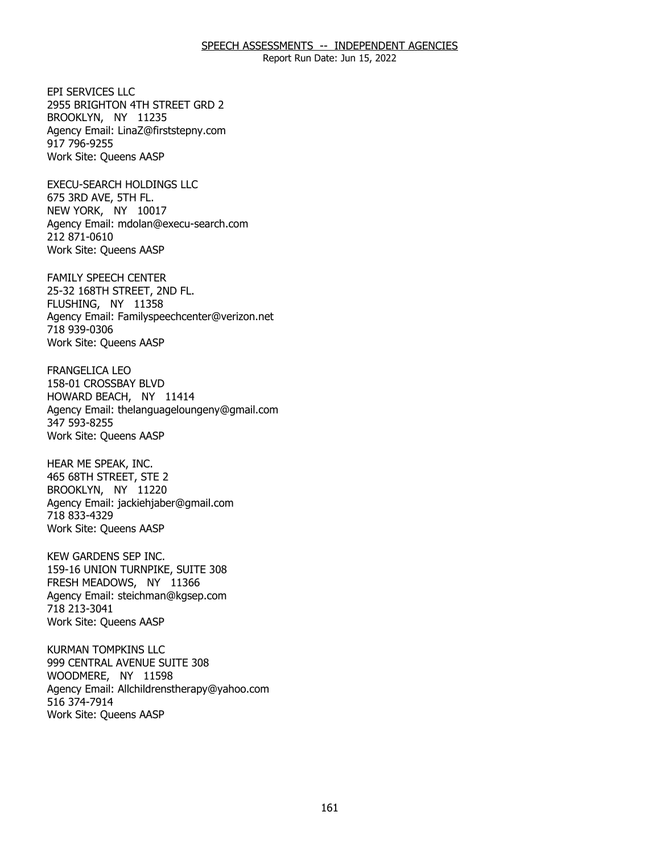Report Run Date: Jun 15, 2022

2955 BRIGHTON 4TH STREET GRD 2<br>BROOKLYN, NY 11235 BROOKLYN, NY 11235 EPI SERVICES LLC Agency Email: [LinaZ@firststepny.com](mailto:LinaZ@firststepny.com)  917 796-9255 Work Site: Queens AASP

675 3RD AVE, 5TH FL. 675 3RD AVE, 5TH FL.<br>NEW YORK, NY 10017 EXECU-SEARCH HOLDINGS LLC Agency Email: [mdolan@execu-search.com](mailto:mdolan@execu-search.com) 212 871-0610 Work Site: Queens AASP

25-32 168TH STREET, 2ND FL.<br>FLUSHING, NY 11358 FLUSHING, NY 11358 FAMILY SPEECH CENTER Agency Email: [Familyspeechcenter@verizon.net](mailto:Familyspeechcenter@verizon.net)  718 939-0306 Work Site: Queens AASP

158-01 CROSSBAY BLVD 158-01 CROSSBAY BLVD HOWARD BEACH, NY 11414 FRANGELICA LEO Agency Email: [thelanguageloungeny@gmail.com](mailto:thelanguageloungeny@gmail.com) 347 593-8255 Work Site: Queens AASP

465 68TH STREET, STE 2 465 68TH STREET, STE 2<br>BROOKLYN, NY 11220 HEAR ME SPEAK, INC. Agency Email: [jackiehjaber@gmail.com](mailto:jackiehjaber@gmail.com)  718 833-4329 Work Site: Queens AASP

 159-16 UNION TURNPIKE, SUITE 308 FRESH MEADOWS, NY 11366 FRESH MEADOWS, NY 11366 KEW GARDENS SEP INC. Agency Email: [steichman@kgsep.com](mailto:steichman@kgsep.com) 718 213-3041 Work Site: Queens AASP

999 CENTRAL AVENUE SUITE 308 999 CENTRAL AVENUE SUITE 308 WOODMERE, NY 11598 KURMAN TOMPKINS LLC Agency Email: [Allchildrenstherapy@yahoo.com](mailto:Allchildrenstherapy@yahoo.com)  516 374-7914 Work Site: Queens AASP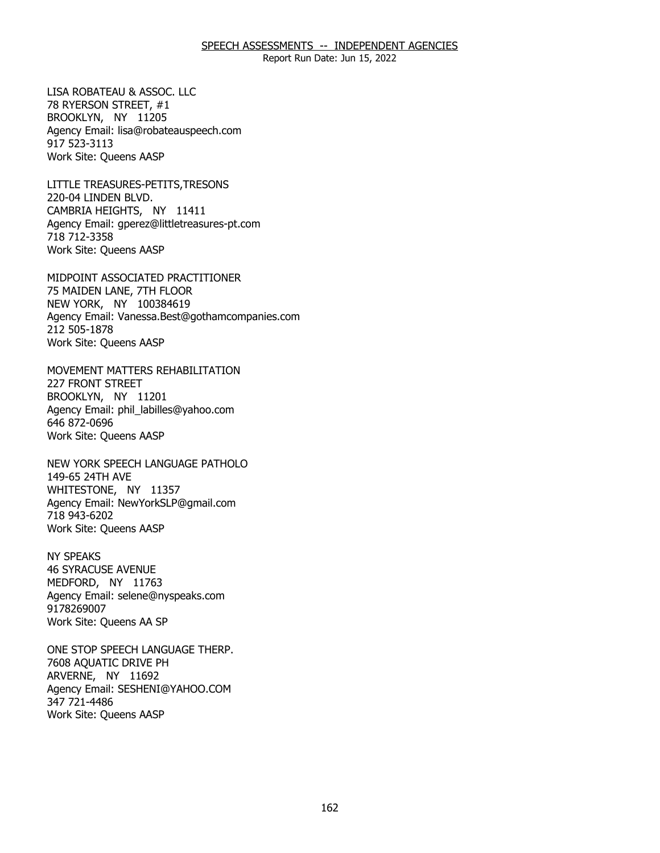Report Run Date: Jun 15, 2022

78 RYERSON STREET, #1 78 RYERSON STREET, #1<br>BROOKLYN, NY 11205 LISA ROBATEAU & ASSOC. LLC Agency Email: [lisa@robateauspeech.com](mailto:lisa@robateauspeech.com) 917 523-3113 Work Site: Queens AASP

220-04 LINDEN BLVD. 220-04 LINDEN BLVD.<br>CAMBRIA HEIGHTS, NY 11411 LITTLE TREASURES-PETITS,TRESONS Agency Email: [gperez@littletreasures-pt.com](mailto:gperez@littletreasures-pt.com)  718 712-3358 Work Site: Queens AASP

75 MAIDEN LANE, 7TH FLOOR<br>NEW YORK, NY 100384619 NEW YORK, NY 100384619 MIDPOINT ASSOCIATED PRACTITIONER Agency Email: [Vanessa.Best@gothamcompanies.com](mailto:Vanessa.Best@gothamcompanies.com) 212 505-1878 Work Site: Queens AASP

**227 FRONT STREET** 227 FRONT STREET<br>BROOKLYN, NY 11201 MOVEMENT MATTERS REHABILITATION Agency Email: [phil\\_labilles@yahoo.com](mailto:phil_labilles@yahoo.com) 646 872-0696 Work Site: Queens AASP

149-65 24TH AVE 149-65 24TH AVE WHITESTONE, NY 11357 NEW YORK SPEECH LANGUAGE PATHOLO Agency Email: [NewYorkSLP@gmail.com](mailto:NewYorkSLP@gmail.com)  718 943-6202 Work Site: Queens AASP

**46 SYRACUSE AVENUE** 46 SYRACUSE AVENUE<br>MEDFORD, NY 11763 NY SPEAKS Agency Email: [selene@nyspeaks.com](mailto:selene@nyspeaks.com)  9178269007 Work Site: Queens AA SP

7608 AOUATIC DRIVE PH 7608 AQUATIC DRIVE PH<br>ARVERNE, NY 11692 ONE STOP SPEECH LANGUAGE THERP. Agency Email: [SESHENI@YAHOO.COM](mailto:SESHENI@YAHOO.COM) 347 721-4486 Work Site: Queens AASP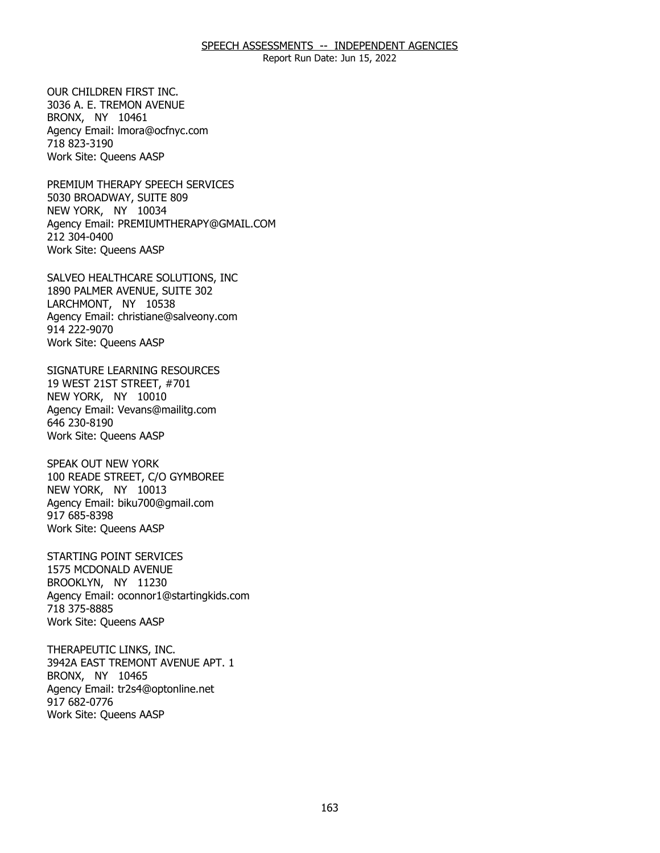Report Run Date: Jun 15, 2022

 3036 A. E. TREMON AVENUE BRONX, NY 10461 BRONX, NY 10461 OUR CHILDREN FIRST INC. Agency Email: [lmora@ocfnyc.com](mailto:lmora@ocfnyc.com) 718 823-3190 Work Site: Queens AASP

5030 BROADWAY, SUITE 809<br>NEW YORK, NY 10034 NEW YORK, NY 10034 PREMIUM THERAPY SPEECH SERVICES Agency Email: [PREMIUMTHERAPY@GMAIL.COM](mailto:PREMIUMTHERAPY@GMAIL.COM) 212 304-0400 Work Site: Queens AASP

1890 PALMER AVENUE, SUITE 302<br>LARCHMONT, NY 10538 LARCHMONT, NY 10538 SALVEO HEALTHCARE SOLUTIONS, INC Agency Email: [christiane@salveony.com](mailto:christiane@salveony.com) 914 222-9070 Work Site: Queens AASP

19 WEST 21ST STREET, #701 19 WEST 21ST STREET, #701<br>NEW YORK, NY 10010 SIGNATURE LEARNING RESOURCES Agency Email: [Vevans@mailitg.com](mailto:Vevans@mailitg.com)  646 230-8190 Work Site: Queens AASP

 100 READE STREET, C/O GYMBOREE NEW YORK, NY 10013 NEW YORK, NY 10013 SPEAK OUT NEW YORK Agency Email: [biku700@gmail.com](mailto:biku700@gmail.com) 917 685-8398 Work Site: Queens AASP

1575 MCDONALD AVENUE 1575 MCDONALD AVENUE BROOKLYN, NY 11230 STARTING POINT SERVICES Agency Email: [oconnor1@startingkids.com](mailto:oconnor1@startingkids.com)  718 375-8885 Work Site: Queens AASP

3942A EAST TREMONT AVENUE APT. 1<br>BRONX, NY 10465 BRONX, NY 10465 THERAPEUTIC LINKS, INC. Agency Email: [tr2s4@optonline.net](mailto:tr2s4@optonline.net)  917 682-0776 Work Site: Queens AASP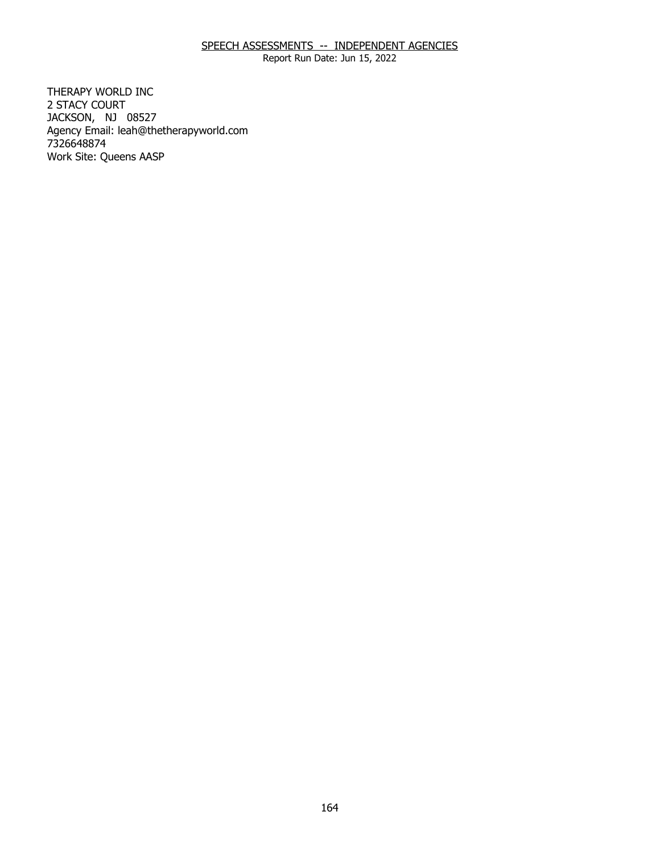Report Run Date: Jun 15, 2022

2 STACY COURT 2 STACY COURT<br>JACKSON, NJ 08527 THERAPY WORLD INC Agency Email: [leah@thetherapyworld.com](mailto:leah@thetherapyworld.com) 7326648874 Work Site: Queens AASP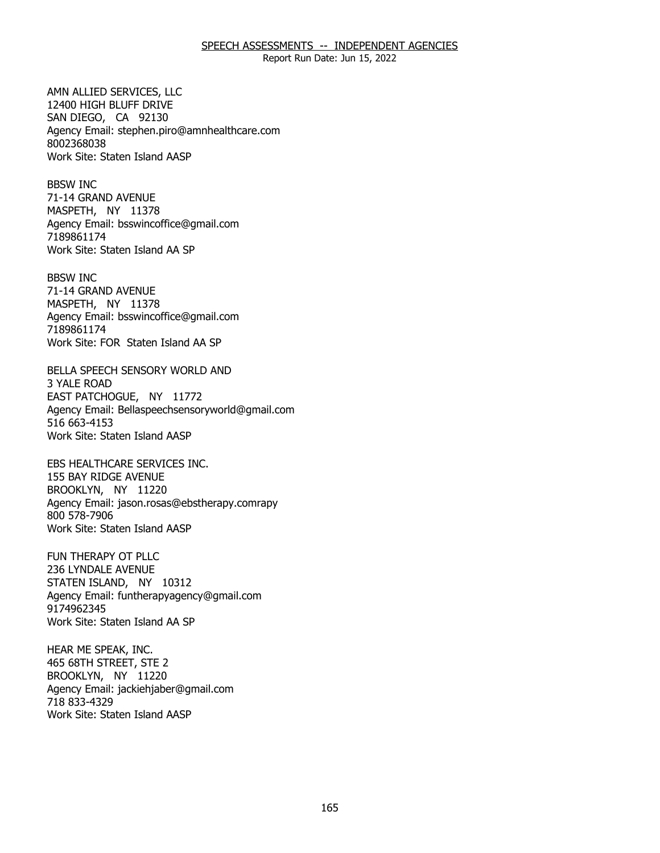Report Run Date: Jun 15, 2022

12400 HIGH BLUFF DRIVE 12400 HIGH BLUFF DRIVE SAN DIEGO, CA 92130 AMN ALLIED SERVICES, LLC Agency Email: [stephen.piro@amnhealthcare.com](mailto:stephen.piro@amnhealthcare.com) 8002368038 Work Site: Staten Island AASP

71-14 GRAND AVENUE 71-14 GRAND AVENUE<br>MASPETH, NY 11378 BBSW INC Agency Email: [bsswincoffice@gmail.com](mailto:bsswincoffice@gmail.com)  7189861174 Work Site: Staten Island AA SP

71-14 GRAND AVENUE 71-14 GRAND AVENUE<br>MASPETH, NY 11378 BBSW INC Agency Email: [bsswincoffice@gmail.com](mailto:bsswincoffice@gmail.com)  7189861174 Work Site: FOR Staten Island AA SP

3 YALE ROAD 3 YALE ROAD<br>EAST PATCHOGUE, NY 11772 BELLA SPEECH SENSORY WORLD AND Agency Email: [Bellaspeechsensoryworld@gmail.com](mailto:Bellaspeechsensoryworld@gmail.com) 516 663-4153 Work Site: Staten Island AASP

155 BAY RIDGE AVENUE 155 BAY RIDGE AVENUE<br>BROOKLYN, NY 11220 EBS HEALTHCARE SERVICES INC. Agency Email: jason.rosas@ebstherapy.comrapy 800 578-7906 Work Site: Staten Island AASP

236 LYNDALE AVENUE 236 LYNDALE AVENUE<br>STATEN ISLAND, NY 10312 FUN THERAPY OT PLLC Agency Email: [funtherapyagency@gmail.com](mailto:funtherapyagency@gmail.com)  9174962345 Work Site: Staten Island AA SP

465 68TH STREET, STE 2 465 68TH STREET, STE 2<br>BROOKLYN, NY 11220 HEAR ME SPEAK, INC. Agency Email: [jackiehjaber@gmail.com](mailto:jackiehjaber@gmail.com)  718 833-4329 Work Site: Staten Island AASP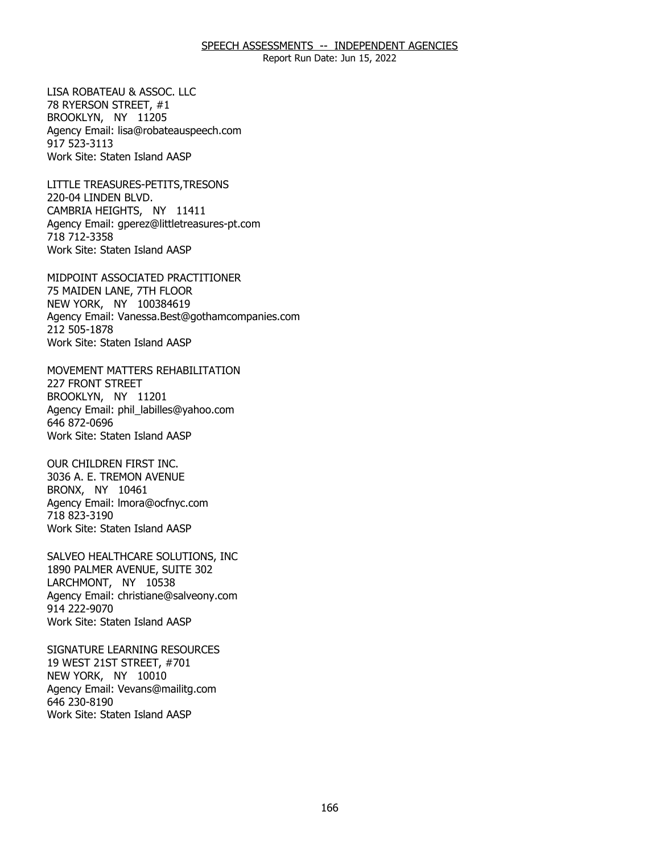Report Run Date: Jun 15, 2022

78 RYERSON STREET, #1 78 RYERSON STREET, #1<br>BROOKLYN, NY 11205 LISA ROBATEAU & ASSOC. LLC Agency Email: [lisa@robateauspeech.com](mailto:lisa@robateauspeech.com) 917 523-3113 Work Site: Staten Island AASP

220-04 LINDEN BLVD. 220-04 LINDEN BLVD.<br>CAMBRIA HEIGHTS, NY 11411 LITTLE TREASURES-PETITS,TRESONS Agency Email: [gperez@littletreasures-pt.com](mailto:gperez@littletreasures-pt.com)  718 712-3358 Work Site: Staten Island AASP

75 MAIDEN LANE, 7TH FLOOR<br>NEW YORK, NY 100384619 NEW YORK, NY 100384619 MIDPOINT ASSOCIATED PRACTITIONER Agency Email: [Vanessa.Best@gothamcompanies.com](mailto:Vanessa.Best@gothamcompanies.com) 212 505-1878 Work Site: Staten Island AASP

**227 FRONT STREET** 227 FRONT STREET<br>BROOKLYN, NY 11201 MOVEMENT MATTERS REHABILITATION Agency Email: [phil\\_labilles@yahoo.com](mailto:phil_labilles@yahoo.com) 646 872-0696 Work Site: Staten Island AASP

 3036 A. E. TREMON AVENUE BRONX, NY 10461 BRONX, NY 10461 OUR CHILDREN FIRST INC. Agency Email: [lmora@ocfnyc.com](mailto:lmora@ocfnyc.com) 718 823-3190 Work Site: Staten Island AASP

1890 PALMER AVENUE, SUITE 302<br>LARCHMONT, NY 10538 LARCHMONT, NY 10538 SALVEO HEALTHCARE SOLUTIONS, INC Agency Email: [christiane@salveony.com](mailto:christiane@salveony.com) 914 222-9070 Work Site: Staten Island AASP

19 WEST 21ST STREET, #701 19 WEST 21ST STREET, #701<br>NEW YORK, NY 10010 SIGNATURE LEARNING RESOURCES Agency Email: [Vevans@mailitg.com](mailto:Vevans@mailitg.com)  646 230-8190 Work Site: Staten Island AASP